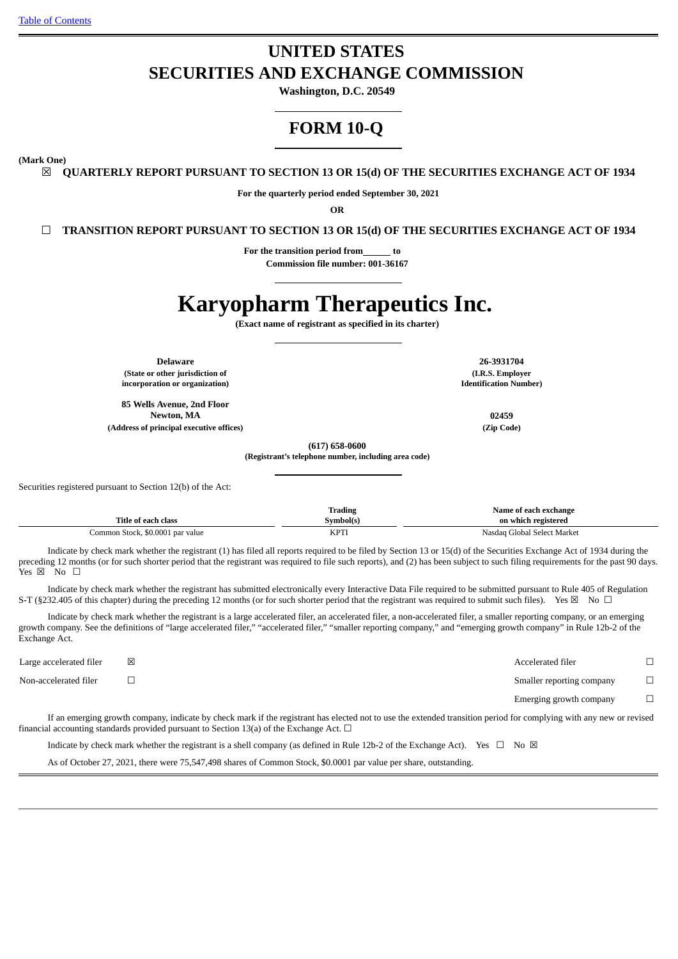# **UNITED STATES SECURITIES AND EXCHANGE COMMISSION**

**Washington, D.C. 20549**

# **FORM 10-Q**

**(Mark One)**

☒ **QUARTERLY REPORT PURSUANT TO SECTION 13 OR 15(d) OF THE SECURITIES EXCHANGE ACT OF 1934**

**For the quarterly period ended September 30, 2021**

**OR**

☐ **TRANSITION REPORT PURSUANT TO SECTION 13 OR 15(d) OF THE SECURITIES EXCHANGE ACT OF 1934**

**For the transition period from to** 

**Commission file number: 001-36167**

# **Karyopharm Therapeutics Inc.**

**(Exact name of registrant as specified in its charter)**

**(State or other jurisdiction of incorporation or organization)**

**85 Wells Avenue, 2nd Floor Newton, MA 02459**

**(Address of principal executive offices) (Zip Code)**

**Delaware 26-3931704 (I.R.S. Employer Identification Number)**

**(617) 658-0600**

**(Registrant's telephone number, including area code)**

Securities registered pursuant to Section 12(b) of the Act:

|                                  | <b>Trading</b>   | lame<br>e of each exchange       |
|----------------------------------|------------------|----------------------------------|
| Title of each class              | <b>Symbol(s)</b> | on which registered              |
| Common Stock, \$0,0001 par value | <b>KPTI</b>      | i Select Market<br>Nasdag Global |

Indicate by check mark whether the registrant (1) has filed all reports required to be filed by Section 13 or 15(d) of the Securities Exchange Act of 1934 during the preceding 12 months (or for such shorter period that the registrant was required to file such reports), and (2) has been subject to such filing requirements for the past 90 days. Yes  $\boxtimes$  No  $\Box$ 

Indicate by check mark whether the registrant has submitted electronically every Interactive Data File required to be submitted pursuant to Rule 405 of Regulation S-T (§232.405 of this chapter) during the preceding 12 months (or for such shorter period that the registrant was required to submit such files). Yes  $\boxtimes$  No  $\Box$ 

Indicate by check mark whether the registrant is a large accelerated filer, an accelerated filer, a non-accelerated filer, a smaller reporting company, or an emerging growth company. See the definitions of "large accelerated filer," "accelerated filer," "smaller reporting company," and "emerging growth company" in Rule 12b-2 of the Exchange Act.

| Large accelerated filer | 区 | Accelerated filer         |  |
|-------------------------|---|---------------------------|--|
| Non-accelerated filer   |   | Smaller reporting company |  |
|                         |   | Emerging growth company   |  |

If an emerging growth company, indicate by check mark if the registrant has elected not to use the extended transition period for complying with any new or revised financial accounting standards provided pursuant to Section 13(a) of the Exchange Act.  $\Box$ 

Indicate by check mark whether the registrant is a shell company (as defined in Rule 12b-2 of the Exchange Act). Yes  $\Box$  No  $\boxtimes$ 

As of October 27, 2021, there were 75,547,498 shares of Common Stock, \$0.0001 par value per share, outstanding.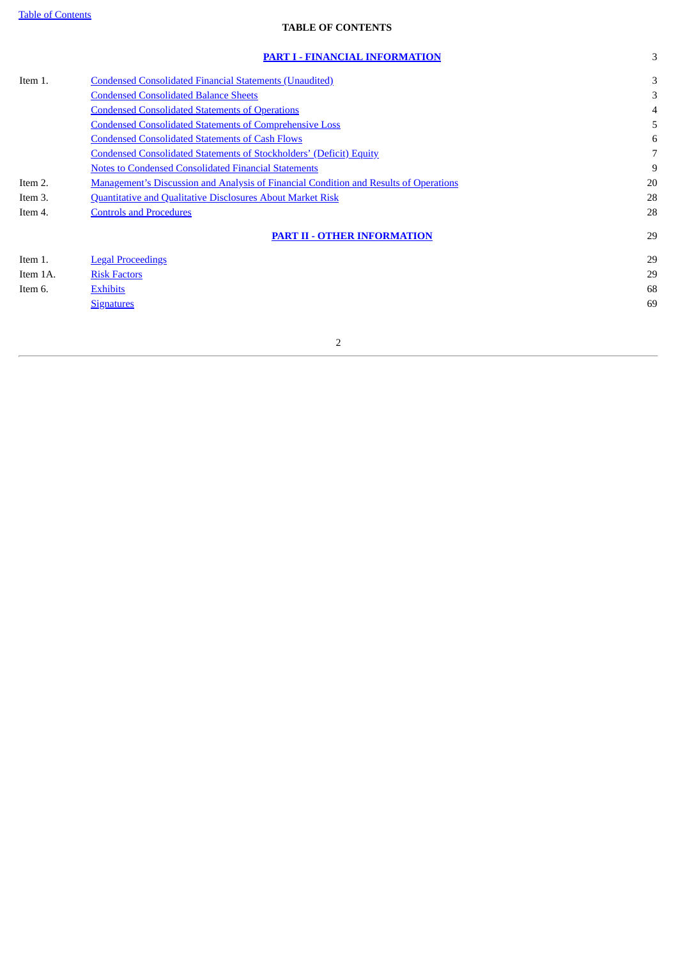## **TABLE OF CONTENTS**

<span id="page-1-0"></span>

|          | <b>PART I - FINANCIAL INFORMATION</b>                                                        | 3  |
|----------|----------------------------------------------------------------------------------------------|----|
| Item 1.  | <b>Condensed Consolidated Financial Statements (Unaudited)</b>                               | 3  |
|          | <b>Condensed Consolidated Balance Sheets</b>                                                 | 3  |
|          | <b>Condensed Consolidated Statements of Operations</b>                                       |    |
|          | <b>Condensed Consolidated Statements of Comprehensive Loss</b>                               | 5  |
|          | <b>Condensed Consolidated Statements of Cash Flows</b>                                       | 6  |
|          | <b>Condensed Consolidated Statements of Stockholders' (Deficit) Equity</b>                   | 7  |
|          | <b>Notes to Condensed Consolidated Financial Statements</b>                                  | 9  |
| Item 2.  | <b>Management's Discussion and Analysis of Financial Condition and Results of Operations</b> | 20 |
| Item 3.  | <b>Quantitative and Qualitative Disclosures About Market Risk</b>                            | 28 |
| Item 4.  | <b>Controls and Procedures</b>                                                               | 28 |
|          | <b>PART II - OTHER INFORMATION</b>                                                           | 29 |
| Item 1.  | <b>Legal Proceedings</b>                                                                     | 29 |
| Item 1A. | <b>Risk Factors</b>                                                                          | 29 |
| Item 6.  | <b>Exhibits</b>                                                                              | 68 |
|          | <b>Signatures</b>                                                                            | 69 |
|          |                                                                                              |    |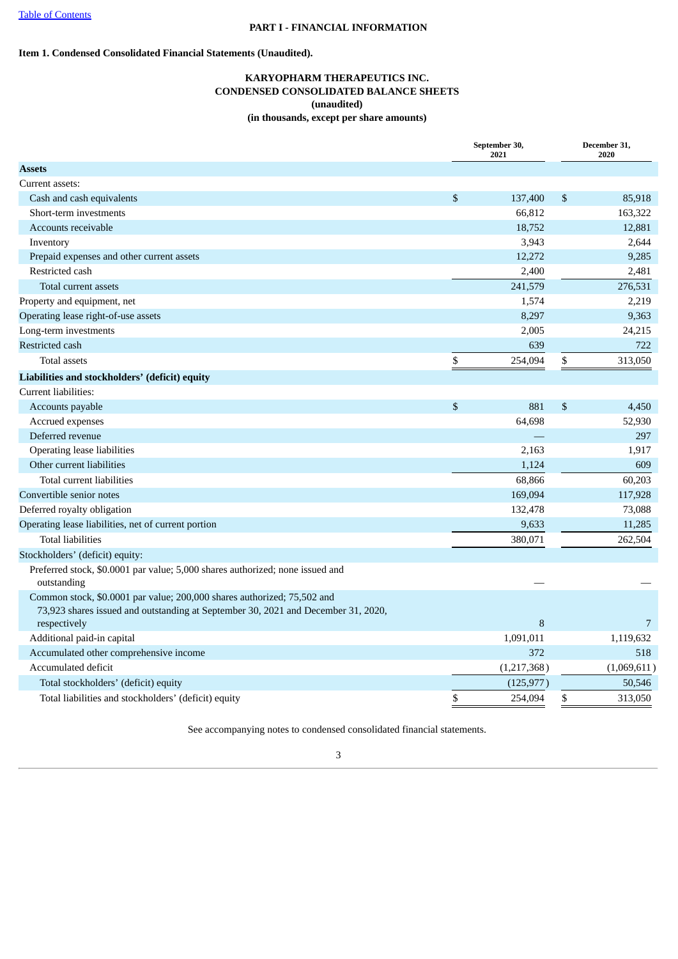## <span id="page-2-2"></span><span id="page-2-1"></span><span id="page-2-0"></span>**Item 1. Condensed Consolidated Financial Statements (Unaudited).**

## **KARYOPHARM THERAPEUTICS INC. CONDENSED CONSOLIDATED BALANCE SHEETS (unaudited) (in thousands, except per share amounts)**

|                                                                                                                                                                              | September 30,<br>2021 | December 31,<br>2020 |
|------------------------------------------------------------------------------------------------------------------------------------------------------------------------------|-----------------------|----------------------|
| <b>Assets</b>                                                                                                                                                                |                       |                      |
| Current assets:                                                                                                                                                              |                       |                      |
| Cash and cash equivalents                                                                                                                                                    | \$<br>137,400         | \$<br>85,918         |
| Short-term investments                                                                                                                                                       | 66,812                | 163,322              |
| Accounts receivable                                                                                                                                                          | 18,752                | 12,881               |
| Inventory                                                                                                                                                                    | 3,943                 | 2,644                |
| Prepaid expenses and other current assets                                                                                                                                    | 12,272                | 9,285                |
| Restricted cash                                                                                                                                                              | 2,400                 | 2,481                |
| Total current assets                                                                                                                                                         | 241,579               | 276,531              |
| Property and equipment, net                                                                                                                                                  | 1,574                 | 2,219                |
| Operating lease right-of-use assets                                                                                                                                          | 8,297                 | 9,363                |
| Long-term investments                                                                                                                                                        | 2,005                 | 24,215               |
| Restricted cash                                                                                                                                                              | 639                   | 722                  |
| <b>Total assets</b>                                                                                                                                                          | \$<br>254,094         | \$<br>313,050        |
| Liabilities and stockholders' (deficit) equity                                                                                                                               |                       |                      |
| Current liabilities:                                                                                                                                                         |                       |                      |
| Accounts payable                                                                                                                                                             | \$<br>881             | \$<br>4,450          |
| Accrued expenses                                                                                                                                                             | 64,698                | 52,930               |
| Deferred revenue                                                                                                                                                             |                       | 297                  |
| <b>Operating lease liabilities</b>                                                                                                                                           | 2,163                 | 1,917                |
| Other current liabilities                                                                                                                                                    | 1,124                 | 609                  |
| Total current liabilities                                                                                                                                                    | 68,866                | 60,203               |
| Convertible senior notes                                                                                                                                                     | 169,094               | 117,928              |
| Deferred royalty obligation                                                                                                                                                  | 132,478               | 73,088               |
| Operating lease liabilities, net of current portion                                                                                                                          | 9,633                 | 11,285               |
| <b>Total liabilities</b>                                                                                                                                                     | 380,071               | 262,504              |
| Stockholders' (deficit) equity:                                                                                                                                              |                       |                      |
| Preferred stock, \$0.0001 par value; 5,000 shares authorized; none issued and<br>outstanding                                                                                 |                       |                      |
| Common stock, \$0.0001 par value; 200,000 shares authorized; 75,502 and<br>73,923 shares issued and outstanding at September 30, 2021 and December 31, 2020,<br>respectively | 8                     | 7                    |
| Additional paid-in capital                                                                                                                                                   | 1,091,011             | 1,119,632            |
| Accumulated other comprehensive income                                                                                                                                       | 372                   | 518                  |
| Accumulated deficit                                                                                                                                                          | (1,217,368)           | (1,069,611)          |
| Total stockholders' (deficit) equity                                                                                                                                         | (125, 977)            | 50,546               |
| Total liabilities and stockholders' (deficit) equity                                                                                                                         | \$<br>254,094         | \$<br>313,050        |

See accompanying notes to condensed consolidated financial statements.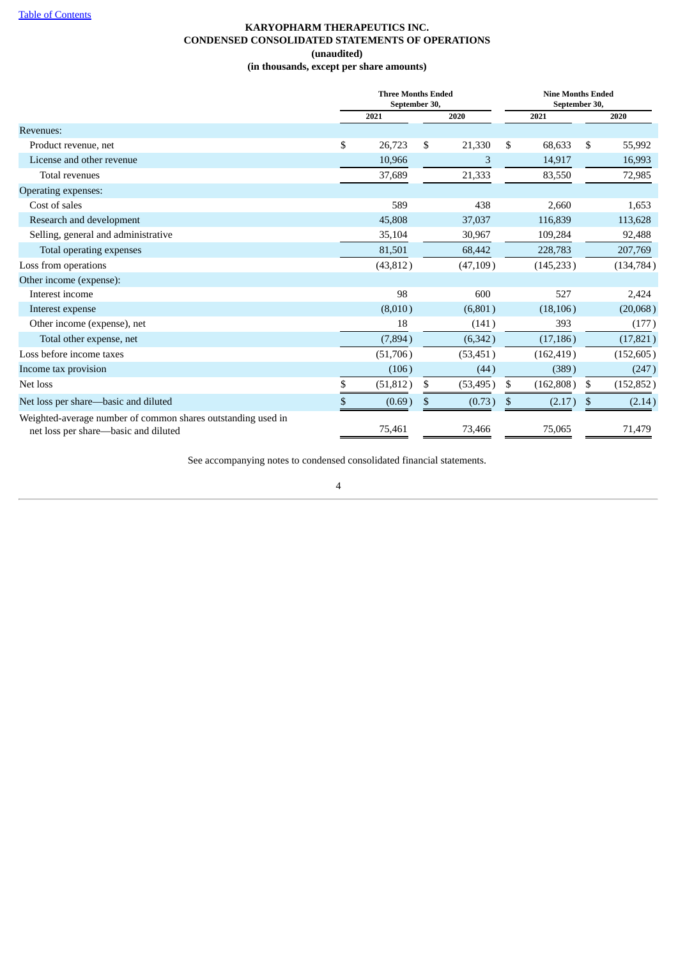## **KARYOPHARM THERAPEUTICS INC. CONDENSED CONSOLIDATED STATEMENTS OF OPERATIONS (unaudited) (in thousands, except per share amounts)**

<span id="page-3-0"></span>

|                                                                                                      | <b>Three Months Ended</b><br>September 30, |    |           | <b>Nine Months Ended</b><br>September 30, |            |    |            |
|------------------------------------------------------------------------------------------------------|--------------------------------------------|----|-----------|-------------------------------------------|------------|----|------------|
|                                                                                                      | 2021                                       |    | 2020      |                                           | 2021       |    | 2020       |
| Revenues:                                                                                            |                                            |    |           |                                           |            |    |            |
| Product revenue, net                                                                                 | \$<br>26,723                               | \$ | 21,330    | \$                                        | 68,633     | \$ | 55,992     |
| License and other revenue                                                                            | 10,966                                     |    | 3         |                                           | 14,917     |    | 16,993     |
| Total revenues                                                                                       | 37,689                                     |    | 21,333    |                                           | 83,550     |    | 72,985     |
| Operating expenses:                                                                                  |                                            |    |           |                                           |            |    |            |
| Cost of sales                                                                                        | 589                                        |    | 438       |                                           | 2,660      |    | 1,653      |
| Research and development                                                                             | 45,808                                     |    | 37,037    |                                           | 116,839    |    | 113,628    |
| Selling, general and administrative                                                                  | 35,104                                     |    | 30,967    |                                           | 109,284    |    | 92,488     |
| Total operating expenses                                                                             | 81,501                                     |    | 68,442    |                                           | 228,783    |    | 207,769    |
| Loss from operations                                                                                 | (43, 812)                                  |    | (47, 109) |                                           | (145, 233) |    | (134, 784) |
| Other income (expense):                                                                              |                                            |    |           |                                           |            |    |            |
| Interest income                                                                                      | 98                                         |    | 600       |                                           | 527        |    | 2,424      |
| Interest expense                                                                                     | (8,010)                                    |    | (6,801)   |                                           | (18, 106)  |    | (20,068)   |
| Other income (expense), net                                                                          | 18                                         |    | (141)     |                                           | 393        |    | (177)      |
| Total other expense, net                                                                             | (7,894)                                    |    | (6,342)   |                                           | (17, 186)  |    | (17, 821)  |
| Loss before income taxes                                                                             | (51,706)                                   |    | (53, 451) |                                           | (162, 419) |    | (152, 605) |
| Income tax provision                                                                                 | (106)                                      |    | (44)      |                                           | (389)      |    | (247)      |
| Net loss                                                                                             | \$<br>(51, 812)                            | \$ | (53, 495) | \$                                        | (162, 808) | \$ | (152, 852) |
| Net loss per share—basic and diluted                                                                 | \$<br>(0.69)                               | \$ | (0.73)    | \$                                        | (2.17)     | \$ | (2.14)     |
| Weighted-average number of common shares outstanding used in<br>net loss per share—basic and diluted | 75,461                                     |    | 73,466    |                                           | 75,065     |    | 71,479     |

See accompanying notes to condensed consolidated financial statements.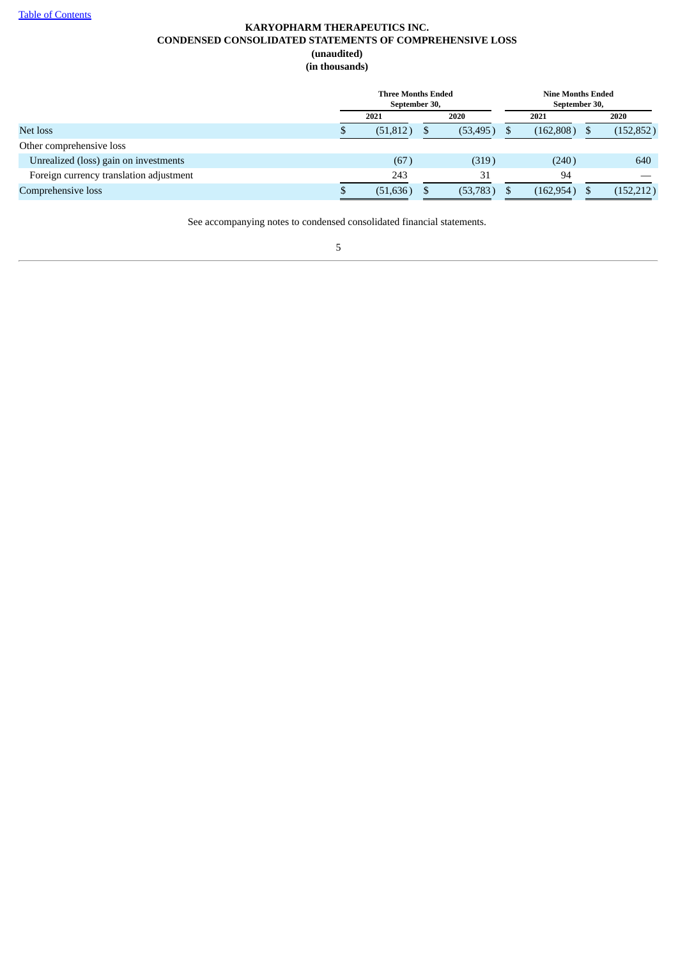## **KARYOPHARM THERAPEUTICS INC. CONDENSED CONSOLIDATED STATEMENTS OF COMPREHENSIVE LOSS (unaudited) (in thousands)**

<span id="page-4-0"></span>

|                                         | <b>Three Months Ended</b><br>September 30, |  |           | <b>Nine Months Ended</b><br>September 30, |            |  |            |
|-----------------------------------------|--------------------------------------------|--|-----------|-------------------------------------------|------------|--|------------|
|                                         | 2021                                       |  | 2020      |                                           | 2021       |  | 2020       |
| Net loss                                | (51, 812)                                  |  | (53, 495) |                                           | (162,808)  |  | (152, 852) |
| Other comprehensive loss                |                                            |  |           |                                           |            |  |            |
| Unrealized (loss) gain on investments   | (67)                                       |  | (319)     |                                           | (240)      |  | 640        |
| Foreign currency translation adjustment | 243                                        |  | 31        |                                           | 94         |  |            |
| Comprehensive loss                      | (51, 636)                                  |  | (53,783)  |                                           | (162, 954) |  | (152, 212) |

See accompanying notes to condensed consolidated financial statements.

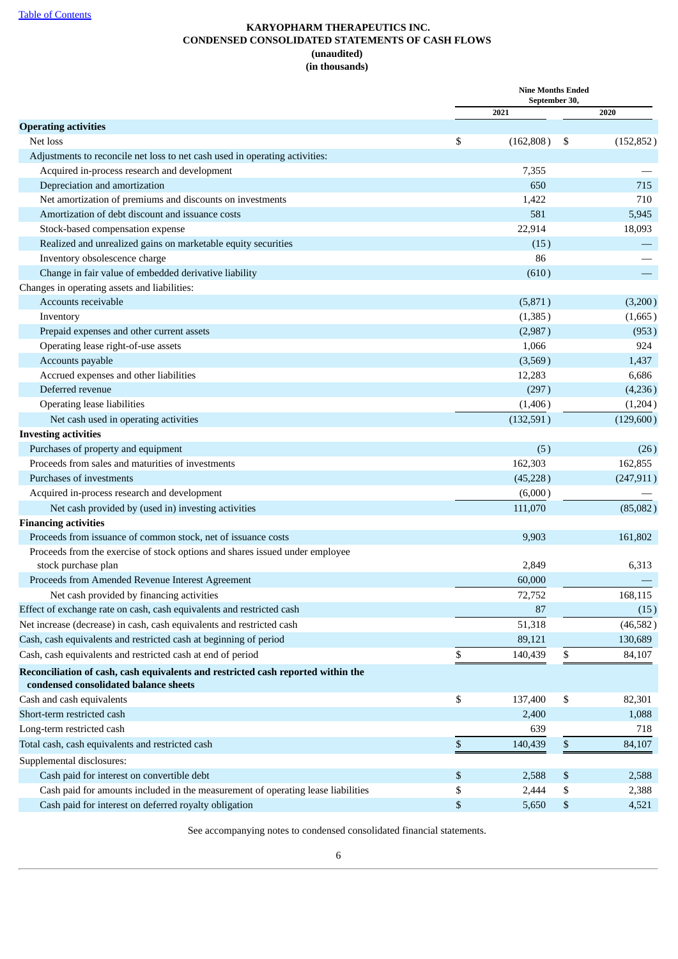## **KARYOPHARM THERAPEUTICS INC. CONDENSED CONSOLIDATED STATEMENTS OF CASH FLOWS (unaudited) (in thousands)**

<span id="page-5-0"></span>

|                                                                                                                           | <b>Nine Months Ended</b><br>September 30, |              |            |  |  |
|---------------------------------------------------------------------------------------------------------------------------|-------------------------------------------|--------------|------------|--|--|
|                                                                                                                           | 2021                                      |              | 2020       |  |  |
| <b>Operating activities</b>                                                                                               |                                           |              |            |  |  |
| Net loss                                                                                                                  | \$<br>(162, 808)                          | \$           | (152, 852) |  |  |
| Adjustments to reconcile net loss to net cash used in operating activities:                                               |                                           |              |            |  |  |
| Acquired in-process research and development                                                                              | 7,355                                     |              |            |  |  |
| Depreciation and amortization                                                                                             | 650                                       |              | 715        |  |  |
| Net amortization of premiums and discounts on investments                                                                 | 1,422                                     |              | 710        |  |  |
| Amortization of debt discount and issuance costs                                                                          | 581                                       |              | 5,945      |  |  |
| Stock-based compensation expense                                                                                          | 22,914                                    |              | 18,093     |  |  |
| Realized and unrealized gains on marketable equity securities                                                             | (15)                                      |              |            |  |  |
| Inventory obsolescence charge                                                                                             | 86                                        |              |            |  |  |
| Change in fair value of embedded derivative liability                                                                     | (610)                                     |              |            |  |  |
| Changes in operating assets and liabilities:                                                                              |                                           |              |            |  |  |
| Accounts receivable                                                                                                       | (5,871)                                   |              | (3,200)    |  |  |
| Inventory                                                                                                                 | (1,385)                                   |              | (1,665)    |  |  |
| Prepaid expenses and other current assets                                                                                 | (2,987)                                   |              | (953)      |  |  |
| Operating lease right-of-use assets                                                                                       | 1,066                                     |              | 924        |  |  |
| Accounts payable                                                                                                          | (3,569)                                   |              | 1,437      |  |  |
| Accrued expenses and other liabilities                                                                                    | 12,283                                    |              | 6,686      |  |  |
| Deferred revenue                                                                                                          | (297)                                     |              | (4,236)    |  |  |
| Operating lease liabilities                                                                                               | (1, 406)                                  |              | (1,204)    |  |  |
| Net cash used in operating activities                                                                                     | (132, 591)                                |              | (129,600)  |  |  |
| <b>Investing activities</b>                                                                                               |                                           |              |            |  |  |
| Purchases of property and equipment                                                                                       | (5)                                       |              | (26)       |  |  |
| Proceeds from sales and maturities of investments                                                                         | 162,303                                   |              | 162,855    |  |  |
| Purchases of investments                                                                                                  | (45, 228)                                 |              | (247, 911) |  |  |
| Acquired in-process research and development                                                                              | (6,000)                                   |              |            |  |  |
| Net cash provided by (used in) investing activities                                                                       | 111,070                                   |              | (85,082)   |  |  |
| <b>Financing activities</b>                                                                                               |                                           |              |            |  |  |
| Proceeds from issuance of common stock, net of issuance costs                                                             | 9,903                                     |              | 161,802    |  |  |
| Proceeds from the exercise of stock options and shares issued under employee                                              |                                           |              |            |  |  |
| stock purchase plan                                                                                                       | 2,849                                     |              | 6,313      |  |  |
| Proceeds from Amended Revenue Interest Agreement                                                                          | 60,000                                    |              |            |  |  |
| Net cash provided by financing activities                                                                                 | 72,752                                    |              | 168,115    |  |  |
| Effect of exchange rate on cash, cash equivalents and restricted cash                                                     | 87                                        |              | (15)       |  |  |
| Net increase (decrease) in cash, cash equivalents and restricted cash                                                     | 51,318                                    |              | (46, 582)  |  |  |
| Cash, cash equivalents and restricted cash at beginning of period                                                         | 89,121                                    |              | 130,689    |  |  |
| Cash, cash equivalents and restricted cash at end of period                                                               | \$<br>140,439                             | \$           | 84,107     |  |  |
| Reconciliation of cash, cash equivalents and restricted cash reported within the<br>condensed consolidated balance sheets |                                           |              |            |  |  |
| Cash and cash equivalents                                                                                                 | \$<br>137,400                             | \$           | 82,301     |  |  |
| Short-term restricted cash                                                                                                | 2,400                                     |              | 1,088      |  |  |
| Long-term restricted cash                                                                                                 | 639                                       |              | 718        |  |  |
| Total cash, cash equivalents and restricted cash                                                                          | \$<br>140,439                             | $\mathbb{S}$ | 84,107     |  |  |
| Supplemental disclosures:                                                                                                 |                                           |              |            |  |  |
| Cash paid for interest on convertible debt                                                                                | \$<br>2,588                               | \$           | 2,588      |  |  |
| Cash paid for amounts included in the measurement of operating lease liabilities                                          | \$<br>2,444                               | \$           | 2,388      |  |  |
| Cash paid for interest on deferred royalty obligation                                                                     | \$<br>5,650                               | \$           | 4,521      |  |  |

See accompanying notes to condensed consolidated financial statements.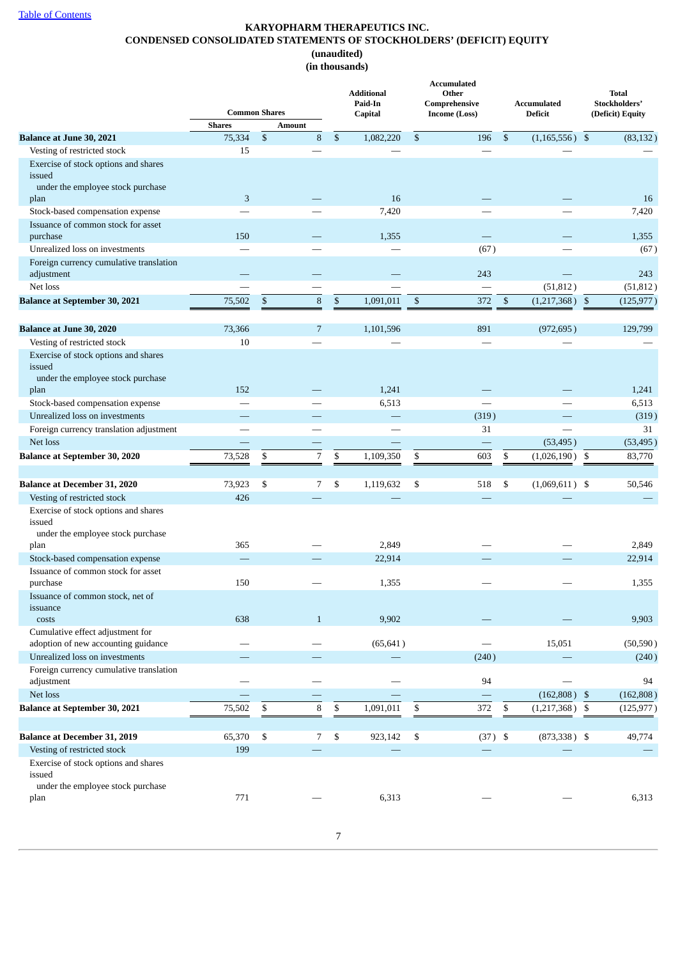## **KARYOPHARM THERAPEUTICS INC. CONDENSED CONSOLIDATED STATEMENTS OF STOCKHOLDERS' (DEFICIT) EQUITY (unaudited) (in thousands)**

<span id="page-6-0"></span>

|                                                                                                           | <b>Common Shares</b> |                      |                | <b>Additional</b><br>Paid-In<br>Capital |                | <b>Accumulated</b><br>Other<br>Comprehensive<br><b>Income (Loss)</b> | Accumulated<br><b>Deficit</b> |                  | <b>Total</b><br>Stockholders'<br>(Deficit) Equity |
|-----------------------------------------------------------------------------------------------------------|----------------------|----------------------|----------------|-----------------------------------------|----------------|----------------------------------------------------------------------|-------------------------------|------------------|---------------------------------------------------|
|                                                                                                           | <b>Shares</b>        | Amount               |                |                                         |                |                                                                      |                               |                  |                                                   |
| <b>Balance at June 30, 2021</b>                                                                           | 75,334               | \$<br>8              | $\mathfrak{S}$ | 1,082,220                               | $\mathfrak{S}$ | 196                                                                  | $\mathfrak{S}$                | $(1,165,556)$ \$ | (83, 132)                                         |
| Vesting of restricted stock                                                                               | 15                   |                      |                |                                         |                |                                                                      |                               |                  |                                                   |
| Exercise of stock options and shares<br>issued<br>under the employee stock purchase<br>plan               | 3                    |                      |                | 16                                      |                |                                                                      |                               |                  | 16                                                |
| Stock-based compensation expense                                                                          |                      |                      |                | 7,420                                   |                |                                                                      |                               |                  | 7,420                                             |
| Issuance of common stock for asset<br>purchase                                                            | 150                  |                      |                | 1,355                                   |                |                                                                      |                               |                  | 1,355                                             |
| Unrealized loss on investments                                                                            |                      |                      |                |                                         |                | (67)                                                                 |                               |                  | (67)                                              |
| Foreign currency cumulative translation<br>adjustment                                                     |                      |                      |                |                                         |                | 243                                                                  |                               |                  | 243                                               |
| Net loss                                                                                                  |                      |                      |                |                                         |                |                                                                      |                               | (51, 812)        | (51, 812)                                         |
| <b>Balance at September 30, 2021</b>                                                                      | 75,502               | \$<br>8              | \$             | 1,091,011                               | \$             | 372                                                                  | ${\mathbb S}$                 | $(1,217,368)$ \$ | (125, 977)                                        |
|                                                                                                           |                      |                      |                |                                         |                |                                                                      |                               |                  |                                                   |
| <b>Balance at June 30, 2020</b>                                                                           | 73,366               | $\overline{7}$       |                | 1,101,596                               |                | 891                                                                  |                               | (972, 695)       | 129,799                                           |
| Vesting of restricted stock                                                                               | 10                   |                      |                |                                         |                |                                                                      |                               |                  |                                                   |
| Exercise of stock options and shares<br>issued<br>under the employee stock purchase<br>plan               | 152                  |                      |                | 1,241                                   |                |                                                                      |                               |                  | 1,241                                             |
| Stock-based compensation expense                                                                          |                      |                      |                | 6,513                                   |                |                                                                      |                               |                  | 6,513                                             |
| Unrealized loss on investments                                                                            |                      |                      |                |                                         |                | (319)                                                                |                               |                  | (319)                                             |
| Foreign currency translation adjustment                                                                   |                      |                      |                |                                         |                | 31                                                                   |                               |                  | 31                                                |
| Net loss                                                                                                  |                      |                      |                |                                         |                |                                                                      |                               | (53, 495)        | (53, 495)                                         |
| <b>Balance at September 30, 2020</b>                                                                      | 73,528               | \$<br>$\overline{7}$ | \$             | 1,109,350                               | \$             | 603                                                                  | \$                            | $(1,026,190)$ \$ | 83,770                                            |
|                                                                                                           |                      |                      |                |                                         |                |                                                                      |                               |                  |                                                   |
| <b>Balance at December 31, 2020</b>                                                                       | 73,923               | \$<br>7              | \$             | 1,119,632                               | \$             | 518                                                                  | \$                            | $(1,069,611)$ \$ | 50,546                                            |
| Vesting of restricted stock                                                                               | 426                  |                      |                |                                         |                |                                                                      |                               |                  |                                                   |
| Exercise of stock options and shares<br>issued<br>under the employee stock purchase                       | 365                  |                      |                | 2,849                                   |                |                                                                      |                               |                  | 2,849                                             |
| plan<br>Stock-based compensation expense                                                                  |                      |                      |                | 22,914                                  |                |                                                                      |                               |                  | 22,914                                            |
| Issuance of common stock for asset                                                                        |                      |                      |                |                                         |                |                                                                      |                               |                  |                                                   |
| purchase                                                                                                  | 150                  |                      |                | 1,355                                   |                |                                                                      |                               |                  | 1,355                                             |
| Issuance of common stock, net of<br>issuance                                                              |                      |                      |                |                                         |                |                                                                      |                               |                  |                                                   |
| costs                                                                                                     | 638                  | $\mathbf{1}$         |                | 9,902                                   |                |                                                                      |                               |                  | 9,903                                             |
| Cumulative effect adjustment for<br>adoption of new accounting guidance<br>Unrealized loss on investments |                      |                      |                | (65, 641)                               |                | (240)                                                                |                               | 15,051           | (50, 590)<br>(240)                                |
| Foreign currency cumulative translation<br>adjustment                                                     |                      |                      |                |                                         |                | 94                                                                   |                               |                  | 94                                                |
| Net loss                                                                                                  |                      |                      |                |                                         |                | $\overline{\phantom{a}}$                                             |                               | $(162,808)$ \$   | (162, 808)                                        |
| <b>Balance at September 30, 2021</b>                                                                      | 75,502               | \$<br>8              | \$             | 1,091,011                               | \$             | 372                                                                  | \$                            | $(1,217,368)$ \$ | (125, 977)                                        |
|                                                                                                           |                      |                      |                |                                         |                |                                                                      |                               |                  |                                                   |
| <b>Balance at December 31, 2019</b><br>Vesting of restricted stock                                        | 65,370<br>199        | \$<br>7              | \$             | 923,142                                 | \$             | $(37)$ \$                                                            |                               | $(873,338)$ \$   | 49,774                                            |
| Exercise of stock options and shares<br>issued<br>under the employee stock purchase<br>plan               | 771                  |                      |                | 6,313                                   |                |                                                                      |                               |                  | 6,313                                             |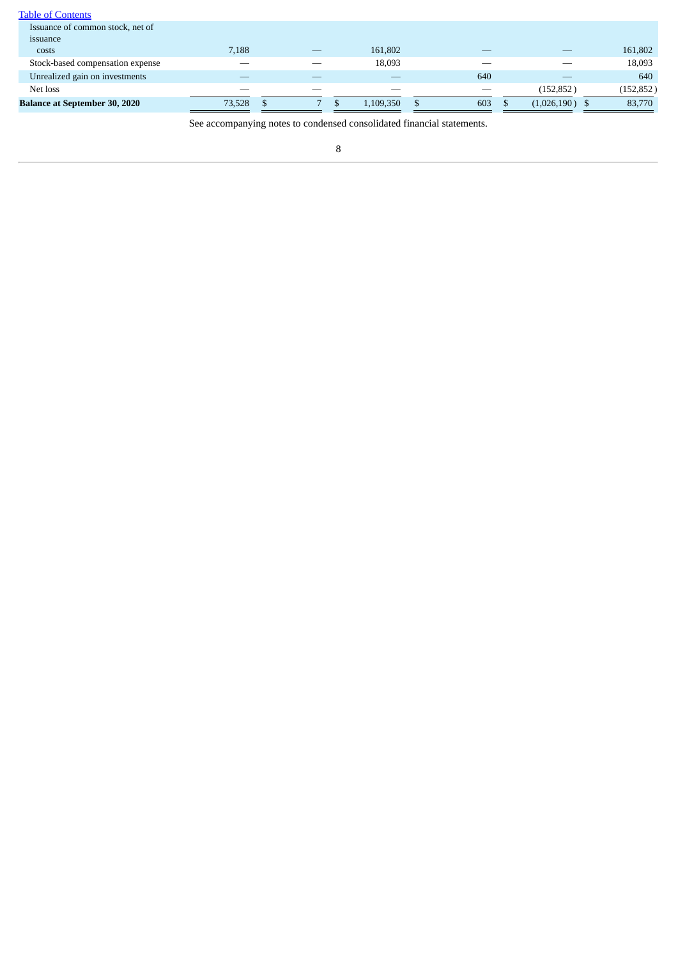| <b>Table of Contents</b>             |        |    |   |           |   |        |             |      |            |
|--------------------------------------|--------|----|---|-----------|---|--------|-------------|------|------------|
| Issuance of common stock, net of     |        |    |   |           |   |        |             |      |            |
| issuance                             |        |    |   |           |   |        |             |      |            |
| costs                                | 7,188  |    |   | 161,802   |   |        |             |      | 161,802    |
| Stock-based compensation expense     | ---    | __ |   | 18,093    |   | $\sim$ | ---         |      | 18,093     |
| Unrealized gain on investments       | --     |    |   |           |   | 640    |             |      | 640        |
| Net loss                             |        |    |   |           |   | __     | (152, 852)  |      | (152, 852) |
| <b>Balance at September 30, 2020</b> | 73,528 |    | Ð | 1,109,350 | S | 603    | (1,026,190) | - \$ | 83,770     |
|                                      |        |    |   |           |   |        |             |      |            |

See accompanying notes to condensed consolidated financial statements.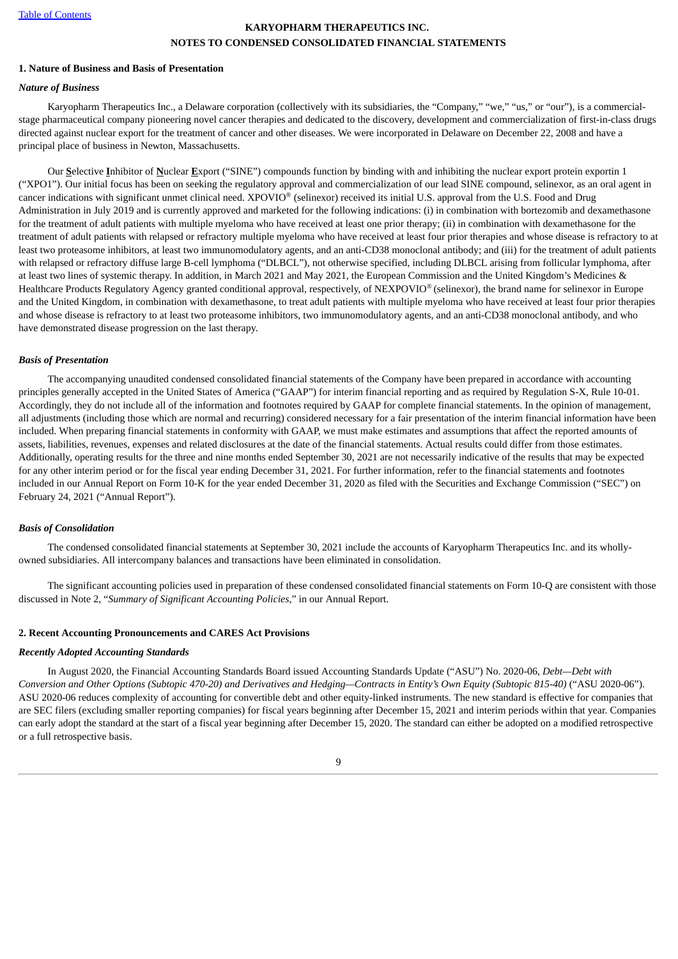## **KARYOPHARM THERAPEUTICS INC. NOTES TO CONDENSED CONSOLIDATED FINANCIAL STATEMENTS**

#### <span id="page-8-0"></span>**1. Nature of Business and Basis of Presentation**

#### *Nature of Business*

Karyopharm Therapeutics Inc., a Delaware corporation (collectively with its subsidiaries, the "Company," "we," "us," or "our"), is a commercialstage pharmaceutical company pioneering novel cancer therapies and dedicated to the discovery, development and commercialization of first-in-class drugs directed against nuclear export for the treatment of cancer and other diseases. We were incorporated in Delaware on December 22, 2008 and have a principal place of business in Newton, Massachusetts.

Our **S**elective **I**nhibitor of **N**uclear **E**xport ("SINE") compounds function by binding with and inhibiting the nuclear export protein exportin 1 ("XPO1"). Our initial focus has been on seeking the regulatory approval and commercialization of our lead SINE compound, selinexor, as an oral agent in cancer indications with significant unmet clinical need. XPOVIO® (selinexor) received its initial U.S. approval from the U.S. Food and Drug Administration in July 2019 and is currently approved and marketed for the following indications: (i) in combination with bortezomib and dexamethasone for the treatment of adult patients with multiple myeloma who have received at least one prior therapy; (ii) in combination with dexamethasone for the treatment of adult patients with relapsed or refractory multiple myeloma who have received at least four prior therapies and whose disease is refractory to at least two proteasome inhibitors, at least two immunomodulatory agents, and an anti-CD38 monoclonal antibody; and (iii) for the treatment of adult patients with relapsed or refractory diffuse large B-cell lymphoma ("DLBCL"), not otherwise specified, including DLBCL arising from follicular lymphoma, after at least two lines of systemic therapy. In addition, in March 2021 and May 2021, the European Commission and the United Kingdom's Medicines & Healthcare Products Regulatory Agency granted conditional approval, respectively, of NEXPOVIO® (selinexor), the brand name for selinexor in Europe and the United Kingdom, in combination with dexamethasone, to treat adult patients with multiple myeloma who have received at least four prior therapies and whose disease is refractory to at least two proteasome inhibitors, two immunomodulatory agents, and an anti-CD38 monoclonal antibody, and who have demonstrated disease progression on the last therapy.

#### *Basis of Presentation*

The accompanying unaudited condensed consolidated financial statements of the Company have been prepared in accordance with accounting principles generally accepted in the United States of America ("GAAP") for interim financial reporting and as required by Regulation S-X, Rule 10-01. Accordingly, they do not include all of the information and footnotes required by GAAP for complete financial statements. In the opinion of management, all adjustments (including those which are normal and recurring) considered necessary for a fair presentation of the interim financial information have been included. When preparing financial statements in conformity with GAAP, we must make estimates and assumptions that affect the reported amounts of assets, liabilities, revenues, expenses and related disclosures at the date of the financial statements. Actual results could differ from those estimates. Additionally, operating results for the three and nine months ended September 30, 2021 are not necessarily indicative of the results that may be expected for any other interim period or for the fiscal year ending December 31, 2021. For further information, refer to the financial statements and footnotes included in our Annual Report on Form 10-K for the year ended December 31, 2020 as filed with the Securities and Exchange Commission ("SEC") on February 24, 2021 ("Annual Report").

#### *Basis of Consolidation*

The condensed consolidated financial statements at September 30, 2021 include the accounts of Karyopharm Therapeutics Inc. and its whollyowned subsidiaries. All intercompany balances and transactions have been eliminated in consolidation.

The significant accounting policies used in preparation of these condensed consolidated financial statements on Form 10-Q are consistent with those discussed in Note 2, "*Summary of Significant Accounting Policies*," in our Annual Report.

#### **2. Recent Accounting Pronouncements and CARES Act Provisions**

#### *Recently Adopted Accounting Standards*

In August 2020, the Financial Accounting Standards Board issued Accounting Standards Update ("ASU") No. 2020-06, *Debt—Debt with* Conversion and Other Options (Subtopic 470-20) and Derivatives and Hedging—Contracts in Entity's Own Equity (Subtopic 815-40) ("ASU 2020-06"). ASU 2020-06 reduces complexity of accounting for convertible debt and other equity-linked instruments. The new standard is effective for companies that are SEC filers (excluding smaller reporting companies) for fiscal years beginning after December 15, 2021 and interim periods within that year. Companies can early adopt the standard at the start of a fiscal year beginning after December 15, 2020. The standard can either be adopted on a modified retrospective or a full retrospective basis.

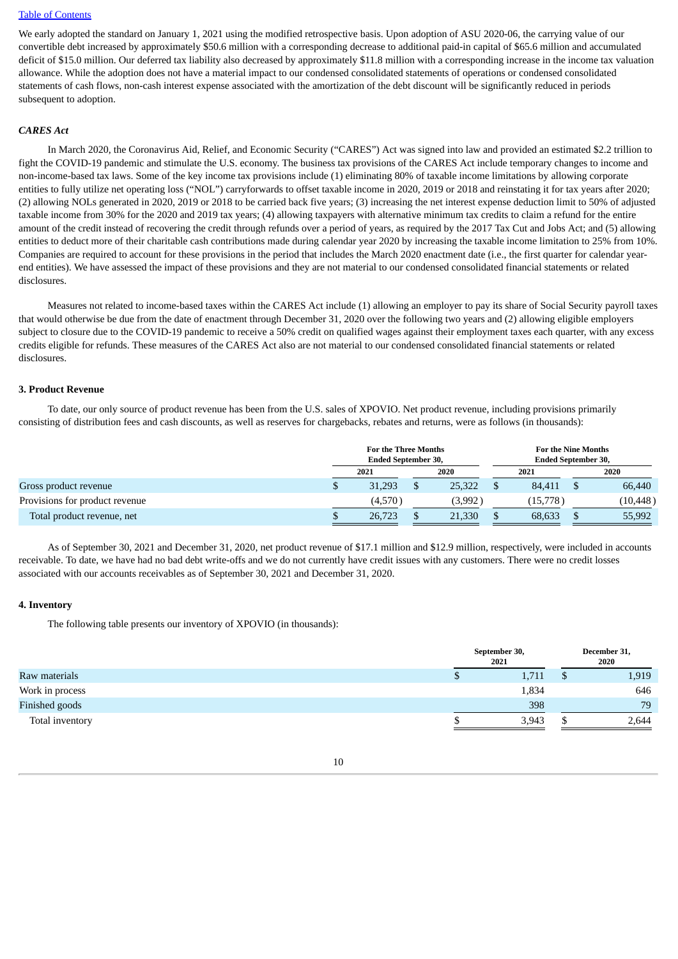We early adopted the standard on January 1, 2021 using the modified retrospective basis. Upon adoption of ASU 2020-06, the carrying value of our convertible debt increased by approximately \$50.6 million with a corresponding decrease to additional paid-in capital of \$65.6 million and accumulated deficit of \$15.0 million. Our deferred tax liability also decreased by approximately \$11.8 million with a corresponding increase in the income tax valuation allowance. While the adoption does not have a material impact to our condensed consolidated statements of operations or condensed consolidated statements of cash flows, non-cash interest expense associated with the amortization of the debt discount will be significantly reduced in periods subsequent to adoption.

#### *CARES Act*

In March 2020, the Coronavirus Aid, Relief, and Economic Security ("CARES") Act was signed into law and provided an estimated \$2.2 trillion to fight the COVID-19 pandemic and stimulate the U.S. economy. The business tax provisions of the CARES Act include temporary changes to income and non-income-based tax laws. Some of the key income tax provisions include (1) eliminating 80% of taxable income limitations by allowing corporate entities to fully utilize net operating loss ("NOL") carryforwards to offset taxable income in 2020, 2019 or 2018 and reinstating it for tax years after 2020; (2) allowing NOLs generated in 2020, 2019 or 2018 to be carried back five years; (3) increasing the net interest expense deduction limit to 50% of adjusted taxable income from 30% for the 2020 and 2019 tax years; (4) allowing taxpayers with alternative minimum tax credits to claim a refund for the entire amount of the credit instead of recovering the credit through refunds over a period of years, as required by the 2017 Tax Cut and Jobs Act; and (5) allowing entities to deduct more of their charitable cash contributions made during calendar year 2020 by increasing the taxable income limitation to 25% from 10%. Companies are required to account for these provisions in the period that includes the March 2020 enactment date (i.e., the first quarter for calendar yearend entities). We have assessed the impact of these provisions and they are not material to our condensed consolidated financial statements or related disclosures.

Measures not related to income-based taxes within the CARES Act include (1) allowing an employer to pay its share of Social Security payroll taxes that would otherwise be due from the date of enactment through December 31, 2020 over the following two years and (2) allowing eligible employers subject to closure due to the COVID-19 pandemic to receive a 50% credit on qualified wages against their employment taxes each quarter, with any excess credits eligible for refunds. These measures of the CARES Act also are not material to our condensed consolidated financial statements or related disclosures.

#### **3. Product Revenue**

To date, our only source of product revenue has been from the U.S. sales of XPOVIO. Net product revenue, including provisions primarily consisting of distribution fees and cash discounts, as well as reserves for chargebacks, rebates and returns, were as follows (in thousands):

|                                | <b>For the Three Months</b><br><b>Ended September 30,</b> |  |         | <b>For the Nine Months</b><br><b>Ended September 30,</b> |          |  |           |
|--------------------------------|-----------------------------------------------------------|--|---------|----------------------------------------------------------|----------|--|-----------|
|                                | 2021                                                      |  | 2020    |                                                          | 2021     |  | 2020      |
| Gross product revenue          | 31,293                                                    |  | 25,322  |                                                          | 84,411   |  | 66,440    |
| Provisions for product revenue | (4,570)                                                   |  | (3,992) |                                                          | (15,778) |  | (10, 448) |
| Total product revenue, net     | 26,723                                                    |  | 21,330  |                                                          | 68,633   |  | 55,992    |

As of September 30, 2021 and December 31, 2020, net product revenue of \$17.1 million and \$12.9 million, respectively, were included in accounts receivable. To date, we have had no bad debt write-offs and we do not currently have credit issues with any customers. There were no credit losses associated with our accounts receivables as of September 30, 2021 and December 31, 2020.

#### **4. Inventory**

The following table presents our inventory of XPOVIO (in thousands):

|                 |   | September 30,<br>2021 | December 31,<br>2020 |       |  |
|-----------------|---|-----------------------|----------------------|-------|--|
| Raw materials   | D | 1,711                 |                      | 1,919 |  |
| Work in process |   | 1,834                 |                      | 646   |  |
| Finished goods  |   | 398                   |                      | 79    |  |
| Total inventory |   | 3,943                 |                      | 2,644 |  |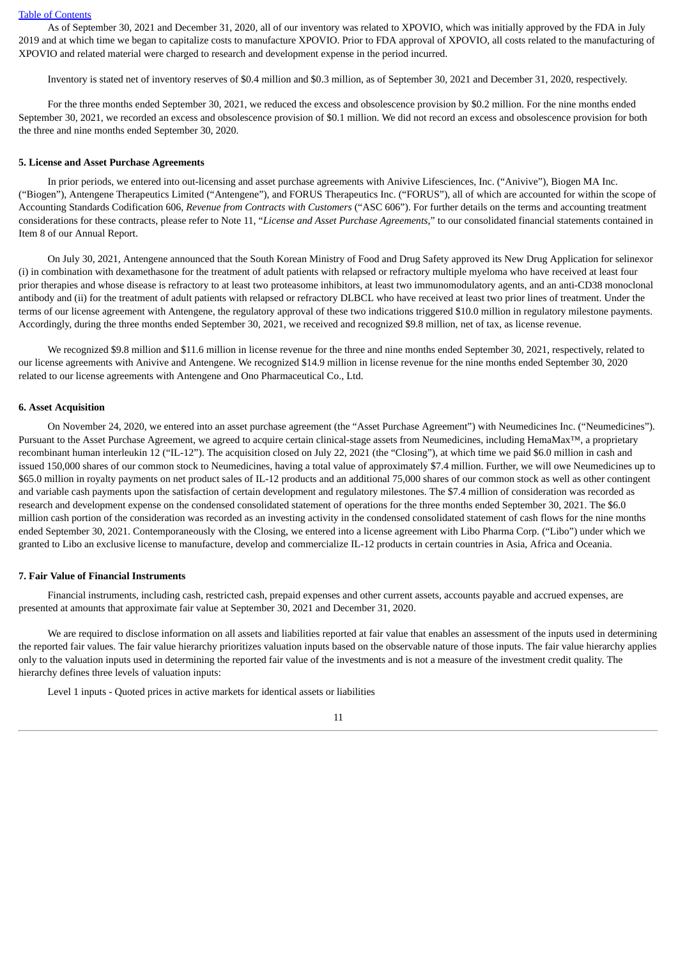As of September 30, 2021 and December 31, 2020, all of our inventory was related to XPOVIO, which was initially approved by the FDA in July 2019 and at which time we began to capitalize costs to manufacture XPOVIO. Prior to FDA approval of XPOVIO, all costs related to the manufacturing of XPOVIO and related material were charged to research and development expense in the period incurred.

Inventory is stated net of inventory reserves of \$0.4 million and \$0.3 million, as of September 30, 2021 and December 31, 2020, respectively.

For the three months ended September 30, 2021, we reduced the excess and obsolescence provision by \$0.2 million. For the nine months ended September 30, 2021, we recorded an excess and obsolescence provision of \$0.1 million. We did not record an excess and obsolescence provision for both the three and nine months ended September 30, 2020.

#### **5. License and Asset Purchase Agreements**

In prior periods, we entered into out-licensing and asset purchase agreements with Anivive Lifesciences, Inc. ("Anivive"), Biogen MA Inc. ("Biogen"), Antengene Therapeutics Limited ("Antengene"), and FORUS Therapeutics Inc. ("FORUS"), all of which are accounted for within the scope of Accounting Standards Codification 606, *Revenue from Contracts with Customers* ("ASC 606"). For further details on the terms and accounting treatment considerations for these contracts, please refer to Note 11, "*License and Asset Purchase Agreements*," to our consolidated financial statements contained in Item 8 of our Annual Report.

On July 30, 2021, Antengene announced that the South Korean Ministry of Food and Drug Safety approved its New Drug Application for selinexor (i) in combination with dexamethasone for the treatment of adult patients with relapsed or refractory multiple myeloma who have received at least four prior therapies and whose disease is refractory to at least two proteasome inhibitors, at least two immunomodulatory agents, and an anti-CD38 monoclonal antibody and (ii) for the treatment of adult patients with relapsed or refractory DLBCL who have received at least two prior lines of treatment. Under the terms of our license agreement with Antengene, the regulatory approval of these two indications triggered \$10.0 million in regulatory milestone payments. Accordingly, during the three months ended September 30, 2021, we received and recognized \$9.8 million, net of tax, as license revenue.

We recognized \$9.8 million and \$11.6 million in license revenue for the three and nine months ended September 30, 2021, respectively, related to our license agreements with Anivive and Antengene. We recognized \$14.9 million in license revenue for the nine months ended September 30, 2020 related to our license agreements with Antengene and Ono Pharmaceutical Co., Ltd.

#### **6. Asset Acquisition**

On November 24, 2020, we entered into an asset purchase agreement (the "Asset Purchase Agreement") with Neumedicines Inc. ("Neumedicines"). Pursuant to the Asset Purchase Agreement, we agreed to acquire certain clinical-stage assets from Neumedicines, including HemaMax™, a proprietary recombinant human interleukin 12 ("IL-12"). The acquisition closed on July 22, 2021 (the "Closing"), at which time we paid \$6.0 million in cash and issued 150,000 shares of our common stock to Neumedicines, having a total value of approximately \$7.4 million. Further, we will owe Neumedicines up to \$65.0 million in royalty payments on net product sales of IL-12 products and an additional 75,000 shares of our common stock as well as other contingent and variable cash payments upon the satisfaction of certain development and regulatory milestones. The \$7.4 million of consideration was recorded as research and development expense on the condensed consolidated statement of operations for the three months ended September 30, 2021. The \$6.0 million cash portion of the consideration was recorded as an investing activity in the condensed consolidated statement of cash flows for the nine months ended September 30, 2021. Contemporaneously with the Closing, we entered into a license agreement with Libo Pharma Corp. ("Libo") under which we granted to Libo an exclusive license to manufacture, develop and commercialize IL-12 products in certain countries in Asia, Africa and Oceania.

#### **7. Fair Value of Financial Instruments**

Financial instruments, including cash, restricted cash, prepaid expenses and other current assets, accounts payable and accrued expenses, are presented at amounts that approximate fair value at September 30, 2021 and December 31, 2020.

We are required to disclose information on all assets and liabilities reported at fair value that enables an assessment of the inputs used in determining the reported fair values. The fair value hierarchy prioritizes valuation inputs based on the observable nature of those inputs. The fair value hierarchy applies only to the valuation inputs used in determining the reported fair value of the investments and is not a measure of the investment credit quality. The hierarchy defines three levels of valuation inputs:

Level 1 inputs - Quoted prices in active markets for identical assets or liabilities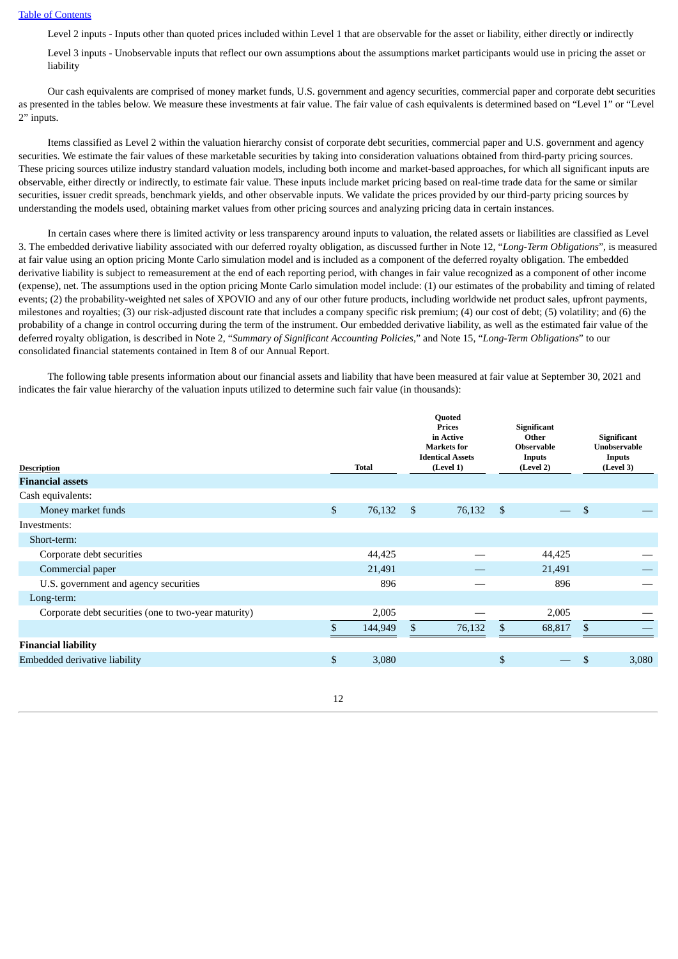Level 2 inputs - Inputs other than quoted prices included within Level 1 that are observable for the asset or liability, either directly or indirectly

Level 3 inputs - Unobservable inputs that reflect our own assumptions about the assumptions market participants would use in pricing the asset or liability

Our cash equivalents are comprised of money market funds, U.S. government and agency securities, commercial paper and corporate debt securities as presented in the tables below. We measure these investments at fair value. The fair value of cash equivalents is determined based on "Level 1" or "Level 2" inputs.

Items classified as Level 2 within the valuation hierarchy consist of corporate debt securities, commercial paper and U.S. government and agency securities. We estimate the fair values of these marketable securities by taking into consideration valuations obtained from third-party pricing sources. These pricing sources utilize industry standard valuation models, including both income and market-based approaches, for which all significant inputs are observable, either directly or indirectly, to estimate fair value. These inputs include market pricing based on real-time trade data for the same or similar securities, issuer credit spreads, benchmark yields, and other observable inputs. We validate the prices provided by our third-party pricing sources by understanding the models used, obtaining market values from other pricing sources and analyzing pricing data in certain instances.

In certain cases where there is limited activity or less transparency around inputs to valuation, the related assets or liabilities are classified as Level 3. The embedded derivative liability associated with our deferred royalty obligation, as discussed further in Note 12, "*Long-Term Obligations*", is measured at fair value using an option pricing Monte Carlo simulation model and is included as a component of the deferred royalty obligation. The embedded derivative liability is subject to remeasurement at the end of each reporting period, with changes in fair value recognized as a component of other income (expense), net. The assumptions used in the option pricing Monte Carlo simulation model include: (1) our estimates of the probability and timing of related events; (2) the probability-weighted net sales of XPOVIO and any of our other future products, including worldwide net product sales, upfront payments, milestones and royalties; (3) our risk-adjusted discount rate that includes a company specific risk premium; (4) our cost of debt; (5) volatility; and (6) the probability of a change in control occurring during the term of the instrument. Our embedded derivative liability, as well as the estimated fair value of the deferred royalty obligation, is described in Note 2, "*Summary of Significant Accounting Policies*," and Note 15, "*Long-Term Obligations*" to our consolidated financial statements contained in Item 8 of our Annual Report.

The following table presents information about our financial assets and liability that have been measured at fair value at September 30, 2021 and indicates the fair value hierarchy of the valuation inputs utilized to determine such fair value (in thousands):

| <b>Description</b><br><b>Financial assets</b>        |              | <b>Total</b> |              | <b>Quoted</b><br><b>Prices</b><br>in Active<br><b>Markets</b> for<br><b>Identical Assets</b><br>(Level 1) |      | Significant<br>Other<br><b>Observable</b><br><b>Inputs</b><br>(Level 2) |    | Significant<br><b>Unobservable</b><br>Inputs<br>(Level 3) |
|------------------------------------------------------|--------------|--------------|--------------|-----------------------------------------------------------------------------------------------------------|------|-------------------------------------------------------------------------|----|-----------------------------------------------------------|
| Cash equivalents:                                    |              |              |              |                                                                                                           |      |                                                                         |    |                                                           |
| Money market funds                                   | $\mathbb{S}$ | 76,132       | $\mathbb{S}$ | 76,132                                                                                                    | - \$ |                                                                         | \$ |                                                           |
| Investments:                                         |              |              |              |                                                                                                           |      |                                                                         |    |                                                           |
| Short-term:                                          |              |              |              |                                                                                                           |      |                                                                         |    |                                                           |
| Corporate debt securities                            |              | 44,425       |              |                                                                                                           |      | 44,425                                                                  |    |                                                           |
| Commercial paper                                     |              | 21,491       |              |                                                                                                           |      | 21,491                                                                  |    |                                                           |
| U.S. government and agency securities                |              | 896          |              |                                                                                                           |      | 896                                                                     |    |                                                           |
| Long-term:                                           |              |              |              |                                                                                                           |      |                                                                         |    |                                                           |
| Corporate debt securities (one to two-year maturity) |              | 2,005        |              |                                                                                                           |      | 2,005                                                                   |    |                                                           |
|                                                      |              | 144,949      | $\mathbb{S}$ | 76,132                                                                                                    | \$   | 68,817                                                                  | \$ |                                                           |
| <b>Financial liability</b>                           |              |              |              |                                                                                                           |      |                                                                         |    |                                                           |
| Embedded derivative liability                        | $\mathbb{S}$ | 3,080        |              |                                                                                                           | \$   |                                                                         | \$ | 3,080                                                     |
|                                                      |              |              |              |                                                                                                           |      |                                                                         |    |                                                           |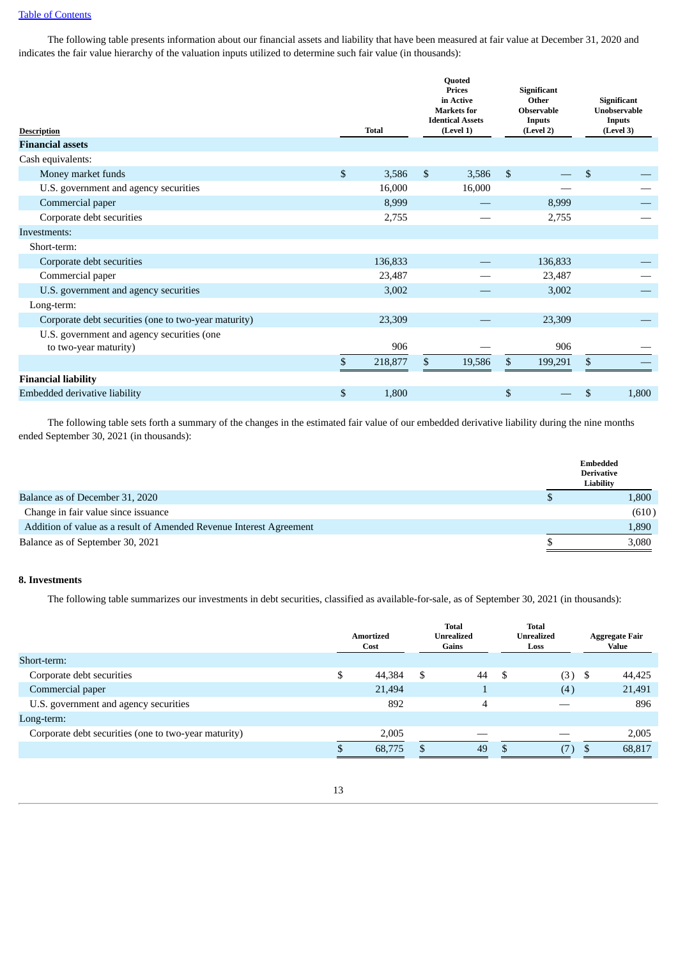The following table presents information about our financial assets and liability that have been measured at fair value at December 31, 2020 and indicates the fair value hierarchy of the valuation inputs utilized to determine such fair value (in thousands):

| <b>Description</b><br><b>Financial assets</b>                       | <b>Total</b> |         |                | <b>Quoted</b><br><b>Prices</b><br>in Active<br><b>Markets</b> for<br><b>Identical Assets</b><br>(Level 1) |            | <b>Significant</b><br>Other<br><b>Observable</b><br><b>Inputs</b><br>(Level 2) | <b>Significant</b><br><b>Unobservable</b><br><b>Inputs</b><br>(Level 3) |
|---------------------------------------------------------------------|--------------|---------|----------------|-----------------------------------------------------------------------------------------------------------|------------|--------------------------------------------------------------------------------|-------------------------------------------------------------------------|
| Cash equivalents:                                                   |              |         |                |                                                                                                           |            |                                                                                |                                                                         |
| Money market funds                                                  | \$           | 3,586   | $\mathfrak{S}$ | 3,586                                                                                                     | \$         |                                                                                | \$                                                                      |
| U.S. government and agency securities                               |              | 16,000  |                | 16,000                                                                                                    |            |                                                                                |                                                                         |
| Commercial paper                                                    |              | 8,999   |                |                                                                                                           |            | 8,999                                                                          |                                                                         |
| Corporate debt securities                                           |              | 2,755   |                |                                                                                                           |            | 2,755                                                                          |                                                                         |
| Investments:                                                        |              |         |                |                                                                                                           |            |                                                                                |                                                                         |
| Short-term:                                                         |              |         |                |                                                                                                           |            |                                                                                |                                                                         |
| Corporate debt securities                                           |              | 136,833 |                |                                                                                                           |            | 136,833                                                                        |                                                                         |
| Commercial paper                                                    |              | 23,487  |                |                                                                                                           |            | 23,487                                                                         |                                                                         |
| U.S. government and agency securities                               |              | 3,002   |                |                                                                                                           |            | 3,002                                                                          |                                                                         |
| Long-term:                                                          |              |         |                |                                                                                                           |            |                                                                                |                                                                         |
| Corporate debt securities (one to two-year maturity)                |              | 23,309  |                |                                                                                                           |            | 23,309                                                                         |                                                                         |
| U.S. government and agency securities (one<br>to two-year maturity) |              | 906     |                |                                                                                                           |            | 906                                                                            |                                                                         |
|                                                                     | \$           | 218,877 | \$             | 19,586                                                                                                    | $\sqrt{3}$ | 199,291                                                                        | \$                                                                      |
| <b>Financial liability</b>                                          |              |         |                |                                                                                                           |            |                                                                                |                                                                         |
| Embedded derivative liability                                       | \$           | 1,800   |                |                                                                                                           | \$         |                                                                                | \$<br>1,800                                                             |
|                                                                     |              |         |                |                                                                                                           |            |                                                                                |                                                                         |

The following table sets forth a summary of the changes in the estimated fair value of our embedded derivative liability during the nine months ended September 30, 2021 (in thousands):

|                                                                     | <b>Embedded</b><br><b>Derivative</b><br>Liability |       |
|---------------------------------------------------------------------|---------------------------------------------------|-------|
| Balance as of December 31, 2020                                     |                                                   | 1,800 |
| Change in fair value since issuance                                 |                                                   | (610) |
| Addition of value as a result of Amended Revenue Interest Agreement |                                                   | 1,890 |
| Balance as of September 30, 2021                                    |                                                   | 3.080 |

#### **8. Investments**

The following table summarizes our investments in debt securities, classified as available-for-sale, as of September 30, 2021 (in thousands):

|                                                      | Amortized<br>Cost |    | <b>Total</b><br>Unrealized<br>Gains |      | <b>Total</b><br>Unrealized<br>Loss |    | <b>Aggregate Fair</b><br>Value |
|------------------------------------------------------|-------------------|----|-------------------------------------|------|------------------------------------|----|--------------------------------|
| Short-term:                                          |                   |    |                                     |      |                                    |    |                                |
| Corporate debt securities                            | \$<br>44,384      | S  | 44                                  | - \$ | $(3)$ \$                           |    | 44,425                         |
| Commercial paper                                     | 21,494            |    |                                     |      | (4)                                |    | 21,491                         |
| U.S. government and agency securities                | 892               |    | 4                                   |      |                                    |    | 896                            |
| Long-term:                                           |                   |    |                                     |      |                                    |    |                                |
| Corporate debt securities (one to two-year maturity) | 2,005             |    |                                     |      |                                    |    | 2,005                          |
|                                                      | 68,775            | .S | 49                                  |      | (7)                                | Ъ, | 68,817                         |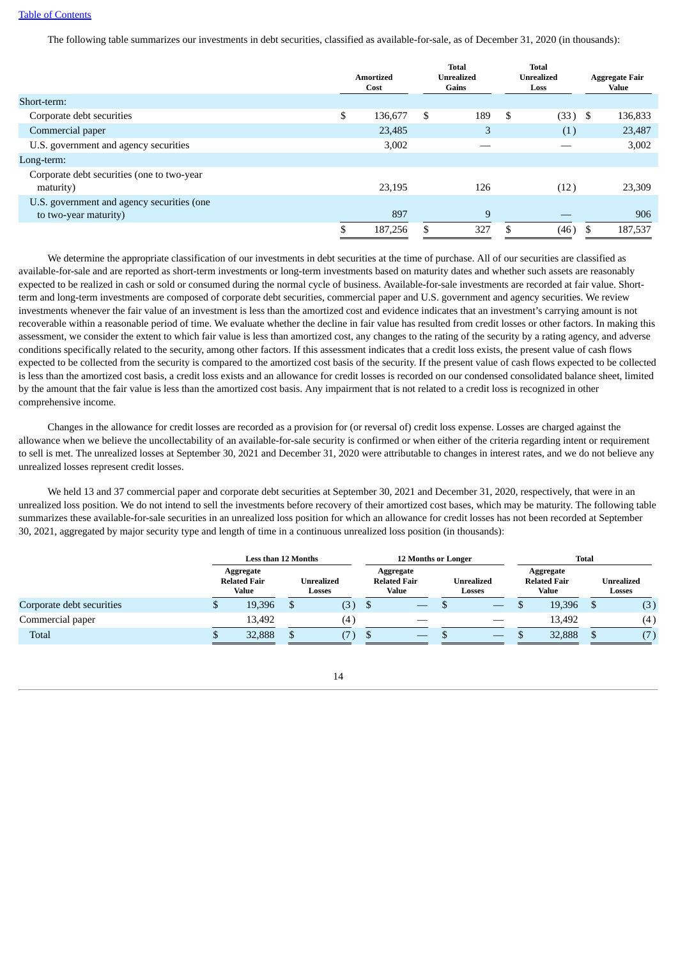The following table summarizes our investments in debt securities, classified as available-for-sale, as of December 31, 2020 (in thousands):

|                                                         | <b>Amortized</b><br>Cost |         | <b>Total</b><br><b>Unrealized</b><br>Gains |     | <b>Total</b><br><b>Unrealized</b><br>Loss |           | <b>Aggregate Fair</b><br><b>Value</b> |
|---------------------------------------------------------|--------------------------|---------|--------------------------------------------|-----|-------------------------------------------|-----------|---------------------------------------|
| Short-term:                                             |                          |         |                                            |     |                                           |           |                                       |
| Corporate debt securities                               | \$                       | 136,677 | \$                                         | 189 | S.                                        | $(33)$ \$ | 136,833                               |
| Commercial paper                                        |                          | 23,485  |                                            | 3   |                                           | (1)       | 23,487                                |
| U.S. government and agency securities                   |                          | 3,002   |                                            |     |                                           |           | 3,002                                 |
| Long-term:                                              |                          |         |                                            |     |                                           |           |                                       |
| Corporate debt securities (one to two-year<br>maturity) |                          | 23,195  |                                            | 126 |                                           | (12)      | 23,309                                |
| U.S. government and agency securities (one              |                          |         |                                            |     |                                           |           |                                       |
| to two-year maturity)                                   |                          | 897     |                                            | 9   |                                           |           | 906                                   |
|                                                         |                          | 187,256 |                                            | 327 |                                           | (46)      | 187,537                               |

We determine the appropriate classification of our investments in debt securities at the time of purchase. All of our securities are classified as available-for-sale and are reported as short-term investments or long-term investments based on maturity dates and whether such assets are reasonably expected to be realized in cash or sold or consumed during the normal cycle of business. Available-for-sale investments are recorded at fair value. Shortterm and long-term investments are composed of corporate debt securities, commercial paper and U.S. government and agency securities. We review investments whenever the fair value of an investment is less than the amortized cost and evidence indicates that an investment's carrying amount is not recoverable within a reasonable period of time. We evaluate whether the decline in fair value has resulted from credit losses or other factors. In making this assessment, we consider the extent to which fair value is less than amortized cost, any changes to the rating of the security by a rating agency, and adverse conditions specifically related to the security, among other factors. If this assessment indicates that a credit loss exists, the present value of cash flows expected to be collected from the security is compared to the amortized cost basis of the security. If the present value of cash flows expected to be collected is less than the amortized cost basis, a credit loss exists and an allowance for credit losses is recorded on our condensed consolidated balance sheet, limited by the amount that the fair value is less than the amortized cost basis. Any impairment that is not related to a credit loss is recognized in other comprehensive income.

Changes in the allowance for credit losses are recorded as a provision for (or reversal of) credit loss expense. Losses are charged against the allowance when we believe the uncollectability of an available-for-sale security is confirmed or when either of the criteria regarding intent or requirement to sell is met. The unrealized losses at September 30, 2021 and December 31, 2020 were attributable to changes in interest rates, and we do not believe any unrealized losses represent credit losses.

We held 13 and 37 commercial paper and corporate debt securities at September 30, 2021 and December 31, 2020, respectively, that were in an unrealized loss position. We do not intend to sell the investments before recovery of their amortized cost bases, which may be maturity. The following table summarizes these available-for-sale securities in an unrealized loss position for which an allowance for credit losses has not been recorded at September 30, 2021, aggregated by major security type and length of time in a continuous unrealized loss position (in thousands):

|                           | <b>Less than 12 Months</b>                |  |                      | <b>12 Months or Longer</b> |                                           |  |                      | <b>Total</b> |                                           |  |                      |
|---------------------------|-------------------------------------------|--|----------------------|----------------------------|-------------------------------------------|--|----------------------|--------------|-------------------------------------------|--|----------------------|
|                           | Aggregate<br><b>Related Fair</b><br>Value |  | Unrealized<br>Losses |                            | Aggregate<br><b>Related Fair</b><br>Value |  | Unrealized<br>Losses |              | Aggregate<br><b>Related Fair</b><br>Value |  | Unrealized<br>Losses |
| Corporate debt securities | 19,396                                    |  | (3)                  |                            |                                           |  |                      |              | 19,396                                    |  | (3)                  |
| Commercial paper          | 13.492                                    |  | (4)                  |                            |                                           |  |                      |              | 13.492                                    |  | (4)                  |
| <b>Total</b>              | 32,888                                    |  | (7)                  |                            |                                           |  |                      |              | 32,888                                    |  |                      |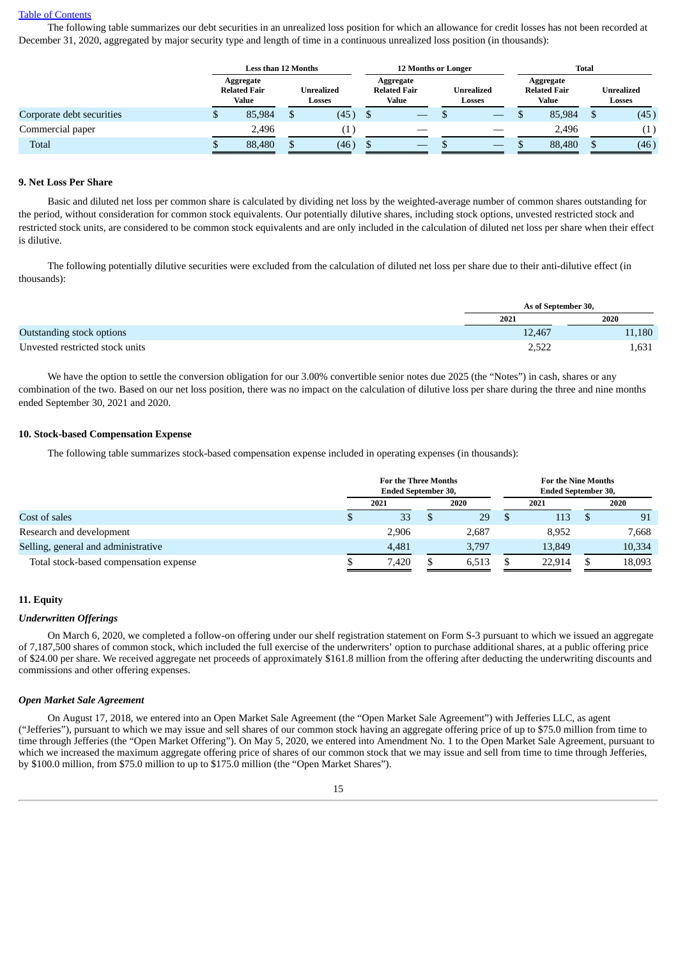The following table summarizes our debt securities in an unrealized loss position for which an allowance for credit losses has not been recorded at December 31, 2020, aggregated by major security type and length of time in a continuous unrealized loss position (in thousands):

|                           | <b>Less than 12 Months</b>                |   |                             | <b>12 Months or Longer</b> |                                           |  |                      | <b>Total</b> |                                                  |     |                      |
|---------------------------|-------------------------------------------|---|-----------------------------|----------------------------|-------------------------------------------|--|----------------------|--------------|--------------------------------------------------|-----|----------------------|
|                           | Aggregate<br><b>Related Fair</b><br>Value |   | <b>Unrealized</b><br>Losses |                            | Aggregate<br><b>Related Fair</b><br>Value |  | Unrealized<br>Losses |              | Aggregate<br><b>Related Fair</b><br><b>Value</b> |     | Unrealized<br>Losses |
| Corporate debt securities | 85,984                                    |   | (45)                        |                            |                                           |  |                      |              | 85,984                                           |     | (45)                 |
| Commercial paper          | 2,496                                     |   |                             |                            | __                                        |  |                      |              | 2.496                                            |     | (1)                  |
| <b>Total</b>              | 88,480                                    | D | (46)                        |                            |                                           |  |                      |              | 88,480                                           | \$. | (46)                 |

#### **9. Net Loss Per Share**

Basic and diluted net loss per common share is calculated by dividing net loss by the weighted-average number of common shares outstanding for the period, without consideration for common stock equivalents. Our potentially dilutive shares, including stock options, unvested restricted stock and restricted stock units, are considered to be common stock equivalents and are only included in the calculation of diluted net loss per share when their effect is dilutive.

The following potentially dilutive securities were excluded from the calculation of diluted net loss per share due to their anti-dilutive effect (in thousands):

|                                 |        | As of September 30, |
|---------------------------------|--------|---------------------|
|                                 | 2021   | 2020                |
| Outstanding stock options       | 12,467 | 11,180              |
| Unvested restricted stock units | 2,522  | 1,631               |

We have the option to settle the conversion obligation for our 3.00% convertible senior notes due 2025 (the "Notes") in cash, shares or any combination of the two. Based on our net loss position, there was no impact on the calculation of dilutive loss per share during the three and nine months ended September 30, 2021 and 2020.

#### **10. Stock-based Compensation Expense**

The following table summarizes stock-based compensation expense included in operating expenses (in thousands):

|                                        | <b>For the Three Months</b><br><b>Ended September 30,</b> |       |  |       | <b>For the Nine Months</b><br><b>Ended September 30,</b> |        |  |        |
|----------------------------------------|-----------------------------------------------------------|-------|--|-------|----------------------------------------------------------|--------|--|--------|
|                                        |                                                           | 2021  |  | 2020  |                                                          | 2021   |  | 2020   |
| Cost of sales                          |                                                           | 33    |  | 29    |                                                          | 113    |  | 91     |
| Research and development               |                                                           | 2,906 |  | 2,687 |                                                          | 8,952  |  | 7,668  |
| Selling, general and administrative    |                                                           | 4,481 |  | 3.797 |                                                          | 13,849 |  | 10,334 |
| Total stock-based compensation expense |                                                           | 7.420 |  | 6.513 |                                                          | 22,914 |  | 18,093 |

## **11. Equity**

#### *Underwritten Offerings*

On March 6, 2020, we completed a follow-on offering under our shelf registration statement on Form S-3 pursuant to which we issued an aggregate of 7,187,500 shares of common stock, which included the full exercise of the underwriters' option to purchase additional shares, at a public offering price of \$24.00 per share. We received aggregate net proceeds of approximately \$161.8 million from the offering after deducting the underwriting discounts and commissions and other offering expenses.

#### *Open Market Sale Agreement*

On August 17, 2018, we entered into an Open Market Sale Agreement (the "Open Market Sale Agreement") with Jefferies LLC, as agent ("Jefferies"), pursuant to which we may issue and sell shares of our common stock having an aggregate offering price of up to \$75.0 million from time to time through Jefferies (the "Open Market Offering"). On May 5, 2020, we entered into Amendment No. 1 to the Open Market Sale Agreement, pursuant to which we increased the maximum aggregate offering price of shares of our common stock that we may issue and sell from time to time through Jefferies, by \$100.0 million, from \$75.0 million to up to \$175.0 million (the "Open Market Shares").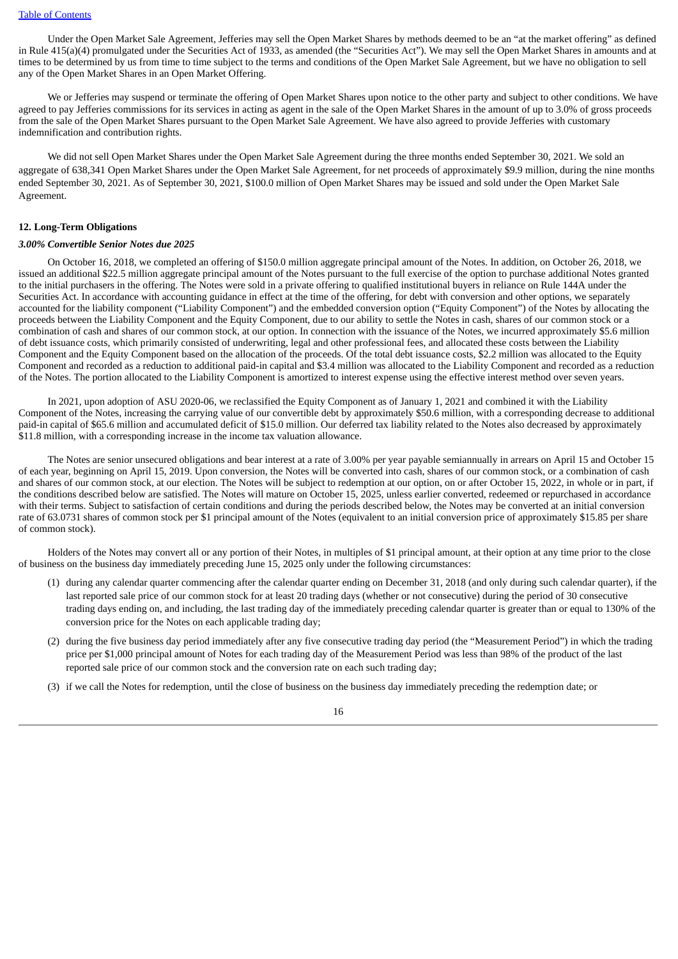Under the Open Market Sale Agreement, Jefferies may sell the Open Market Shares by methods deemed to be an "at the market offering" as defined in Rule 415(a)(4) promulgated under the Securities Act of 1933, as amended (the "Securities Act"). We may sell the Open Market Shares in amounts and at times to be determined by us from time to time subject to the terms and conditions of the Open Market Sale Agreement, but we have no obligation to sell any of the Open Market Shares in an Open Market Offering.

We or Jefferies may suspend or terminate the offering of Open Market Shares upon notice to the other party and subject to other conditions. We have agreed to pay Jefferies commissions for its services in acting as agent in the sale of the Open Market Shares in the amount of up to 3.0% of gross proceeds from the sale of the Open Market Shares pursuant to the Open Market Sale Agreement. We have also agreed to provide Jefferies with customary indemnification and contribution rights.

We did not sell Open Market Shares under the Open Market Sale Agreement during the three months ended September 30, 2021. We sold an aggregate of 638,341 Open Market Shares under the Open Market Sale Agreement, for net proceeds of approximately \$9.9 million, during the nine months ended September 30, 2021. As of September 30, 2021, \$100.0 million of Open Market Shares may be issued and sold under the Open Market Sale Agreement.

#### **12. Long-Term Obligations**

#### *3.00% Convertible Senior Notes due 2025*

On October 16, 2018, we completed an offering of \$150.0 million aggregate principal amount of the Notes. In addition, on October 26, 2018, we issued an additional \$22.5 million aggregate principal amount of the Notes pursuant to the full exercise of the option to purchase additional Notes granted to the initial purchasers in the offering. The Notes were sold in a private offering to qualified institutional buyers in reliance on Rule 144A under the Securities Act. In accordance with accounting guidance in effect at the time of the offering, for debt with conversion and other options, we separately accounted for the liability component ("Liability Component") and the embedded conversion option ("Equity Component") of the Notes by allocating the proceeds between the Liability Component and the Equity Component, due to our ability to settle the Notes in cash, shares of our common stock or a combination of cash and shares of our common stock, at our option. In connection with the issuance of the Notes, we incurred approximately \$5.6 million of debt issuance costs, which primarily consisted of underwriting, legal and other professional fees, and allocated these costs between the Liability Component and the Equity Component based on the allocation of the proceeds. Of the total debt issuance costs, \$2.2 million was allocated to the Equity Component and recorded as a reduction to additional paid-in capital and \$3.4 million was allocated to the Liability Component and recorded as a reduction of the Notes. The portion allocated to the Liability Component is amortized to interest expense using the effective interest method over seven years.

In 2021, upon adoption of ASU 2020-06, we reclassified the Equity Component as of January 1, 2021 and combined it with the Liability Component of the Notes, increasing the carrying value of our convertible debt by approximately \$50.6 million, with a corresponding decrease to additional paid-in capital of \$65.6 million and accumulated deficit of \$15.0 million. Our deferred tax liability related to the Notes also decreased by approximately \$11.8 million, with a corresponding increase in the income tax valuation allowance.

The Notes are senior unsecured obligations and bear interest at a rate of 3.00% per year payable semiannually in arrears on April 15 and October 15 of each year, beginning on April 15, 2019. Upon conversion, the Notes will be converted into cash, shares of our common stock, or a combination of cash and shares of our common stock, at our election. The Notes will be subject to redemption at our option, on or after October 15, 2022, in whole or in part, if the conditions described below are satisfied. The Notes will mature on October 15, 2025, unless earlier converted, redeemed or repurchased in accordance with their terms. Subject to satisfaction of certain conditions and during the periods described below, the Notes may be converted at an initial conversion rate of 63.0731 shares of common stock per \$1 principal amount of the Notes (equivalent to an initial conversion price of approximately \$15.85 per share of common stock).

Holders of the Notes may convert all or any portion of their Notes, in multiples of \$1 principal amount, at their option at any time prior to the close of business on the business day immediately preceding June 15, 2025 only under the following circumstances:

- (1) during any calendar quarter commencing after the calendar quarter ending on December 31, 2018 (and only during such calendar quarter), if the last reported sale price of our common stock for at least 20 trading days (whether or not consecutive) during the period of 30 consecutive trading days ending on, and including, the last trading day of the immediately preceding calendar quarter is greater than or equal to 130% of the conversion price for the Notes on each applicable trading day;
- (2) during the five business day period immediately after any five consecutive trading day period (the "Measurement Period") in which the trading price per \$1,000 principal amount of Notes for each trading day of the Measurement Period was less than 98% of the product of the last reported sale price of our common stock and the conversion rate on each such trading day;
- (3) if we call the Notes for redemption, until the close of business on the business day immediately preceding the redemption date; or

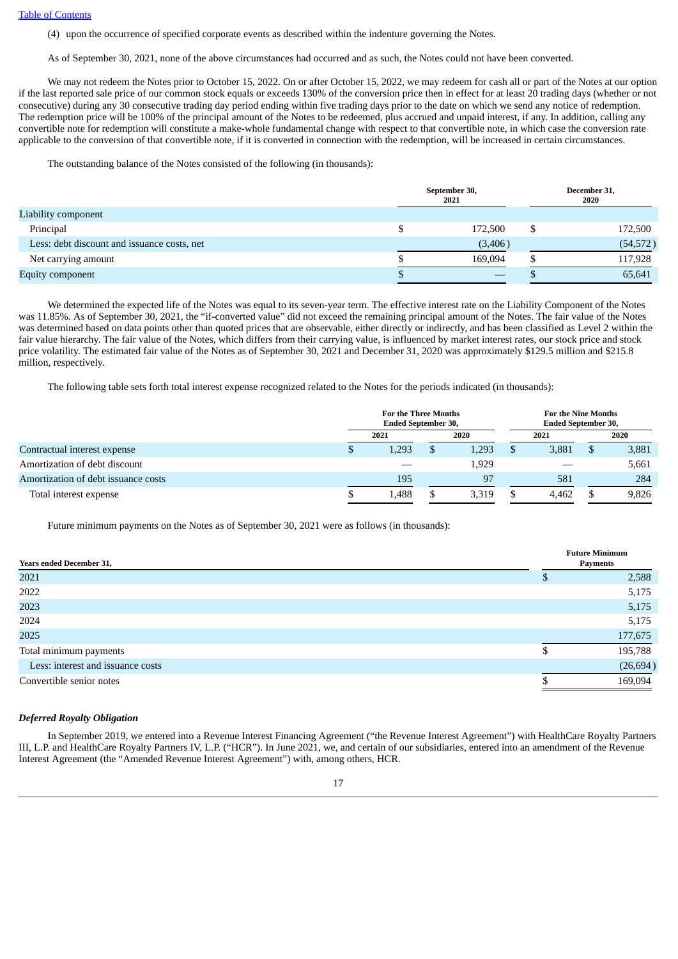(4) upon the occurrence of specified corporate events as described within the indenture governing the Notes.

As of September 30, 2021, none of the above circumstances had occurred and as such, the Notes could not have been converted.

We may not redeem the Notes prior to October 15, 2022. On or after October 15, 2022, we may redeem for cash all or part of the Notes at our option if the last reported sale price of our common stock equals or exceeds 130% of the conversion price then in effect for at least 20 trading days (whether or not consecutive) during any 30 consecutive trading day period ending within five trading days prior to the date on which we send any notice of redemption. The redemption price will be 100% of the principal amount of the Notes to be redeemed, plus accrued and unpaid interest, if any. In addition, calling any convertible note for redemption will constitute a make-whole fundamental change with respect to that convertible note, in which case the conversion rate applicable to the conversion of that convertible note, if it is converted in connection with the redemption, will be increased in certain circumstances.

The outstanding balance of the Notes consisted of the following (in thousands):

|                                             | September 30,<br>2021 | December 31,<br>2020 |    |           |
|---------------------------------------------|-----------------------|----------------------|----|-----------|
| Liability component                         |                       |                      |    |           |
| Principal                                   |                       | 172,500              | \$ | 172,500   |
| Less: debt discount and issuance costs, net |                       | (3,406)              |    | (54, 572) |
| Net carrying amount                         |                       | 169.094              |    | 117,928   |
| Equity component                            |                       | $-$                  |    | 65,641    |

We determined the expected life of the Notes was equal to its seven-year term. The effective interest rate on the Liability Component of the Notes was 11.85%. As of September 30, 2021, the "if-converted value" did not exceed the remaining principal amount of the Notes. The fair value of the Notes was determined based on data points other than quoted prices that are observable, either directly or indirectly, and has been classified as Level 2 within the fair value hierarchy. The fair value of the Notes, which differs from their carrying value, is influenced by market interest rates, our stock price and stock price volatility. The estimated fair value of the Notes as of September 30, 2021 and December 31, 2020 was approximately \$129.5 million and \$215.8 million, respectively.

The following table sets forth total interest expense recognized related to the Notes for the periods indicated (in thousands):

|                                     | <b>For the Three Months</b><br><b>Ended September 30,</b> |  |       |  | <b>For the Nine Months</b><br><b>Ended September 30,</b> |  |       |  |
|-------------------------------------|-----------------------------------------------------------|--|-------|--|----------------------------------------------------------|--|-------|--|
|                                     | 2021                                                      |  | 2020  |  | 2021                                                     |  | 2020  |  |
| Contractual interest expense        | 1.293                                                     |  | 1,293 |  | 3,881                                                    |  | 3,881 |  |
| Amortization of debt discount       |                                                           |  | 1,929 |  |                                                          |  | 5,661 |  |
| Amortization of debt issuance costs | 195                                                       |  | 97    |  | 581                                                      |  | 284   |  |
| Total interest expense              | 1,488                                                     |  | 3,319 |  | 4,462                                                    |  | 9,826 |  |

Future minimum payments on the Notes as of September 30, 2021 were as follows (in thousands):

| <b>Years ended December 31,</b>   |   | <b>Future Minimum</b><br><b>Payments</b> |
|-----------------------------------|---|------------------------------------------|
| 2021                              |   | 2,588                                    |
| 2022                              |   | 5,175                                    |
| 2023                              |   | 5,175                                    |
| 2024                              |   | 5,175                                    |
| 2025                              |   | 177,675                                  |
| Total minimum payments            | S | 195,788                                  |
| Less: interest and issuance costs |   | (26, 694)                                |
| Convertible senior notes          |   | 169,094                                  |

#### *Deferred Royalty Obligation*

In September 2019, we entered into a Revenue Interest Financing Agreement ("the Revenue Interest Agreement") with HealthCare Royalty Partners III, L.P. and HealthCare Royalty Partners IV, L.P. ("HCR"). In June 2021, we, and certain of our subsidiaries, entered into an amendment of the Revenue Interest Agreement (the "Amended Revenue Interest Agreement") with, among others, HCR.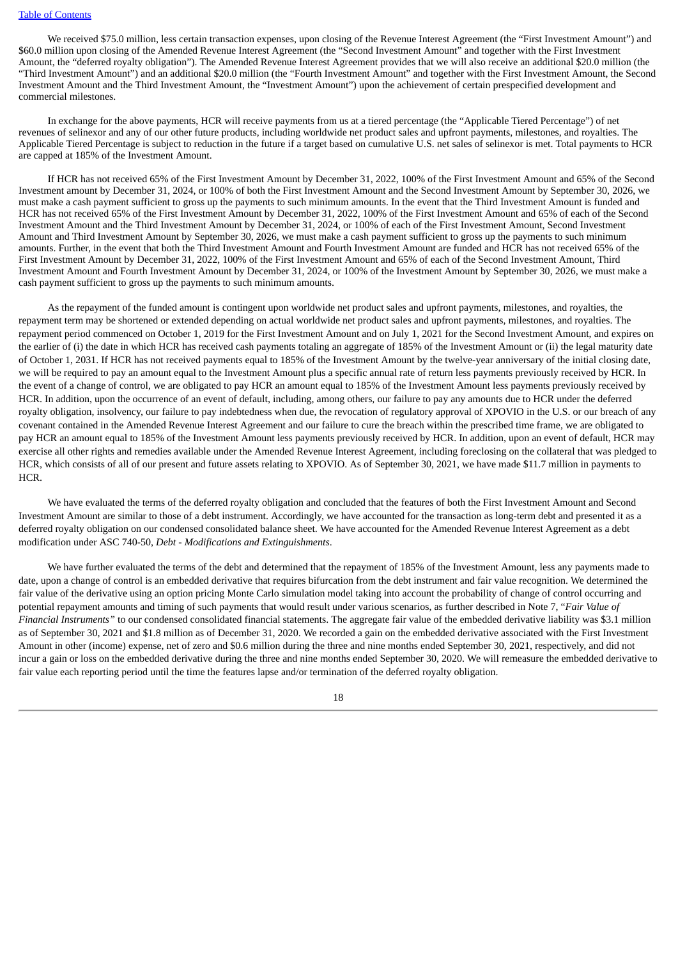We received \$75.0 million, less certain transaction expenses, upon closing of the Revenue Interest Agreement (the "First Investment Amount") and \$60.0 million upon closing of the Amended Revenue Interest Agreement (the "Second Investment Amount" and together with the First Investment Amount, the "deferred royalty obligation"). The Amended Revenue Interest Agreement provides that we will also receive an additional \$20.0 million (the "Third Investment Amount") and an additional \$20.0 million (the "Fourth Investment Amount" and together with the First Investment Amount, the Second Investment Amount and the Third Investment Amount, the "Investment Amount") upon the achievement of certain prespecified development and commercial milestones.

In exchange for the above payments, HCR will receive payments from us at a tiered percentage (the "Applicable Tiered Percentage") of net revenues of selinexor and any of our other future products, including worldwide net product sales and upfront payments, milestones, and royalties. The Applicable Tiered Percentage is subject to reduction in the future if a target based on cumulative U.S. net sales of selinexor is met. Total payments to HCR are capped at 185% of the Investment Amount.

If HCR has not received 65% of the First Investment Amount by December 31, 2022, 100% of the First Investment Amount and 65% of the Second Investment amount by December 31, 2024, or 100% of both the First Investment Amount and the Second Investment Amount by September 30, 2026, we must make a cash payment sufficient to gross up the payments to such minimum amounts. In the event that the Third Investment Amount is funded and HCR has not received 65% of the First Investment Amount by December 31, 2022, 100% of the First Investment Amount and 65% of each of the Second Investment Amount and the Third Investment Amount by December 31, 2024, or 100% of each of the First Investment Amount, Second Investment Amount and Third Investment Amount by September 30, 2026, we must make a cash payment sufficient to gross up the payments to such minimum amounts. Further, in the event that both the Third Investment Amount and Fourth Investment Amount are funded and HCR has not received 65% of the First Investment Amount by December 31, 2022, 100% of the First Investment Amount and 65% of each of the Second Investment Amount, Third Investment Amount and Fourth Investment Amount by December 31, 2024, or 100% of the Investment Amount by September 30, 2026, we must make a cash payment sufficient to gross up the payments to such minimum amounts.

As the repayment of the funded amount is contingent upon worldwide net product sales and upfront payments, milestones, and royalties, the repayment term may be shortened or extended depending on actual worldwide net product sales and upfront payments, milestones, and royalties. The repayment period commenced on October 1, 2019 for the First Investment Amount and on July 1, 2021 for the Second Investment Amount, and expires on the earlier of (i) the date in which HCR has received cash payments totaling an aggregate of 185% of the Investment Amount or (ii) the legal maturity date of October 1, 2031. If HCR has not received payments equal to 185% of the Investment Amount by the twelve-year anniversary of the initial closing date, we will be required to pay an amount equal to the Investment Amount plus a specific annual rate of return less payments previously received by HCR. In the event of a change of control, we are obligated to pay HCR an amount equal to 185% of the Investment Amount less payments previously received by HCR. In addition, upon the occurrence of an event of default, including, among others, our failure to pay any amounts due to HCR under the deferred royalty obligation, insolvency, our failure to pay indebtedness when due, the revocation of regulatory approval of XPOVIO in the U.S. or our breach of any covenant contained in the Amended Revenue Interest Agreement and our failure to cure the breach within the prescribed time frame, we are obligated to pay HCR an amount equal to 185% of the Investment Amount less payments previously received by HCR. In addition, upon an event of default, HCR may exercise all other rights and remedies available under the Amended Revenue Interest Agreement, including foreclosing on the collateral that was pledged to HCR, which consists of all of our present and future assets relating to XPOVIO. As of September 30, 2021, we have made \$11.7 million in payments to HCR.

We have evaluated the terms of the deferred royalty obligation and concluded that the features of both the First Investment Amount and Second Investment Amount are similar to those of a debt instrument. Accordingly, we have accounted for the transaction as long-term debt and presented it as a deferred royalty obligation on our condensed consolidated balance sheet. We have accounted for the Amended Revenue Interest Agreement as a debt modification under ASC 740-50, *Debt - Modifications and Extinguishments*.

We have further evaluated the terms of the debt and determined that the repayment of 185% of the Investment Amount, less any payments made to date, upon a change of control is an embedded derivative that requires bifurcation from the debt instrument and fair value recognition. We determined the fair value of the derivative using an option pricing Monte Carlo simulation model taking into account the probability of change of control occurring and potential repayment amounts and timing of such payments that would result under various scenarios, as further described in Note 7, "*Fair Value of Financial Instruments"* to our condensed consolidated financial statements. The aggregate fair value of the embedded derivative liability was \$3.1 million as of September 30, 2021 and \$1.8 million as of December 31, 2020. We recorded a gain on the embedded derivative associated with the First Investment Amount in other (income) expense, net of zero and \$0.6 million during the three and nine months ended September 30, 2021, respectively, and did not incur a gain or loss on the embedded derivative during the three and nine months ended September 30, 2020. We will remeasure the embedded derivative to fair value each reporting period until the time the features lapse and/or termination of the deferred royalty obligation.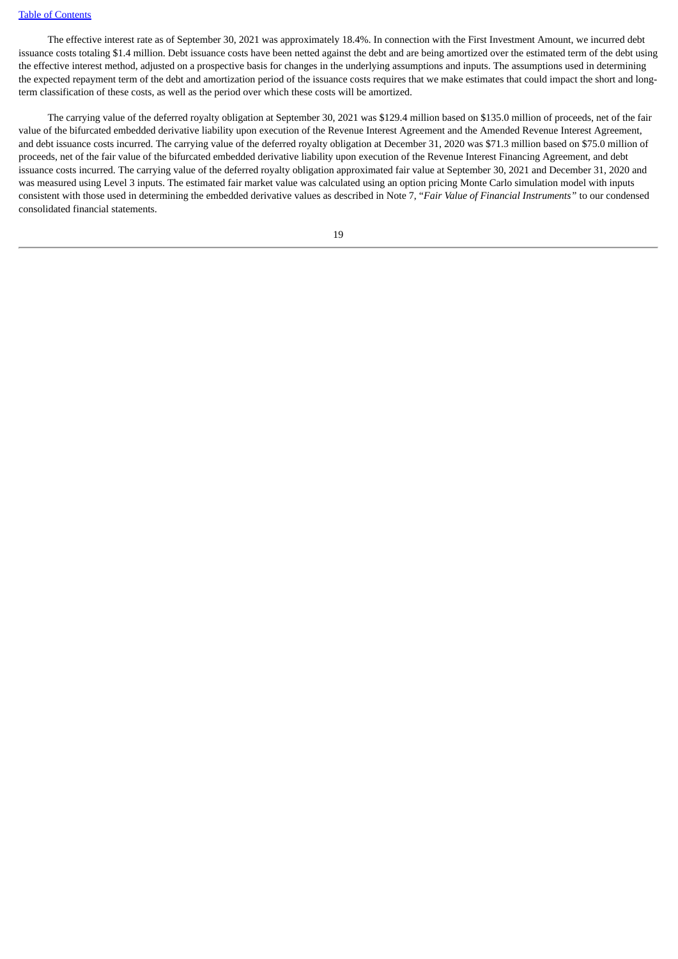The effective interest rate as of September 30, 2021 was approximately 18.4%. In connection with the First Investment Amount, we incurred debt issuance costs totaling \$1.4 million. Debt issuance costs have been netted against the debt and are being amortized over the estimated term of the debt using the effective interest method, adjusted on a prospective basis for changes in the underlying assumptions and inputs. The assumptions used in determining the expected repayment term of the debt and amortization period of the issuance costs requires that we make estimates that could impact the short and longterm classification of these costs, as well as the period over which these costs will be amortized.

The carrying value of the deferred royalty obligation at September 30, 2021 was \$129.4 million based on \$135.0 million of proceeds, net of the fair value of the bifurcated embedded derivative liability upon execution of the Revenue Interest Agreement and the Amended Revenue Interest Agreement, and debt issuance costs incurred. The carrying value of the deferred royalty obligation at December 31, 2020 was \$71.3 million based on \$75.0 million of proceeds, net of the fair value of the bifurcated embedded derivative liability upon execution of the Revenue Interest Financing Agreement, and debt issuance costs incurred. The carrying value of the deferred royalty obligation approximated fair value at September 30, 2021 and December 31, 2020 and was measured using Level 3 inputs. The estimated fair market value was calculated using an option pricing Monte Carlo simulation model with inputs consistent with those used in determining the embedded derivative values as described in Note 7, "*Fair Value of Financial Instruments"* to our condensed consolidated financial statements.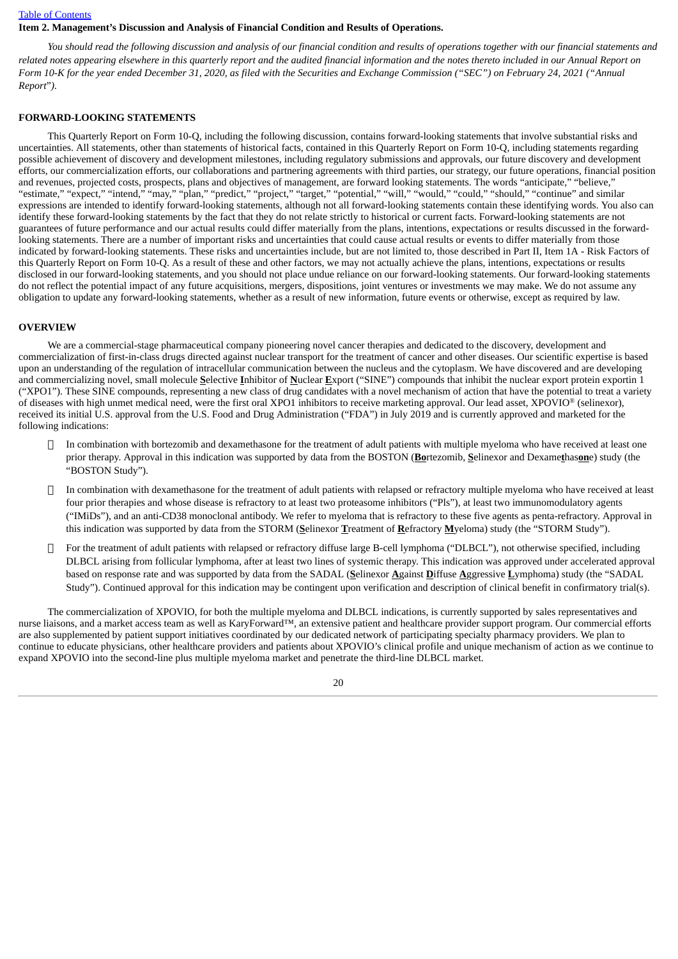#### <span id="page-19-0"></span>**Item 2. Management's Discussion and Analysis of Financial Condition and Results of Operations.**

You should read the following discussion and analysis of our financial condition and results of operations together with our financial statements and related notes appearing elsewhere in this quarterly report and the audited financial information and the notes thereto included in our Annual Report on Form 10-K for the vear ended December 31, 2020, as filed with the Securities and Exchange Commission ("SEC") on February 24, 2021 ("Annual *Report*"*).*

#### **FORWARD-LOOKING STATEMENTS**

This Quarterly Report on Form 10-Q, including the following discussion, contains forward-looking statements that involve substantial risks and uncertainties. All statements, other than statements of historical facts, contained in this Quarterly Report on Form 10-Q, including statements regarding possible achievement of discovery and development milestones, including regulatory submissions and approvals, our future discovery and development efforts, our commercialization efforts, our collaborations and partnering agreements with third parties, our strategy, our future operations, financial position and revenues, projected costs, prospects, plans and objectives of management, are forward looking statements. The words "anticipate," "believe," "estimate," "expect," "intend," "may," "plan," "predict," "project," "target," "potential," "will," "would," "could," "should," "continue" and similar expressions are intended to identify forward-looking statements, although not all forward-looking statements contain these identifying words. You also can identify these forward-looking statements by the fact that they do not relate strictly to historical or current facts. Forward-looking statements are not guarantees of future performance and our actual results could differ materially from the plans, intentions, expectations or results discussed in the forwardlooking statements. There are a number of important risks and uncertainties that could cause actual results or events to differ materially from those indicated by forward-looking statements. These risks and uncertainties include, but are not limited to, those described in Part II, Item 1A - Risk Factors of this Quarterly Report on Form 10-Q. As a result of these and other factors, we may not actually achieve the plans, intentions, expectations or results disclosed in our forward-looking statements, and you should not place undue reliance on our forward-looking statements. Our forward-looking statements do not reflect the potential impact of any future acquisitions, mergers, dispositions, joint ventures or investments we may make. We do not assume any obligation to update any forward-looking statements, whether as a result of new information, future events or otherwise, except as required by law.

#### **OVERVIEW**

We are a commercial-stage pharmaceutical company pioneering novel cancer therapies and dedicated to the discovery, development and commercialization of first-in-class drugs directed against nuclear transport for the treatment of cancer and other diseases. Our scientific expertise is based upon an understanding of the regulation of intracellular communication between the nucleus and the cytoplasm. We have discovered and are developing and commercializing novel, small molecule **S**elective **I**nhibitor of **N**uclear **E**xport ("SINE") compounds that inhibit the nuclear export protein exportin 1 ("XPO1"). These SINE compounds, representing a new class of drug candidates with a novel mechanism of action that have the potential to treat a variety of diseases with high unmet medical need, were the first oral XPO1 inhibitors to receive marketing approval. Our lead asset, XPOVIO® (selinexor), received its initial U.S. approval from the U.S. Food and Drug Administration ("FDA") in July 2019 and is currently approved and marketed for the following indications:

- $\Box$  In combination with bortezomib and dexamethasone for the treatment of adult patients with multiple myeloma who have received at least one prior therapy. Approval in this indication was supported by data from the BOSTON (**Bo**rtezomib, **S**elinexor and Dexame**t**has**on**e) study (the "BOSTON Study").
- In combination with dexamethasone for the treatment of adult patients with relapsed or refractory multiple myeloma who have received at least four prior therapies and whose disease is refractory to at least two proteasome inhibitors ("Pls"), at least two immunomodulatory agents ("IMiDs"), and an anti-CD38 monoclonal antibody. We refer to myeloma that is refractory to these five agents as penta-refractory. Approval in this indication was supported by data from the STORM (**S**elinexor **T**reatment of **R**efractory **M**yeloma) study (the "STORM Study").
- For the treatment of adult patients with relapsed or refractory diffuse large B-cell lymphoma ("DLBCL"), not otherwise specified, including DLBCL arising from follicular lymphoma, after at least two lines of systemic therapy. This indication was approved under accelerated approval based on response rate and was supported by data from the SADAL (**S**elinexor **A**gainst **D**iffuse **A**ggressive **L**ymphoma) study (the "SADAL Study"). Continued approval for this indication may be contingent upon verification and description of clinical benefit in confirmatory trial(s).

The commercialization of XPOVIO, for both the multiple myeloma and DLBCL indications, is currently supported by sales representatives and nurse liaisons, and a market access team as well as KaryForward™, an extensive patient and healthcare provider support program. Our commercial efforts are also supplemented by patient support initiatives coordinated by our dedicated network of participating specialty pharmacy providers. We plan to continue to educate physicians, other healthcare providers and patients about XPOVIO's clinical profile and unique mechanism of action as we continue to expand XPOVIO into the second-line plus multiple myeloma market and penetrate the third-line DLBCL market.

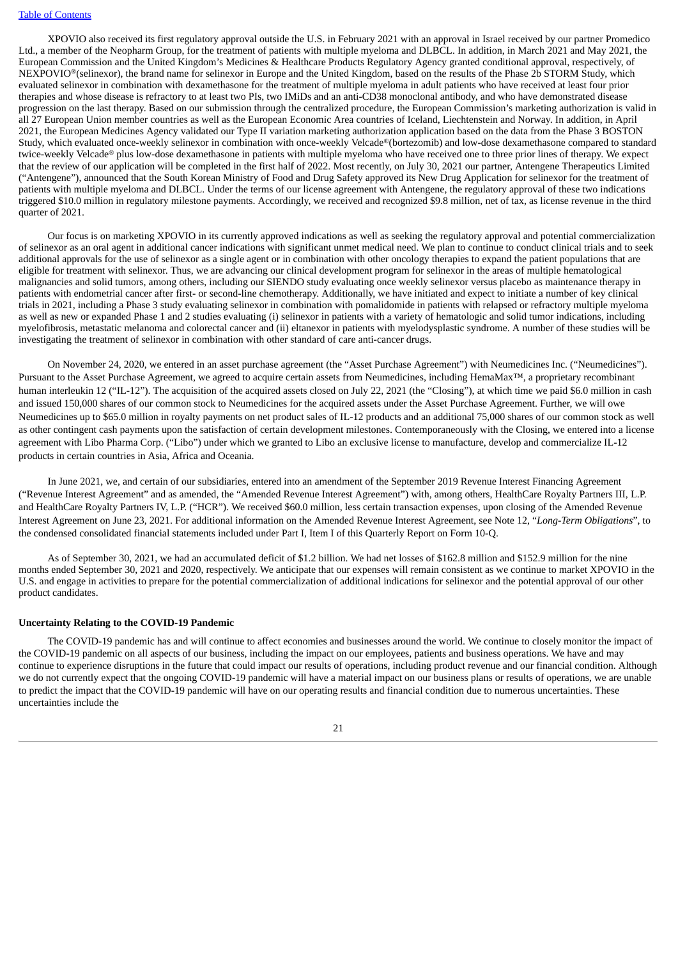XPOVIO also received its first regulatory approval outside the U.S. in February 2021 with an approval in Israel received by our partner Promedico Ltd., a member of the Neopharm Group, for the treatment of patients with multiple myeloma and DLBCL. In addition, in March 2021 and May 2021, the European Commission and the United Kingdom's Medicines & Healthcare Products Regulatory Agency granted conditional approval, respectively, of NEXPOVIO®(selinexor), the brand name for selinexor in Europe and the United Kingdom, based on the results of the Phase 2b STORM Study, which evaluated selinexor in combination with dexamethasone for the treatment of multiple myeloma in adult patients who have received at least four prior therapies and whose disease is refractory to at least two PIs, two IMiDs and an anti-CD38 monoclonal antibody, and who have demonstrated disease progression on the last therapy. Based on our submission through the centralized procedure, the European Commission's marketing authorization is valid in all 27 European Union member countries as well as the European Economic Area countries of Iceland, Liechtenstein and Norway. In addition, in April 2021, the European Medicines Agency validated our Type II variation marketing authorization application based on the data from the Phase 3 BOSTON Study, which evaluated once-weekly selinexor in combination with once-weekly Velcade®(bortezomib) and low-dose dexamethasone compared to standard twice-weekly Velcade® plus low-dose dexamethasone in patients with multiple myeloma who have received one to three prior lines of therapy. We expect that the review of our application will be completed in the first half of 2022. Most recently, on July 30, 2021 our partner, Antengene Therapeutics Limited ("Antengene"), announced that the South Korean Ministry of Food and Drug Safety approved its New Drug Application for selinexor for the treatment of patients with multiple myeloma and DLBCL. Under the terms of our license agreement with Antengene, the regulatory approval of these two indications triggered \$10.0 million in regulatory milestone payments. Accordingly, we received and recognized \$9.8 million, net of tax, as license revenue in the third quarter of 2021.

Our focus is on marketing XPOVIO in its currently approved indications as well as seeking the regulatory approval and potential commercialization of selinexor as an oral agent in additional cancer indications with significant unmet medical need. We plan to continue to conduct clinical trials and to seek additional approvals for the use of selinexor as a single agent or in combination with other oncology therapies to expand the patient populations that are eligible for treatment with selinexor. Thus, we are advancing our clinical development program for selinexor in the areas of multiple hematological malignancies and solid tumors, among others, including our SIENDO study evaluating once weekly selinexor versus placebo as maintenance therapy in patients with endometrial cancer after first- or second-line chemotherapy. Additionally, we have initiated and expect to initiate a number of key clinical trials in 2021, including a Phase 3 study evaluating selinexor in combination with pomalidomide in patients with relapsed or refractory multiple myeloma as well as new or expanded Phase 1 and 2 studies evaluating (i) selinexor in patients with a variety of hematologic and solid tumor indications, including myelofibrosis, metastatic melanoma and colorectal cancer and (ii) eltanexor in patients with myelodysplastic syndrome. A number of these studies will be investigating the treatment of selinexor in combination with other standard of care anti-cancer drugs.

On November 24, 2020, we entered in an asset purchase agreement (the "Asset Purchase Agreement") with Neumedicines Inc. ("Neumedicines"). Pursuant to the Asset Purchase Agreement, we agreed to acquire certain assets from Neumedicines, including HemaMax™, a proprietary recombinant human interleukin 12 ("IL-12"). The acquisition of the acquired assets closed on July 22, 2021 (the "Closing"), at which time we paid \$6.0 million in cash and issued 150,000 shares of our common stock to Neumedicines for the acquired assets under the Asset Purchase Agreement. Further, we will owe Neumedicines up to \$65.0 million in royalty payments on net product sales of IL-12 products and an additional 75,000 shares of our common stock as well as other contingent cash payments upon the satisfaction of certain development milestones. Contemporaneously with the Closing, we entered into a license agreement with Libo Pharma Corp. ("Libo") under which we granted to Libo an exclusive license to manufacture, develop and commercialize IL-12 products in certain countries in Asia, Africa and Oceania.

In June 2021, we, and certain of our subsidiaries, entered into an amendment of the September 2019 Revenue Interest Financing Agreement ("Revenue Interest Agreement" and as amended, the "Amended Revenue Interest Agreement") with, among others, HealthCare Royalty Partners III, L.P. and HealthCare Royalty Partners IV, L.P. ("HCR"). We received \$60.0 million, less certain transaction expenses, upon closing of the Amended Revenue Interest Agreement on June 23, 2021. For additional information on the Amended Revenue Interest Agreement, see Note 12, "*Long-Term Obligations*", to the condensed consolidated financial statements included under Part I, Item I of this Quarterly Report on Form 10-Q.

As of September 30, 2021, we had an accumulated deficit of \$1.2 billion. We had net losses of \$162.8 million and \$152.9 million for the nine months ended September 30, 2021 and 2020, respectively. We anticipate that our expenses will remain consistent as we continue to market XPOVIO in the U.S. and engage in activities to prepare for the potential commercialization of additional indications for selinexor and the potential approval of our other product candidates.

#### **Uncertainty Relating to the COVID-19 Pandemic**

The COVID-19 pandemic has and will continue to affect economies and businesses around the world. We continue to closely monitor the impact of the COVID-19 pandemic on all aspects of our business, including the impact on our employees, patients and business operations. We have and may continue to experience disruptions in the future that could impact our results of operations, including product revenue and our financial condition. Although we do not currently expect that the ongoing COVID-19 pandemic will have a material impact on our business plans or results of operations, we are unable to predict the impact that the COVID-19 pandemic will have on our operating results and financial condition due to numerous uncertainties. These uncertainties include the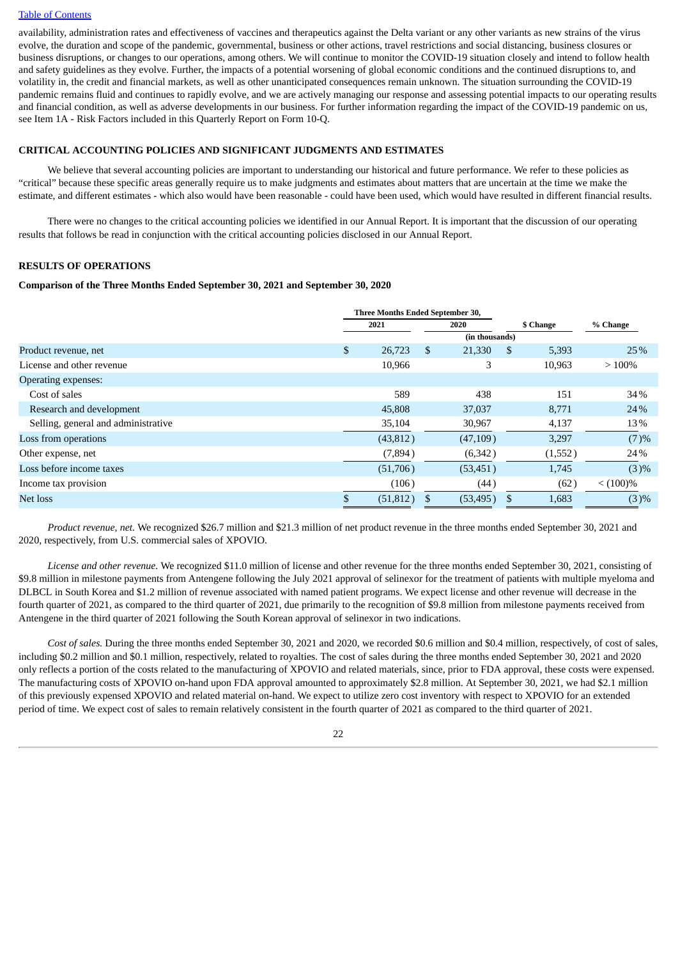availability, administration rates and effectiveness of vaccines and therapeutics against the Delta variant or any other variants as new strains of the virus evolve, the duration and scope of the pandemic, governmental, business or other actions, travel restrictions and social distancing, business closures or business disruptions, or changes to our operations, among others. We will continue to monitor the COVID-19 situation closely and intend to follow health and safety guidelines as they evolve. Further, the impacts of a potential worsening of global economic conditions and the continued disruptions to, and volatility in, the credit and financial markets, as well as other unanticipated consequences remain unknown. The situation surrounding the COVID-19 pandemic remains fluid and continues to rapidly evolve, and we are actively managing our response and assessing potential impacts to our operating results and financial condition, as well as adverse developments in our business. For further information regarding the impact of the COVID-19 pandemic on us, see Item 1A - Risk Factors included in this Quarterly Report on Form 10-Q.

#### **CRITICAL ACCOUNTING POLICIES AND SIGNIFICANT JUDGMENTS AND ESTIMATES**

We believe that several accounting policies are important to understanding our historical and future performance. We refer to these policies as "critical" because these specific areas generally require us to make judgments and estimates about matters that are uncertain at the time we make the estimate, and different estimates - which also would have been reasonable - could have been used, which would have resulted in different financial results.

There were no changes to the critical accounting policies we identified in our Annual Report. It is important that the discussion of our operating results that follows be read in conjunction with the critical accounting policies disclosed in our Annual Report.

#### **RESULTS OF OPERATIONS**

#### **Comparison of the Three Months Ended September 30, 2021 and September 30, 2020**

|                                     |                | <b>Three Months Ended September 30,</b> |      |           |           |         |            |
|-------------------------------------|----------------|-----------------------------------------|------|-----------|-----------|---------|------------|
|                                     |                | 2021                                    | 2020 |           | \$ Change |         | % Change   |
|                                     | (in thousands) |                                         |      |           |           |         |            |
| Product revenue, net                | \$             | 26,723                                  | \$   | 21,330    | S         | 5,393   | 25%        |
| License and other revenue           |                | 10,966                                  |      | 3         |           | 10,963  | $>100\%$   |
| <b>Operating expenses:</b>          |                |                                         |      |           |           |         |            |
| Cost of sales                       |                | 589                                     |      | 438       |           | 151     | 34%        |
| Research and development            |                | 45,808                                  |      | 37,037    |           | 8,771   | 24%        |
| Selling, general and administrative |                | 35,104                                  |      | 30,967    |           | 4,137   | 13%        |
| Loss from operations                |                | (43, 812)                               |      | (47, 109) |           | 3,297   | (7)%       |
| Other expense, net                  |                | (7,894)                                 |      | (6,342)   |           | (1,552) | 24%        |
| Loss before income taxes            |                | (51,706)                                |      | (53, 451) |           | 1,745   | (3)%       |
| Income tax provision                |                | (106)                                   |      | (44)      |           | (62)    | $<$ (100)% |
| Net loss                            | S              | (51, 812)                               | S    | (53, 495) | \$        | 1,683   | (3)%       |

*Product revenue, net.* We recognized \$26.7 million and \$21.3 million of net product revenue in the three months ended September 30, 2021 and 2020, respectively, from U.S. commercial sales of XPOVIO.

*License and other revenue.* We recognized \$11.0 million of license and other revenue for the three months ended September 30, 2021, consisting of \$9.8 million in milestone payments from Antengene following the July 2021 approval of selinexor for the treatment of patients with multiple myeloma and DLBCL in South Korea and \$1.2 million of revenue associated with named patient programs. We expect license and other revenue will decrease in the fourth quarter of 2021, as compared to the third quarter of 2021, due primarily to the recognition of \$9.8 million from milestone payments received from Antengene in the third quarter of 2021 following the South Korean approval of selinexor in two indications.

*Cost of sales.* During the three months ended September 30, 2021 and 2020, we recorded \$0.6 million and \$0.4 million, respectively, of cost of sales, including \$0.2 million and \$0.1 million, respectively, related to royalties. The cost of sales during the three months ended September 30, 2021 and 2020 only reflects a portion of the costs related to the manufacturing of XPOVIO and related materials, since, prior to FDA approval, these costs were expensed. The manufacturing costs of XPOVIO on-hand upon FDA approval amounted to approximately \$2.8 million. At September 30, 2021, we had \$2.1 million of this previously expensed XPOVIO and related material on-hand. We expect to utilize zero cost inventory with respect to XPOVIO for an extended period of time. We expect cost of sales to remain relatively consistent in the fourth quarter of 2021 as compared to the third quarter of 2021.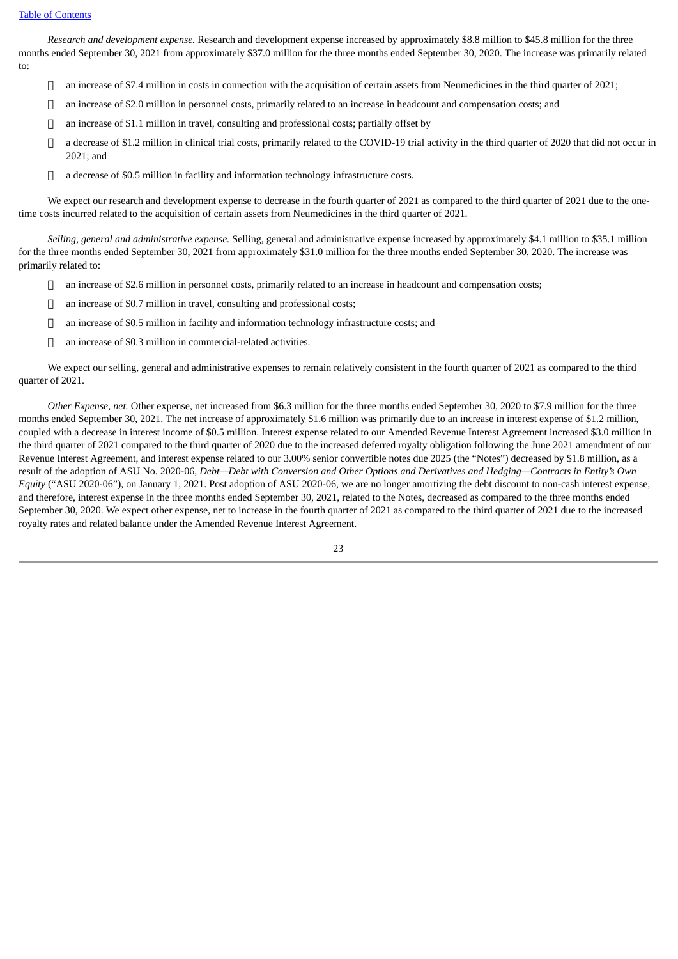*Research and development expense.* Research and development expense increased by approximately \$8.8 million to \$45.8 million for the three months ended September 30, 2021 from approximately \$37.0 million for the three months ended September 30, 2020. The increase was primarily related to:

- $\Box$  an increase of \$7.4 million in costs in connection with the acquisition of certain assets from Neumedicines in the third quarter of 2021;
- $\Box$  an increase of \$2.0 million in personnel costs, primarily related to an increase in headcount and compensation costs; and
- $\Box$  an increase of \$1.1 million in travel, consulting and professional costs; partially offset by
- a decrease of \$1.2 million in clinical trial costs, primarily related to the COVID-19 trial activity in the third quarter of 2020 that did not occur in 2021; and
- $\Box$  a decrease of \$0.5 million in facility and information technology infrastructure costs.

We expect our research and development expense to decrease in the fourth quarter of 2021 as compared to the third quarter of 2021 due to the onetime costs incurred related to the acquisition of certain assets from Neumedicines in the third quarter of 2021.

*Selling, general and administrative expense.* Selling, general and administrative expense increased by approximately \$4.1 million to \$35.1 million for the three months ended September 30, 2021 from approximately \$31.0 million for the three months ended September 30, 2020. The increase was primarily related to:

- $\Box$  an increase of \$2.6 million in personnel costs, primarily related to an increase in headcount and compensation costs;
- an increase of \$0.7 million in travel, consulting and professional costs;
- $\Box$  an increase of \$0.5 million in facility and information technology infrastructure costs; and
- an increase of \$0.3 million in commercial-related activities.

We expect our selling, general and administrative expenses to remain relatively consistent in the fourth quarter of 2021 as compared to the third quarter of 2021.

*Other Expense, net.* Other expense, net increased from \$6.3 million for the three months ended September 30, 2020 to \$7.9 million for the three months ended September 30, 2021. The net increase of approximately \$1.6 million was primarily due to an increase in interest expense of \$1.2 million, coupled with a decrease in interest income of \$0.5 million. Interest expense related to our Amended Revenue Interest Agreement increased \$3.0 million in the third quarter of 2021 compared to the third quarter of 2020 due to the increased deferred royalty obligation following the June 2021 amendment of our Revenue Interest Agreement, and interest expense related to our 3.00% senior convertible notes due 2025 (the "Notes") decreased by \$1.8 million, as a result of the adoption of ASU No. 2020-06, Debt-Debt with Conversion and Other Options and Derivatives and Hedging-Contracts in Entity's Own *Equity* ("ASU 2020-06"), on January 1, 2021. Post adoption of ASU 2020-06, we are no longer amortizing the debt discount to non-cash interest expense, and therefore, interest expense in the three months ended September 30, 2021, related to the Notes, decreased as compared to the three months ended September 30, 2020. We expect other expense, net to increase in the fourth quarter of 2021 as compared to the third quarter of 2021 due to the increased royalty rates and related balance under the Amended Revenue Interest Agreement.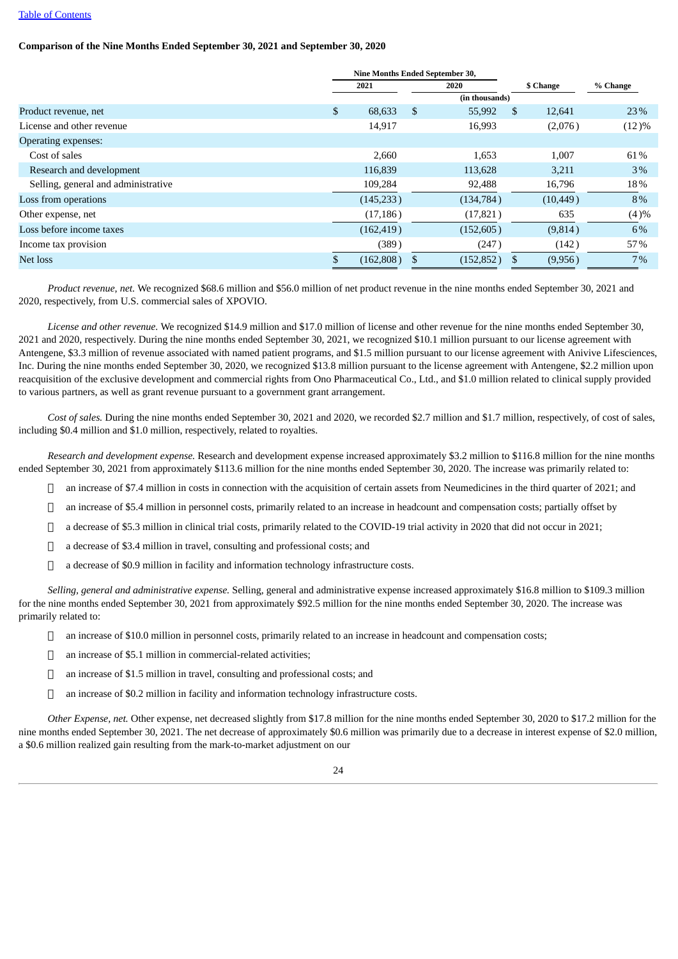#### **Comparison of the Nine Months Ended September 30, 2021 and September 30, 2020**

|                                     | Nine Months Ended September 30, |            |      |                |               |           |          |
|-------------------------------------|---------------------------------|------------|------|----------------|---------------|-----------|----------|
|                                     | 2021                            |            | 2020 |                | \$ Change     |           | % Change |
|                                     |                                 |            |      | (in thousands) |               |           |          |
| Product revenue, net                | \$                              | 68,633     | \$   | 55,992         | <sup>\$</sup> | 12,641    | 23%      |
| License and other revenue           |                                 | 14,917     |      | 16,993         |               | (2,076)   | $(12)\%$ |
| <b>Operating expenses:</b>          |                                 |            |      |                |               |           |          |
| Cost of sales                       |                                 | 2,660      |      | 1,653          |               | 1,007     | 61%      |
| Research and development            |                                 | 116,839    |      | 113,628        |               | 3,211     | 3%       |
| Selling, general and administrative |                                 | 109,284    |      | 92,488         |               | 16,796    | 18%      |
| Loss from operations                |                                 | (145, 233) |      | (134, 784)     |               | (10, 449) | 8%       |
| Other expense, net                  |                                 | (17, 186)  |      | (17, 821)      |               | 635       | (4)%     |
| Loss before income taxes            |                                 | (162, 419) |      | (152, 605)     |               | (9,814)   | 6%       |
| Income tax provision                |                                 | (389)      |      | (247)          |               | (142)     | 57%      |
| Net loss                            |                                 | (162, 808) |      | (152, 852)     |               | (9,956)   | 7%       |

*Product revenue, net.* We recognized \$68.6 million and \$56.0 million of net product revenue in the nine months ended September 30, 2021 and 2020, respectively, from U.S. commercial sales of XPOVIO.

*License and other revenue.* We recognized \$14.9 million and \$17.0 million of license and other revenue for the nine months ended September 30, 2021 and 2020, respectively. During the nine months ended September 30, 2021, we recognized \$10.1 million pursuant to our license agreement with Antengene, \$3.3 million of revenue associated with named patient programs, and \$1.5 million pursuant to our license agreement with Anivive Lifesciences, Inc. During the nine months ended September 30, 2020, we recognized \$13.8 million pursuant to the license agreement with Antengene, \$2.2 million upon reacquisition of the exclusive development and commercial rights from Ono Pharmaceutical Co., Ltd., and \$1.0 million related to clinical supply provided to various partners, as well as grant revenue pursuant to a government grant arrangement.

*Cost of sales.* During the nine months ended September 30, 2021 and 2020, we recorded \$2.7 million and \$1.7 million, respectively, of cost of sales, including \$0.4 million and \$1.0 million, respectively, related to royalties.

*Research and development expense.* Research and development expense increased approximately \$3.2 million to \$116.8 million for the nine months ended September 30, 2021 from approximately \$113.6 million for the nine months ended September 30, 2020. The increase was primarily related to:

- an increase of \$7.4 million in costs in connection with the acquisition of certain assets from Neumedicines in the third quarter of 2021; and
- $\Box$  an increase of \$5.4 million in personnel costs, primarily related to an increase in headcount and compensation costs; partially offset by
- a decrease of \$5.3 million in clinical trial costs, primarily related to the COVID-19 trial activity in 2020 that did not occur in 2021;
- $\Box$  a decrease of \$3.4 million in travel, consulting and professional costs; and
- a decrease of \$0.9 million in facility and information technology infrastructure costs.

*Selling, general and administrative expense.* Selling, general and administrative expense increased approximately \$16.8 million to \$109.3 million for the nine months ended September 30, 2021 from approximately \$92.5 million for the nine months ended September 30, 2020. The increase was primarily related to:

- $\Box$  an increase of \$10.0 million in personnel costs, primarily related to an increase in headcount and compensation costs;
- $\Box$  an increase of \$5.1 million in commercial-related activities;
- an increase of \$1.5 million in travel, consulting and professional costs; and
- $\Box$  an increase of \$0.2 million in facility and information technology infrastructure costs.

*Other Expense, net.* Other expense, net decreased slightly from \$17.8 million for the nine months ended September 30, 2020 to \$17.2 million for the nine months ended September 30, 2021. The net decrease of approximately \$0.6 million was primarily due to a decrease in interest expense of \$2.0 million, a \$0.6 million realized gain resulting from the mark-to-market adjustment on our

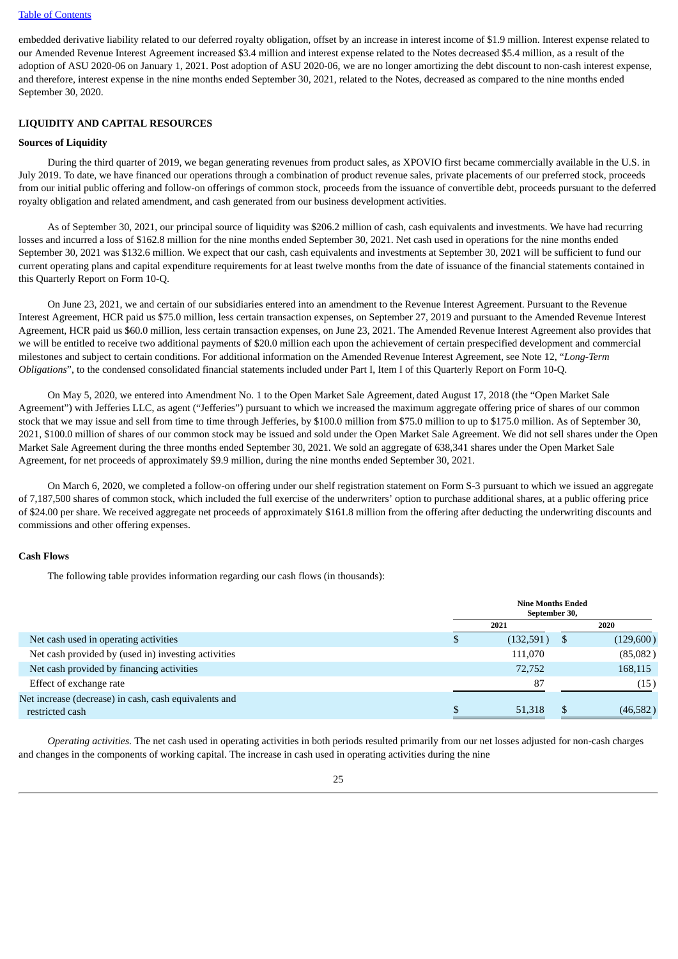embedded derivative liability related to our deferred royalty obligation, offset by an increase in interest income of \$1.9 million. Interest expense related to our Amended Revenue Interest Agreement increased \$3.4 million and interest expense related to the Notes decreased \$5.4 million, as a result of the adoption of ASU 2020-06 on January 1, 2021. Post adoption of ASU 2020-06, we are no longer amortizing the debt discount to non-cash interest expense, and therefore, interest expense in the nine months ended September 30, 2021, related to the Notes, decreased as compared to the nine months ended September 30, 2020.

#### **LIQUIDITY AND CAPITAL RESOURCES**

#### **Sources of Liquidity**

During the third quarter of 2019, we began generating revenues from product sales, as XPOVIO first became commercially available in the U.S. in July 2019. To date, we have financed our operations through a combination of product revenue sales, private placements of our preferred stock, proceeds from our initial public offering and follow-on offerings of common stock, proceeds from the issuance of convertible debt, proceeds pursuant to the deferred royalty obligation and related amendment, and cash generated from our business development activities.

As of September 30, 2021, our principal source of liquidity was \$206.2 million of cash, cash equivalents and investments. We have had recurring losses and incurred a loss of \$162.8 million for the nine months ended September 30, 2021. Net cash used in operations for the nine months ended September 30, 2021 was \$132.6 million. We expect that our cash, cash equivalents and investments at September 30, 2021 will be sufficient to fund our current operating plans and capital expenditure requirements for at least twelve months from the date of issuance of the financial statements contained in this Quarterly Report on Form 10-Q.

On June 23, 2021, we and certain of our subsidiaries entered into an amendment to the Revenue Interest Agreement. Pursuant to the Revenue Interest Agreement, HCR paid us \$75.0 million, less certain transaction expenses, on September 27, 2019 and pursuant to the Amended Revenue Interest Agreement, HCR paid us \$60.0 million, less certain transaction expenses, on June 23, 2021. The Amended Revenue Interest Agreement also provides that we will be entitled to receive two additional payments of \$20.0 million each upon the achievement of certain prespecified development and commercial milestones and subject to certain conditions. For additional information on the Amended Revenue Interest Agreement, see Note 12, "*Long-Term Obligations*", to the condensed consolidated financial statements included under Part I, Item I of this Quarterly Report on Form 10-Q.

On May 5, 2020, we entered into Amendment No. 1 to the Open Market Sale Agreement, dated August 17, 2018 (the "Open Market Sale Agreement") with Jefferies LLC, as agent ("Jefferies") pursuant to which we increased the maximum aggregate offering price of shares of our common stock that we may issue and sell from time to time through Jefferies, by \$100.0 million from \$75.0 million to up to \$175.0 million. As of September 30, 2021, \$100.0 million of shares of our common stock may be issued and sold under the Open Market Sale Agreement. We did not sell shares under the Open Market Sale Agreement during the three months ended September 30, 2021. We sold an aggregate of 638,341 shares under the Open Market Sale Agreement, for net proceeds of approximately \$9.9 million, during the nine months ended September 30, 2021.

On March 6, 2020, we completed a follow-on offering under our shelf registration statement on Form S-3 pursuant to which we issued an aggregate of 7,187,500 shares of common stock, which included the full exercise of the underwriters' option to purchase additional shares, at a public offering price of \$24.00 per share. We received aggregate net proceeds of approximately \$161.8 million from the offering after deducting the underwriting discounts and commissions and other offering expenses.

#### **Cash Flows**

The following table provides information regarding our cash flows (in thousands):

|                                                                          |  | <b>Nine Months Ended</b><br>September 30, |      |           |  |  |
|--------------------------------------------------------------------------|--|-------------------------------------------|------|-----------|--|--|
|                                                                          |  | 2021                                      | 2020 |           |  |  |
| Net cash used in operating activities                                    |  | (132,591)                                 |      | (129,600) |  |  |
| Net cash provided by (used in) investing activities                      |  | 111,070                                   |      | (85,082)  |  |  |
| Net cash provided by financing activities                                |  | 72,752                                    |      | 168,115   |  |  |
| Effect of exchange rate                                                  |  | 87                                        |      | (15)      |  |  |
| Net increase (decrease) in cash, cash equivalents and<br>restricted cash |  | 51,318                                    |      | (46, 582) |  |  |

*Operating activities.* The net cash used in operating activities in both periods resulted primarily from our net losses adjusted for non-cash charges and changes in the components of working capital. The increase in cash used in operating activities during the nine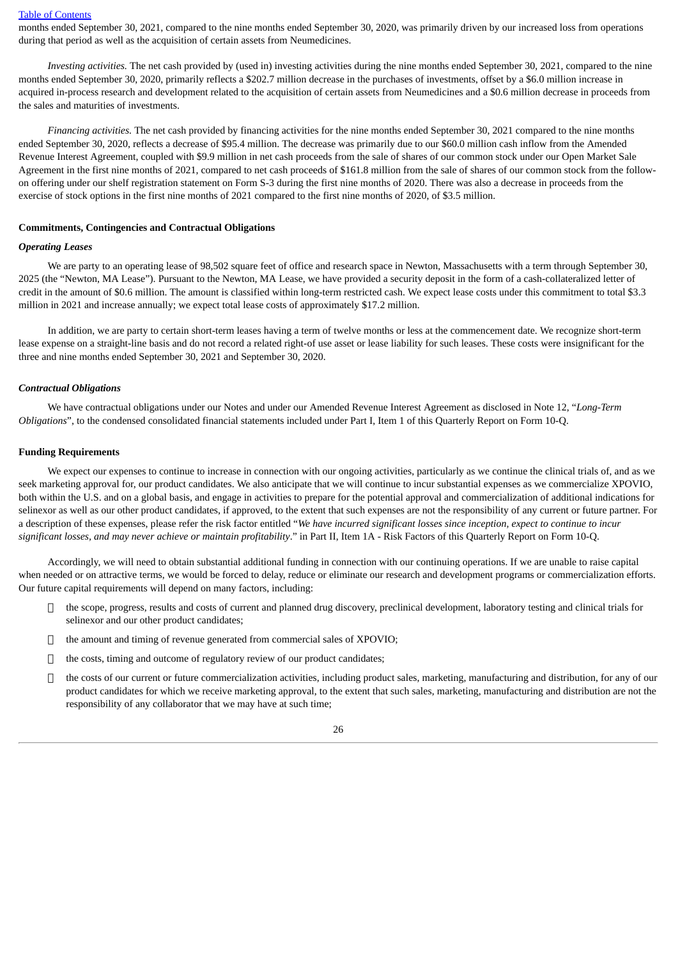months ended September 30, 2021, compared to the nine months ended September 30, 2020, was primarily driven by our increased loss from operations during that period as well as the acquisition of certain assets from Neumedicines.

*Investing activities.* The net cash provided by (used in) investing activities during the nine months ended September 30, 2021, compared to the nine months ended September 30, 2020, primarily reflects a \$202.7 million decrease in the purchases of investments, offset by a \$6.0 million increase in acquired in-process research and development related to the acquisition of certain assets from Neumedicines and a \$0.6 million decrease in proceeds from the sales and maturities of investments.

*Financing activities.* The net cash provided by financing activities for the nine months ended September 30, 2021 compared to the nine months ended September 30, 2020, reflects a decrease of \$95.4 million. The decrease was primarily due to our \$60.0 million cash inflow from the Amended Revenue Interest Agreement, coupled with \$9.9 million in net cash proceeds from the sale of shares of our common stock under our Open Market Sale Agreement in the first nine months of 2021, compared to net cash proceeds of \$161.8 million from the sale of shares of our common stock from the followon offering under our shelf registration statement on Form S-3 during the first nine months of 2020. There was also a decrease in proceeds from the exercise of stock options in the first nine months of 2021 compared to the first nine months of 2020, of \$3.5 million.

#### **Commitments, Contingencies and Contractual Obligations**

#### *Operating Leases*

We are party to an operating lease of 98,502 square feet of office and research space in Newton, Massachusetts with a term through September 30, 2025 (the "Newton, MA Lease"). Pursuant to the Newton, MA Lease, we have provided a security deposit in the form of a cash-collateralized letter of credit in the amount of \$0.6 million. The amount is classified within long-term restricted cash. We expect lease costs under this commitment to total \$3.3 million in 2021 and increase annually; we expect total lease costs of approximately \$17.2 million.

In addition, we are party to certain short-term leases having a term of twelve months or less at the commencement date. We recognize short-term lease expense on a straight-line basis and do not record a related right-of use asset or lease liability for such leases. These costs were insignificant for the three and nine months ended September 30, 2021 and September 30, 2020.

#### *Contractual Obligations*

We have contractual obligations under our Notes and under our Amended Revenue Interest Agreement as disclosed in Note 12, "*Long-Term Obligations*", to the condensed consolidated financial statements included under Part I, Item 1 of this Quarterly Report on Form 10-Q.

#### **Funding Requirements**

We expect our expenses to continue to increase in connection with our ongoing activities, particularly as we continue the clinical trials of, and as we seek marketing approval for, our product candidates. We also anticipate that we will continue to incur substantial expenses as we commercialize XPOVIO, both within the U.S. and on a global basis, and engage in activities to prepare for the potential approval and commercialization of additional indications for selinexor as well as our other product candidates, if approved, to the extent that such expenses are not the responsibility of any current or future partner. For a description of these expenses, please refer the risk factor entitled "We have incurred significant losses since inception, expect to continue to incur *significant losses, and may never achieve or maintain profitability*." in Part II, Item 1A - Risk Factors of this Quarterly Report on Form 10-Q.

Accordingly, we will need to obtain substantial additional funding in connection with our continuing operations. If we are unable to raise capital when needed or on attractive terms, we would be forced to delay, reduce or eliminate our research and development programs or commercialization efforts. Our future capital requirements will depend on many factors, including:

- $\Box$  the scope, progress, results and costs of current and planned drug discovery, preclinical development, laboratory testing and clinical trials for selinexor and our other product candidates;
- the amount and timing of revenue generated from commercial sales of XPOVIO;
- $\Box$  the costs, timing and outcome of regulatory review of our product candidates;
- $\Box$  the costs of our current or future commercialization activities, including product sales, marketing, manufacturing and distribution, for any of our product candidates for which we receive marketing approval, to the extent that such sales, marketing, manufacturing and distribution are not the responsibility of any collaborator that we may have at such time;

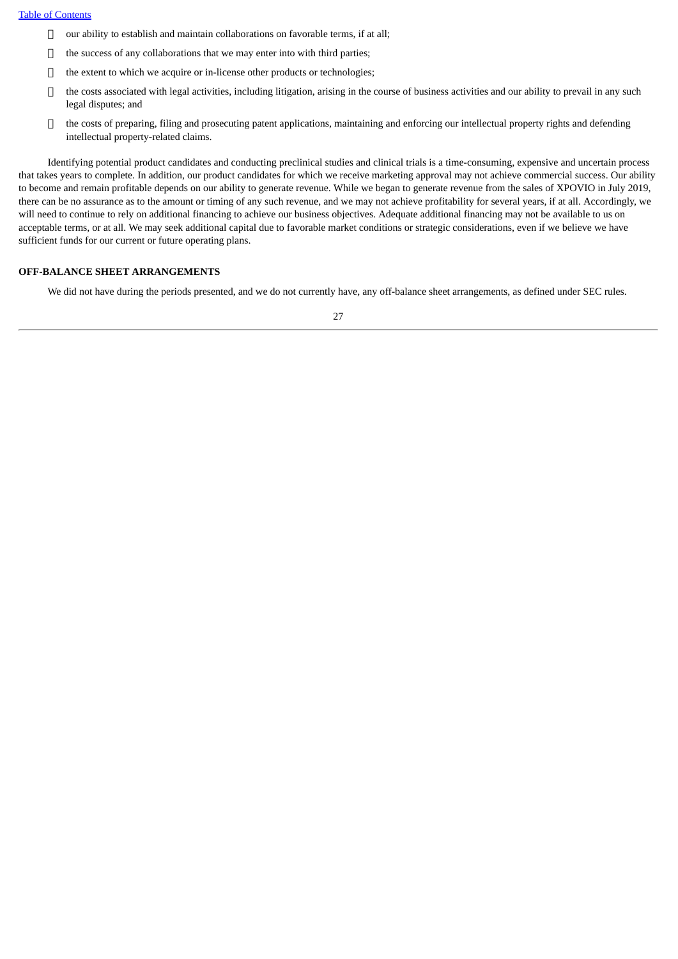- our ability to establish and maintain collaborations on favorable terms, if at all;
- $\Box$  the success of any collaborations that we may enter into with third parties;
- □ the extent to which we acquire or in-license other products or technologies;
- $\Box$  the costs associated with legal activities, including litigation, arising in the course of business activities and our ability to prevail in any such legal disputes; and
- $\Box$  the costs of preparing, filing and prosecuting patent applications, maintaining and enforcing our intellectual property rights and defending intellectual property-related claims.

Identifying potential product candidates and conducting preclinical studies and clinical trials is a time-consuming, expensive and uncertain process that takes years to complete. In addition, our product candidates for which we receive marketing approval may not achieve commercial success. Our ability to become and remain profitable depends on our ability to generate revenue. While we began to generate revenue from the sales of XPOVIO in July 2019, there can be no assurance as to the amount or timing of any such revenue, and we may not achieve profitability for several years, if at all. Accordingly, we will need to continue to rely on additional financing to achieve our business objectives. Adequate additional financing may not be available to us on acceptable terms, or at all. We may seek additional capital due to favorable market conditions or strategic considerations, even if we believe we have sufficient funds for our current or future operating plans.

## **OFF-BALANCE SHEET ARRANGEMENTS**

We did not have during the periods presented, and we do not currently have, any off-balance sheet arrangements, as defined under SEC rules.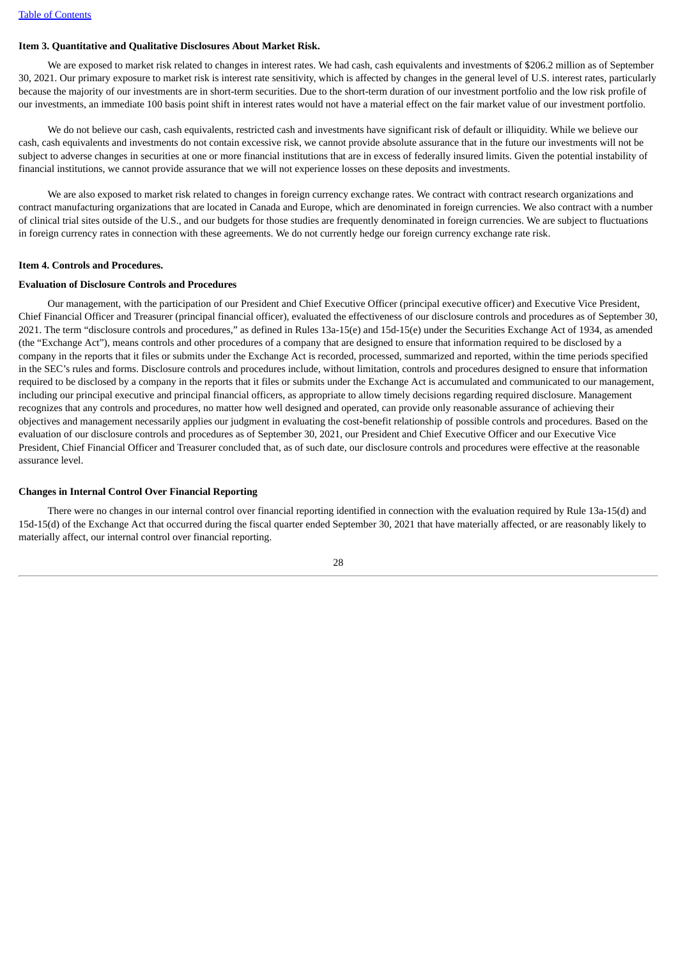#### <span id="page-27-0"></span>**Item 3. Quantitative and Qualitative Disclosures About Market Risk.**

We are exposed to market risk related to changes in interest rates. We had cash, cash equivalents and investments of \$206.2 million as of September 30, 2021. Our primary exposure to market risk is interest rate sensitivity, which is affected by changes in the general level of U.S. interest rates, particularly because the majority of our investments are in short-term securities. Due to the short-term duration of our investment portfolio and the low risk profile of our investments, an immediate 100 basis point shift in interest rates would not have a material effect on the fair market value of our investment portfolio.

We do not believe our cash, cash equivalents, restricted cash and investments have significant risk of default or illiquidity. While we believe our cash, cash equivalents and investments do not contain excessive risk, we cannot provide absolute assurance that in the future our investments will not be subject to adverse changes in securities at one or more financial institutions that are in excess of federally insured limits. Given the potential instability of financial institutions, we cannot provide assurance that we will not experience losses on these deposits and investments.

We are also exposed to market risk related to changes in foreign currency exchange rates. We contract with contract research organizations and contract manufacturing organizations that are located in Canada and Europe, which are denominated in foreign currencies. We also contract with a number of clinical trial sites outside of the U.S., and our budgets for those studies are frequently denominated in foreign currencies. We are subject to fluctuations in foreign currency rates in connection with these agreements. We do not currently hedge our foreign currency exchange rate risk.

#### <span id="page-27-1"></span>**Item 4. Controls and Procedures.**

#### **Evaluation of Disclosure Controls and Procedures**

Our management, with the participation of our President and Chief Executive Officer (principal executive officer) and Executive Vice President, Chief Financial Officer and Treasurer (principal financial officer), evaluated the effectiveness of our disclosure controls and procedures as of September 30, 2021. The term "disclosure controls and procedures," as defined in Rules 13a-15(e) and 15d-15(e) under the Securities Exchange Act of 1934, as amended (the "Exchange Act"), means controls and other procedures of a company that are designed to ensure that information required to be disclosed by a company in the reports that it files or submits under the Exchange Act is recorded, processed, summarized and reported, within the time periods specified in the SEC's rules and forms. Disclosure controls and procedures include, without limitation, controls and procedures designed to ensure that information required to be disclosed by a company in the reports that it files or submits under the Exchange Act is accumulated and communicated to our management, including our principal executive and principal financial officers, as appropriate to allow timely decisions regarding required disclosure. Management recognizes that any controls and procedures, no matter how well designed and operated, can provide only reasonable assurance of achieving their objectives and management necessarily applies our judgment in evaluating the cost-benefit relationship of possible controls and procedures. Based on the evaluation of our disclosure controls and procedures as of September 30, 2021, our President and Chief Executive Officer and our Executive Vice President, Chief Financial Officer and Treasurer concluded that, as of such date, our disclosure controls and procedures were effective at the reasonable assurance level.

#### **Changes in Internal Control Over Financial Reporting**

There were no changes in our internal control over financial reporting identified in connection with the evaluation required by Rule 13a-15(d) and 15d-15(d) of the Exchange Act that occurred during the fiscal quarter ended September 30, 2021 that have materially affected, or are reasonably likely to materially affect, our internal control over financial reporting.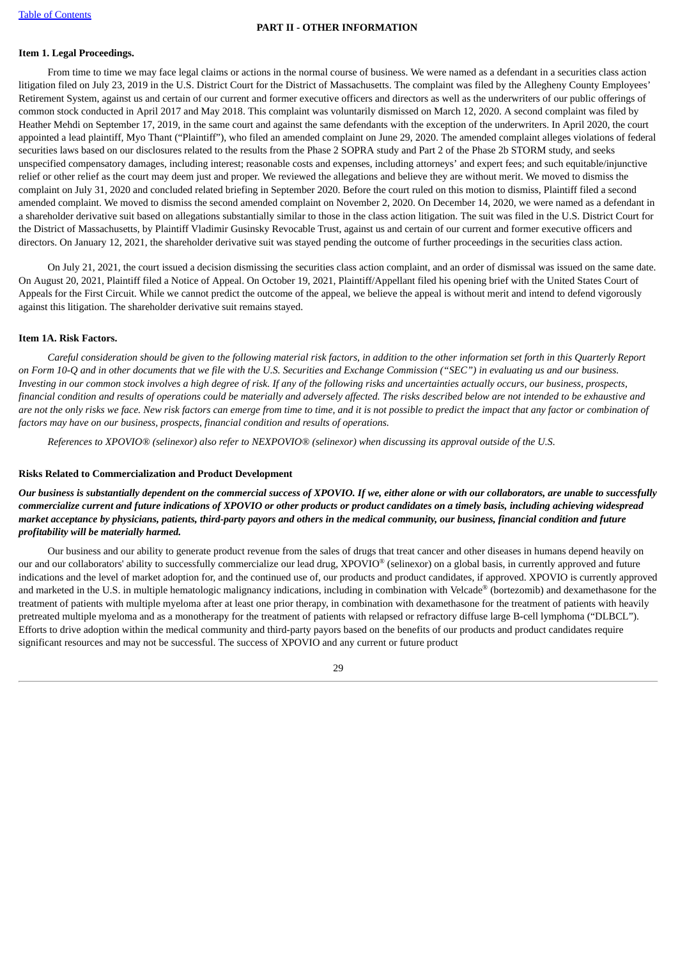#### **PART II - OTHER INFORMATION**

#### <span id="page-28-1"></span><span id="page-28-0"></span>**Item 1. Legal Proceedings.**

From time to time we may face legal claims or actions in the normal course of business. We were named as a defendant in a securities class action litigation filed on July 23, 2019 in the U.S. District Court for the District of Massachusetts. The complaint was filed by the Allegheny County Employees' Retirement System, against us and certain of our current and former executive officers and directors as well as the underwriters of our public offerings of common stock conducted in April 2017 and May 2018. This complaint was voluntarily dismissed on March 12, 2020. A second complaint was filed by Heather Mehdi on September 17, 2019, in the same court and against the same defendants with the exception of the underwriters. In April 2020, the court appointed a lead plaintiff, Myo Thant ("Plaintiff"), who filed an amended complaint on June 29, 2020. The amended complaint alleges violations of federal securities laws based on our disclosures related to the results from the Phase 2 SOPRA study and Part 2 of the Phase 2b STORM study, and seeks unspecified compensatory damages, including interest; reasonable costs and expenses, including attorneys' and expert fees; and such equitable/injunctive relief or other relief as the court may deem just and proper. We reviewed the allegations and believe they are without merit. We moved to dismiss the complaint on July 31, 2020 and concluded related briefing in September 2020. Before the court ruled on this motion to dismiss, Plaintiff filed a second amended complaint. We moved to dismiss the second amended complaint on November 2, 2020. On December 14, 2020, we were named as a defendant in a shareholder derivative suit based on allegations substantially similar to those in the class action litigation. The suit was filed in the U.S. District Court for the District of Massachusetts, by Plaintiff Vladimir Gusinsky Revocable Trust, against us and certain of our current and former executive officers and directors. On January 12, 2021, the shareholder derivative suit was stayed pending the outcome of further proceedings in the securities class action.

On July 21, 2021, the court issued a decision dismissing the securities class action complaint, and an order of dismissal was issued on the same date. On August 20, 2021, Plaintiff filed a Notice of Appeal. On October 19, 2021, Plaintiff/Appellant filed his opening brief with the United States Court of Appeals for the First Circuit. While we cannot predict the outcome of the appeal, we believe the appeal is without merit and intend to defend vigorously against this litigation. The shareholder derivative suit remains stayed.

#### <span id="page-28-2"></span>**Item 1A. Risk Factors.**

Careful consideration should be given to the following material risk factors, in addition to the other information set forth in this Quarterly Report on Form 10-O and in other documents that we file with the U.S. Securities and Exchange Commission ("SEC") in evaluating us and our business. Investing in our common stock involves a high degree of risk. If any of the following risks and uncertainties actually occurs, our business, prospects, financial condition and results of operations could be materially and adversely affected. The risks described below are not intended to be exhaustive and are not the only risks we face. New risk factors can emerge from time to time, and it is not possible to predict the impact that any factor or combination of *factors may have on our business, prospects, financial condition and results of operations.*

References to XPOVIO® (selinexor) also refer to NEXPOVIO® (selinexor) when discussing its approval outside of the U.S.

#### **Risks Related to Commercialization and Product Development**

Our business is substantially dependent on the commercial success of XPOVIO. If we, either alone or with our collaborators, are unable to successfully commercialize current and future indications of XPOVIO or other products or product candidates on a timely basis, including achieving widespread market acceptance by physicians, patients, third-party payors and others in the medical community, our business, financial condition and future *profitability will be materially harmed.*

Our business and our ability to generate product revenue from the sales of drugs that treat cancer and other diseases in humans depend heavily on our and our collaborators' ability to successfully commercialize our lead drug, XPOVIO® (selinexor) on a global basis, in currently approved and future indications and the level of market adoption for, and the continued use of, our products and product candidates, if approved. XPOVIO is currently approved and marketed in the U.S. in multiple hematologic malignancy indications, including in combination with Velcade® (bortezomib) and dexamethasone for the treatment of patients with multiple myeloma after at least one prior therapy, in combination with dexamethasone for the treatment of patients with heavily pretreated multiple myeloma and as a monotherapy for the treatment of patients with relapsed or refractory diffuse large B-cell lymphoma ("DLBCL"). Efforts to drive adoption within the medical community and third-party payors based on the benefits of our products and product candidates require significant resources and may not be successful. The success of XPOVIO and any current or future product

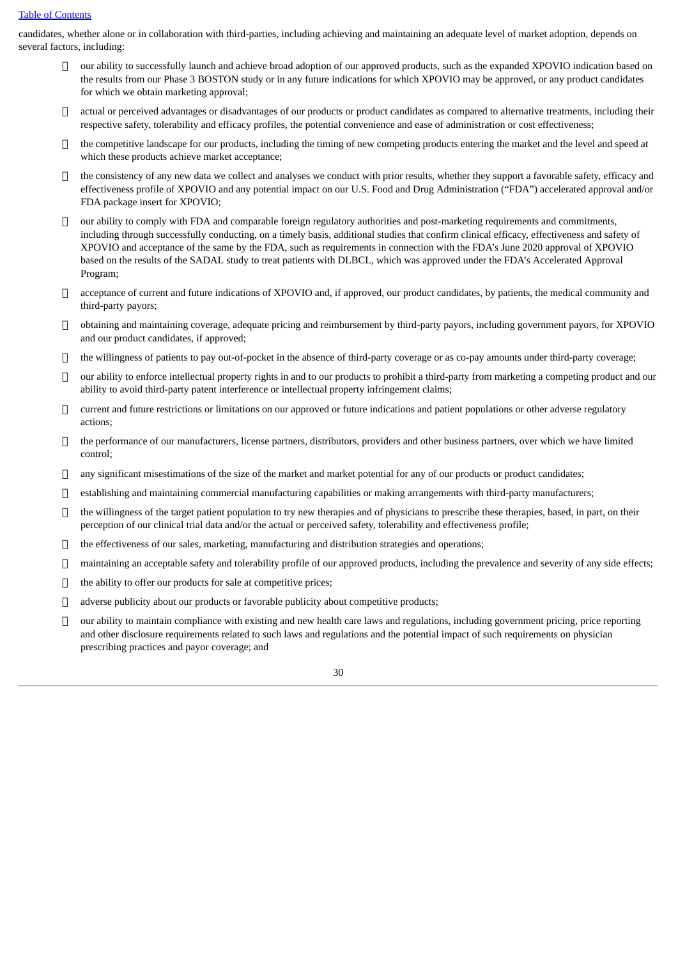candidates, whether alone or in collaboration with third-parties, including achieving and maintaining an adequate level of market adoption, depends on several factors, including:

- $\Box$  our ability to successfully launch and achieve broad adoption of our approved products, such as the expanded XPOVIO indication based on the results from our Phase 3 BOSTON study or in any future indications for which XPOVIO may be approved, or any product candidates for which we obtain marketing approval;
- $\Box$  actual or perceived advantages or disadvantages of our products or product candidates as compared to alternative treatments, including their respective safety, tolerability and efficacy profiles, the potential convenience and ease of administration or cost effectiveness;
- $\Box$  the competitive landscape for our products, including the timing of new competing products entering the market and the level and speed at which these products achieve market acceptance;
- $\Box$  the consistency of any new data we collect and analyses we conduct with prior results, whether they support a favorable safety, efficacy and effectiveness profile of XPOVIO and any potential impact on our U.S. Food and Drug Administration ("FDA") accelerated approval and/or FDA package insert for XPOVIO;
- $\Box$  our ability to comply with FDA and comparable foreign regulatory authorities and post-marketing requirements and commitments, including through successfully conducting, on a timely basis, additional studies that confirm clinical efficacy, effectiveness and safety of XPOVIO and acceptance of the same by the FDA, such as requirements in connection with the FDA's June 2020 approval of XPOVIO based on the results of the SADAL study to treat patients with DLBCL, which was approved under the FDA's Accelerated Approval Program;
- acceptance of current and future indications of XPOVIO and, if approved, our product candidates, by patients, the medical community and third-party payors;
- obtaining and maintaining coverage, adequate pricing and reimbursement by third-party payors, including government payors, for XPOVIO and our product candidates, if approved;
- $\Box$  the willingness of patients to pay out-of-pocket in the absence of third-party coverage or as co-pay amounts under third-party coverage;
- $\Box$  our ability to enforce intellectual property rights in and to our products to prohibit a third-party from marketing a competing product and our ability to avoid third-party patent interference or intellectual property infringement claims;
- $\Box$  current and future restrictions or limitations on our approved or future indications and patient populations or other adverse regulatory actions;
- the performance of our manufacturers, license partners, distributors, providers and other business partners, over which we have limited control;
- $\Box$  any significant misestimations of the size of the market and market potential for any of our products or product candidates;
- $\Box$  establishing and maintaining commercial manufacturing capabilities or making arrangements with third-party manufacturers;
- $\Box$  the willingness of the target patient population to try new therapies and of physicians to prescribe these therapies, based, in part, on their perception of our clinical trial data and/or the actual or perceived safety, tolerability and effectiveness profile;
- $\Box$  the effectiveness of our sales, marketing, manufacturing and distribution strategies and operations;
- maintaining an acceptable safety and tolerability profile of our approved products, including the prevalence and severity of any side effects;
- $\Box$  the ability to offer our products for sale at competitive prices:
- $\Box$  adverse publicity about our products or favorable publicity about competitive products;
- $\Box$  our ability to maintain compliance with existing and new health care laws and regulations, including government pricing, price reporting and other disclosure requirements related to such laws and regulations and the potential impact of such requirements on physician prescribing practices and payor coverage; and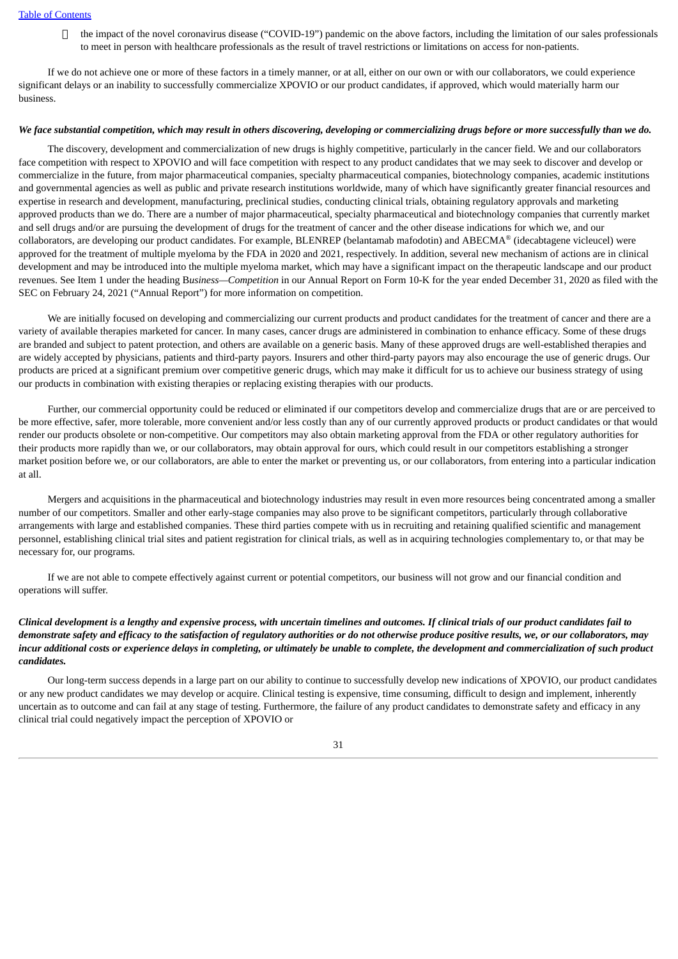$\Box$  the impact of the novel coronavirus disease ("COVID-19") pandemic on the above factors, including the limitation of our sales professionals to meet in person with healthcare professionals as the result of travel restrictions or limitations on access for non-patients.

If we do not achieve one or more of these factors in a timely manner, or at all, either on our own or with our collaborators, we could experience significant delays or an inability to successfully commercialize XPOVIO or our product candidates, if approved, which would materially harm our business.

#### We face substantial competition, which may result in others discovering, developing or commercializing drugs before or more successfully than we do.

The discovery, development and commercialization of new drugs is highly competitive, particularly in the cancer field. We and our collaborators face competition with respect to XPOVIO and will face competition with respect to any product candidates that we may seek to discover and develop or commercialize in the future, from major pharmaceutical companies, specialty pharmaceutical companies, biotechnology companies, academic institutions and governmental agencies as well as public and private research institutions worldwide, many of which have significantly greater financial resources and expertise in research and development, manufacturing, preclinical studies, conducting clinical trials, obtaining regulatory approvals and marketing approved products than we do. There are a number of major pharmaceutical, specialty pharmaceutical and biotechnology companies that currently market and sell drugs and/or are pursuing the development of drugs for the treatment of cancer and the other disease indications for which we, and our collaborators, are developing our product candidates. For example, BLENREP (belantamab mafodotin) and ABECMA ® (idecabtagene vicleucel) were approved for the treatment of multiple myeloma by the FDA in 2020 and 2021, respectively. In addition, several new mechanism of actions are in clinical development and may be introduced into the multiple myeloma market, which may have a significant impact on the therapeutic landscape and our product revenues. See Item 1 under the heading B*usiness—Competition* in our Annual Report on Form 10-K for the year ended December 31, 2020 as filed with the SEC on February 24, 2021 ("Annual Report") for more information on competition.

We are initially focused on developing and commercializing our current products and product candidates for the treatment of cancer and there are a variety of available therapies marketed for cancer. In many cases, cancer drugs are administered in combination to enhance efficacy. Some of these drugs are branded and subject to patent protection, and others are available on a generic basis. Many of these approved drugs are well-established therapies and are widely accepted by physicians, patients and third-party payors. Insurers and other third-party payors may also encourage the use of generic drugs. Our products are priced at a significant premium over competitive generic drugs, which may make it difficult for us to achieve our business strategy of using our products in combination with existing therapies or replacing existing therapies with our products.

Further, our commercial opportunity could be reduced or eliminated if our competitors develop and commercialize drugs that are or are perceived to be more effective, safer, more tolerable, more convenient and/or less costly than any of our currently approved products or product candidates or that would render our products obsolete or non-competitive. Our competitors may also obtain marketing approval from the FDA or other regulatory authorities for their products more rapidly than we, or our collaborators, may obtain approval for ours, which could result in our competitors establishing a stronger market position before we, or our collaborators, are able to enter the market or preventing us, or our collaborators, from entering into a particular indication at all.

Mergers and acquisitions in the pharmaceutical and biotechnology industries may result in even more resources being concentrated among a smaller number of our competitors. Smaller and other early-stage companies may also prove to be significant competitors, particularly through collaborative arrangements with large and established companies. These third parties compete with us in recruiting and retaining qualified scientific and management personnel, establishing clinical trial sites and patient registration for clinical trials, as well as in acquiring technologies complementary to, or that may be necessary for, our programs.

If we are not able to compete effectively against current or potential competitors, our business will not grow and our financial condition and operations will suffer.

### Clinical development is a lengthy and expensive process, with uncertain timelines and outcomes. If clinical trials of our product candidates fail to demonstrate safety and efficacy to the satisfaction of regulatory authorities or do not otherwise produce positive results, we, or our collaborators, may incur additional costs or experience delays in completing, or ultimately be unable to complete, the development and commercialization of such product *candidates.*

Our long-term success depends in a large part on our ability to continue to successfully develop new indications of XPOVIO, our product candidates or any new product candidates we may develop or acquire. Clinical testing is expensive, time consuming, difficult to design and implement, inherently uncertain as to outcome and can fail at any stage of testing. Furthermore, the failure of any product candidates to demonstrate safety and efficacy in any clinical trial could negatively impact the perception of XPOVIO or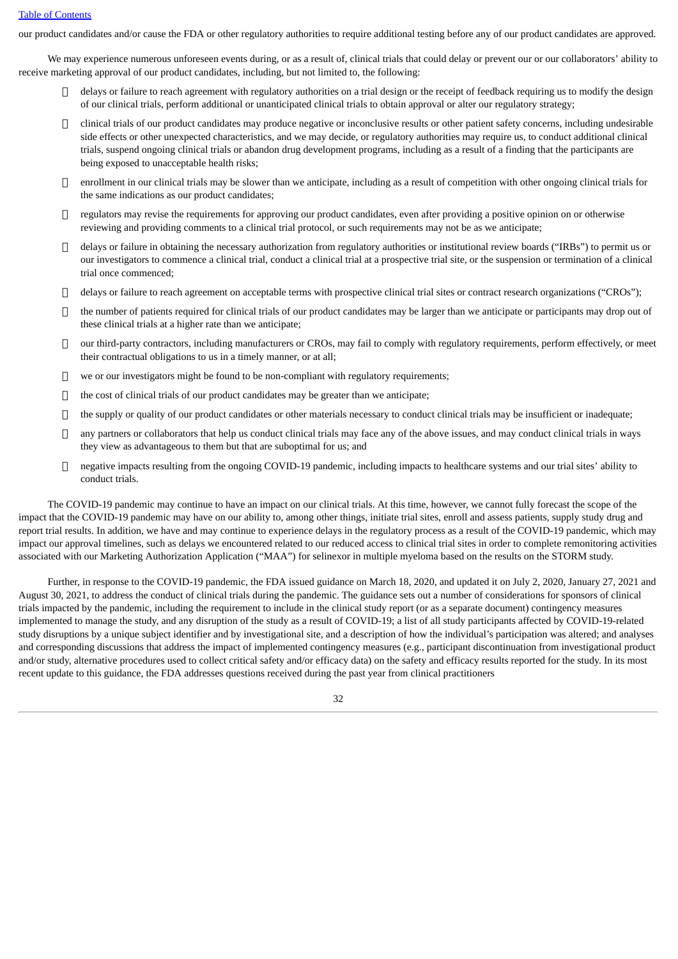our product candidates and/or cause the FDA or other regulatory authorities to require additional testing before any of our product candidates are approved.

We may experience numerous unforeseen events during, or as a result of, clinical trials that could delay or prevent our or our collaborators' ability to receive marketing approval of our product candidates, including, but not limited to, the following:

- $\Box$  delays or failure to reach agreement with regulatory authorities on a trial design or the receipt of feedback requiring us to modify the design of our clinical trials, perform additional or unanticipated clinical trials to obtain approval or alter our regulatory strategy;
- clinical trials of our product candidates may produce negative or inconclusive results or other patient safety concerns, including undesirable side effects or other unexpected characteristics, and we may decide, or regulatory authorities may require us, to conduct additional clinical trials, suspend ongoing clinical trials or abandon drug development programs, including as a result of a finding that the participants are being exposed to unacceptable health risks;
- $\Box$  enrollment in our clinical trials may be slower than we anticipate, including as a result of competition with other ongoing clinical trials for the same indications as our product candidates;
- $\Box$  regulators may revise the requirements for approving our product candidates, even after providing a positive opinion on or otherwise reviewing and providing comments to a clinical trial protocol, or such requirements may not be as we anticipate;
- $\Box$  delays or failure in obtaining the necessary authorization from regulatory authorities or institutional review boards ("IRBs") to permit us or our investigators to commence a clinical trial, conduct a clinical trial at a prospective trial site, or the suspension or termination of a clinical trial once commenced;
- delays or failure to reach agreement on acceptable terms with prospective clinical trial sites or contract research organizations ("CROs");
- the number of patients required for clinical trials of our product candidates may be larger than we anticipate or participants may drop out of these clinical trials at a higher rate than we anticipate;
- $\Box$  our third-party contractors, including manufacturers or CROs, may fail to comply with regulatory requirements, perform effectively, or meet their contractual obligations to us in a timely manner, or at all;
- $\Box$  we or our investigators might be found to be non-compliant with regulatory requirements;
- $\Box$  the cost of clinical trials of our product candidates may be greater than we anticipate;
- $\Box$  the supply or quality of our product candidates or other materials necessary to conduct clinical trials may be insufficient or inadequate;
- $\Box$  any partners or collaborators that help us conduct clinical trials may face any of the above issues, and may conduct clinical trials in ways they view as advantageous to them but that are suboptimal for us; and
- negative impacts resulting from the ongoing COVID-19 pandemic, including impacts to healthcare systems and our trial sites' ability to conduct trials.

The COVID-19 pandemic may continue to have an impact on our clinical trials. At this time, however, we cannot fully forecast the scope of the impact that the COVID-19 pandemic may have on our ability to, among other things, initiate trial sites, enroll and assess patients, supply study drug and report trial results. In addition, we have and may continue to experience delays in the regulatory process as a result of the COVID-19 pandemic, which may impact our approval timelines, such as delays we encountered related to our reduced access to clinical trial sites in order to complete remonitoring activities associated with our Marketing Authorization Application ("MAA") for selinexor in multiple myeloma based on the results on the STORM study.

Further, in response to the COVID-19 pandemic, the FDA issued guidance on March 18, 2020, and updated it on July 2, 2020, January 27, 2021 and August 30, 2021, to address the conduct of clinical trials during the pandemic. The guidance sets out a number of considerations for sponsors of clinical trials impacted by the pandemic, including the requirement to include in the clinical study report (or as a separate document) contingency measures implemented to manage the study, and any disruption of the study as a result of COVID-19; a list of all study participants affected by COVID-19-related study disruptions by a unique subject identifier and by investigational site, and a description of how the individual's participation was altered; and analyses and corresponding discussions that address the impact of implemented contingency measures (e.g., participant discontinuation from investigational product and/or study, alternative procedures used to collect critical safety and/or efficacy data) on the safety and efficacy results reported for the study. In its most recent update to this guidance, the FDA addresses questions received during the past year from clinical practitioners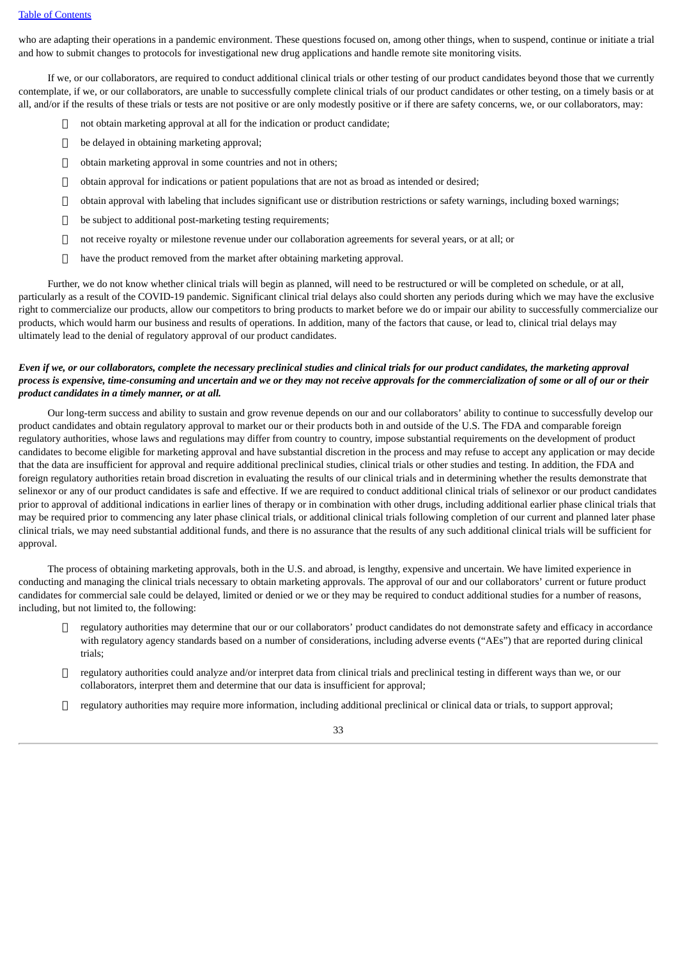who are adapting their operations in a pandemic environment. These questions focused on, among other things, when to suspend, continue or initiate a trial and how to submit changes to protocols for investigational new drug applications and handle remote site monitoring visits.

If we, or our collaborators, are required to conduct additional clinical trials or other testing of our product candidates beyond those that we currently contemplate, if we, or our collaborators, are unable to successfully complete clinical trials of our product candidates or other testing, on a timely basis or at all, and/or if the results of these trials or tests are not positive or are only modestly positive or if there are safety concerns, we, or our collaborators, may:

- not obtain marketing approval at all for the indication or product candidate;
- $\Box$  be delayed in obtaining marketing approval;
- $\Box$  obtain marketing approval in some countries and not in others;
- obtain approval for indications or patient populations that are not as broad as intended or desired;
- $\Box$  obtain approval with labeling that includes significant use or distribution restrictions or safety warnings, including boxed warnings;
- $\Box$  be subject to additional post-marketing testing requirements;
- not receive royalty or milestone revenue under our collaboration agreements for several years, or at all; or
- $\Box$  have the product removed from the market after obtaining marketing approval.

Further, we do not know whether clinical trials will begin as planned, will need to be restructured or will be completed on schedule, or at all, particularly as a result of the COVID-19 pandemic. Significant clinical trial delays also could shorten any periods during which we may have the exclusive right to commercialize our products, allow our competitors to bring products to market before we do or impair our ability to successfully commercialize our products, which would harm our business and results of operations. In addition, many of the factors that cause, or lead to, clinical trial delays may ultimately lead to the denial of regulatory approval of our product candidates.

## Even if we, or our collaborators, complete the necessary preclinical studies and clinical trials for our product candidates, the marketing approval process is expensive, time-consuming and uncertain and we or they may not receive approvals for the commercialization of some or all of our or their *product candidates in a timely manner, or at all.*

Our long-term success and ability to sustain and grow revenue depends on our and our collaborators' ability to continue to successfully develop our product candidates and obtain regulatory approval to market our or their products both in and outside of the U.S. The FDA and comparable foreign regulatory authorities, whose laws and regulations may differ from country to country, impose substantial requirements on the development of product candidates to become eligible for marketing approval and have substantial discretion in the process and may refuse to accept any application or may decide that the data are insufficient for approval and require additional preclinical studies, clinical trials or other studies and testing. In addition, the FDA and foreign regulatory authorities retain broad discretion in evaluating the results of our clinical trials and in determining whether the results demonstrate that selinexor or any of our product candidates is safe and effective. If we are required to conduct additional clinical trials of selinexor or our product candidates prior to approval of additional indications in earlier lines of therapy or in combination with other drugs, including additional earlier phase clinical trials that may be required prior to commencing any later phase clinical trials, or additional clinical trials following completion of our current and planned later phase clinical trials, we may need substantial additional funds, and there is no assurance that the results of any such additional clinical trials will be sufficient for approval.

The process of obtaining marketing approvals, both in the U.S. and abroad, is lengthy, expensive and uncertain. We have limited experience in conducting and managing the clinical trials necessary to obtain marketing approvals. The approval of our and our collaborators' current or future product candidates for commercial sale could be delayed, limited or denied or we or they may be required to conduct additional studies for a number of reasons, including, but not limited to, the following:

- regulatory authorities may determine that our or our collaborators' product candidates do not demonstrate safety and efficacy in accordance with regulatory agency standards based on a number of considerations, including adverse events ("AEs") that are reported during clinical trials;
- regulatory authorities could analyze and/or interpret data from clinical trials and preclinical testing in different ways than we, or our collaborators, interpret them and determine that our data is insufficient for approval;
- $\Box$  regulatory authorities may require more information, including additional preclinical or clinical data or trials, to support approval;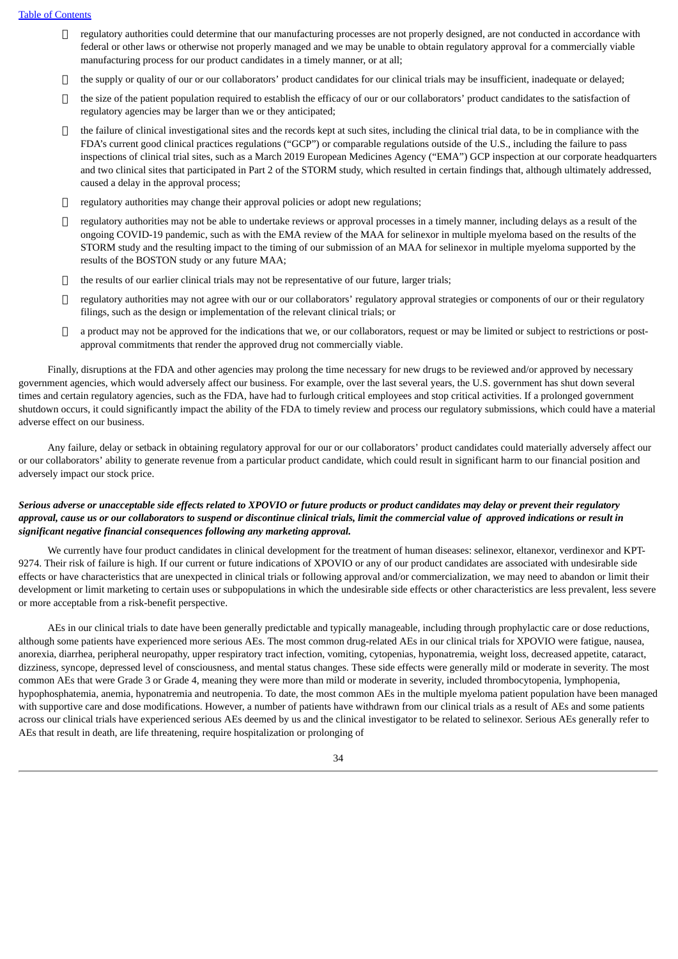- $\Box$  regulatory authorities could determine that our manufacturing processes are not properly designed, are not conducted in accordance with federal or other laws or otherwise not properly managed and we may be unable to obtain regulatory approval for a commercially viable manufacturing process for our product candidates in a timely manner, or at all;
- the supply or quality of our or our collaborators' product candidates for our clinical trials may be insufficient, inadequate or delayed;
- $\Box$  the size of the patient population required to establish the efficacy of our or our collaborators' product candidates to the satisfaction of regulatory agencies may be larger than we or they anticipated;
- $\Box$  the failure of clinical investigational sites and the records kept at such sites, including the clinical trial data, to be in compliance with the FDA's current good clinical practices regulations ("GCP") or comparable regulations outside of the U.S., including the failure to pass inspections of clinical trial sites, such as a March 2019 European Medicines Agency ("EMA") GCP inspection at our corporate headquarters and two clinical sites that participated in Part 2 of the STORM study, which resulted in certain findings that, although ultimately addressed, caused a delay in the approval process;
- regulatory authorities may change their approval policies or adopt new regulations;
- $\Box$  regulatory authorities may not be able to undertake reviews or approval processes in a timely manner, including delays as a result of the ongoing COVID-19 pandemic, such as with the EMA review of the MAA for selinexor in multiple myeloma based on the results of the STORM study and the resulting impact to the timing of our submission of an MAA for selinexor in multiple myeloma supported by the results of the BOSTON study or any future MAA;
- $\Box$  the results of our earlier clinical trials may not be representative of our future, larger trials;
- $\Box$  regulatory authorities may not agree with our or our collaborators' regulatory approval strategies or components of our or their regulatory filings, such as the design or implementation of the relevant clinical trials; or
- $\Box$  a product may not be approved for the indications that we, or our collaborators, request or may be limited or subject to restrictions or postapproval commitments that render the approved drug not commercially viable.

Finally, disruptions at the FDA and other agencies may prolong the time necessary for new drugs to be reviewed and/or approved by necessary government agencies, which would adversely affect our business. For example, over the last several years, the U.S. government has shut down several times and certain regulatory agencies, such as the FDA, have had to furlough critical employees and stop critical activities. If a prolonged government shutdown occurs, it could significantly impact the ability of the FDA to timely review and process our regulatory submissions, which could have a material adverse effect on our business.

Any failure, delay or setback in obtaining regulatory approval for our or our collaborators' product candidates could materially adversely affect our or our collaborators' ability to generate revenue from a particular product candidate, which could result in significant harm to our financial position and adversely impact our stock price.

## Serious adverse or unacceptable side effects related to XPOVIO or future products or product candidates may delay or prevent their regulatory approval, cause us or our collaborators to suspend or discontinue clinical trials, limit the commercial value of approved indications or result in *significant negative financial consequences following any marketing approval.*

We currently have four product candidates in clinical development for the treatment of human diseases: selinexor, eltanexor, verdinexor and KPT-9274. Their risk of failure is high. If our current or future indications of XPOVIO or any of our product candidates are associated with undesirable side effects or have characteristics that are unexpected in clinical trials or following approval and/or commercialization, we may need to abandon or limit their development or limit marketing to certain uses or subpopulations in which the undesirable side effects or other characteristics are less prevalent, less severe or more acceptable from a risk-benefit perspective.

AEs in our clinical trials to date have been generally predictable and typically manageable, including through prophylactic care or dose reductions, although some patients have experienced more serious AEs. The most common drug-related AEs in our clinical trials for XPOVIO were fatigue, nausea, anorexia, diarrhea, peripheral neuropathy, upper respiratory tract infection, vomiting, cytopenias, hyponatremia, weight loss, decreased appetite, cataract, dizziness, syncope, depressed level of consciousness, and mental status changes. These side effects were generally mild or moderate in severity. The most common AEs that were Grade 3 or Grade 4, meaning they were more than mild or moderate in severity, included thrombocytopenia, lymphopenia, hypophosphatemia, anemia, hyponatremia and neutropenia. To date, the most common AEs in the multiple myeloma patient population have been managed with supportive care and dose modifications. However, a number of patients have withdrawn from our clinical trials as a result of AEs and some patients across our clinical trials have experienced serious AEs deemed by us and the clinical investigator to be related to selinexor. Serious AEs generally refer to AEs that result in death, are life threatening, require hospitalization or prolonging of

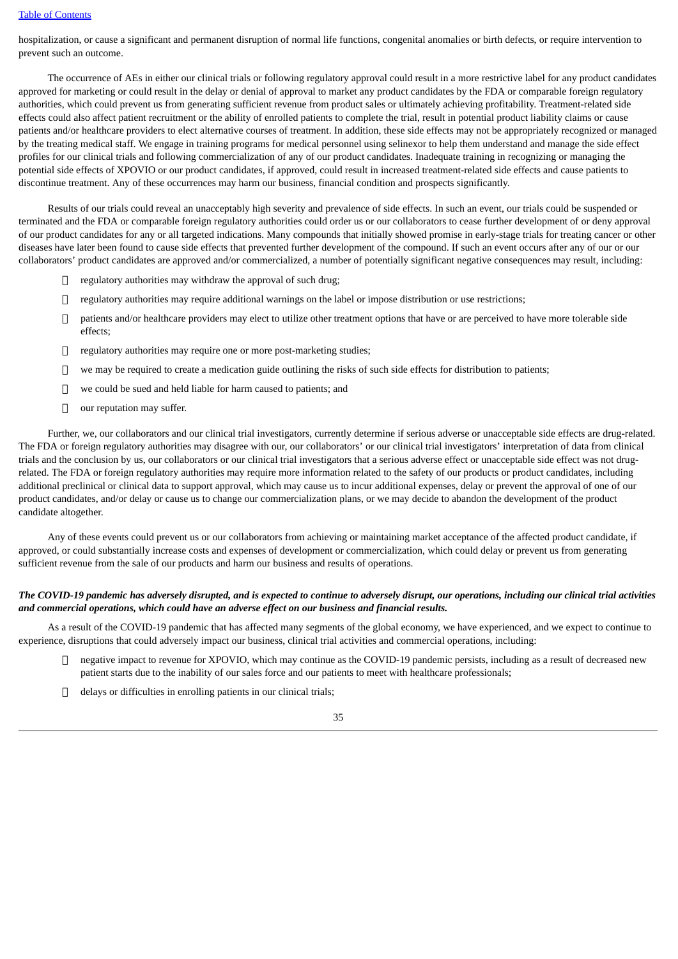hospitalization, or cause a significant and permanent disruption of normal life functions, congenital anomalies or birth defects, or require intervention to prevent such an outcome.

The occurrence of AEs in either our clinical trials or following regulatory approval could result in a more restrictive label for any product candidates approved for marketing or could result in the delay or denial of approval to market any product candidates by the FDA or comparable foreign regulatory authorities, which could prevent us from generating sufficient revenue from product sales or ultimately achieving profitability. Treatment-related side effects could also affect patient recruitment or the ability of enrolled patients to complete the trial, result in potential product liability claims or cause patients and/or healthcare providers to elect alternative courses of treatment. In addition, these side effects may not be appropriately recognized or managed by the treating medical staff. We engage in training programs for medical personnel using selinexor to help them understand and manage the side effect profiles for our clinical trials and following commercialization of any of our product candidates. Inadequate training in recognizing or managing the potential side effects of XPOVIO or our product candidates, if approved, could result in increased treatment-related side effects and cause patients to discontinue treatment. Any of these occurrences may harm our business, financial condition and prospects significantly.

Results of our trials could reveal an unacceptably high severity and prevalence of side effects. In such an event, our trials could be suspended or terminated and the FDA or comparable foreign regulatory authorities could order us or our collaborators to cease further development of or deny approval of our product candidates for any or all targeted indications. Many compounds that initially showed promise in early-stage trials for treating cancer or other diseases have later been found to cause side effects that prevented further development of the compound. If such an event occurs after any of our or our collaborators' product candidates are approved and/or commercialized, a number of potentially significant negative consequences may result, including:

- regulatory authorities may withdraw the approval of such drug;
- $\Box$  regulatory authorities may require additional warnings on the label or impose distribution or use restrictions;
- patients and/or healthcare providers may elect to utilize other treatment options that have or are perceived to have more tolerable side effects;
- $\Box$  regulatory authorities may require one or more post-marketing studies;
- $\Box$  we may be required to create a medication guide outlining the risks of such side effects for distribution to patients;
- we could be sued and held liable for harm caused to patients; and
- □ our reputation may suffer.

Further, we, our collaborators and our clinical trial investigators, currently determine if serious adverse or unacceptable side effects are drug-related. The FDA or foreign regulatory authorities may disagree with our, our collaborators' or our clinical trial investigators' interpretation of data from clinical trials and the conclusion by us, our collaborators or our clinical trial investigators that a serious adverse effect or unacceptable side effect was not drugrelated. The FDA or foreign regulatory authorities may require more information related to the safety of our products or product candidates, including additional preclinical or clinical data to support approval, which may cause us to incur additional expenses, delay or prevent the approval of one of our product candidates, and/or delay or cause us to change our commercialization plans, or we may decide to abandon the development of the product candidate altogether.

Any of these events could prevent us or our collaborators from achieving or maintaining market acceptance of the affected product candidate, if approved, or could substantially increase costs and expenses of development or commercialization, which could delay or prevent us from generating sufficient revenue from the sale of our products and harm our business and results of operations.

#### The COVID-19 pandemic has adversely disrupted, and is expected to continue to adversely disrupt, our operations, including our clinical trial activities *and commercial operations, which could have an adverse effect on our business and financial results.*

As a result of the COVID-19 pandemic that has affected many segments of the global economy, we have experienced, and we expect to continue to experience, disruptions that could adversely impact our business, clinical trial activities and commercial operations, including:

- $\Box$  negative impact to revenue for XPOVIO, which may continue as the COVID-19 pandemic persists, including as a result of decreased new patient starts due to the inability of our sales force and our patients to meet with healthcare professionals;
- $\Box$  delays or difficulties in enrolling patients in our clinical trials;

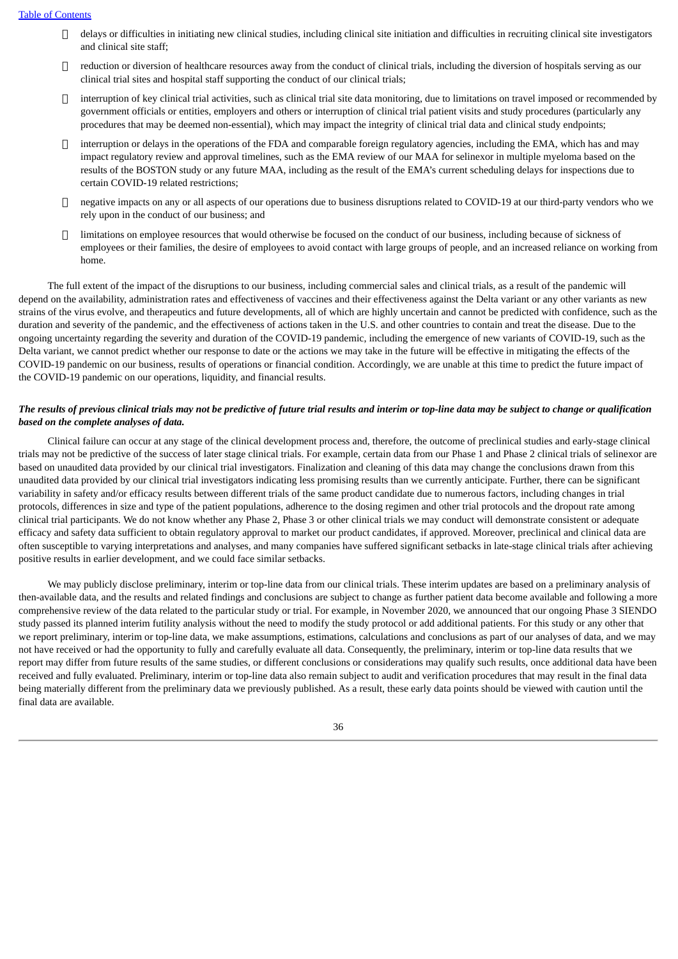- $\Box$  delays or difficulties in initiating new clinical studies, including clinical site initiation and difficulties in recruiting clinical site investigators and clinical site staff;
- $\Box$  reduction or diversion of healthcare resources away from the conduct of clinical trials, including the diversion of hospitals serving as our clinical trial sites and hospital staff supporting the conduct of our clinical trials;
- $\Box$  interruption of key clinical trial activities, such as clinical trial site data monitoring, due to limitations on travel imposed or recommended by government officials or entities, employers and others or interruption of clinical trial patient visits and study procedures (particularly any procedures that may be deemed non-essential), which may impact the integrity of clinical trial data and clinical study endpoints;
- interruption or delays in the operations of the FDA and comparable foreign regulatory agencies, including the EMA, which has and may impact regulatory review and approval timelines, such as the EMA review of our MAA for selinexor in multiple myeloma based on the results of the BOSTON study or any future MAA, including as the result of the EMA's current scheduling delays for inspections due to certain COVID-19 related restrictions;
- negative impacts on any or all aspects of our operations due to business disruptions related to COVID-19 at our third-party vendors who we rely upon in the conduct of our business; and
- $\Box$  limitations on employee resources that would otherwise be focused on the conduct of our business, including because of sickness of employees or their families, the desire of employees to avoid contact with large groups of people, and an increased reliance on working from home.

The full extent of the impact of the disruptions to our business, including commercial sales and clinical trials, as a result of the pandemic will depend on the availability, administration rates and effectiveness of vaccines and their effectiveness against the Delta variant or any other variants as new strains of the virus evolve, and therapeutics and future developments, all of which are highly uncertain and cannot be predicted with confidence, such as the duration and severity of the pandemic, and the effectiveness of actions taken in the U.S. and other countries to contain and treat the disease. Due to the ongoing uncertainty regarding the severity and duration of the COVID-19 pandemic, including the emergence of new variants of COVID-19, such as the Delta variant, we cannot predict whether our response to date or the actions we may take in the future will be effective in mitigating the effects of the COVID-19 pandemic on our business, results of operations or financial condition. Accordingly, we are unable at this time to predict the future impact of the COVID-19 pandemic on our operations, liquidity, and financial results.

#### The results of previous clinical trials may not be predictive of future trial results and interim or top-line data may be subject to change or qualification *based on the complete analyses of data.*

Clinical failure can occur at any stage of the clinical development process and, therefore, the outcome of preclinical studies and early-stage clinical trials may not be predictive of the success of later stage clinical trials. For example, certain data from our Phase 1 and Phase 2 clinical trials of selinexor are based on unaudited data provided by our clinical trial investigators. Finalization and cleaning of this data may change the conclusions drawn from this unaudited data provided by our clinical trial investigators indicating less promising results than we currently anticipate. Further, there can be significant variability in safety and/or efficacy results between different trials of the same product candidate due to numerous factors, including changes in trial protocols, differences in size and type of the patient populations, adherence to the dosing regimen and other trial protocols and the dropout rate among clinical trial participants. We do not know whether any Phase 2, Phase 3 or other clinical trials we may conduct will demonstrate consistent or adequate efficacy and safety data sufficient to obtain regulatory approval to market our product candidates, if approved. Moreover, preclinical and clinical data are often susceptible to varying interpretations and analyses, and many companies have suffered significant setbacks in late-stage clinical trials after achieving positive results in earlier development, and we could face similar setbacks.

We may publicly disclose preliminary, interim or top-line data from our clinical trials. These interim updates are based on a preliminary analysis of then-available data, and the results and related findings and conclusions are subject to change as further patient data become available and following a more comprehensive review of the data related to the particular study or trial. For example, in November 2020, we announced that our ongoing Phase 3 SIENDO study passed its planned interim futility analysis without the need to modify the study protocol or add additional patients. For this study or any other that we report preliminary, interim or top-line data, we make assumptions, estimations, calculations and conclusions as part of our analyses of data, and we may not have received or had the opportunity to fully and carefully evaluate all data. Consequently, the preliminary, interim or top-line data results that we report may differ from future results of the same studies, or different conclusions or considerations may qualify such results, once additional data have been received and fully evaluated. Preliminary, interim or top-line data also remain subject to audit and verification procedures that may result in the final data being materially different from the preliminary data we previously published. As a result, these early data points should be viewed with caution until the final data are available.

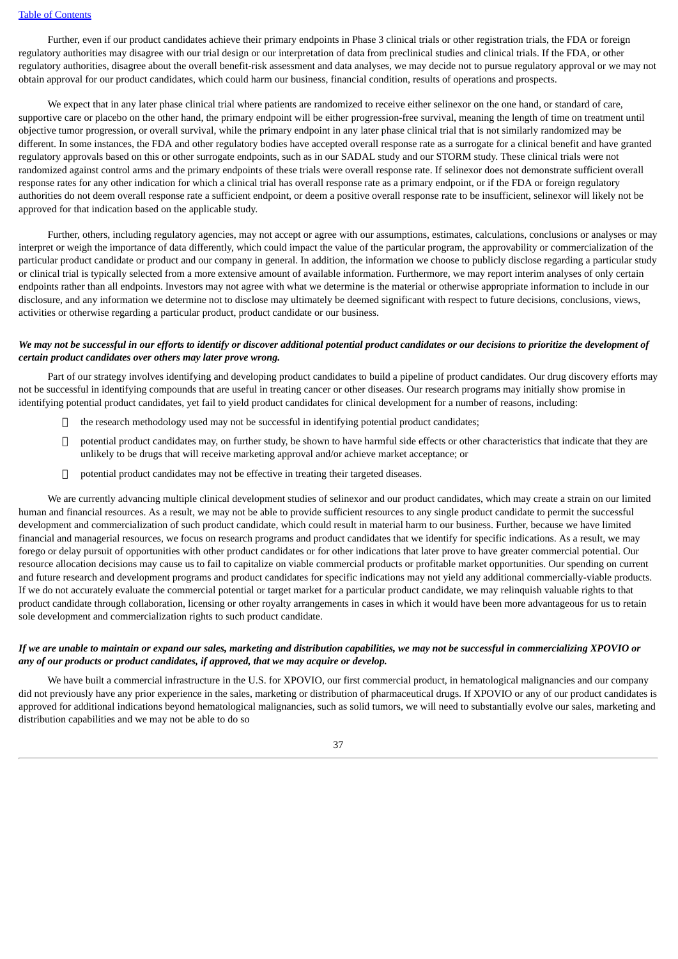Further, even if our product candidates achieve their primary endpoints in Phase 3 clinical trials or other registration trials, the FDA or foreign regulatory authorities may disagree with our trial design or our interpretation of data from preclinical studies and clinical trials. If the FDA, or other regulatory authorities, disagree about the overall benefit-risk assessment and data analyses, we may decide not to pursue regulatory approval or we may not obtain approval for our product candidates, which could harm our business, financial condition, results of operations and prospects.

We expect that in any later phase clinical trial where patients are randomized to receive either selinexor on the one hand, or standard of care, supportive care or placebo on the other hand, the primary endpoint will be either progression-free survival, meaning the length of time on treatment until objective tumor progression, or overall survival, while the primary endpoint in any later phase clinical trial that is not similarly randomized may be different. In some instances, the FDA and other regulatory bodies have accepted overall response rate as a surrogate for a clinical benefit and have granted regulatory approvals based on this or other surrogate endpoints, such as in our SADAL study and our STORM study. These clinical trials were not randomized against control arms and the primary endpoints of these trials were overall response rate. If selinexor does not demonstrate sufficient overall response rates for any other indication for which a clinical trial has overall response rate as a primary endpoint, or if the FDA or foreign regulatory authorities do not deem overall response rate a sufficient endpoint, or deem a positive overall response rate to be insufficient, selinexor will likely not be approved for that indication based on the applicable study.

Further, others, including regulatory agencies, may not accept or agree with our assumptions, estimates, calculations, conclusions or analyses or may interpret or weigh the importance of data differently, which could impact the value of the particular program, the approvability or commercialization of the particular product candidate or product and our company in general. In addition, the information we choose to publicly disclose regarding a particular study or clinical trial is typically selected from a more extensive amount of available information. Furthermore, we may report interim analyses of only certain endpoints rather than all endpoints. Investors may not agree with what we determine is the material or otherwise appropriate information to include in our disclosure, and any information we determine not to disclose may ultimately be deemed significant with respect to future decisions, conclusions, views, activities or otherwise regarding a particular product, product candidate or our business.

# We may not be successful in our efforts to identify or discover additional potential product candidates or our decisions to prioritize the development of *certain product candidates over others may later prove wrong.*

Part of our strategy involves identifying and developing product candidates to build a pipeline of product candidates. Our drug discovery efforts may not be successful in identifying compounds that are useful in treating cancer or other diseases. Our research programs may initially show promise in identifying potential product candidates, yet fail to yield product candidates for clinical development for a number of reasons, including:

- $\Box$  the research methodology used may not be successful in identifying potential product candidates;
- potential product candidates may, on further study, be shown to have harmful side effects or other characteristics that indicate that they are unlikely to be drugs that will receive marketing approval and/or achieve market acceptance; or
- potential product candidates may not be effective in treating their targeted diseases.

We are currently advancing multiple clinical development studies of selinexor and our product candidates, which may create a strain on our limited human and financial resources. As a result, we may not be able to provide sufficient resources to any single product candidate to permit the successful development and commercialization of such product candidate, which could result in material harm to our business. Further, because we have limited financial and managerial resources, we focus on research programs and product candidates that we identify for specific indications. As a result, we may forego or delay pursuit of opportunities with other product candidates or for other indications that later prove to have greater commercial potential. Our resource allocation decisions may cause us to fail to capitalize on viable commercial products or profitable market opportunities. Our spending on current and future research and development programs and product candidates for specific indications may not yield any additional commercially-viable products. If we do not accurately evaluate the commercial potential or target market for a particular product candidate, we may relinquish valuable rights to that product candidate through collaboration, licensing or other royalty arrangements in cases in which it would have been more advantageous for us to retain sole development and commercialization rights to such product candidate.

### If we are unable to maintain or expand our sales, marketing and distribution capabilities, we may not be successful in commercializing XPOVIO or *any of our products or product candidates, if approved, that we may acquire or develop.*

We have built a commercial infrastructure in the U.S. for XPOVIO, our first commercial product, in hematological malignancies and our company did not previously have any prior experience in the sales, marketing or distribution of pharmaceutical drugs. If XPOVIO or any of our product candidates is approved for additional indications beyond hematological malignancies, such as solid tumors, we will need to substantially evolve our sales, marketing and distribution capabilities and we may not be able to do so

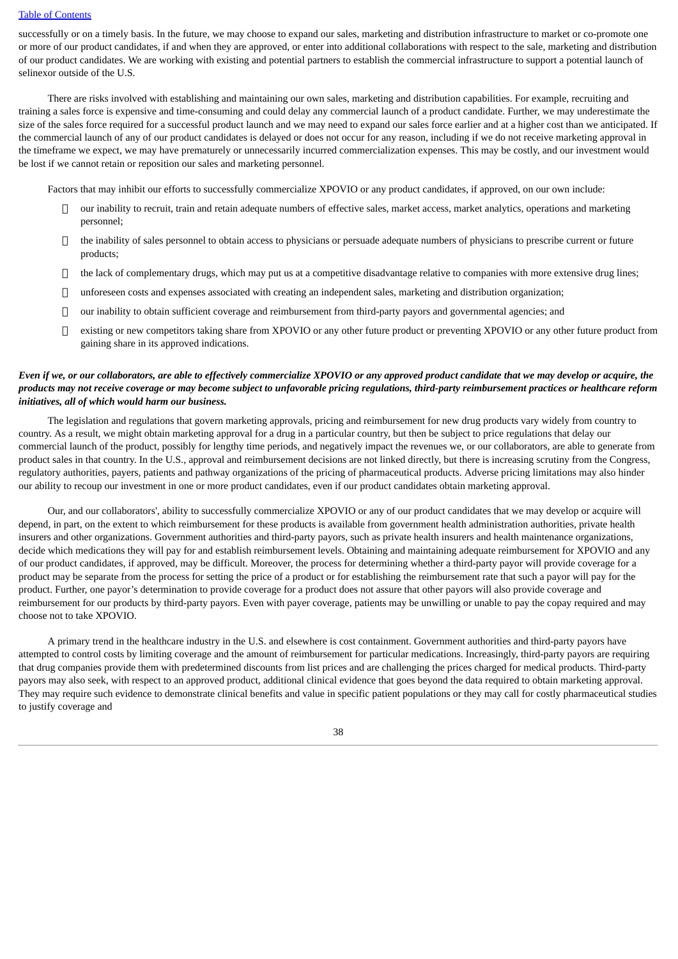successfully or on a timely basis. In the future, we may choose to expand our sales, marketing and distribution infrastructure to market or co-promote one or more of our product candidates, if and when they are approved, or enter into additional collaborations with respect to the sale, marketing and distribution of our product candidates. We are working with existing and potential partners to establish the commercial infrastructure to support a potential launch of selinexor outside of the U.S.

There are risks involved with establishing and maintaining our own sales, marketing and distribution capabilities. For example, recruiting and training a sales force is expensive and time-consuming and could delay any commercial launch of a product candidate. Further, we may underestimate the size of the sales force required for a successful product launch and we may need to expand our sales force earlier and at a higher cost than we anticipated. If the commercial launch of any of our product candidates is delayed or does not occur for any reason, including if we do not receive marketing approval in the timeframe we expect, we may have prematurely or unnecessarily incurred commercialization expenses. This may be costly, and our investment would be lost if we cannot retain or reposition our sales and marketing personnel.

Factors that may inhibit our efforts to successfully commercialize XPOVIO or any product candidates, if approved, on our own include:

- $\Box$  our inability to recruit, train and retain adequate numbers of effective sales, market access, market analytics, operations and marketing personnel;
- the inability of sales personnel to obtain access to physicians or persuade adequate numbers of physicians to prescribe current or future products;
- $\Box$  the lack of complementary drugs, which may put us at a competitive disadvantage relative to companies with more extensive drug lines;
- unforeseen costs and expenses associated with creating an independent sales, marketing and distribution organization;
- our inability to obtain sufficient coverage and reimbursement from third-party payors and governmental agencies; and
- existing or new competitors taking share from XPOVIO or any other future product or preventing XPOVIO or any other future product from gaining share in its approved indications.

# Even if we, or our collaborators, are able to effectively commercialize XPOVIO or any approved product candidate that we may develop or acquire, the products may not receive coverage or may become subject to unfavorable pricing regulations, third-party reimbursement practices or healthcare reform *initiatives, all of which would harm our business.*

The legislation and regulations that govern marketing approvals, pricing and reimbursement for new drug products vary widely from country to country. As a result, we might obtain marketing approval for a drug in a particular country, but then be subject to price regulations that delay our commercial launch of the product, possibly for lengthy time periods, and negatively impact the revenues we, or our collaborators, are able to generate from product sales in that country. In the U.S., approval and reimbursement decisions are not linked directly, but there is increasing scrutiny from the Congress, regulatory authorities, payers, patients and pathway organizations of the pricing of pharmaceutical products. Adverse pricing limitations may also hinder our ability to recoup our investment in one or more product candidates, even if our product candidates obtain marketing approval.

Our, and our collaborators', ability to successfully commercialize XPOVIO or any of our product candidates that we may develop or acquire will depend, in part, on the extent to which reimbursement for these products is available from government health administration authorities, private health insurers and other organizations. Government authorities and third-party payors, such as private health insurers and health maintenance organizations, decide which medications they will pay for and establish reimbursement levels. Obtaining and maintaining adequate reimbursement for XPOVIO and any of our product candidates, if approved, may be difficult. Moreover, the process for determining whether a third-party payor will provide coverage for a product may be separate from the process for setting the price of a product or for establishing the reimbursement rate that such a payor will pay for the product. Further, one payor's determination to provide coverage for a product does not assure that other payors will also provide coverage and reimbursement for our products by third-party payors. Even with payer coverage, patients may be unwilling or unable to pay the copay required and may choose not to take XPOVIO.

A primary trend in the healthcare industry in the U.S. and elsewhere is cost containment. Government authorities and third-party payors have attempted to control costs by limiting coverage and the amount of reimbursement for particular medications. Increasingly, third-party payors are requiring that drug companies provide them with predetermined discounts from list prices and are challenging the prices charged for medical products. Third-party payors may also seek, with respect to an approved product, additional clinical evidence that goes beyond the data required to obtain marketing approval. They may require such evidence to demonstrate clinical benefits and value in specific patient populations or they may call for costly pharmaceutical studies to justify coverage and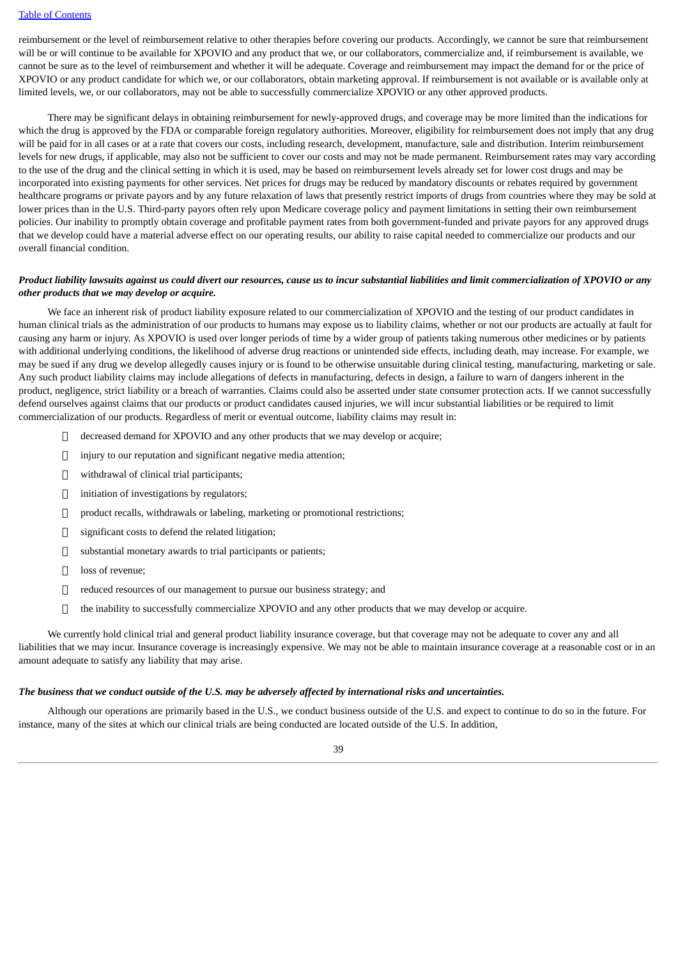reimbursement or the level of reimbursement relative to other therapies before covering our products. Accordingly, we cannot be sure that reimbursement will be or will continue to be available for XPOVIO and any product that we, or our collaborators, commercialize and, if reimbursement is available, we cannot be sure as to the level of reimbursement and whether it will be adequate. Coverage and reimbursement may impact the demand for or the price of XPOVIO or any product candidate for which we, or our collaborators, obtain marketing approval. If reimbursement is not available or is available only at limited levels, we, or our collaborators, may not be able to successfully commercialize XPOVIO or any other approved products.

There may be significant delays in obtaining reimbursement for newly-approved drugs, and coverage may be more limited than the indications for which the drug is approved by the FDA or comparable foreign regulatory authorities. Moreover, eligibility for reimbursement does not imply that any drug will be paid for in all cases or at a rate that covers our costs, including research, development, manufacture, sale and distribution. Interim reimbursement levels for new drugs, if applicable, may also not be sufficient to cover our costs and may not be made permanent. Reimbursement rates may vary according to the use of the drug and the clinical setting in which it is used, may be based on reimbursement levels already set for lower cost drugs and may be incorporated into existing payments for other services. Net prices for drugs may be reduced by mandatory discounts or rebates required by government healthcare programs or private payors and by any future relaxation of laws that presently restrict imports of drugs from countries where they may be sold at lower prices than in the U.S. Third-party payors often rely upon Medicare coverage policy and payment limitations in setting their own reimbursement policies. Our inability to promptly obtain coverage and profitable payment rates from both government-funded and private payors for any approved drugs that we develop could have a material adverse effect on our operating results, our ability to raise capital needed to commercialize our products and our overall financial condition.

### Product liability lawsuits against us could divert our resources, cause us to incur substantial liabilities and limit commercialization of XPOVIO or any *other products that we may develop or acquire.*

We face an inherent risk of product liability exposure related to our commercialization of XPOVIO and the testing of our product candidates in human clinical trials as the administration of our products to humans may expose us to liability claims, whether or not our products are actually at fault for causing any harm or injury. As XPOVIO is used over longer periods of time by a wider group of patients taking numerous other medicines or by patients with additional underlying conditions, the likelihood of adverse drug reactions or unintended side effects, including death, may increase. For example, we may be sued if any drug we develop allegedly causes injury or is found to be otherwise unsuitable during clinical testing, manufacturing, marketing or sale. Any such product liability claims may include allegations of defects in manufacturing, defects in design, a failure to warn of dangers inherent in the product, negligence, strict liability or a breach of warranties. Claims could also be asserted under state consumer protection acts. If we cannot successfully defend ourselves against claims that our products or product candidates caused injuries, we will incur substantial liabilities or be required to limit commercialization of our products. Regardless of merit or eventual outcome, liability claims may result in:

- $\Box$  decreased demand for XPOVIO and any other products that we may develop or acquire;
- injury to our reputation and significant negative media attention;
- $\Box$  withdrawal of clinical trial participants;
- $\Box$  initiation of investigations by regulators;
- $\Box$  product recalls, withdrawals or labeling, marketing or promotional restrictions;
- $\Box$  significant costs to defend the related litigation;
- $\Box$  substantial monetary awards to trial participants or patients;
- loss of revenue;
- reduced resources of our management to pursue our business strategy; and
- $\Box$  the inability to successfully commercialize XPOVIO and any other products that we may develop or acquire.

We currently hold clinical trial and general product liability insurance coverage, but that coverage may not be adequate to cover any and all liabilities that we may incur. Insurance coverage is increasingly expensive. We may not be able to maintain insurance coverage at a reasonable cost or in an amount adequate to satisfy any liability that may arise.

#### The business that we conduct outside of the U.S. may be adversely affected by international risks and uncertainties.

Although our operations are primarily based in the U.S., we conduct business outside of the U.S. and expect to continue to do so in the future. For instance, many of the sites at which our clinical trials are being conducted are located outside of the U.S. In addition,

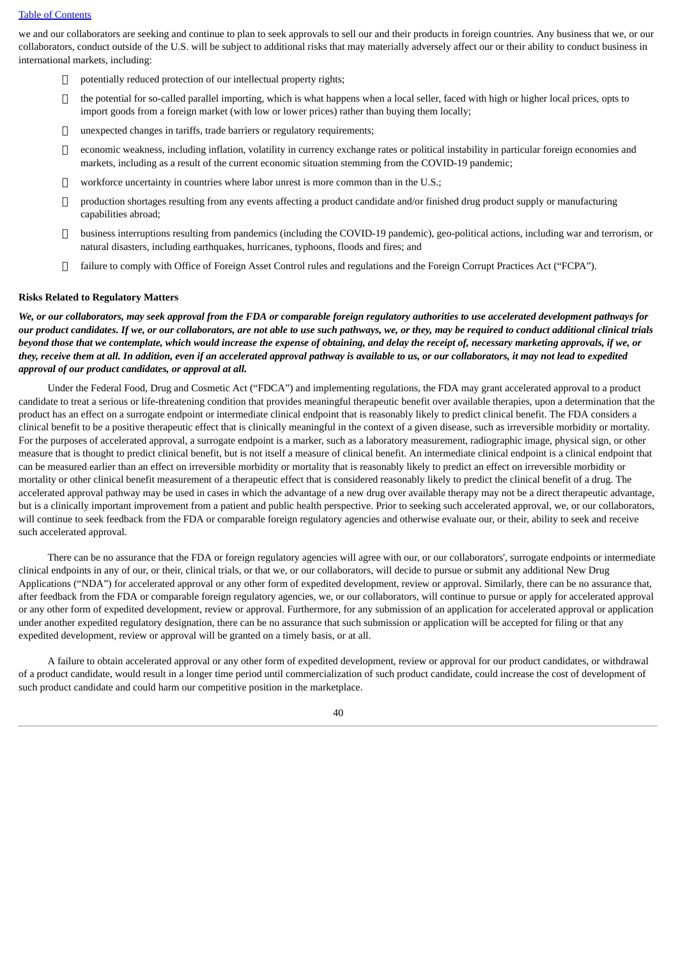we and our collaborators are seeking and continue to plan to seek approvals to sell our and their products in foreign countries. Any business that we, or our collaborators, conduct outside of the U.S. will be subject to additional risks that may materially adversely affect our or their ability to conduct business in international markets, including:

- potentially reduced protection of our intellectual property rights;
- $\Box$  the potential for so-called parallel importing, which is what happens when a local seller, faced with high or higher local prices, opts to import goods from a foreign market (with low or lower prices) rather than buying them locally;
- unexpected changes in tariffs, trade barriers or regulatory requirements;
- $\Box$  economic weakness, including inflation, volatility in currency exchange rates or political instability in particular foreign economies and markets, including as a result of the current economic situation stemming from the COVID-19 pandemic;
- $\Box$  workforce uncertainty in countries where labor unrest is more common than in the U.S.;
- $\Box$  production shortages resulting from any events affecting a product candidate and/or finished drug product supply or manufacturing capabilities abroad;
- $\Box$  business interruptions resulting from pandemics (including the COVID-19 pandemic), geo-political actions, including war and terrorism, or natural disasters, including earthquakes, hurricanes, typhoons, floods and fires; and
- failure to comply with Office of Foreign Asset Control rules and regulations and the Foreign Corrupt Practices Act ("FCPA").

#### **Risks Related to Regulatory Matters**

We, or our collaborators, may seek approval from the FDA or comparable foreign regulatory authorities to use accelerated development pathways for our product candidates. If we, or our collaborators, are not able to use such pathways, we, or they, may be required to conduct additional clinical trials beyond those that we contemplate, which would increase the expense of obtaining, and delay the receipt of, necessary marketing approvals, if we, or they, receive them at all. In addition, even if an accelerated approval pathway is available to us, or our collaborators, it may not lead to expedited *approval of our product candidates, or approval at all.*

Under the Federal Food, Drug and Cosmetic Act ("FDCA") and implementing regulations, the FDA may grant accelerated approval to a product candidate to treat a serious or life-threatening condition that provides meaningful therapeutic benefit over available therapies, upon a determination that the product has an effect on a surrogate endpoint or intermediate clinical endpoint that is reasonably likely to predict clinical benefit. The FDA considers a clinical benefit to be a positive therapeutic effect that is clinically meaningful in the context of a given disease, such as irreversible morbidity or mortality. For the purposes of accelerated approval, a surrogate endpoint is a marker, such as a laboratory measurement, radiographic image, physical sign, or other measure that is thought to predict clinical benefit, but is not itself a measure of clinical benefit. An intermediate clinical endpoint is a clinical endpoint that can be measured earlier than an effect on irreversible morbidity or mortality that is reasonably likely to predict an effect on irreversible morbidity or mortality or other clinical benefit measurement of a therapeutic effect that is considered reasonably likely to predict the clinical benefit of a drug. The accelerated approval pathway may be used in cases in which the advantage of a new drug over available therapy may not be a direct therapeutic advantage, but is a clinically important improvement from a patient and public health perspective. Prior to seeking such accelerated approval, we, or our collaborators, will continue to seek feedback from the FDA or comparable foreign regulatory agencies and otherwise evaluate our, or their, ability to seek and receive such accelerated approval.

There can be no assurance that the FDA or foreign regulatory agencies will agree with our, or our collaborators', surrogate endpoints or intermediate clinical endpoints in any of our, or their, clinical trials, or that we, or our collaborators, will decide to pursue or submit any additional New Drug Applications ("NDA") for accelerated approval or any other form of expedited development, review or approval. Similarly, there can be no assurance that, after feedback from the FDA or comparable foreign regulatory agencies, we, or our collaborators, will continue to pursue or apply for accelerated approval or any other form of expedited development, review or approval. Furthermore, for any submission of an application for accelerated approval or application under another expedited regulatory designation, there can be no assurance that such submission or application will be accepted for filing or that any expedited development, review or approval will be granted on a timely basis, or at all.

A failure to obtain accelerated approval or any other form of expedited development, review or approval for our product candidates, or withdrawal of a product candidate, would result in a longer time period until commercialization of such product candidate, could increase the cost of development of such product candidate and could harm our competitive position in the marketplace.

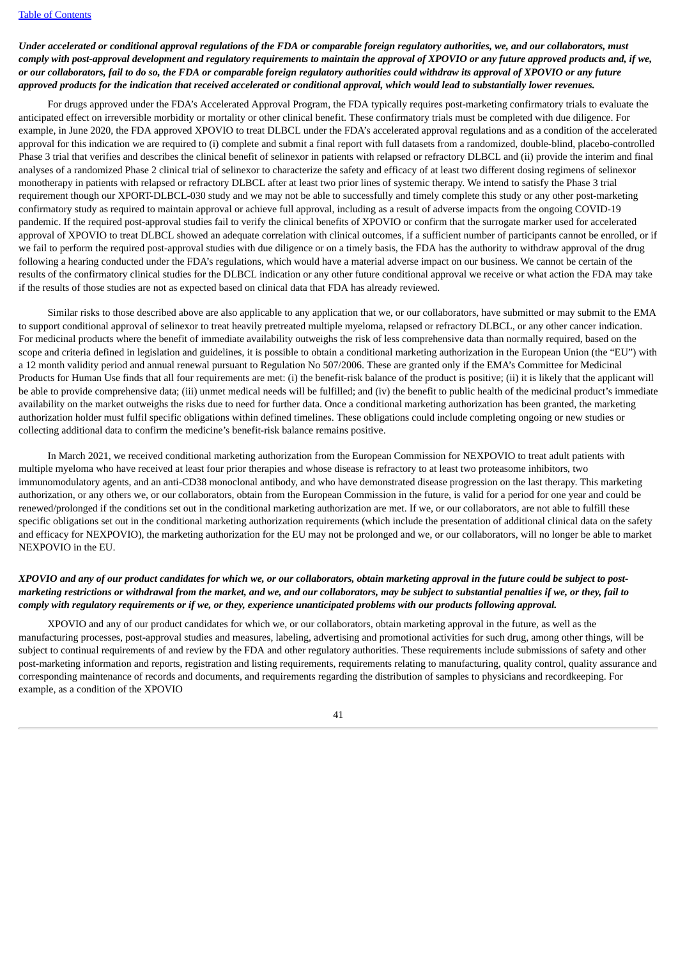# Under accelerated or conditional approval regulations of the FDA or comparable foreign regulatory authorities, we, and our collaborators, must comply with post-approval development and regulatory requirements to maintain the approval of XPOVIO or any future approved products and, if we, or our collaborators, fail to do so, the FDA or comparable foreign regulatory authorities could withdraw its approval of XPOVIO or any future approved products for the indication that received accelerated or conditional approval, which would lead to substantially lower revenues.

For drugs approved under the FDA's Accelerated Approval Program, the FDA typically requires post-marketing confirmatory trials to evaluate the anticipated effect on irreversible morbidity or mortality or other clinical benefit. These confirmatory trials must be completed with due diligence. For example, in June 2020, the FDA approved XPOVIO to treat DLBCL under the FDA's accelerated approval regulations and as a condition of the accelerated approval for this indication we are required to (i) complete and submit a final report with full datasets from a randomized, double-blind, placebo-controlled Phase 3 trial that verifies and describes the clinical benefit of selinexor in patients with relapsed or refractory DLBCL and (ii) provide the interim and final analyses of a randomized Phase 2 clinical trial of selinexor to characterize the safety and efficacy of at least two different dosing regimens of selinexor monotherapy in patients with relapsed or refractory DLBCL after at least two prior lines of systemic therapy. We intend to satisfy the Phase 3 trial requirement though our XPORT-DLBCL-030 study and we may not be able to successfully and timely complete this study or any other post-marketing confirmatory study as required to maintain approval or achieve full approval, including as a result of adverse impacts from the ongoing COVID-19 pandemic. If the required post-approval studies fail to verify the clinical benefits of XPOVIO or confirm that the surrogate marker used for accelerated approval of XPOVIO to treat DLBCL showed an adequate correlation with clinical outcomes, if a sufficient number of participants cannot be enrolled, or if we fail to perform the required post-approval studies with due diligence or on a timely basis, the FDA has the authority to withdraw approval of the drug following a hearing conducted under the FDA's regulations, which would have a material adverse impact on our business. We cannot be certain of the results of the confirmatory clinical studies for the DLBCL indication or any other future conditional approval we receive or what action the FDA may take if the results of those studies are not as expected based on clinical data that FDA has already reviewed.

Similar risks to those described above are also applicable to any application that we, or our collaborators, have submitted or may submit to the EMA to support conditional approval of selinexor to treat heavily pretreated multiple myeloma, relapsed or refractory DLBCL, or any other cancer indication. For medicinal products where the benefit of immediate availability outweighs the risk of less comprehensive data than normally required, based on the scope and criteria defined in legislation and guidelines, it is possible to obtain a conditional marketing authorization in the European Union (the "EU") with a 12 month validity period and annual renewal pursuant to Regulation No 507/2006. These are granted only if the EMA's Committee for Medicinal Products for Human Use finds that all four requirements are met: (i) the benefit-risk balance of the product is positive; (ii) it is likely that the applicant will be able to provide comprehensive data; (iii) unmet medical needs will be fulfilled; and (iv) the benefit to public health of the medicinal product's immediate availability on the market outweighs the risks due to need for further data. Once a conditional marketing authorization has been granted, the marketing authorization holder must fulfil specific obligations within defined timelines. These obligations could include completing ongoing or new studies or collecting additional data to confirm the medicine's benefit-risk balance remains positive.

In March 2021, we received conditional marketing authorization from the European Commission for NEXPOVIO to treat adult patients with multiple myeloma who have received at least four prior therapies and whose disease is refractory to at least two proteasome inhibitors, two immunomodulatory agents, and an anti-CD38 monoclonal antibody, and who have demonstrated disease progression on the last therapy. This marketing authorization, or any others we, or our collaborators, obtain from the European Commission in the future, is valid for a period for one year and could be renewed/prolonged if the conditions set out in the conditional marketing authorization are met. If we, or our collaborators, are not able to fulfill these specific obligations set out in the conditional marketing authorization requirements (which include the presentation of additional clinical data on the safety and efficacy for NEXPOVIO), the marketing authorization for the EU may not be prolonged and we, or our collaborators, will no longer be able to market NEXPOVIO in the EU.

# XPOVIO and any of our product candidates for which we, or our collaborators, obtain marketing approval in the future could be subject to postmarketing restrictions or withdrawal from the market, and we, and our collaborators, may be subject to substantial penalties if we, or they, fail to comply with requlatory requirements or if we, or they, experience unanticipated problems with our products following approval.

XPOVIO and any of our product candidates for which we, or our collaborators, obtain marketing approval in the future, as well as the manufacturing processes, post-approval studies and measures, labeling, advertising and promotional activities for such drug, among other things, will be subject to continual requirements of and review by the FDA and other regulatory authorities. These requirements include submissions of safety and other post-marketing information and reports, registration and listing requirements, requirements relating to manufacturing, quality control, quality assurance and corresponding maintenance of records and documents, and requirements regarding the distribution of samples to physicians and recordkeeping. For example, as a condition of the XPOVIO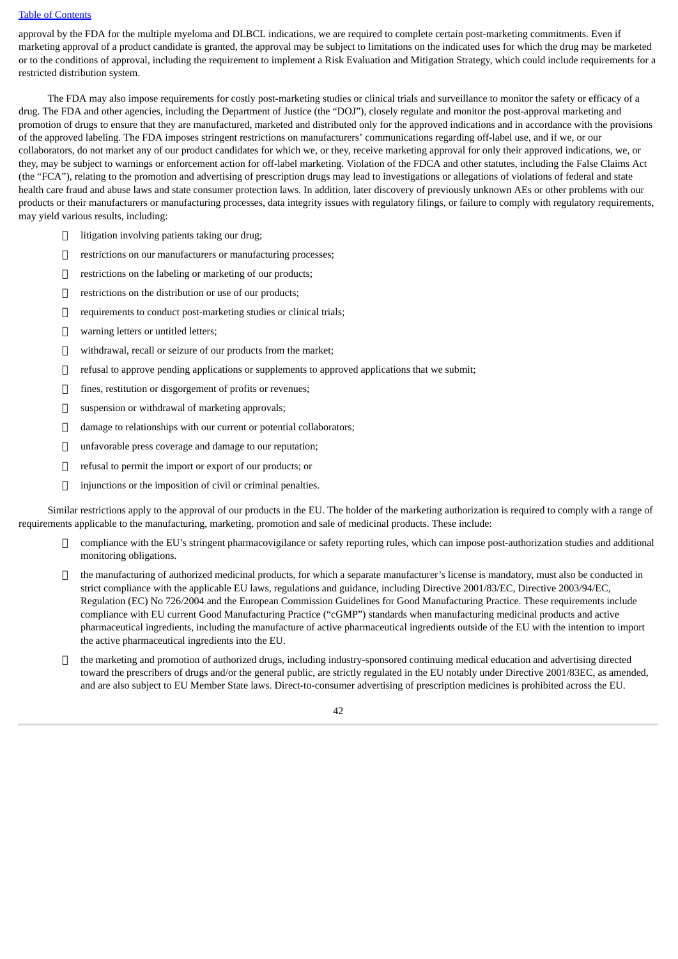approval by the FDA for the multiple myeloma and DLBCL indications, we are required to complete certain post-marketing commitments. Even if marketing approval of a product candidate is granted, the approval may be subject to limitations on the indicated uses for which the drug may be marketed or to the conditions of approval, including the requirement to implement a Risk Evaluation and Mitigation Strategy, which could include requirements for a restricted distribution system.

The FDA may also impose requirements for costly post-marketing studies or clinical trials and surveillance to monitor the safety or efficacy of a drug. The FDA and other agencies, including the Department of Justice (the "DOJ"), closely regulate and monitor the post-approval marketing and promotion of drugs to ensure that they are manufactured, marketed and distributed only for the approved indications and in accordance with the provisions of the approved labeling. The FDA imposes stringent restrictions on manufacturers' communications regarding off-label use, and if we, or our collaborators, do not market any of our product candidates for which we, or they, receive marketing approval for only their approved indications, we, or they, may be subject to warnings or enforcement action for off-label marketing. Violation of the FDCA and other statutes, including the False Claims Act (the "FCA"), relating to the promotion and advertising of prescription drugs may lead to investigations or allegations of violations of federal and state health care fraud and abuse laws and state consumer protection laws. In addition, later discovery of previously unknown AEs or other problems with our products or their manufacturers or manufacturing processes, data integrity issues with regulatory filings, or failure to comply with regulatory requirements, may yield various results, including:

- $\Box$  litigation involving patients taking our drug;
- □ restrictions on our manufacturers or manufacturing processes;
- $\Box$  restrictions on the labeling or marketing of our products;
- □ restrictions on the distribution or use of our products;
- □ requirements to conduct post-marketing studies or clinical trials;
- warning letters or untitled letters;
- $\Box$  withdrawal, recall or seizure of our products from the market;
- $\Box$  refusal to approve pending applications or supplements to approved applications that we submit;
- fines, restitution or disgorgement of profits or revenues;
- $\Box$  suspension or withdrawal of marketing approvals;
- damage to relationships with our current or potential collaborators;
- □ unfavorable press coverage and damage to our reputation;
- refusal to permit the import or export of our products; or
- $\Box$  injunctions or the imposition of civil or criminal penalties.

Similar restrictions apply to the approval of our products in the EU. The holder of the marketing authorization is required to comply with a range of requirements applicable to the manufacturing, marketing, promotion and sale of medicinal products. These include:

- $\Box$  compliance with the EU's stringent pharmacovigilance or safety reporting rules, which can impose post-authorization studies and additional monitoring obligations.
- $\Box$  the manufacturing of authorized medicinal products, for which a separate manufacturer's license is mandatory, must also be conducted in strict compliance with the applicable EU laws, regulations and guidance, including Directive 2001/83/EC, Directive 2003/94/EC, Regulation (EC) No 726/2004 and the European Commission Guidelines for Good Manufacturing Practice. These requirements include compliance with EU current Good Manufacturing Practice ("cGMP") standards when manufacturing medicinal products and active pharmaceutical ingredients, including the manufacture of active pharmaceutical ingredients outside of the EU with the intention to import the active pharmaceutical ingredients into the EU.
- $\Box$  the marketing and promotion of authorized drugs, including industry-sponsored continuing medical education and advertising directed toward the prescribers of drugs and/or the general public, are strictly regulated in the EU notably under Directive 2001/83EC, as amended, and are also subject to EU Member State laws. Direct-to-consumer advertising of prescription medicines is prohibited across the EU.

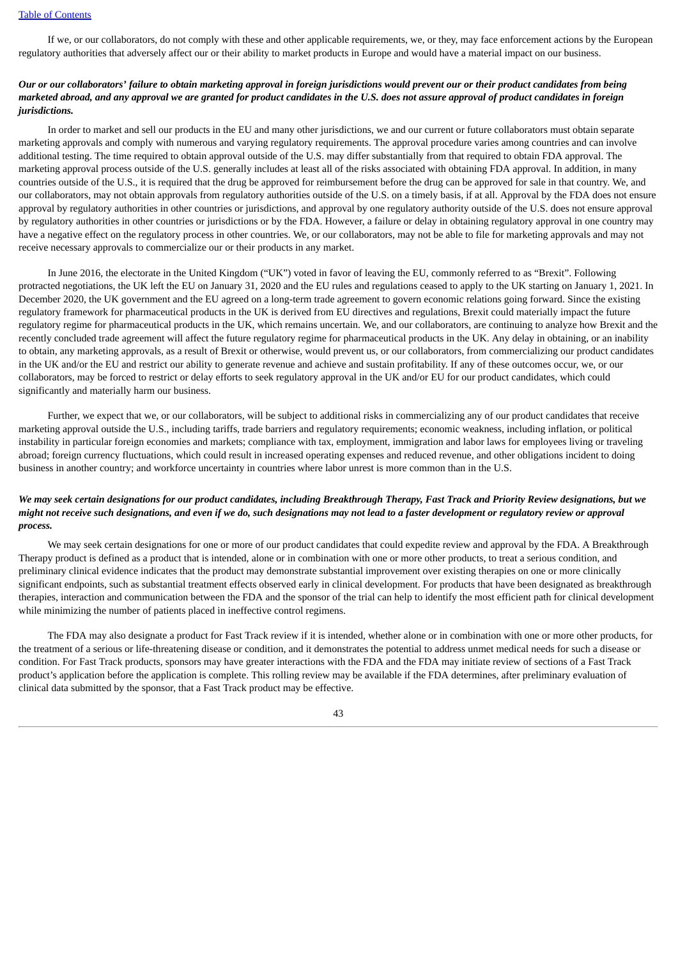If we, or our collaborators, do not comply with these and other applicable requirements, we, or they, may face enforcement actions by the European regulatory authorities that adversely affect our or their ability to market products in Europe and would have a material impact on our business.

# Our or our collaborators' failure to obtain marketing approval in foreign jurisdictions would prevent our or their product candidates from being marketed abroad, and any approval we are granted for product candidates in the U.S. does not assure approval of product candidates in foreign *jurisdictions.*

In order to market and sell our products in the EU and many other jurisdictions, we and our current or future collaborators must obtain separate marketing approvals and comply with numerous and varying regulatory requirements. The approval procedure varies among countries and can involve additional testing. The time required to obtain approval outside of the U.S. may differ substantially from that required to obtain FDA approval. The marketing approval process outside of the U.S. generally includes at least all of the risks associated with obtaining FDA approval. In addition, in many countries outside of the U.S., it is required that the drug be approved for reimbursement before the drug can be approved for sale in that country. We, and our collaborators, may not obtain approvals from regulatory authorities outside of the U.S. on a timely basis, if at all. Approval by the FDA does not ensure approval by regulatory authorities in other countries or jurisdictions, and approval by one regulatory authority outside of the U.S. does not ensure approval by regulatory authorities in other countries or jurisdictions or by the FDA. However, a failure or delay in obtaining regulatory approval in one country may have a negative effect on the regulatory process in other countries. We, or our collaborators, may not be able to file for marketing approvals and may not receive necessary approvals to commercialize our or their products in any market.

In June 2016, the electorate in the United Kingdom ("UK") voted in favor of leaving the EU, commonly referred to as "Brexit". Following protracted negotiations, the UK left the EU on January 31, 2020 and the EU rules and regulations ceased to apply to the UK starting on January 1, 2021. In December 2020, the UK government and the EU agreed on a long-term trade agreement to govern economic relations going forward. Since the existing regulatory framework for pharmaceutical products in the UK is derived from EU directives and regulations, Brexit could materially impact the future regulatory regime for pharmaceutical products in the UK, which remains uncertain. We, and our collaborators, are continuing to analyze how Brexit and the recently concluded trade agreement will affect the future regulatory regime for pharmaceutical products in the UK. Any delay in obtaining, or an inability to obtain, any marketing approvals, as a result of Brexit or otherwise, would prevent us, or our collaborators, from commercializing our product candidates in the UK and/or the EU and restrict our ability to generate revenue and achieve and sustain profitability. If any of these outcomes occur, we, or our collaborators, may be forced to restrict or delay efforts to seek regulatory approval in the UK and/or EU for our product candidates, which could significantly and materially harm our business.

Further, we expect that we, or our collaborators, will be subject to additional risks in commercializing any of our product candidates that receive marketing approval outside the U.S., including tariffs, trade barriers and regulatory requirements; economic weakness, including inflation, or political instability in particular foreign economies and markets; compliance with tax, employment, immigration and labor laws for employees living or traveling abroad; foreign currency fluctuations, which could result in increased operating expenses and reduced revenue, and other obligations incident to doing business in another country; and workforce uncertainty in countries where labor unrest is more common than in the U.S.

# We may seek certain designations for our product candidates, including Breakthrough Therapy, Fast Track and Priority Review designations, but we might not receive such designations, and even if we do, such designations may not lead to a faster development or regulatory review or approval *process.*

We may seek certain designations for one or more of our product candidates that could expedite review and approval by the FDA. A Breakthrough Therapy product is defined as a product that is intended, alone or in combination with one or more other products, to treat a serious condition, and preliminary clinical evidence indicates that the product may demonstrate substantial improvement over existing therapies on one or more clinically significant endpoints, such as substantial treatment effects observed early in clinical development. For products that have been designated as breakthrough therapies, interaction and communication between the FDA and the sponsor of the trial can help to identify the most efficient path for clinical development while minimizing the number of patients placed in ineffective control regimens.

The FDA may also designate a product for Fast Track review if it is intended, whether alone or in combination with one or more other products, for the treatment of a serious or life-threatening disease or condition, and it demonstrates the potential to address unmet medical needs for such a disease or condition. For Fast Track products, sponsors may have greater interactions with the FDA and the FDA may initiate review of sections of a Fast Track product's application before the application is complete. This rolling review may be available if the FDA determines, after preliminary evaluation of clinical data submitted by the sponsor, that a Fast Track product may be effective.

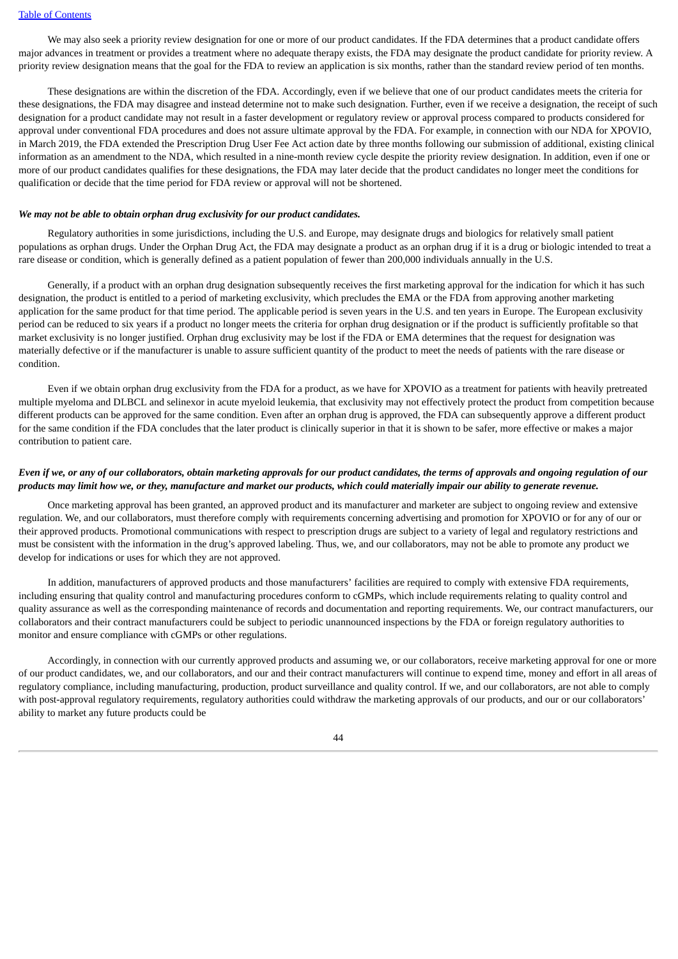We may also seek a priority review designation for one or more of our product candidates. If the FDA determines that a product candidate offers major advances in treatment or provides a treatment where no adequate therapy exists, the FDA may designate the product candidate for priority review. A priority review designation means that the goal for the FDA to review an application is six months, rather than the standard review period of ten months.

These designations are within the discretion of the FDA. Accordingly, even if we believe that one of our product candidates meets the criteria for these designations, the FDA may disagree and instead determine not to make such designation. Further, even if we receive a designation, the receipt of such designation for a product candidate may not result in a faster development or regulatory review or approval process compared to products considered for approval under conventional FDA procedures and does not assure ultimate approval by the FDA. For example, in connection with our NDA for XPOVIO, in March 2019, the FDA extended the Prescription Drug User Fee Act action date by three months following our submission of additional, existing clinical information as an amendment to the NDA, which resulted in a nine-month review cycle despite the priority review designation. In addition, even if one or more of our product candidates qualifies for these designations, the FDA may later decide that the product candidates no longer meet the conditions for qualification or decide that the time period for FDA review or approval will not be shortened.

#### *We may not be able to obtain orphan drug exclusivity for our product candidates.*

Regulatory authorities in some jurisdictions, including the U.S. and Europe, may designate drugs and biologics for relatively small patient populations as orphan drugs. Under the Orphan Drug Act, the FDA may designate a product as an orphan drug if it is a drug or biologic intended to treat a rare disease or condition, which is generally defined as a patient population of fewer than 200,000 individuals annually in the U.S.

Generally, if a product with an orphan drug designation subsequently receives the first marketing approval for the indication for which it has such designation, the product is entitled to a period of marketing exclusivity, which precludes the EMA or the FDA from approving another marketing application for the same product for that time period. The applicable period is seven years in the U.S. and ten years in Europe. The European exclusivity period can be reduced to six years if a product no longer meets the criteria for orphan drug designation or if the product is sufficiently profitable so that market exclusivity is no longer justified. Orphan drug exclusivity may be lost if the FDA or EMA determines that the request for designation was materially defective or if the manufacturer is unable to assure sufficient quantity of the product to meet the needs of patients with the rare disease or condition.

Even if we obtain orphan drug exclusivity from the FDA for a product, as we have for XPOVIO as a treatment for patients with heavily pretreated multiple myeloma and DLBCL and selinexor in acute myeloid leukemia, that exclusivity may not effectively protect the product from competition because different products can be approved for the same condition. Even after an orphan drug is approved, the FDA can subsequently approve a different product for the same condition if the FDA concludes that the later product is clinically superior in that it is shown to be safer, more effective or makes a major contribution to patient care.

#### Even if we, or any of our collaborators, obtain marketing approvals for our product candidates, the terms of approvals and ongoing regulation of our products may limit how we, or they, manufacture and market our products, which could materially impair our ability to generate revenue.

Once marketing approval has been granted, an approved product and its manufacturer and marketer are subject to ongoing review and extensive regulation. We, and our collaborators, must therefore comply with requirements concerning advertising and promotion for XPOVIO or for any of our or their approved products. Promotional communications with respect to prescription drugs are subject to a variety of legal and regulatory restrictions and must be consistent with the information in the drug's approved labeling. Thus, we, and our collaborators, may not be able to promote any product we develop for indications or uses for which they are not approved.

In addition, manufacturers of approved products and those manufacturers' facilities are required to comply with extensive FDA requirements, including ensuring that quality control and manufacturing procedures conform to cGMPs, which include requirements relating to quality control and quality assurance as well as the corresponding maintenance of records and documentation and reporting requirements. We, our contract manufacturers, our collaborators and their contract manufacturers could be subject to periodic unannounced inspections by the FDA or foreign regulatory authorities to monitor and ensure compliance with cGMPs or other regulations.

Accordingly, in connection with our currently approved products and assuming we, or our collaborators, receive marketing approval for one or more of our product candidates, we, and our collaborators, and our and their contract manufacturers will continue to expend time, money and effort in all areas of regulatory compliance, including manufacturing, production, product surveillance and quality control. If we, and our collaborators, are not able to comply with post-approval regulatory requirements, regulatory authorities could withdraw the marketing approvals of our products, and our or our collaborators' ability to market any future products could be

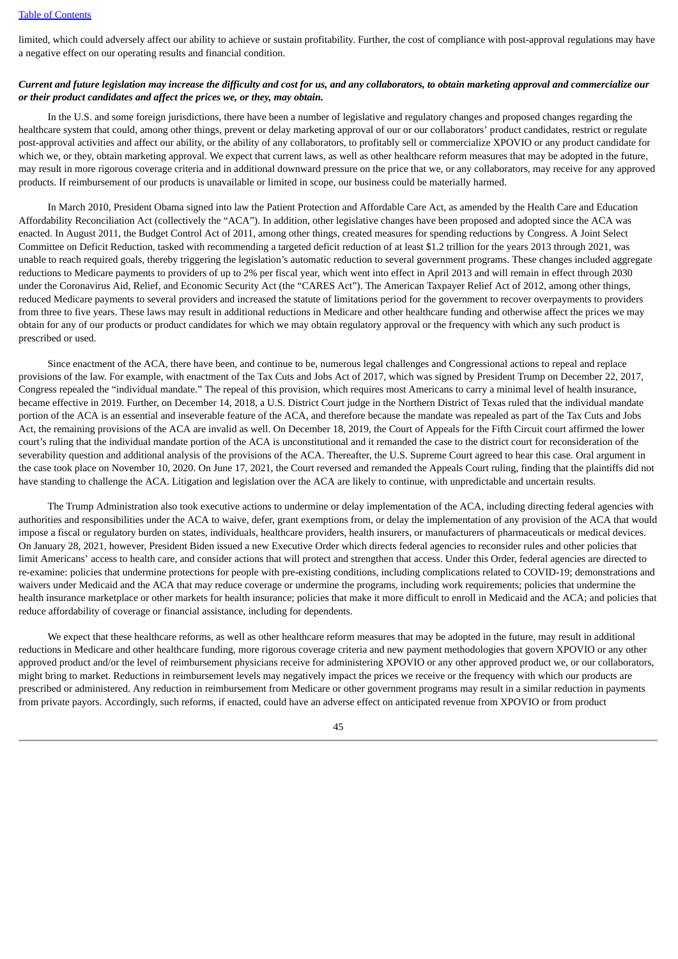limited, which could adversely affect our ability to achieve or sustain profitability. Further, the cost of compliance with post-approval regulations may have a negative effect on our operating results and financial condition.

## Current and future legislation may increase the difficulty and cost for us, and any collaborators, to obtain marketing approval and commercialize our *or their product candidates and affect the prices we, or they, may obtain.*

In the U.S. and some foreign jurisdictions, there have been a number of legislative and regulatory changes and proposed changes regarding the healthcare system that could, among other things, prevent or delay marketing approval of our or our collaborators' product candidates, restrict or regulate post-approval activities and affect our ability, or the ability of any collaborators, to profitably sell or commercialize XPOVIO or any product candidate for which we, or they, obtain marketing approval. We expect that current laws, as well as other healthcare reform measures that may be adopted in the future, may result in more rigorous coverage criteria and in additional downward pressure on the price that we, or any collaborators, may receive for any approved products. If reimbursement of our products is unavailable or limited in scope, our business could be materially harmed.

In March 2010, President Obama signed into law the Patient Protection and Affordable Care Act, as amended by the Health Care and Education Affordability Reconciliation Act (collectively the "ACA"). In addition, other legislative changes have been proposed and adopted since the ACA was enacted. In August 2011, the Budget Control Act of 2011, among other things, created measures for spending reductions by Congress. A Joint Select Committee on Deficit Reduction, tasked with recommending a targeted deficit reduction of at least \$1.2 trillion for the years 2013 through 2021, was unable to reach required goals, thereby triggering the legislation's automatic reduction to several government programs. These changes included aggregate reductions to Medicare payments to providers of up to 2% per fiscal year, which went into effect in April 2013 and will remain in effect through 2030 under the Coronavirus Aid, Relief, and Economic Security Act (the "CARES Act"). The American Taxpayer Relief Act of 2012, among other things, reduced Medicare payments to several providers and increased the statute of limitations period for the government to recover overpayments to providers from three to five years. These laws may result in additional reductions in Medicare and other healthcare funding and otherwise affect the prices we may obtain for any of our products or product candidates for which we may obtain regulatory approval or the frequency with which any such product is prescribed or used.

Since enactment of the ACA, there have been, and continue to be, numerous legal challenges and Congressional actions to repeal and replace provisions of the law. For example, with enactment of the Tax Cuts and Jobs Act of 2017, which was signed by President Trump on December 22, 2017, Congress repealed the "individual mandate." The repeal of this provision, which requires most Americans to carry a minimal level of health insurance, became effective in 2019. Further, on December 14, 2018, a U.S. District Court judge in the Northern District of Texas ruled that the individual mandate portion of the ACA is an essential and inseverable feature of the ACA, and therefore because the mandate was repealed as part of the Tax Cuts and Jobs Act, the remaining provisions of the ACA are invalid as well. On December 18, 2019, the Court of Appeals for the Fifth Circuit court affirmed the lower court's ruling that the individual mandate portion of the ACA is unconstitutional and it remanded the case to the district court for reconsideration of the severability question and additional analysis of the provisions of the ACA. Thereafter, the U.S. Supreme Court agreed to hear this case. Oral argument in the case took place on November 10, 2020. On June 17, 2021, the Court reversed and remanded the Appeals Court ruling, finding that the plaintiffs did not have standing to challenge the ACA. Litigation and legislation over the ACA are likely to continue, with unpredictable and uncertain results.

The Trump Administration also took executive actions to undermine or delay implementation of the ACA, including directing federal agencies with authorities and responsibilities under the ACA to waive, defer, grant exemptions from, or delay the implementation of any provision of the ACA that would impose a fiscal or regulatory burden on states, individuals, healthcare providers, health insurers, or manufacturers of pharmaceuticals or medical devices. On January 28, 2021, however, President Biden issued a new Executive Order which directs federal agencies to reconsider rules and other policies that limit Americans' access to health care, and consider actions that will protect and strengthen that access. Under this Order, federal agencies are directed to re-examine: policies that undermine protections for people with pre-existing conditions, including complications related to COVID-19; demonstrations and waivers under Medicaid and the ACA that may reduce coverage or undermine the programs, including work requirements; policies that undermine the health insurance marketplace or other markets for health insurance; policies that make it more difficult to enroll in Medicaid and the ACA; and policies that reduce affordability of coverage or financial assistance, including for dependents.

We expect that these healthcare reforms, as well as other healthcare reform measures that may be adopted in the future, may result in additional reductions in Medicare and other healthcare funding, more rigorous coverage criteria and new payment methodologies that govern XPOVIO or any other approved product and/or the level of reimbursement physicians receive for administering XPOVIO or any other approved product we, or our collaborators, might bring to market. Reductions in reimbursement levels may negatively impact the prices we receive or the frequency with which our products are prescribed or administered. Any reduction in reimbursement from Medicare or other government programs may result in a similar reduction in payments from private payors. Accordingly, such reforms, if enacted, could have an adverse effect on anticipated revenue from XPOVIO or from product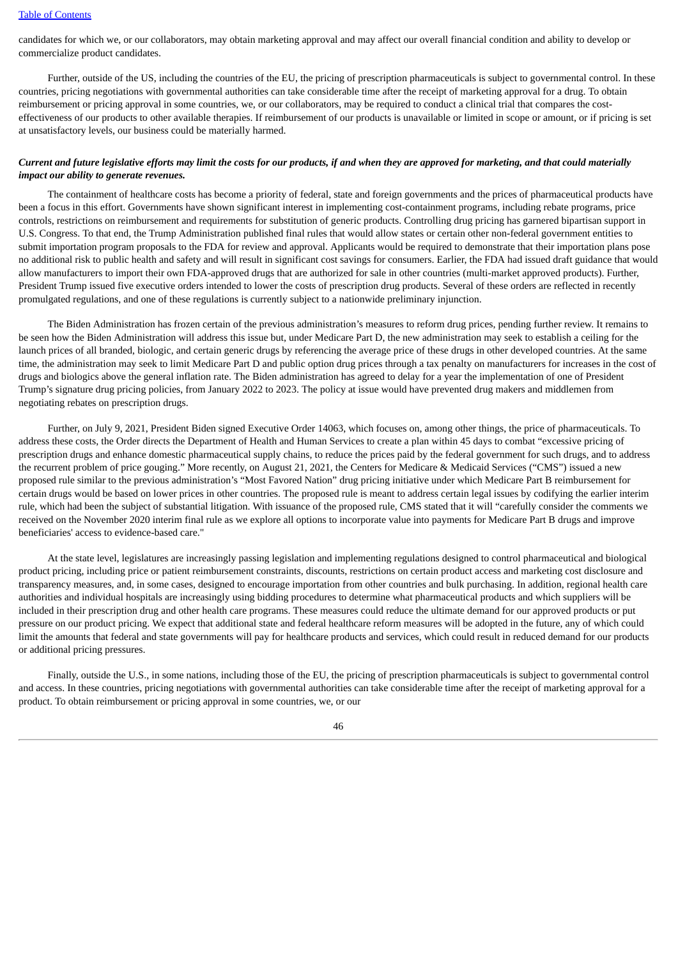candidates for which we, or our collaborators, may obtain marketing approval and may affect our overall financial condition and ability to develop or commercialize product candidates.

Further, outside of the US, including the countries of the EU, the pricing of prescription pharmaceuticals is subject to governmental control. In these countries, pricing negotiations with governmental authorities can take considerable time after the receipt of marketing approval for a drug. To obtain reimbursement or pricing approval in some countries, we, or our collaborators, may be required to conduct a clinical trial that compares the costeffectiveness of our products to other available therapies. If reimbursement of our products is unavailable or limited in scope or amount, or if pricing is set at unsatisfactory levels, our business could be materially harmed.

### Current and future legislative efforts may limit the costs for our products, if and when they are approved for marketing, and that could materially *impact our ability to generate revenues.*

The containment of healthcare costs has become a priority of federal, state and foreign governments and the prices of pharmaceutical products have been a focus in this effort. Governments have shown significant interest in implementing cost-containment programs, including rebate programs, price controls, restrictions on reimbursement and requirements for substitution of generic products. Controlling drug pricing has garnered bipartisan support in U.S. Congress. To that end, the Trump Administration published final rules that would allow states or certain other non-federal government entities to submit importation program proposals to the FDA for review and approval. Applicants would be required to demonstrate that their importation plans pose no additional risk to public health and safety and will result in significant cost savings for consumers. Earlier, the FDA had issued draft guidance that would allow manufacturers to import their own FDA-approved drugs that are authorized for sale in other countries (multi-market approved products). Further, President Trump issued five executive orders intended to lower the costs of prescription drug products. Several of these orders are reflected in recently promulgated regulations, and one of these regulations is currently subject to a nationwide preliminary injunction.

The Biden Administration has frozen certain of the previous administration's measures to reform drug prices, pending further review. It remains to be seen how the Biden Administration will address this issue but, under Medicare Part D, the new administration may seek to establish a ceiling for the launch prices of all branded, biologic, and certain generic drugs by referencing the average price of these drugs in other developed countries. At the same time, the administration may seek to limit Medicare Part D and public option drug prices through a tax penalty on manufacturers for increases in the cost of drugs and biologics above the general inflation rate. The Biden administration has agreed to delay for a year the implementation of one of President Trump's signature drug pricing policies, from January 2022 to 2023. The policy at issue would have prevented drug makers and middlemen from negotiating rebates on prescription drugs.

Further, on July 9, 2021, President Biden signed Executive Order 14063, which focuses on, among other things, the price of pharmaceuticals. To address these costs, the Order directs the Department of Health and Human Services to create a plan within 45 days to combat "excessive pricing of prescription drugs and enhance domestic pharmaceutical supply chains, to reduce the prices paid by the federal government for such drugs, and to address the recurrent problem of price gouging." More recently, on August 21, 2021, the Centers for Medicare & Medicaid Services ("CMS") issued a new proposed rule similar to the previous administration's "Most Favored Nation" drug pricing initiative under which Medicare Part B reimbursement for certain drugs would be based on lower prices in other countries. The proposed rule is meant to address certain legal issues by codifying the earlier interim rule, which had been the subject of substantial litigation. With issuance of the proposed rule, CMS stated that it will "carefully consider the comments we received on the November 2020 interim final rule as we explore all options to incorporate value into payments for Medicare Part B drugs and improve beneficiaries' access to evidence-based care."

At the state level, legislatures are increasingly passing legislation and implementing regulations designed to control pharmaceutical and biological product pricing, including price or patient reimbursement constraints, discounts, restrictions on certain product access and marketing cost disclosure and transparency measures, and, in some cases, designed to encourage importation from other countries and bulk purchasing. In addition, regional health care authorities and individual hospitals are increasingly using bidding procedures to determine what pharmaceutical products and which suppliers will be included in their prescription drug and other health care programs. These measures could reduce the ultimate demand for our approved products or put pressure on our product pricing. We expect that additional state and federal healthcare reform measures will be adopted in the future, any of which could limit the amounts that federal and state governments will pay for healthcare products and services, which could result in reduced demand for our products or additional pricing pressures.

Finally, outside the U.S., in some nations, including those of the EU, the pricing of prescription pharmaceuticals is subject to governmental control and access. In these countries, pricing negotiations with governmental authorities can take considerable time after the receipt of marketing approval for a product. To obtain reimbursement or pricing approval in some countries, we, or our

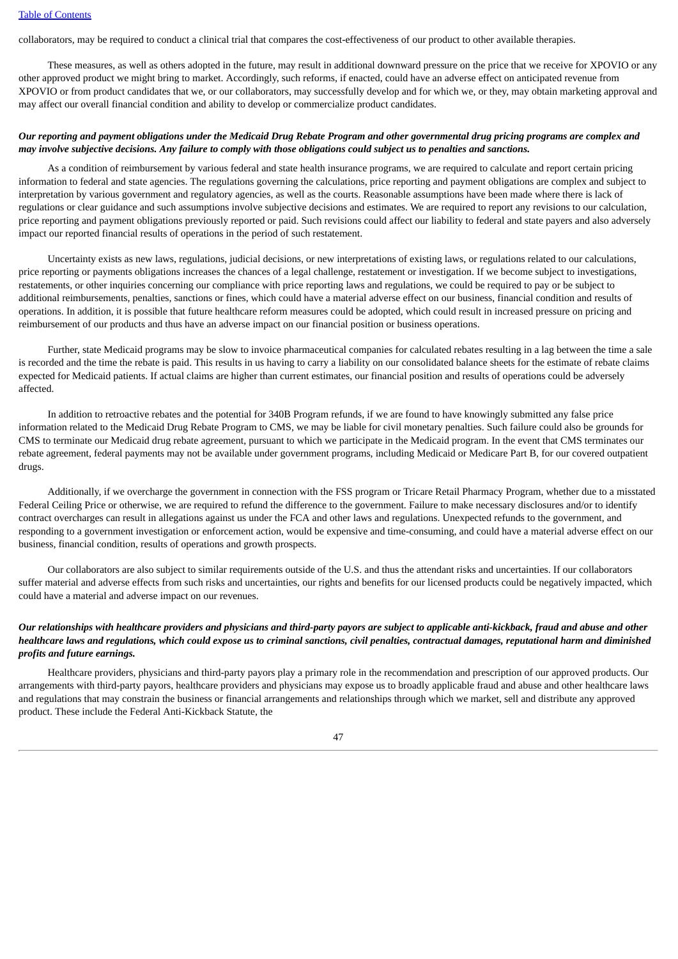collaborators, may be required to conduct a clinical trial that compares the cost-effectiveness of our product to other available therapies.

These measures, as well as others adopted in the future, may result in additional downward pressure on the price that we receive for XPOVIO or any other approved product we might bring to market. Accordingly, such reforms, if enacted, could have an adverse effect on anticipated revenue from XPOVIO or from product candidates that we, or our collaborators, may successfully develop and for which we, or they, may obtain marketing approval and may affect our overall financial condition and ability to develop or commercialize product candidates.

# Our reporting and payment obligations under the Medicaid Drug Rebate Program and other governmental drug pricing programs are complex and may involve subjective decisions. Any failure to comply with those obligations could subject us to penalties and sanctions.

As a condition of reimbursement by various federal and state health insurance programs, we are required to calculate and report certain pricing information to federal and state agencies. The regulations governing the calculations, price reporting and payment obligations are complex and subject to interpretation by various government and regulatory agencies, as well as the courts. Reasonable assumptions have been made where there is lack of regulations or clear guidance and such assumptions involve subjective decisions and estimates. We are required to report any revisions to our calculation, price reporting and payment obligations previously reported or paid. Such revisions could affect our liability to federal and state payers and also adversely impact our reported financial results of operations in the period of such restatement.

Uncertainty exists as new laws, regulations, judicial decisions, or new interpretations of existing laws, or regulations related to our calculations, price reporting or payments obligations increases the chances of a legal challenge, restatement or investigation. If we become subject to investigations, restatements, or other inquiries concerning our compliance with price reporting laws and regulations, we could be required to pay or be subject to additional reimbursements, penalties, sanctions or fines, which could have a material adverse effect on our business, financial condition and results of operations. In addition, it is possible that future healthcare reform measures could be adopted, which could result in increased pressure on pricing and reimbursement of our products and thus have an adverse impact on our financial position or business operations.

Further, state Medicaid programs may be slow to invoice pharmaceutical companies for calculated rebates resulting in a lag between the time a sale is recorded and the time the rebate is paid. This results in us having to carry a liability on our consolidated balance sheets for the estimate of rebate claims expected for Medicaid patients. If actual claims are higher than current estimates, our financial position and results of operations could be adversely affected.

In addition to retroactive rebates and the potential for 340B Program refunds, if we are found to have knowingly submitted any false price information related to the Medicaid Drug Rebate Program to CMS, we may be liable for civil monetary penalties. Such failure could also be grounds for CMS to terminate our Medicaid drug rebate agreement, pursuant to which we participate in the Medicaid program. In the event that CMS terminates our rebate agreement, federal payments may not be available under government programs, including Medicaid or Medicare Part B, for our covered outpatient drugs.

Additionally, if we overcharge the government in connection with the FSS program or Tricare Retail Pharmacy Program, whether due to a misstated Federal Ceiling Price or otherwise, we are required to refund the difference to the government. Failure to make necessary disclosures and/or to identify contract overcharges can result in allegations against us under the FCA and other laws and regulations. Unexpected refunds to the government, and responding to a government investigation or enforcement action, would be expensive and time-consuming, and could have a material adverse effect on our business, financial condition, results of operations and growth prospects.

Our collaborators are also subject to similar requirements outside of the U.S. and thus the attendant risks and uncertainties. If our collaborators suffer material and adverse effects from such risks and uncertainties, our rights and benefits for our licensed products could be negatively impacted, which could have a material and adverse impact on our revenues.

# Our relationships with healthcare providers and physicians and third-party payors are subject to applicable anti-kickback, fraud and abuse and other healthcare laws and regulations, which could expose us to criminal sanctions, civil penalties, contractual damages, reputational harm and diminished *profits and future earnings.*

Healthcare providers, physicians and third-party payors play a primary role in the recommendation and prescription of our approved products. Our arrangements with third-party payors, healthcare providers and physicians may expose us to broadly applicable fraud and abuse and other healthcare laws and regulations that may constrain the business or financial arrangements and relationships through which we market, sell and distribute any approved product. These include the Federal Anti-Kickback Statute, the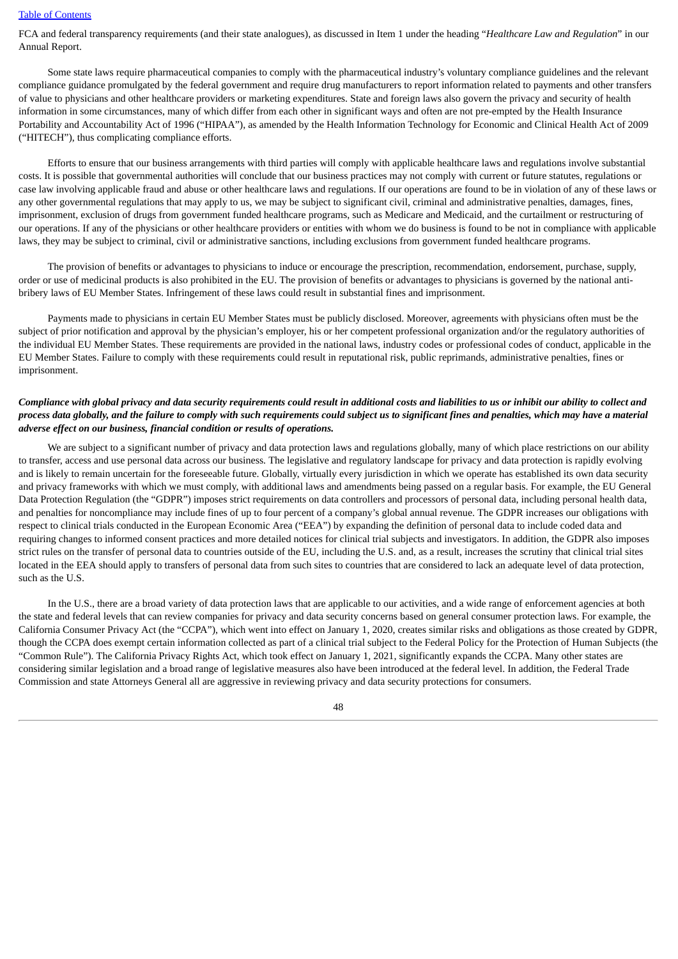FCA and federal transparency requirements (and their state analogues), as discussed in Item 1 under the heading "*Healthcare Law and Regulation*" in our Annual Report.

Some state laws require pharmaceutical companies to comply with the pharmaceutical industry's voluntary compliance guidelines and the relevant compliance guidance promulgated by the federal government and require drug manufacturers to report information related to payments and other transfers of value to physicians and other healthcare providers or marketing expenditures. State and foreign laws also govern the privacy and security of health information in some circumstances, many of which differ from each other in significant ways and often are not pre-empted by the Health Insurance Portability and Accountability Act of 1996 ("HIPAA"), as amended by the Health Information Technology for Economic and Clinical Health Act of 2009 ("HITECH"), thus complicating compliance efforts.

Efforts to ensure that our business arrangements with third parties will comply with applicable healthcare laws and regulations involve substantial costs. It is possible that governmental authorities will conclude that our business practices may not comply with current or future statutes, regulations or case law involving applicable fraud and abuse or other healthcare laws and regulations. If our operations are found to be in violation of any of these laws or any other governmental regulations that may apply to us, we may be subject to significant civil, criminal and administrative penalties, damages, fines, imprisonment, exclusion of drugs from government funded healthcare programs, such as Medicare and Medicaid, and the curtailment or restructuring of our operations. If any of the physicians or other healthcare providers or entities with whom we do business is found to be not in compliance with applicable laws, they may be subject to criminal, civil or administrative sanctions, including exclusions from government funded healthcare programs.

The provision of benefits or advantages to physicians to induce or encourage the prescription, recommendation, endorsement, purchase, supply, order or use of medicinal products is also prohibited in the EU. The provision of benefits or advantages to physicians is governed by the national antibribery laws of EU Member States. Infringement of these laws could result in substantial fines and imprisonment.

Payments made to physicians in certain EU Member States must be publicly disclosed. Moreover, agreements with physicians often must be the subject of prior notification and approval by the physician's employer, his or her competent professional organization and/or the regulatory authorities of the individual EU Member States. These requirements are provided in the national laws, industry codes or professional codes of conduct, applicable in the EU Member States. Failure to comply with these requirements could result in reputational risk, public reprimands, administrative penalties, fines or imprisonment.

# Compliance with global privacy and data security requirements could result in additional costs and liabilities to us or inhibit our ability to collect and process data globally, and the failure to comply with such requirements could subject us to significant fines and penalties, which may have a material *adverse effect on our business, financial condition or results of operations.*

We are subject to a significant number of privacy and data protection laws and regulations globally, many of which place restrictions on our ability to transfer, access and use personal data across our business. The legislative and regulatory landscape for privacy and data protection is rapidly evolving and is likely to remain uncertain for the foreseeable future. Globally, virtually every jurisdiction in which we operate has established its own data security and privacy frameworks with which we must comply, with additional laws and amendments being passed on a regular basis. For example, the EU General Data Protection Regulation (the "GDPR") imposes strict requirements on data controllers and processors of personal data, including personal health data, and penalties for noncompliance may include fines of up to four percent of a company's global annual revenue. The GDPR increases our obligations with respect to clinical trials conducted in the European Economic Area ("EEA") by expanding the definition of personal data to include coded data and requiring changes to informed consent practices and more detailed notices for clinical trial subjects and investigators. In addition, the GDPR also imposes strict rules on the transfer of personal data to countries outside of the EU, including the U.S. and, as a result, increases the scrutiny that clinical trial sites located in the EEA should apply to transfers of personal data from such sites to countries that are considered to lack an adequate level of data protection, such as the U.S.

In the U.S., there are a broad variety of data protection laws that are applicable to our activities, and a wide range of enforcement agencies at both the state and federal levels that can review companies for privacy and data security concerns based on general consumer protection laws. For example, the California Consumer Privacy Act (the "CCPA"), which went into effect on January 1, 2020, creates similar risks and obligations as those created by GDPR, though the CCPA does exempt certain information collected as part of a clinical trial subject to the Federal Policy for the Protection of Human Subjects (the "Common Rule"). The California Privacy Rights Act, which took effect on January 1, 2021, significantly expands the CCPA. Many other states are considering similar legislation and a broad range of legislative measures also have been introduced at the federal level. In addition, the Federal Trade Commission and state Attorneys General all are aggressive in reviewing privacy and data security protections for consumers.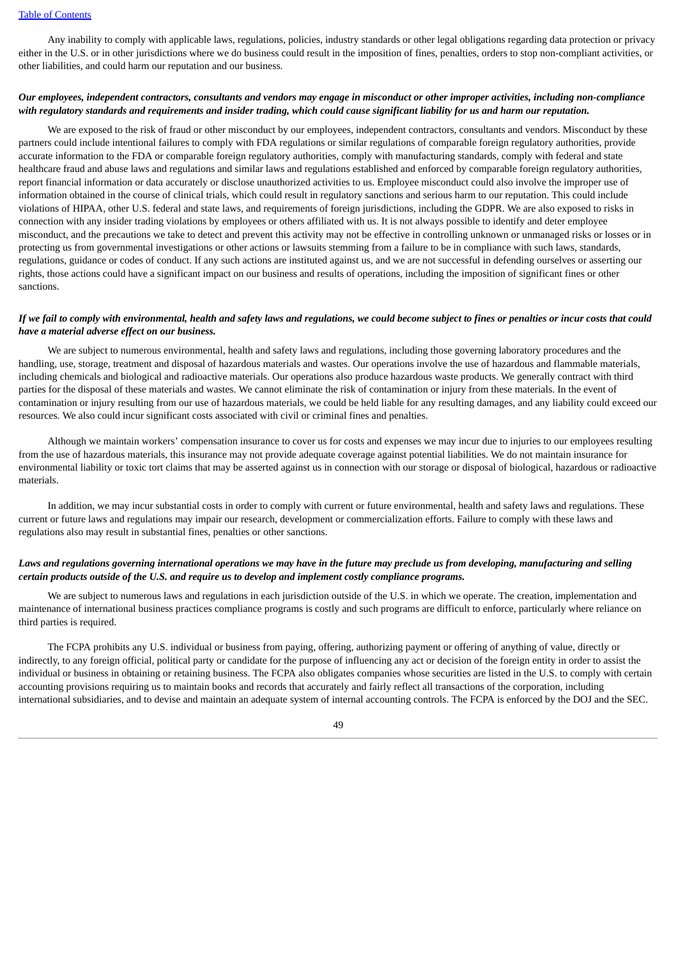Any inability to comply with applicable laws, regulations, policies, industry standards or other legal obligations regarding data protection or privacy either in the U.S. or in other jurisdictions where we do business could result in the imposition of fines, penalties, orders to stop non-compliant activities, or other liabilities, and could harm our reputation and our business.

#### Our employees, independent contractors, consultants and vendors may engage in misconduct or other improper activities, including non-compliance with regulatory standards and requirements and insider trading, which could cause significant liability for us and harm our reputation.

We are exposed to the risk of fraud or other misconduct by our employees, independent contractors, consultants and vendors. Misconduct by these partners could include intentional failures to comply with FDA regulations or similar regulations of comparable foreign regulatory authorities, provide accurate information to the FDA or comparable foreign regulatory authorities, comply with manufacturing standards, comply with federal and state healthcare fraud and abuse laws and regulations and similar laws and regulations established and enforced by comparable foreign regulatory authorities, report financial information or data accurately or disclose unauthorized activities to us. Employee misconduct could also involve the improper use of information obtained in the course of clinical trials, which could result in regulatory sanctions and serious harm to our reputation. This could include violations of HIPAA, other U.S. federal and state laws, and requirements of foreign jurisdictions, including the GDPR. We are also exposed to risks in connection with any insider trading violations by employees or others affiliated with us. It is not always possible to identify and deter employee misconduct, and the precautions we take to detect and prevent this activity may not be effective in controlling unknown or unmanaged risks or losses or in protecting us from governmental investigations or other actions or lawsuits stemming from a failure to be in compliance with such laws, standards, regulations, guidance or codes of conduct. If any such actions are instituted against us, and we are not successful in defending ourselves or asserting our rights, those actions could have a significant impact on our business and results of operations, including the imposition of significant fines or other sanctions.

#### If we fail to comply with environmental, health and safety laws and regulations, we could become subject to fines or penalties or incur costs that could *have a material adverse effect on our business.*

We are subject to numerous environmental, health and safety laws and regulations, including those governing laboratory procedures and the handling, use, storage, treatment and disposal of hazardous materials and wastes. Our operations involve the use of hazardous and flammable materials, including chemicals and biological and radioactive materials. Our operations also produce hazardous waste products. We generally contract with third parties for the disposal of these materials and wastes. We cannot eliminate the risk of contamination or injury from these materials. In the event of contamination or injury resulting from our use of hazardous materials, we could be held liable for any resulting damages, and any liability could exceed our resources. We also could incur significant costs associated with civil or criminal fines and penalties.

Although we maintain workers' compensation insurance to cover us for costs and expenses we may incur due to injuries to our employees resulting from the use of hazardous materials, this insurance may not provide adequate coverage against potential liabilities. We do not maintain insurance for environmental liability or toxic tort claims that may be asserted against us in connection with our storage or disposal of biological, hazardous or radioactive materials.

In addition, we may incur substantial costs in order to comply with current or future environmental, health and safety laws and regulations. These current or future laws and regulations may impair our research, development or commercialization efforts. Failure to comply with these laws and regulations also may result in substantial fines, penalties or other sanctions.

# Laws and regulations governing international operations we may have in the future may preclude us from developing, manufacturing and selling *certain products outside of the U.S. and require us to develop and implement costly compliance programs.*

We are subject to numerous laws and regulations in each jurisdiction outside of the U.S. in which we operate. The creation, implementation and maintenance of international business practices compliance programs is costly and such programs are difficult to enforce, particularly where reliance on third parties is required.

The FCPA prohibits any U.S. individual or business from paying, offering, authorizing payment or offering of anything of value, directly or indirectly, to any foreign official, political party or candidate for the purpose of influencing any act or decision of the foreign entity in order to assist the individual or business in obtaining or retaining business. The FCPA also obligates companies whose securities are listed in the U.S. to comply with certain accounting provisions requiring us to maintain books and records that accurately and fairly reflect all transactions of the corporation, including international subsidiaries, and to devise and maintain an adequate system of internal accounting controls. The FCPA is enforced by the DOJ and the SEC.

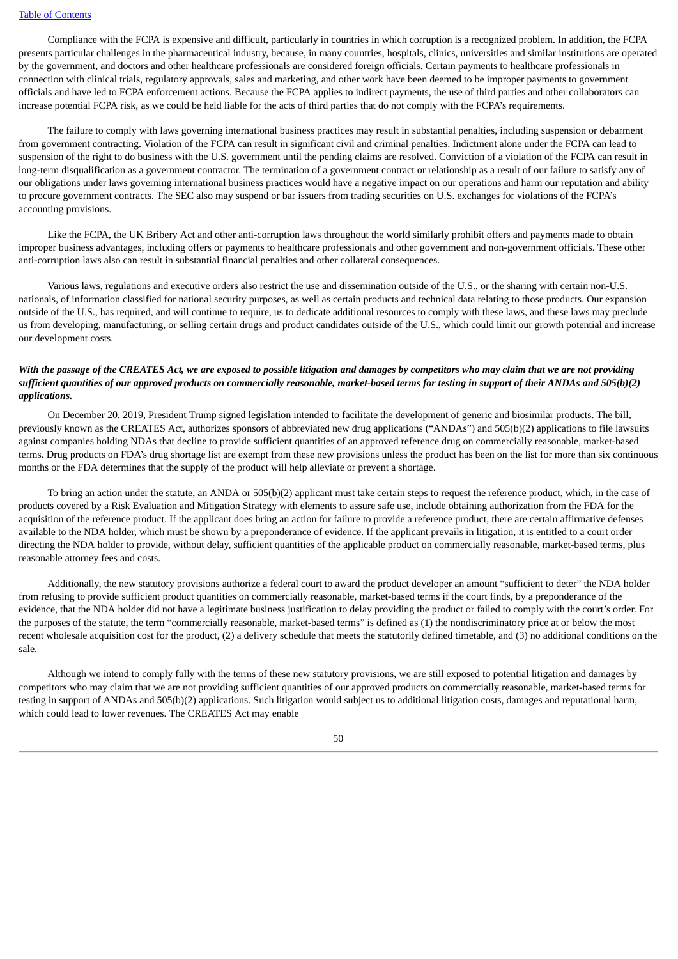Compliance with the FCPA is expensive and difficult, particularly in countries in which corruption is a recognized problem. In addition, the FCPA presents particular challenges in the pharmaceutical industry, because, in many countries, hospitals, clinics, universities and similar institutions are operated by the government, and doctors and other healthcare professionals are considered foreign officials. Certain payments to healthcare professionals in connection with clinical trials, regulatory approvals, sales and marketing, and other work have been deemed to be improper payments to government officials and have led to FCPA enforcement actions. Because the FCPA applies to indirect payments, the use of third parties and other collaborators can increase potential FCPA risk, as we could be held liable for the acts of third parties that do not comply with the FCPA's requirements.

The failure to comply with laws governing international business practices may result in substantial penalties, including suspension or debarment from government contracting. Violation of the FCPA can result in significant civil and criminal penalties. Indictment alone under the FCPA can lead to suspension of the right to do business with the U.S. government until the pending claims are resolved. Conviction of a violation of the FCPA can result in long-term disqualification as a government contractor. The termination of a government contract or relationship as a result of our failure to satisfy any of our obligations under laws governing international business practices would have a negative impact on our operations and harm our reputation and ability to procure government contracts. The SEC also may suspend or bar issuers from trading securities on U.S. exchanges for violations of the FCPA's accounting provisions.

Like the FCPA, the UK Bribery Act and other anti-corruption laws throughout the world similarly prohibit offers and payments made to obtain improper business advantages, including offers or payments to healthcare professionals and other government and non-government officials. These other anti-corruption laws also can result in substantial financial penalties and other collateral consequences.

Various laws, regulations and executive orders also restrict the use and dissemination outside of the U.S., or the sharing with certain non-U.S. nationals, of information classified for national security purposes, as well as certain products and technical data relating to those products. Our expansion outside of the U.S., has required, and will continue to require, us to dedicate additional resources to comply with these laws, and these laws may preclude us from developing, manufacturing, or selling certain drugs and product candidates outside of the U.S., which could limit our growth potential and increase our development costs.

# With the passage of the CREATES Act, we are exposed to possible litigation and damages by competitors who may claim that we are not providing sufficient quantities of our approved products on commercially reasonable, market-based terms for testing in support of their ANDAs and 505(b)(2) *applications.*

On December 20, 2019, President Trump signed legislation intended to facilitate the development of generic and biosimilar products. The bill, previously known as the CREATES Act, authorizes sponsors of abbreviated new drug applications ("ANDAs") and 505(b)(2) applications to file lawsuits against companies holding NDAs that decline to provide sufficient quantities of an approved reference drug on commercially reasonable, market-based terms. Drug products on FDA's drug shortage list are exempt from these new provisions unless the product has been on the list for more than six continuous months or the FDA determines that the supply of the product will help alleviate or prevent a shortage.

To bring an action under the statute, an ANDA or 505(b)(2) applicant must take certain steps to request the reference product, which, in the case of products covered by a Risk Evaluation and Mitigation Strategy with elements to assure safe use, include obtaining authorization from the FDA for the acquisition of the reference product. If the applicant does bring an action for failure to provide a reference product, there are certain affirmative defenses available to the NDA holder, which must be shown by a preponderance of evidence. If the applicant prevails in litigation, it is entitled to a court order directing the NDA holder to provide, without delay, sufficient quantities of the applicable product on commercially reasonable, market-based terms, plus reasonable attorney fees and costs.

Additionally, the new statutory provisions authorize a federal court to award the product developer an amount "sufficient to deter" the NDA holder from refusing to provide sufficient product quantities on commercially reasonable, market-based terms if the court finds, by a preponderance of the evidence, that the NDA holder did not have a legitimate business justification to delay providing the product or failed to comply with the court's order. For the purposes of the statute, the term "commercially reasonable, market-based terms" is defined as (1) the nondiscriminatory price at or below the most recent wholesale acquisition cost for the product, (2) a delivery schedule that meets the statutorily defined timetable, and (3) no additional conditions on the sale.

Although we intend to comply fully with the terms of these new statutory provisions, we are still exposed to potential litigation and damages by competitors who may claim that we are not providing sufficient quantities of our approved products on commercially reasonable, market-based terms for testing in support of ANDAs and 505(b)(2) applications. Such litigation would subject us to additional litigation costs, damages and reputational harm, which could lead to lower revenues. The CREATES Act may enable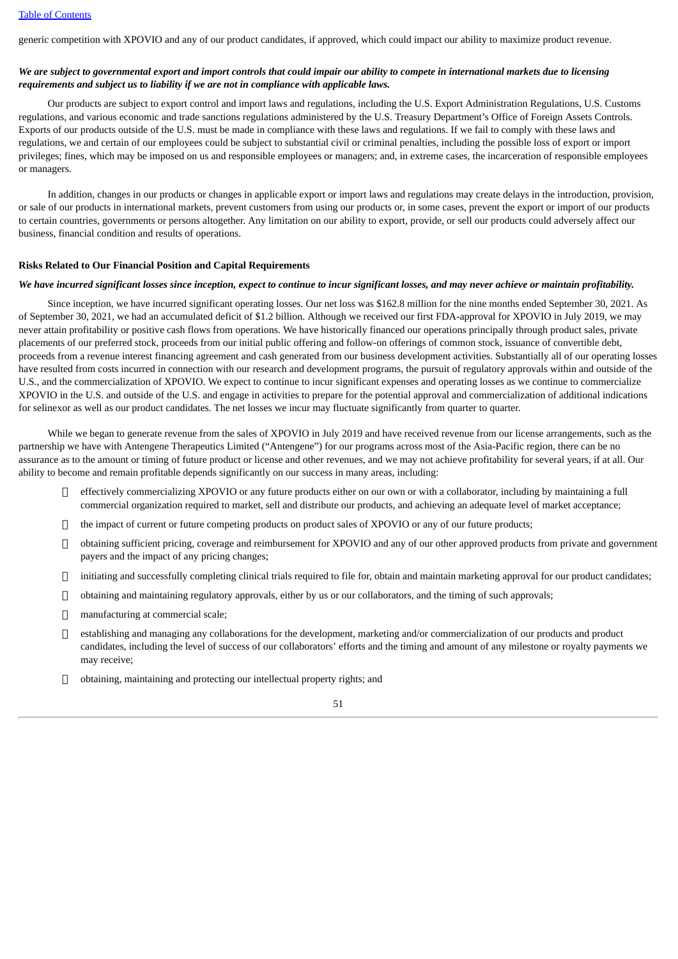generic competition with XPOVIO and any of our product candidates, if approved, which could impact our ability to maximize product revenue.

# We are subject to governmental export and import controls that could impair our ability to compete in international markets due to licensing *requirements and subject us to liability if we are not in compliance with applicable laws.*

Our products are subject to export control and import laws and regulations, including the U.S. Export Administration Regulations, U.S. Customs regulations, and various economic and trade sanctions regulations administered by the U.S. Treasury Department's Office of Foreign Assets Controls. Exports of our products outside of the U.S. must be made in compliance with these laws and regulations. If we fail to comply with these laws and regulations, we and certain of our employees could be subject to substantial civil or criminal penalties, including the possible loss of export or import privileges; fines, which may be imposed on us and responsible employees or managers; and, in extreme cases, the incarceration of responsible employees or managers.

In addition, changes in our products or changes in applicable export or import laws and regulations may create delays in the introduction, provision, or sale of our products in international markets, prevent customers from using our products or, in some cases, prevent the export or import of our products to certain countries, governments or persons altogether. Any limitation on our ability to export, provide, or sell our products could adversely affect our business, financial condition and results of operations.

#### **Risks Related to Our Financial Position and Capital Requirements**

#### We have incurred significant losses since inception, expect to continue to incur significant losses, and may never achieve or maintain profitability.

Since inception, we have incurred significant operating losses. Our net loss was \$162.8 million for the nine months ended September 30, 2021. As of September 30, 2021, we had an accumulated deficit of \$1.2 billion. Although we received our first FDA-approval for XPOVIO in July 2019, we may never attain profitability or positive cash flows from operations. We have historically financed our operations principally through product sales, private placements of our preferred stock, proceeds from our initial public offering and follow-on offerings of common stock, issuance of convertible debt, proceeds from a revenue interest financing agreement and cash generated from our business development activities. Substantially all of our operating losses have resulted from costs incurred in connection with our research and development programs, the pursuit of regulatory approvals within and outside of the U.S., and the commercialization of XPOVIO. We expect to continue to incur significant expenses and operating losses as we continue to commercialize XPOVIO in the U.S. and outside of the U.S. and engage in activities to prepare for the potential approval and commercialization of additional indications for selinexor as well as our product candidates. The net losses we incur may fluctuate significantly from quarter to quarter.

While we began to generate revenue from the sales of XPOVIO in July 2019 and have received revenue from our license arrangements, such as the partnership we have with Antengene Therapeutics Limited ("Antengene") for our programs across most of the Asia-Pacific region, there can be no assurance as to the amount or timing of future product or license and other revenues, and we may not achieve profitability for several years, if at all. Our ability to become and remain profitable depends significantly on our success in many areas, including:

- effectively commercializing XPOVIO or any future products either on our own or with a collaborator, including by maintaining a full commercial organization required to market, sell and distribute our products, and achieving an adequate level of market acceptance;
- □ the impact of current or future competing products on product sales of XPOVIO or any of our future products;
- $\Box$  obtaining sufficient pricing, coverage and reimbursement for XPOVIO and any of our other approved products from private and government payers and the impact of any pricing changes;
- $\Box$  initiating and successfully completing clinical trials required to file for, obtain and maintain marketing approval for our product candidates;
- $\Box$  obtaining and maintaining regulatory approvals, either by us or our collaborators, and the timing of such approvals;
- manufacturing at commercial scale;
- $\Box$  establishing and managing any collaborations for the development, marketing and/or commercialization of our products and product candidates, including the level of success of our collaborators' efforts and the timing and amount of any milestone or royalty payments we may receive;
- obtaining, maintaining and protecting our intellectual property rights; and

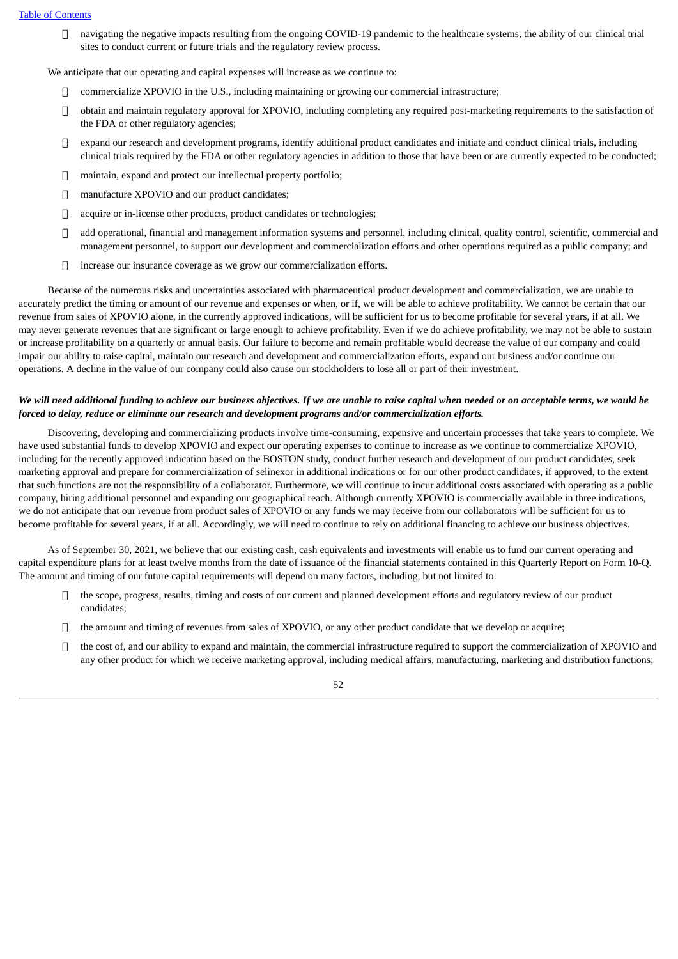$\Box$  navigating the negative impacts resulting from the ongoing COVID-19 pandemic to the healthcare systems, the ability of our clinical trial sites to conduct current or future trials and the regulatory review process.

We anticipate that our operating and capital expenses will increase as we continue to:

- commercialize XPOVIO in the U.S., including maintaining or growing our commercial infrastructure;
- obtain and maintain regulatory approval for XPOVIO, including completing any required post-marketing requirements to the satisfaction of the FDA or other regulatory agencies;
- expand our research and development programs, identify additional product candidates and initiate and conduct clinical trials, including clinical trials required by the FDA or other regulatory agencies in addition to those that have been or are currently expected to be conducted;
- maintain, expand and protect our intellectual property portfolio;
- manufacture XPOVIO and our product candidates;
- □ acquire or in-license other products, product candidates or technologies;
- $\Box$  add operational, financial and management information systems and personnel, including clinical, quality control, scientific, commercial and management personnel, to support our development and commercialization efforts and other operations required as a public company; and
- increase our insurance coverage as we grow our commercialization efforts.

Because of the numerous risks and uncertainties associated with pharmaceutical product development and commercialization, we are unable to accurately predict the timing or amount of our revenue and expenses or when, or if, we will be able to achieve profitability. We cannot be certain that our revenue from sales of XPOVIO alone, in the currently approved indications, will be sufficient for us to become profitable for several years, if at all. We may never generate revenues that are significant or large enough to achieve profitability. Even if we do achieve profitability, we may not be able to sustain or increase profitability on a quarterly or annual basis. Our failure to become and remain profitable would decrease the value of our company and could impair our ability to raise capital, maintain our research and development and commercialization efforts, expand our business and/or continue our operations. A decline in the value of our company could also cause our stockholders to lose all or part of their investment.

#### We will need additional funding to achieve our business objectives. If we are unable to raise capital when needed or on acceptable terms, we would be *forced to delay, reduce or eliminate our research and development programs and/or commercialization efforts.*

Discovering, developing and commercializing products involve time-consuming, expensive and uncertain processes that take years to complete. We have used substantial funds to develop XPOVIO and expect our operating expenses to continue to increase as we continue to commercialize XPOVIO, including for the recently approved indication based on the BOSTON study, conduct further research and development of our product candidates, seek marketing approval and prepare for commercialization of selinexor in additional indications or for our other product candidates, if approved, to the extent that such functions are not the responsibility of a collaborator. Furthermore, we will continue to incur additional costs associated with operating as a public company, hiring additional personnel and expanding our geographical reach. Although currently XPOVIO is commercially available in three indications, we do not anticipate that our revenue from product sales of XPOVIO or any funds we may receive from our collaborators will be sufficient for us to become profitable for several years, if at all. Accordingly, we will need to continue to rely on additional financing to achieve our business objectives.

As of September 30, 2021, we believe that our existing cash, cash equivalents and investments will enable us to fund our current operating and capital expenditure plans for at least twelve months from the date of issuance of the financial statements contained in this Quarterly Report on Form 10-Q. The amount and timing of our future capital requirements will depend on many factors, including, but not limited to:

- $\Box$  the scope, progress, results, timing and costs of our current and planned development efforts and regulatory review of our product candidates;
- □ the amount and timing of revenues from sales of XPOVIO, or any other product candidate that we develop or acquire;
- $\Box$  the cost of, and our ability to expand and maintain, the commercial infrastructure required to support the commercialization of XPOVIO and any other product for which we receive marketing approval, including medical affairs, manufacturing, marketing and distribution functions;

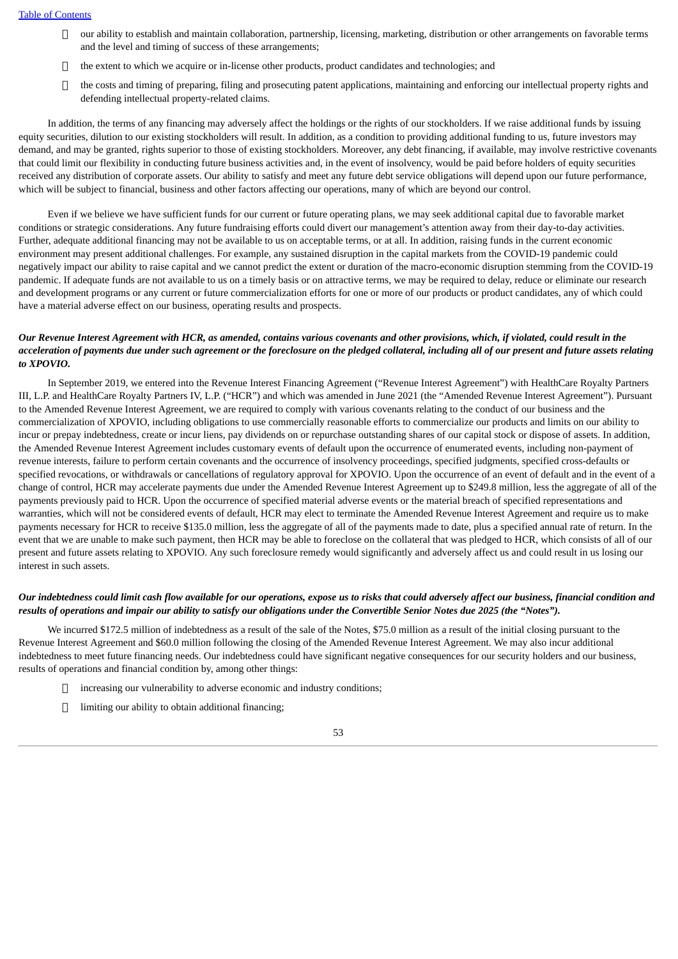- our ability to establish and maintain collaboration, partnership, licensing, marketing, distribution or other arrangements on favorable terms and the level and timing of success of these arrangements;
- $\Box$  the extent to which we acquire or in-license other products, product candidates and technologies; and
- $\Box$  the costs and timing of preparing, filing and prosecuting patent applications, maintaining and enforcing our intellectual property rights and defending intellectual property-related claims.

In addition, the terms of any financing may adversely affect the holdings or the rights of our stockholders. If we raise additional funds by issuing equity securities, dilution to our existing stockholders will result. In addition, as a condition to providing additional funding to us, future investors may demand, and may be granted, rights superior to those of existing stockholders. Moreover, any debt financing, if available, may involve restrictive covenants that could limit our flexibility in conducting future business activities and, in the event of insolvency, would be paid before holders of equity securities received any distribution of corporate assets. Our ability to satisfy and meet any future debt service obligations will depend upon our future performance, which will be subject to financial, business and other factors affecting our operations, many of which are beyond our control.

Even if we believe we have sufficient funds for our current or future operating plans, we may seek additional capital due to favorable market conditions or strategic considerations. Any future fundraising efforts could divert our management's attention away from their day-to-day activities. Further, adequate additional financing may not be available to us on acceptable terms, or at all. In addition, raising funds in the current economic environment may present additional challenges. For example, any sustained disruption in the capital markets from the COVID-19 pandemic could negatively impact our ability to raise capital and we cannot predict the extent or duration of the macro-economic disruption stemming from the COVID-19 pandemic. If adequate funds are not available to us on a timely basis or on attractive terms, we may be required to delay, reduce or eliminate our research and development programs or any current or future commercialization efforts for one or more of our products or product candidates, any of which could have a material adverse effect on our business, operating results and prospects.

### Our Revenue Interest Agreement with HCR, as amended, contains various covenants and other provisions, which, if violated, could result in the acceleration of payments due under such agreement or the foreclosure on the pledged collateral, including all of our present and future assets relating *to XPOVIO.*

In September 2019, we entered into the Revenue Interest Financing Agreement ("Revenue Interest Agreement") with HealthCare Royalty Partners III, L.P. and HealthCare Royalty Partners IV, L.P. ("HCR") and which was amended in June 2021 (the "Amended Revenue Interest Agreement"). Pursuant to the Amended Revenue Interest Agreement, we are required to comply with various covenants relating to the conduct of our business and the commercialization of XPOVIO, including obligations to use commercially reasonable efforts to commercialize our products and limits on our ability to incur or prepay indebtedness, create or incur liens, pay dividends on or repurchase outstanding shares of our capital stock or dispose of assets. In addition, the Amended Revenue Interest Agreement includes customary events of default upon the occurrence of enumerated events, including non-payment of revenue interests, failure to perform certain covenants and the occurrence of insolvency proceedings, specified judgments, specified cross-defaults or specified revocations, or withdrawals or cancellations of regulatory approval for XPOVIO. Upon the occurrence of an event of default and in the event of a change of control, HCR may accelerate payments due under the Amended Revenue Interest Agreement up to \$249.8 million, less the aggregate of all of the payments previously paid to HCR. Upon the occurrence of specified material adverse events or the material breach of specified representations and warranties, which will not be considered events of default, HCR may elect to terminate the Amended Revenue Interest Agreement and require us to make payments necessary for HCR to receive \$135.0 million, less the aggregate of all of the payments made to date, plus a specified annual rate of return. In the event that we are unable to make such payment, then HCR may be able to foreclose on the collateral that was pledged to HCR, which consists of all of our present and future assets relating to XPOVIO. Any such foreclosure remedy would significantly and adversely affect us and could result in us losing our interest in such assets.

### Our indebtedness could limit cash flow available for our operations, expose us to risks that could adversely affect our business, financial condition and results of operations and impair our ability to satisfy our obligations under the Convertible Senior Notes due 2025 (the "Notes").

We incurred \$172.5 million of indebtedness as a result of the sale of the Notes, \$75.0 million as a result of the initial closing pursuant to the Revenue Interest Agreement and \$60.0 million following the closing of the Amended Revenue Interest Agreement. We may also incur additional indebtedness to meet future financing needs. Our indebtedness could have significant negative consequences for our security holders and our business, results of operations and financial condition by, among other things:

- $\Box$  increasing our vulnerability to adverse economic and industry conditions;
- $\Box$  limiting our ability to obtain additional financing:

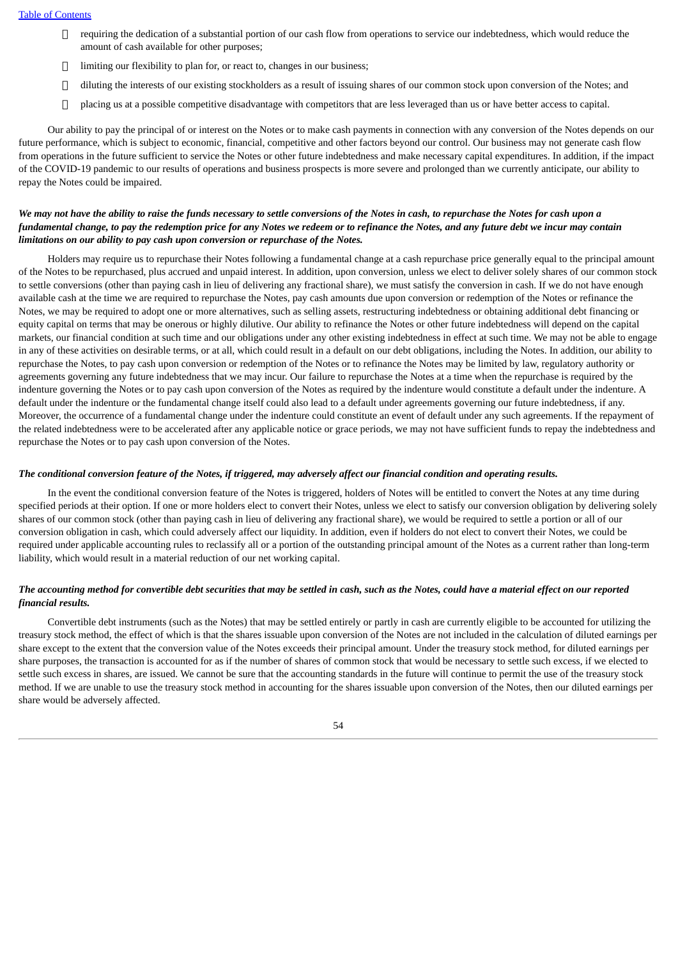- $\Box$  requiring the dedication of a substantial portion of our cash flow from operations to service our indebtedness, which would reduce the amount of cash available for other purposes;
- $\Box$  limiting our flexibility to plan for, or react to, changes in our business;
- $\Box$  diluting the interests of our existing stockholders as a result of issuing shares of our common stock upon conversion of the Notes; and
- $\Box$  placing us at a possible competitive disadvantage with competitors that are less leveraged than us or have better access to capital.

Our ability to pay the principal of or interest on the Notes or to make cash payments in connection with any conversion of the Notes depends on our future performance, which is subject to economic, financial, competitive and other factors beyond our control. Our business may not generate cash flow from operations in the future sufficient to service the Notes or other future indebtedness and make necessary capital expenditures. In addition, if the impact of the COVID-19 pandemic to our results of operations and business prospects is more severe and prolonged than we currently anticipate, our ability to repay the Notes could be impaired.

### We may not have the ability to raise the funds necessary to settle conversions of the Notes in cash, to repurchase the Notes for cash upon a fundamental change, to pay the redemption price for any Notes we redeem or to refinance the Notes, and any future debt we incur may contain *limitations on our ability to pay cash upon conversion or repurchase of the Notes.*

Holders may require us to repurchase their Notes following a fundamental change at a cash repurchase price generally equal to the principal amount of the Notes to be repurchased, plus accrued and unpaid interest. In addition, upon conversion, unless we elect to deliver solely shares of our common stock to settle conversions (other than paying cash in lieu of delivering any fractional share), we must satisfy the conversion in cash. If we do not have enough available cash at the time we are required to repurchase the Notes, pay cash amounts due upon conversion or redemption of the Notes or refinance the Notes, we may be required to adopt one or more alternatives, such as selling assets, restructuring indebtedness or obtaining additional debt financing or equity capital on terms that may be onerous or highly dilutive. Our ability to refinance the Notes or other future indebtedness will depend on the capital markets, our financial condition at such time and our obligations under any other existing indebtedness in effect at such time. We may not be able to engage in any of these activities on desirable terms, or at all, which could result in a default on our debt obligations, including the Notes. In addition, our ability to repurchase the Notes, to pay cash upon conversion or redemption of the Notes or to refinance the Notes may be limited by law, regulatory authority or agreements governing any future indebtedness that we may incur. Our failure to repurchase the Notes at a time when the repurchase is required by the indenture governing the Notes or to pay cash upon conversion of the Notes as required by the indenture would constitute a default under the indenture. A default under the indenture or the fundamental change itself could also lead to a default under agreements governing our future indebtedness, if any. Moreover, the occurrence of a fundamental change under the indenture could constitute an event of default under any such agreements. If the repayment of the related indebtedness were to be accelerated after any applicable notice or grace periods, we may not have sufficient funds to repay the indebtedness and repurchase the Notes or to pay cash upon conversion of the Notes.

#### The conditional conversion feature of the Notes, if triggered, may adversely affect our financial condition and operating results.

In the event the conditional conversion feature of the Notes is triggered, holders of Notes will be entitled to convert the Notes at any time during specified periods at their option. If one or more holders elect to convert their Notes, unless we elect to satisfy our conversion obligation by delivering solely shares of our common stock (other than paying cash in lieu of delivering any fractional share), we would be required to settle a portion or all of our conversion obligation in cash, which could adversely affect our liquidity. In addition, even if holders do not elect to convert their Notes, we could be required under applicable accounting rules to reclassify all or a portion of the outstanding principal amount of the Notes as a current rather than long-term liability, which would result in a material reduction of our net working capital.

# The accounting method for convertible debt securities that may be settled in cash, such as the Notes, could have a material effect on our reported *financial results.*

Convertible debt instruments (such as the Notes) that may be settled entirely or partly in cash are currently eligible to be accounted for utilizing the treasury stock method, the effect of which is that the shares issuable upon conversion of the Notes are not included in the calculation of diluted earnings per share except to the extent that the conversion value of the Notes exceeds their principal amount. Under the treasury stock method, for diluted earnings per share purposes, the transaction is accounted for as if the number of shares of common stock that would be necessary to settle such excess, if we elected to settle such excess in shares, are issued. We cannot be sure that the accounting standards in the future will continue to permit the use of the treasury stock method. If we are unable to use the treasury stock method in accounting for the shares issuable upon conversion of the Notes, then our diluted earnings per share would be adversely affected.

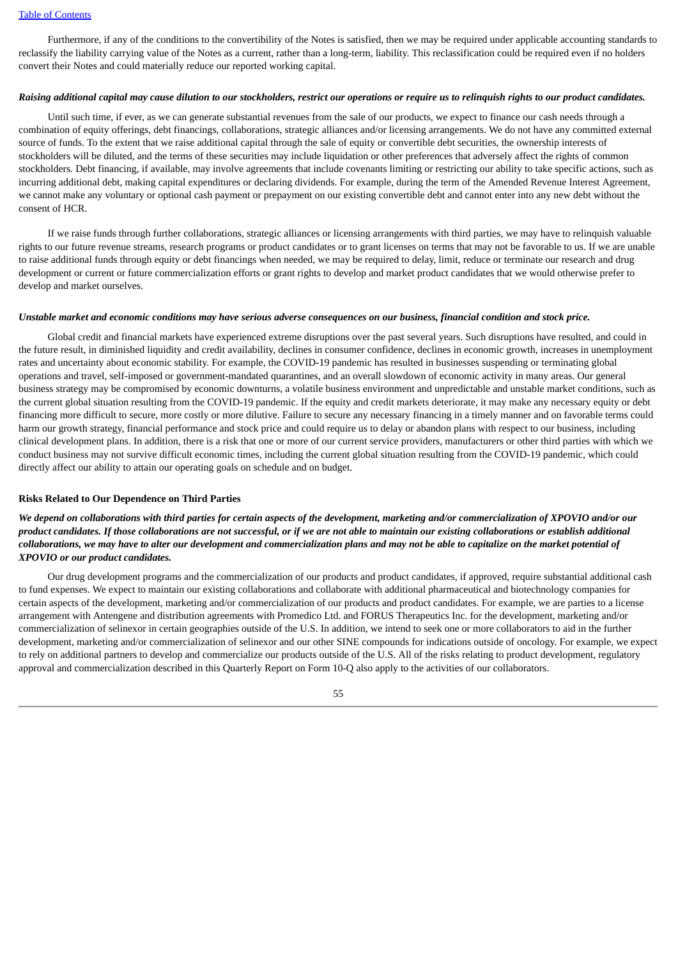Furthermore, if any of the conditions to the convertibility of the Notes is satisfied, then we may be required under applicable accounting standards to reclassify the liability carrying value of the Notes as a current, rather than a long-term, liability. This reclassification could be required even if no holders convert their Notes and could materially reduce our reported working capital.

# Raising additional capital may cause dilution to our stockholders, restrict our operations or require us to relinquish rights to our product candidates.

Until such time, if ever, as we can generate substantial revenues from the sale of our products, we expect to finance our cash needs through a combination of equity offerings, debt financings, collaborations, strategic alliances and/or licensing arrangements. We do not have any committed external source of funds. To the extent that we raise additional capital through the sale of equity or convertible debt securities, the ownership interests of stockholders will be diluted, and the terms of these securities may include liquidation or other preferences that adversely affect the rights of common stockholders. Debt financing, if available, may involve agreements that include covenants limiting or restricting our ability to take specific actions, such as incurring additional debt, making capital expenditures or declaring dividends. For example, during the term of the Amended Revenue Interest Agreement, we cannot make any voluntary or optional cash payment or prepayment on our existing convertible debt and cannot enter into any new debt without the consent of HCR.

If we raise funds through further collaborations, strategic alliances or licensing arrangements with third parties, we may have to relinquish valuable rights to our future revenue streams, research programs or product candidates or to grant licenses on terms that may not be favorable to us. If we are unable to raise additional funds through equity or debt financings when needed, we may be required to delay, limit, reduce or terminate our research and drug development or current or future commercialization efforts or grant rights to develop and market product candidates that we would otherwise prefer to develop and market ourselves.

#### Unstable market and economic conditions may have serious adverse consequences on our business, financial condition and stock price.

Global credit and financial markets have experienced extreme disruptions over the past several years. Such disruptions have resulted, and could in the future result, in diminished liquidity and credit availability, declines in consumer confidence, declines in economic growth, increases in unemployment rates and uncertainty about economic stability. For example, the COVID-19 pandemic has resulted in businesses suspending or terminating global operations and travel, self-imposed or government-mandated quarantines, and an overall slowdown of economic activity in many areas. Our general business strategy may be compromised by economic downturns, a volatile business environment and unpredictable and unstable market conditions, such as the current global situation resulting from the COVID-19 pandemic. If the equity and credit markets deteriorate, it may make any necessary equity or debt financing more difficult to secure, more costly or more dilutive. Failure to secure any necessary financing in a timely manner and on favorable terms could harm our growth strategy, financial performance and stock price and could require us to delay or abandon plans with respect to our business, including clinical development plans. In addition, there is a risk that one or more of our current service providers, manufacturers or other third parties with which we conduct business may not survive difficult economic times, including the current global situation resulting from the COVID-19 pandemic, which could directly affect our ability to attain our operating goals on schedule and on budget.

#### **Risks Related to Our Dependence on Third Parties**

We depend on collaborations with third parties for certain aspects of the development, marketing and/or commercialization of XPOVIO and/or our product candidates. If those collaborations are not successful, or if we are not able to maintain our existing collaborations or establish additional collaborations, we may have to alter our development and commercialization plans and may not be able to capitalize on the market potential of *XPOVIO or our product candidates.*

Our drug development programs and the commercialization of our products and product candidates, if approved, require substantial additional cash to fund expenses. We expect to maintain our existing collaborations and collaborate with additional pharmaceutical and biotechnology companies for certain aspects of the development, marketing and/or commercialization of our products and product candidates. For example, we are parties to a license arrangement with Antengene and distribution agreements with Promedico Ltd. and FORUS Therapeutics Inc. for the development, marketing and/or commercialization of selinexor in certain geographies outside of the U.S. In addition, we intend to seek one or more collaborators to aid in the further development, marketing and/or commercialization of selinexor and our other SINE compounds for indications outside of oncology. For example, we expect to rely on additional partners to develop and commercialize our products outside of the U.S. All of the risks relating to product development, regulatory approval and commercialization described in this Quarterly Report on Form 10-Q also apply to the activities of our collaborators.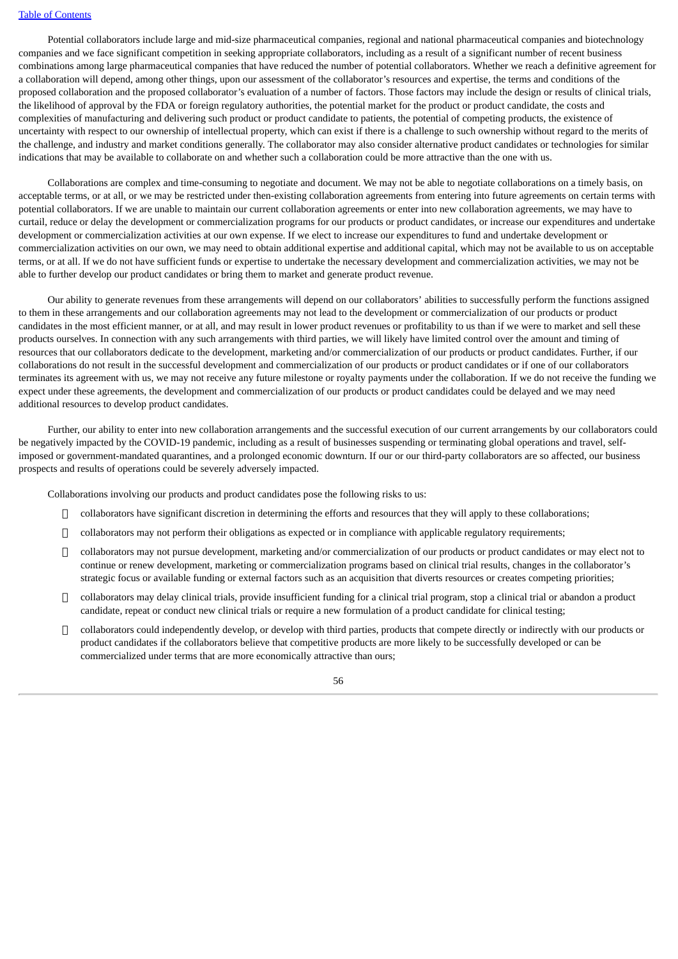Potential collaborators include large and mid-size pharmaceutical companies, regional and national pharmaceutical companies and biotechnology companies and we face significant competition in seeking appropriate collaborators, including as a result of a significant number of recent business combinations among large pharmaceutical companies that have reduced the number of potential collaborators. Whether we reach a definitive agreement for a collaboration will depend, among other things, upon our assessment of the collaborator's resources and expertise, the terms and conditions of the proposed collaboration and the proposed collaborator's evaluation of a number of factors. Those factors may include the design or results of clinical trials, the likelihood of approval by the FDA or foreign regulatory authorities, the potential market for the product or product candidate, the costs and complexities of manufacturing and delivering such product or product candidate to patients, the potential of competing products, the existence of uncertainty with respect to our ownership of intellectual property, which can exist if there is a challenge to such ownership without regard to the merits of the challenge, and industry and market conditions generally. The collaborator may also consider alternative product candidates or technologies for similar indications that may be available to collaborate on and whether such a collaboration could be more attractive than the one with us.

Collaborations are complex and time-consuming to negotiate and document. We may not be able to negotiate collaborations on a timely basis, on acceptable terms, or at all, or we may be restricted under then-existing collaboration agreements from entering into future agreements on certain terms with potential collaborators. If we are unable to maintain our current collaboration agreements or enter into new collaboration agreements, we may have to curtail, reduce or delay the development or commercialization programs for our products or product candidates, or increase our expenditures and undertake development or commercialization activities at our own expense. If we elect to increase our expenditures to fund and undertake development or commercialization activities on our own, we may need to obtain additional expertise and additional capital, which may not be available to us on acceptable terms, or at all. If we do not have sufficient funds or expertise to undertake the necessary development and commercialization activities, we may not be able to further develop our product candidates or bring them to market and generate product revenue.

Our ability to generate revenues from these arrangements will depend on our collaborators' abilities to successfully perform the functions assigned to them in these arrangements and our collaboration agreements may not lead to the development or commercialization of our products or product candidates in the most efficient manner, or at all, and may result in lower product revenues or profitability to us than if we were to market and sell these products ourselves. In connection with any such arrangements with third parties, we will likely have limited control over the amount and timing of resources that our collaborators dedicate to the development, marketing and/or commercialization of our products or product candidates. Further, if our collaborations do not result in the successful development and commercialization of our products or product candidates or if one of our collaborators terminates its agreement with us, we may not receive any future milestone or royalty payments under the collaboration. If we do not receive the funding we expect under these agreements, the development and commercialization of our products or product candidates could be delayed and we may need additional resources to develop product candidates.

Further, our ability to enter into new collaboration arrangements and the successful execution of our current arrangements by our collaborators could be negatively impacted by the COVID-19 pandemic, including as a result of businesses suspending or terminating global operations and travel, selfimposed or government-mandated quarantines, and a prolonged economic downturn. If our or our third-party collaborators are so affected, our business prospects and results of operations could be severely adversely impacted.

Collaborations involving our products and product candidates pose the following risks to us:

- $\Box$  collaborators have significant discretion in determining the efforts and resources that they will apply to these collaborations;
- $\Box$  collaborators may not perform their obligations as expected or in compliance with applicable regulatory requirements;
- $\Box$  collaborators may not pursue development, marketing and/or commercialization of our products or product candidates or may elect not to continue or renew development, marketing or commercialization programs based on clinical trial results, changes in the collaborator's strategic focus or available funding or external factors such as an acquisition that diverts resources or creates competing priorities;
- collaborators may delay clinical trials, provide insufficient funding for a clinical trial program, stop a clinical trial or abandon a product candidate, repeat or conduct new clinical trials or require a new formulation of a product candidate for clinical testing;
- collaborators could independently develop, or develop with third parties, products that compete directly or indirectly with our products or product candidates if the collaborators believe that competitive products are more likely to be successfully developed or can be commercialized under terms that are more economically attractive than ours;

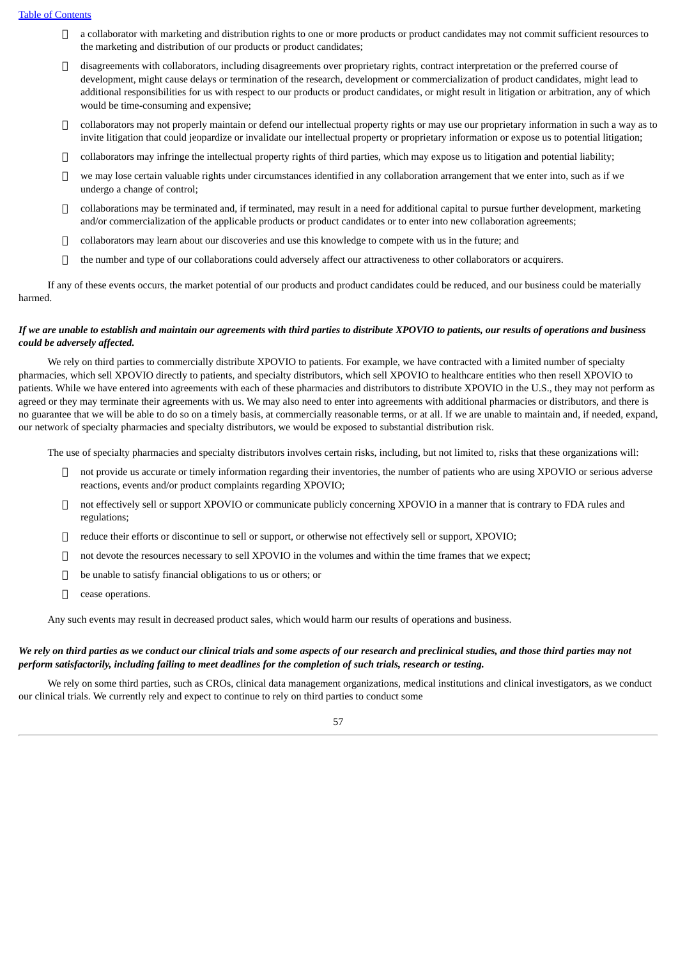- $\Box$  a collaborator with marketing and distribution rights to one or more products or product candidates may not commit sufficient resources to the marketing and distribution of our products or product candidates;
- $\Box$  disagreements with collaborators, including disagreements over proprietary rights, contract interpretation or the preferred course of development, might cause delays or termination of the research, development or commercialization of product candidates, might lead to additional responsibilities for us with respect to our products or product candidates, or might result in litigation or arbitration, any of which would be time-consuming and expensive;
- $\Box$  collaborators may not properly maintain or defend our intellectual property rights or may use our proprietary information in such a way as to invite litigation that could jeopardize or invalidate our intellectual property or proprietary information or expose us to potential litigation;
- $\Box$  collaborators may infringe the intellectual property rights of third parties, which may expose us to litigation and potential liability;
- $\Box$  we may lose certain valuable rights under circumstances identified in any collaboration arrangement that we enter into, such as if we undergo a change of control;
- $\Box$  collaborations may be terminated and, if terminated, may result in a need for additional capital to pursue further development, marketing and/or commercialization of the applicable products or product candidates or to enter into new collaboration agreements;
- collaborators may learn about our discoveries and use this knowledge to compete with us in the future; and
- $\Box$  the number and type of our collaborations could adversely affect our attractiveness to other collaborators or acquirers.

If any of these events occurs, the market potential of our products and product candidates could be reduced, and our business could be materially harmed.

### If we are unable to establish and maintain our agreements with third parties to distribute XPOVIO to patients, our results of operations and business *could be adversely affected.*

We rely on third parties to commercially distribute XPOVIO to patients. For example, we have contracted with a limited number of specialty pharmacies, which sell XPOVIO directly to patients, and specialty distributors, which sell XPOVIO to healthcare entities who then resell XPOVIO to patients. While we have entered into agreements with each of these pharmacies and distributors to distribute XPOVIO in the U.S., they may not perform as agreed or they may terminate their agreements with us. We may also need to enter into agreements with additional pharmacies or distributors, and there is no guarantee that we will be able to do so on a timely basis, at commercially reasonable terms, or at all. If we are unable to maintain and, if needed, expand, our network of specialty pharmacies and specialty distributors, we would be exposed to substantial distribution risk.

The use of specialty pharmacies and specialty distributors involves certain risks, including, but not limited to, risks that these organizations will:

- not provide us accurate or timely information regarding their inventories, the number of patients who are using XPOVIO or serious adverse reactions, events and/or product complaints regarding XPOVIO;
- not effectively sell or support XPOVIO or communicate publicly concerning XPOVIO in a manner that is contrary to FDA rules and regulations;
- $\Box$  reduce their efforts or discontinue to sell or support, or otherwise not effectively sell or support, XPOVIO;
- $\Box$  not devote the resources necessary to sell XPOVIO in the volumes and within the time frames that we expect;
- $\Box$  be unable to satisfy financial obligations to us or others; or
- $\Box$  cease operations.

Any such events may result in decreased product sales, which would harm our results of operations and business.

### We rely on third parties as we conduct our clinical trials and some aspects of our research and preclinical studies, and those third parties may not perform satisfactorily, including failing to meet deadlines for the completion of such trials, research or testing.

We rely on some third parties, such as CROs, clinical data management organizations, medical institutions and clinical investigators, as we conduct our clinical trials. We currently rely and expect to continue to rely on third parties to conduct some

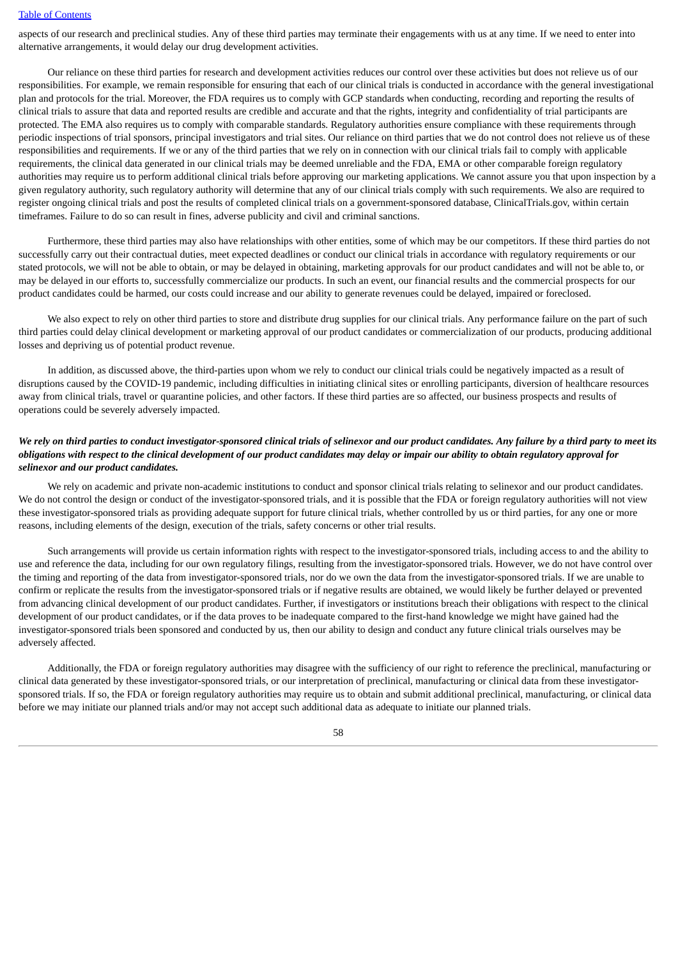aspects of our research and preclinical studies. Any of these third parties may terminate their engagements with us at any time. If we need to enter into alternative arrangements, it would delay our drug development activities.

Our reliance on these third parties for research and development activities reduces our control over these activities but does not relieve us of our responsibilities. For example, we remain responsible for ensuring that each of our clinical trials is conducted in accordance with the general investigational plan and protocols for the trial. Moreover, the FDA requires us to comply with GCP standards when conducting, recording and reporting the results of clinical trials to assure that data and reported results are credible and accurate and that the rights, integrity and confidentiality of trial participants are protected. The EMA also requires us to comply with comparable standards. Regulatory authorities ensure compliance with these requirements through periodic inspections of trial sponsors, principal investigators and trial sites. Our reliance on third parties that we do not control does not relieve us of these responsibilities and requirements. If we or any of the third parties that we rely on in connection with our clinical trials fail to comply with applicable requirements, the clinical data generated in our clinical trials may be deemed unreliable and the FDA, EMA or other comparable foreign regulatory authorities may require us to perform additional clinical trials before approving our marketing applications. We cannot assure you that upon inspection by a given regulatory authority, such regulatory authority will determine that any of our clinical trials comply with such requirements. We also are required to register ongoing clinical trials and post the results of completed clinical trials on a government-sponsored database, ClinicalTrials.gov, within certain timeframes. Failure to do so can result in fines, adverse publicity and civil and criminal sanctions.

Furthermore, these third parties may also have relationships with other entities, some of which may be our competitors. If these third parties do not successfully carry out their contractual duties, meet expected deadlines or conduct our clinical trials in accordance with regulatory requirements or our stated protocols, we will not be able to obtain, or may be delayed in obtaining, marketing approvals for our product candidates and will not be able to, or may be delayed in our efforts to, successfully commercialize our products. In such an event, our financial results and the commercial prospects for our product candidates could be harmed, our costs could increase and our ability to generate revenues could be delayed, impaired or foreclosed.

We also expect to rely on other third parties to store and distribute drug supplies for our clinical trials. Any performance failure on the part of such third parties could delay clinical development or marketing approval of our product candidates or commercialization of our products, producing additional losses and depriving us of potential product revenue.

In addition, as discussed above, the third-parties upon whom we rely to conduct our clinical trials could be negatively impacted as a result of disruptions caused by the COVID-19 pandemic, including difficulties in initiating clinical sites or enrolling participants, diversion of healthcare resources away from clinical trials, travel or quarantine policies, and other factors. If these third parties are so affected, our business prospects and results of operations could be severely adversely impacted.

# We rely on third parties to conduct investigator-sponsored clinical trials of selinexor and our product candidates. Any failure by a third party to meet its obligations with respect to the clinical development of our product candidates may delay or impair our ability to obtain regulatory approval for *selinexor and our product candidates.*

We rely on academic and private non-academic institutions to conduct and sponsor clinical trials relating to selinexor and our product candidates. We do not control the design or conduct of the investigator-sponsored trials, and it is possible that the FDA or foreign regulatory authorities will not view these investigator-sponsored trials as providing adequate support for future clinical trials, whether controlled by us or third parties, for any one or more reasons, including elements of the design, execution of the trials, safety concerns or other trial results.

Such arrangements will provide us certain information rights with respect to the investigator-sponsored trials, including access to and the ability to use and reference the data, including for our own regulatory filings, resulting from the investigator-sponsored trials. However, we do not have control over the timing and reporting of the data from investigator-sponsored trials, nor do we own the data from the investigator-sponsored trials. If we are unable to confirm or replicate the results from the investigator-sponsored trials or if negative results are obtained, we would likely be further delayed or prevented from advancing clinical development of our product candidates. Further, if investigators or institutions breach their obligations with respect to the clinical development of our product candidates, or if the data proves to be inadequate compared to the first-hand knowledge we might have gained had the investigator-sponsored trials been sponsored and conducted by us, then our ability to design and conduct any future clinical trials ourselves may be adversely affected.

Additionally, the FDA or foreign regulatory authorities may disagree with the sufficiency of our right to reference the preclinical, manufacturing or clinical data generated by these investigator-sponsored trials, or our interpretation of preclinical, manufacturing or clinical data from these investigatorsponsored trials. If so, the FDA or foreign regulatory authorities may require us to obtain and submit additional preclinical, manufacturing, or clinical data before we may initiate our planned trials and/or may not accept such additional data as adequate to initiate our planned trials.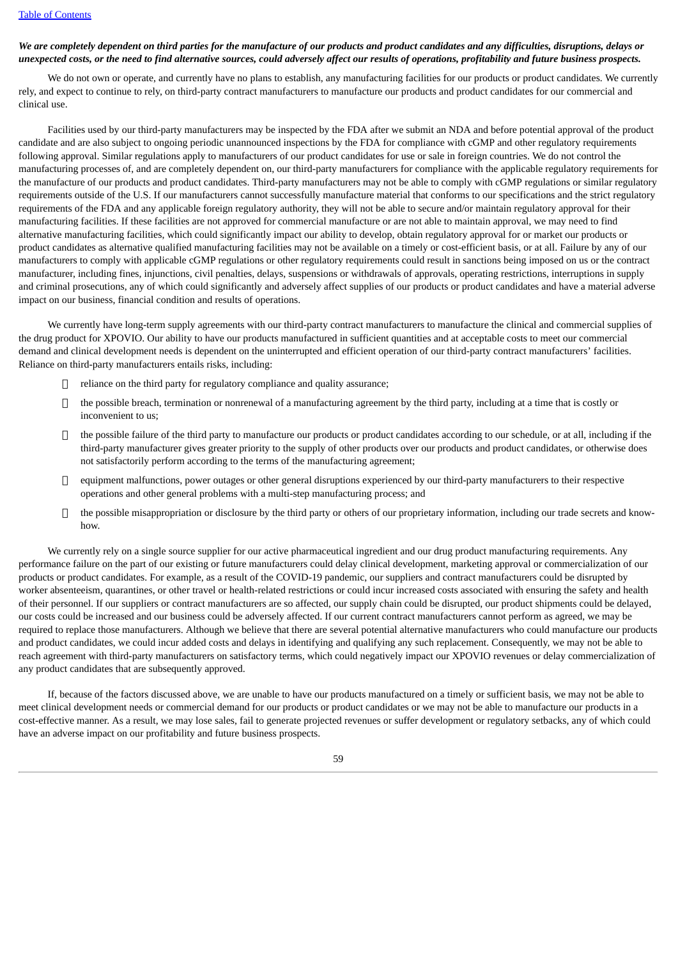#### We are completely dependent on third parties for the manufacture of our products and product candidates and any difficulties, disruptions, delays or unexpected costs, or the need to find alternative sources, could adversely affect our results of operations, profitability and future business prospects.

We do not own or operate, and currently have no plans to establish, any manufacturing facilities for our products or product candidates. We currently rely, and expect to continue to rely, on third-party contract manufacturers to manufacture our products and product candidates for our commercial and clinical use.

Facilities used by our third-party manufacturers may be inspected by the FDA after we submit an NDA and before potential approval of the product candidate and are also subject to ongoing periodic unannounced inspections by the FDA for compliance with cGMP and other regulatory requirements following approval. Similar regulations apply to manufacturers of our product candidates for use or sale in foreign countries. We do not control the manufacturing processes of, and are completely dependent on, our third-party manufacturers for compliance with the applicable regulatory requirements for the manufacture of our products and product candidates. Third-party manufacturers may not be able to comply with cGMP regulations or similar regulatory requirements outside of the U.S. If our manufacturers cannot successfully manufacture material that conforms to our specifications and the strict regulatory requirements of the FDA and any applicable foreign regulatory authority, they will not be able to secure and/or maintain regulatory approval for their manufacturing facilities. If these facilities are not approved for commercial manufacture or are not able to maintain approval, we may need to find alternative manufacturing facilities, which could significantly impact our ability to develop, obtain regulatory approval for or market our products or product candidates as alternative qualified manufacturing facilities may not be available on a timely or cost-efficient basis, or at all. Failure by any of our manufacturers to comply with applicable cGMP regulations or other regulatory requirements could result in sanctions being imposed on us or the contract manufacturer, including fines, injunctions, civil penalties, delays, suspensions or withdrawals of approvals, operating restrictions, interruptions in supply and criminal prosecutions, any of which could significantly and adversely affect supplies of our products or product candidates and have a material adverse impact on our business, financial condition and results of operations.

We currently have long-term supply agreements with our third-party contract manufacturers to manufacture the clinical and commercial supplies of the drug product for XPOVIO. Our ability to have our products manufactured in sufficient quantities and at acceptable costs to meet our commercial demand and clinical development needs is dependent on the uninterrupted and efficient operation of our third-party contract manufacturers' facilities. Reliance on third-party manufacturers entails risks, including:

- $\Box$  reliance on the third party for regulatory compliance and quality assurance;
- $\Box$  the possible breach, termination or nonrenewal of a manufacturing agreement by the third party, including at a time that is costly or inconvenient to us;
- $\Box$  the possible failure of the third party to manufacture our products or product candidates according to our schedule, or at all, including if the third-party manufacturer gives greater priority to the supply of other products over our products and product candidates, or otherwise does not satisfactorily perform according to the terms of the manufacturing agreement;
- $\Box$  equipment malfunctions, power outages or other general disruptions experienced by our third-party manufacturers to their respective operations and other general problems with a multi-step manufacturing process; and
- $\Box$  the possible misappropriation or disclosure by the third party or others of our proprietary information, including our trade secrets and knowhow.

We currently rely on a single source supplier for our active pharmaceutical ingredient and our drug product manufacturing requirements. Any performance failure on the part of our existing or future manufacturers could delay clinical development, marketing approval or commercialization of our products or product candidates. For example, as a result of the COVID-19 pandemic, our suppliers and contract manufacturers could be disrupted by worker absenteeism, quarantines, or other travel or health-related restrictions or could incur increased costs associated with ensuring the safety and health of their personnel. If our suppliers or contract manufacturers are so affected, our supply chain could be disrupted, our product shipments could be delayed, our costs could be increased and our business could be adversely affected. If our current contract manufacturers cannot perform as agreed, we may be required to replace those manufacturers. Although we believe that there are several potential alternative manufacturers who could manufacture our products and product candidates, we could incur added costs and delays in identifying and qualifying any such replacement. Consequently, we may not be able to reach agreement with third-party manufacturers on satisfactory terms, which could negatively impact our XPOVIO revenues or delay commercialization of any product candidates that are subsequently approved.

If, because of the factors discussed above, we are unable to have our products manufactured on a timely or sufficient basis, we may not be able to meet clinical development needs or commercial demand for our products or product candidates or we may not be able to manufacture our products in a cost-effective manner. As a result, we may lose sales, fail to generate projected revenues or suffer development or regulatory setbacks, any of which could have an adverse impact on our profitability and future business prospects.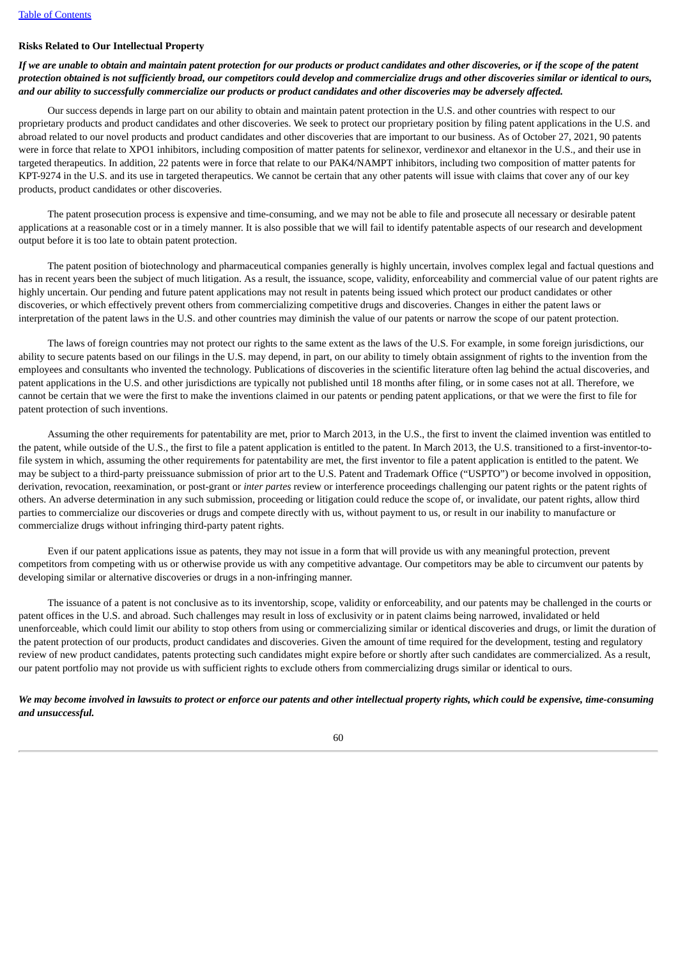# **Risks Related to Our Intellectual Property**

If we are unable to obtain and maintain patent protection for our products or product candidates and other discoveries, or if the scope of the patent protection obtained is not sufficiently broad, our competitors could develop and commercialize drugs and other discoveries similar or identical to ours, and our ability to successfully commercialize our products or product candidates and other discoveries may be adversely affected.

Our success depends in large part on our ability to obtain and maintain patent protection in the U.S. and other countries with respect to our proprietary products and product candidates and other discoveries. We seek to protect our proprietary position by filing patent applications in the U.S. and abroad related to our novel products and product candidates and other discoveries that are important to our business. As of October 27, 2021, 90 patents were in force that relate to XPO1 inhibitors, including composition of matter patents for selinexor, verdinexor and eltanexor in the U.S., and their use in targeted therapeutics. In addition, 22 patents were in force that relate to our PAK4/NAMPT inhibitors, including two composition of matter patents for KPT-9274 in the U.S. and its use in targeted therapeutics. We cannot be certain that any other patents will issue with claims that cover any of our key products, product candidates or other discoveries.

The patent prosecution process is expensive and time-consuming, and we may not be able to file and prosecute all necessary or desirable patent applications at a reasonable cost or in a timely manner. It is also possible that we will fail to identify patentable aspects of our research and development output before it is too late to obtain patent protection.

The patent position of biotechnology and pharmaceutical companies generally is highly uncertain, involves complex legal and factual questions and has in recent years been the subject of much litigation. As a result, the issuance, scope, validity, enforceability and commercial value of our patent rights are highly uncertain. Our pending and future patent applications may not result in patents being issued which protect our product candidates or other discoveries, or which effectively prevent others from commercializing competitive drugs and discoveries. Changes in either the patent laws or interpretation of the patent laws in the U.S. and other countries may diminish the value of our patents or narrow the scope of our patent protection.

The laws of foreign countries may not protect our rights to the same extent as the laws of the U.S. For example, in some foreign jurisdictions, our ability to secure patents based on our filings in the U.S. may depend, in part, on our ability to timely obtain assignment of rights to the invention from the employees and consultants who invented the technology. Publications of discoveries in the scientific literature often lag behind the actual discoveries, and patent applications in the U.S. and other jurisdictions are typically not published until 18 months after filing, or in some cases not at all. Therefore, we cannot be certain that we were the first to make the inventions claimed in our patents or pending patent applications, or that we were the first to file for patent protection of such inventions.

Assuming the other requirements for patentability are met, prior to March 2013, in the U.S., the first to invent the claimed invention was entitled to the patent, while outside of the U.S., the first to file a patent application is entitled to the patent. In March 2013, the U.S. transitioned to a first-inventor-tofile system in which, assuming the other requirements for patentability are met, the first inventor to file a patent application is entitled to the patent. We may be subject to a third-party preissuance submission of prior art to the U.S. Patent and Trademark Office ("USPTO") or become involved in opposition, derivation, revocation, reexamination, or post-grant or *inter partes* review or interference proceedings challenging our patent rights or the patent rights of others. An adverse determination in any such submission, proceeding or litigation could reduce the scope of, or invalidate, our patent rights, allow third parties to commercialize our discoveries or drugs and compete directly with us, without payment to us, or result in our inability to manufacture or commercialize drugs without infringing third-party patent rights.

Even if our patent applications issue as patents, they may not issue in a form that will provide us with any meaningful protection, prevent competitors from competing with us or otherwise provide us with any competitive advantage. Our competitors may be able to circumvent our patents by developing similar or alternative discoveries or drugs in a non-infringing manner.

The issuance of a patent is not conclusive as to its inventorship, scope, validity or enforceability, and our patents may be challenged in the courts or patent offices in the U.S. and abroad. Such challenges may result in loss of exclusivity or in patent claims being narrowed, invalidated or held unenforceable, which could limit our ability to stop others from using or commercializing similar or identical discoveries and drugs, or limit the duration of the patent protection of our products, product candidates and discoveries. Given the amount of time required for the development, testing and regulatory review of new product candidates, patents protecting such candidates might expire before or shortly after such candidates are commercialized. As a result, our patent portfolio may not provide us with sufficient rights to exclude others from commercializing drugs similar or identical to ours.

We may become involved in lawsuits to protect or enforce our patents and other intellectual property rights, which could be expensive, time-consuming *and unsuccessful.*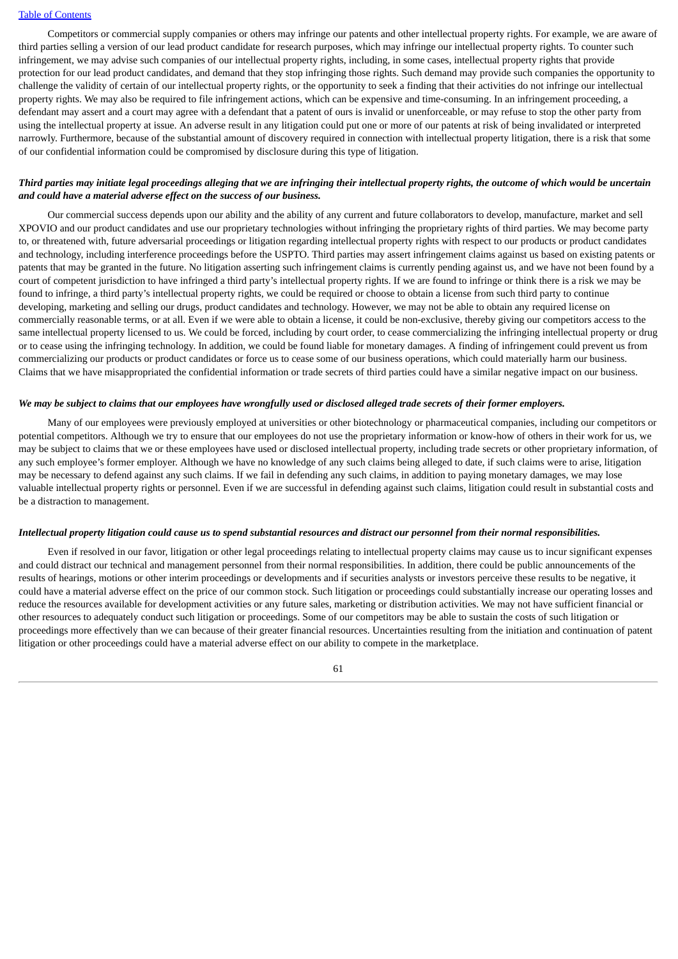Competitors or commercial supply companies or others may infringe our patents and other intellectual property rights. For example, we are aware of third parties selling a version of our lead product candidate for research purposes, which may infringe our intellectual property rights. To counter such infringement, we may advise such companies of our intellectual property rights, including, in some cases, intellectual property rights that provide protection for our lead product candidates, and demand that they stop infringing those rights. Such demand may provide such companies the opportunity to challenge the validity of certain of our intellectual property rights, or the opportunity to seek a finding that their activities do not infringe our intellectual property rights. We may also be required to file infringement actions, which can be expensive and time-consuming. In an infringement proceeding, a defendant may assert and a court may agree with a defendant that a patent of ours is invalid or unenforceable, or may refuse to stop the other party from using the intellectual property at issue. An adverse result in any litigation could put one or more of our patents at risk of being invalidated or interpreted narrowly. Furthermore, because of the substantial amount of discovery required in connection with intellectual property litigation, there is a risk that some of our confidential information could be compromised by disclosure during this type of litigation.

## Third parties may initiate legal proceedings alleging that we are infringing their intellectual property rights, the outcome of which would be uncertain *and could have a material adverse effect on the success of our business.*

Our commercial success depends upon our ability and the ability of any current and future collaborators to develop, manufacture, market and sell XPOVIO and our product candidates and use our proprietary technologies without infringing the proprietary rights of third parties. We may become party to, or threatened with, future adversarial proceedings or litigation regarding intellectual property rights with respect to our products or product candidates and technology, including interference proceedings before the USPTO. Third parties may assert infringement claims against us based on existing patents or patents that may be granted in the future. No litigation asserting such infringement claims is currently pending against us, and we have not been found by a court of competent jurisdiction to have infringed a third party's intellectual property rights. If we are found to infringe or think there is a risk we may be found to infringe, a third party's intellectual property rights, we could be required or choose to obtain a license from such third party to continue developing, marketing and selling our drugs, product candidates and technology. However, we may not be able to obtain any required license on commercially reasonable terms, or at all. Even if we were able to obtain a license, it could be non-exclusive, thereby giving our competitors access to the same intellectual property licensed to us. We could be forced, including by court order, to cease commercializing the infringing intellectual property or drug or to cease using the infringing technology. In addition, we could be found liable for monetary damages. A finding of infringement could prevent us from commercializing our products or product candidates or force us to cease some of our business operations, which could materially harm our business. Claims that we have misappropriated the confidential information or trade secrets of third parties could have a similar negative impact on our business.

#### We may be subject to claims that our employees have wrongfully used or disclosed alleged trade secrets of their former employers.

Many of our employees were previously employed at universities or other biotechnology or pharmaceutical companies, including our competitors or potential competitors. Although we try to ensure that our employees do not use the proprietary information or know-how of others in their work for us, we may be subject to claims that we or these employees have used or disclosed intellectual property, including trade secrets or other proprietary information, of any such employee's former employer. Although we have no knowledge of any such claims being alleged to date, if such claims were to arise, litigation may be necessary to defend against any such claims. If we fail in defending any such claims, in addition to paying monetary damages, we may lose valuable intellectual property rights or personnel. Even if we are successful in defending against such claims, litigation could result in substantial costs and be a distraction to management.

#### Intellectual property litigation could cause us to spend substantial resources and distract our personnel from their normal responsibilities.

Even if resolved in our favor, litigation or other legal proceedings relating to intellectual property claims may cause us to incur significant expenses and could distract our technical and management personnel from their normal responsibilities. In addition, there could be public announcements of the results of hearings, motions or other interim proceedings or developments and if securities analysts or investors perceive these results to be negative, it could have a material adverse effect on the price of our common stock. Such litigation or proceedings could substantially increase our operating losses and reduce the resources available for development activities or any future sales, marketing or distribution activities. We may not have sufficient financial or other resources to adequately conduct such litigation or proceedings. Some of our competitors may be able to sustain the costs of such litigation or proceedings more effectively than we can because of their greater financial resources. Uncertainties resulting from the initiation and continuation of patent litigation or other proceedings could have a material adverse effect on our ability to compete in the marketplace.

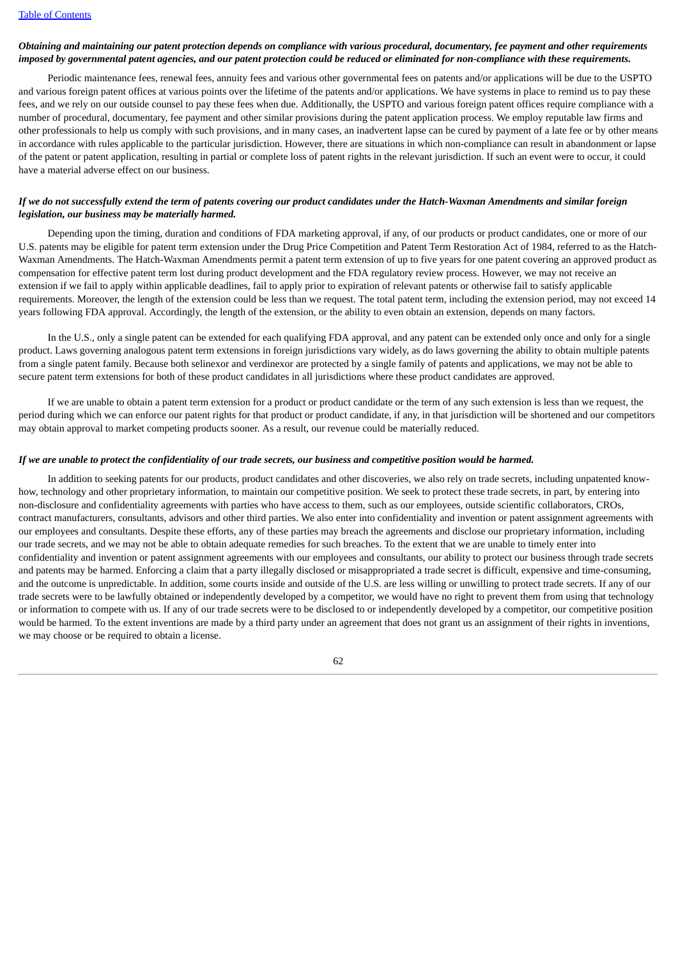# Obtaining and maintaining our patent protection depends on compliance with various procedural, documentary, fee payment and other requirements imposed by governmental patent agencies, and our patent protection could be reduced or eliminated for non-compliance with these reauirements.

Periodic maintenance fees, renewal fees, annuity fees and various other governmental fees on patents and/or applications will be due to the USPTO and various foreign patent offices at various points over the lifetime of the patents and/or applications. We have systems in place to remind us to pay these fees, and we rely on our outside counsel to pay these fees when due. Additionally, the USPTO and various foreign patent offices require compliance with a number of procedural, documentary, fee payment and other similar provisions during the patent application process. We employ reputable law firms and other professionals to help us comply with such provisions, and in many cases, an inadvertent lapse can be cured by payment of a late fee or by other means in accordance with rules applicable to the particular jurisdiction. However, there are situations in which non-compliance can result in abandonment or lapse of the patent or patent application, resulting in partial or complete loss of patent rights in the relevant jurisdiction. If such an event were to occur, it could have a material adverse effect on our business.

### If we do not successfully extend the term of patents covering our product candidates under the Hatch-Waxman Amendments and similar foreign *legislation, our business may be materially harmed.*

Depending upon the timing, duration and conditions of FDA marketing approval, if any, of our products or product candidates, one or more of our U.S. patents may be eligible for patent term extension under the Drug Price Competition and Patent Term Restoration Act of 1984, referred to as the Hatch-Waxman Amendments. The Hatch-Waxman Amendments permit a patent term extension of up to five years for one patent covering an approved product as compensation for effective patent term lost during product development and the FDA regulatory review process. However, we may not receive an extension if we fail to apply within applicable deadlines, fail to apply prior to expiration of relevant patents or otherwise fail to satisfy applicable requirements. Moreover, the length of the extension could be less than we request. The total patent term, including the extension period, may not exceed 14 years following FDA approval. Accordingly, the length of the extension, or the ability to even obtain an extension, depends on many factors.

In the U.S., only a single patent can be extended for each qualifying FDA approval, and any patent can be extended only once and only for a single product. Laws governing analogous patent term extensions in foreign jurisdictions vary widely, as do laws governing the ability to obtain multiple patents from a single patent family. Because both selinexor and verdinexor are protected by a single family of patents and applications, we may not be able to secure patent term extensions for both of these product candidates in all jurisdictions where these product candidates are approved.

If we are unable to obtain a patent term extension for a product or product candidate or the term of any such extension is less than we request, the period during which we can enforce our patent rights for that product or product candidate, if any, in that jurisdiction will be shortened and our competitors may obtain approval to market competing products sooner. As a result, our revenue could be materially reduced.

#### If we are unable to protect the confidentiality of our trade secrets, our business and competitive position would be harmed.

In addition to seeking patents for our products, product candidates and other discoveries, we also rely on trade secrets, including unpatented knowhow, technology and other proprietary information, to maintain our competitive position. We seek to protect these trade secrets, in part, by entering into non-disclosure and confidentiality agreements with parties who have access to them, such as our employees, outside scientific collaborators, CROs, contract manufacturers, consultants, advisors and other third parties. We also enter into confidentiality and invention or patent assignment agreements with our employees and consultants. Despite these efforts, any of these parties may breach the agreements and disclose our proprietary information, including our trade secrets, and we may not be able to obtain adequate remedies for such breaches. To the extent that we are unable to timely enter into confidentiality and invention or patent assignment agreements with our employees and consultants, our ability to protect our business through trade secrets and patents may be harmed. Enforcing a claim that a party illegally disclosed or misappropriated a trade secret is difficult, expensive and time-consuming, and the outcome is unpredictable. In addition, some courts inside and outside of the U.S. are less willing or unwilling to protect trade secrets. If any of our trade secrets were to be lawfully obtained or independently developed by a competitor, we would have no right to prevent them from using that technology or information to compete with us. If any of our trade secrets were to be disclosed to or independently developed by a competitor, our competitive position would be harmed. To the extent inventions are made by a third party under an agreement that does not grant us an assignment of their rights in inventions, we may choose or be required to obtain a license.

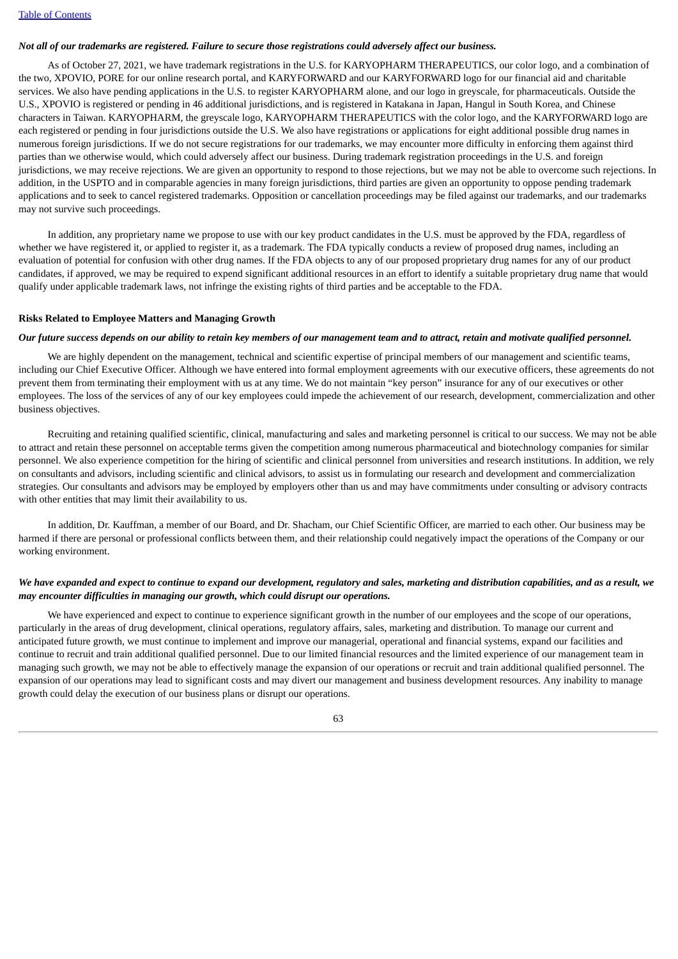#### Not all of our trademarks are registered. Failure to secure those registrations could adversely affect our business.

As of October 27, 2021, we have trademark registrations in the U.S. for KARYOPHARM THERAPEUTICS, our color logo, and a combination of the two, XPOVIO, PORE for our online research portal, and KARYFORWARD and our KARYFORWARD logo for our financial aid and charitable services. We also have pending applications in the U.S. to register KARYOPHARM alone, and our logo in greyscale, for pharmaceuticals. Outside the U.S., XPOVIO is registered or pending in 46 additional jurisdictions, and is registered in Katakana in Japan, Hangul in South Korea, and Chinese characters in Taiwan. KARYOPHARM, the greyscale logo, KARYOPHARM THERAPEUTICS with the color logo, and the KARYFORWARD logo are each registered or pending in four jurisdictions outside the U.S. We also have registrations or applications for eight additional possible drug names in numerous foreign jurisdictions. If we do not secure registrations for our trademarks, we may encounter more difficulty in enforcing them against third parties than we otherwise would, which could adversely affect our business. During trademark registration proceedings in the U.S. and foreign jurisdictions, we may receive rejections. We are given an opportunity to respond to those rejections, but we may not be able to overcome such rejections. In addition, in the USPTO and in comparable agencies in many foreign jurisdictions, third parties are given an opportunity to oppose pending trademark applications and to seek to cancel registered trademarks. Opposition or cancellation proceedings may be filed against our trademarks, and our trademarks may not survive such proceedings.

In addition, any proprietary name we propose to use with our key product candidates in the U.S. must be approved by the FDA, regardless of whether we have registered it, or applied to register it, as a trademark. The FDA typically conducts a review of proposed drug names, including an evaluation of potential for confusion with other drug names. If the FDA objects to any of our proposed proprietary drug names for any of our product candidates, if approved, we may be required to expend significant additional resources in an effort to identify a suitable proprietary drug name that would qualify under applicable trademark laws, not infringe the existing rights of third parties and be acceptable to the FDA.

#### **Risks Related to Employee Matters and Managing Growth**

#### Our future success depends on our ability to retain key members of our management team and to attract, retain and motivate qualified personnel.

We are highly dependent on the management, technical and scientific expertise of principal members of our management and scientific teams, including our Chief Executive Officer. Although we have entered into formal employment agreements with our executive officers, these agreements do not prevent them from terminating their employment with us at any time. We do not maintain "key person" insurance for any of our executives or other employees. The loss of the services of any of our key employees could impede the achievement of our research, development, commercialization and other business objectives.

Recruiting and retaining qualified scientific, clinical, manufacturing and sales and marketing personnel is critical to our success. We may not be able to attract and retain these personnel on acceptable terms given the competition among numerous pharmaceutical and biotechnology companies for similar personnel. We also experience competition for the hiring of scientific and clinical personnel from universities and research institutions. In addition, we rely on consultants and advisors, including scientific and clinical advisors, to assist us in formulating our research and development and commercialization strategies. Our consultants and advisors may be employed by employers other than us and may have commitments under consulting or advisory contracts with other entities that may limit their availability to us.

In addition, Dr. Kauffman, a member of our Board, and Dr. Shacham, our Chief Scientific Officer, are married to each other. Our business may be harmed if there are personal or professional conflicts between them, and their relationship could negatively impact the operations of the Company or our working environment.

## We have expanded and expect to continue to expand our development, reaulatory and sales, marketing and distribution capabilities, and as a result, we *may encounter difficulties in managing our growth, which could disrupt our operations.*

We have experienced and expect to continue to experience significant growth in the number of our employees and the scope of our operations, particularly in the areas of drug development, clinical operations, regulatory affairs, sales, marketing and distribution. To manage our current and anticipated future growth, we must continue to implement and improve our managerial, operational and financial systems, expand our facilities and continue to recruit and train additional qualified personnel. Due to our limited financial resources and the limited experience of our management team in managing such growth, we may not be able to effectively manage the expansion of our operations or recruit and train additional qualified personnel. The expansion of our operations may lead to significant costs and may divert our management and business development resources. Any inability to manage growth could delay the execution of our business plans or disrupt our operations.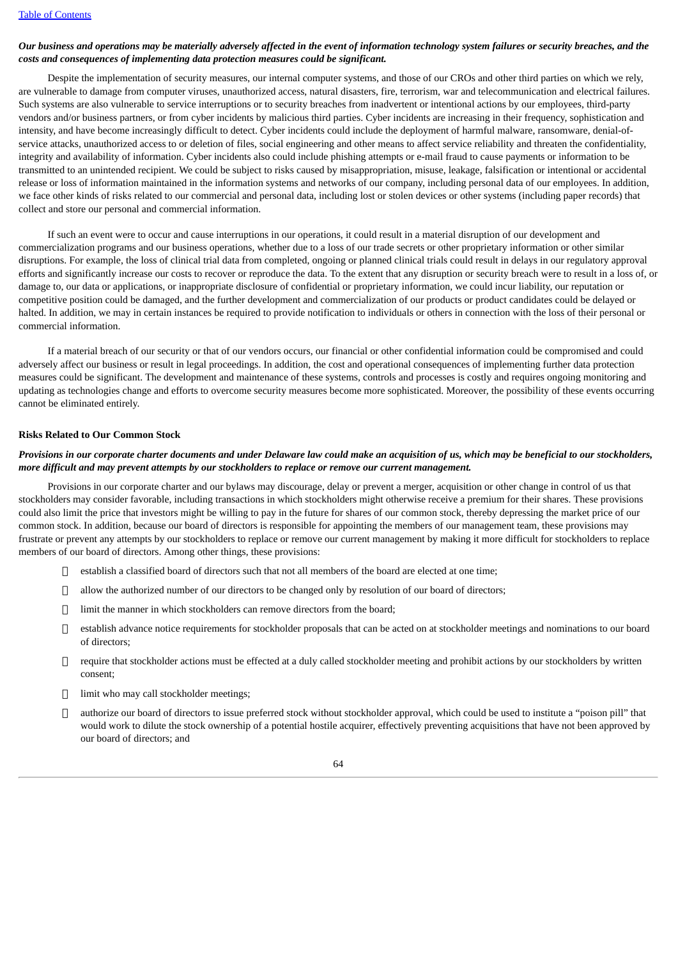### Our business and operations may be materially adversely affected in the event of information technology system failures or security breaches, and the *costs and consequences of implementing data protection measures could be significant.*

Despite the implementation of security measures, our internal computer systems, and those of our CROs and other third parties on which we rely, are vulnerable to damage from computer viruses, unauthorized access, natural disasters, fire, terrorism, war and telecommunication and electrical failures. Such systems are also vulnerable to service interruptions or to security breaches from inadvertent or intentional actions by our employees, third-party vendors and/or business partners, or from cyber incidents by malicious third parties. Cyber incidents are increasing in their frequency, sophistication and intensity, and have become increasingly difficult to detect. Cyber incidents could include the deployment of harmful malware, ransomware, denial-ofservice attacks, unauthorized access to or deletion of files, social engineering and other means to affect service reliability and threaten the confidentiality, integrity and availability of information. Cyber incidents also could include phishing attempts or e-mail fraud to cause payments or information to be transmitted to an unintended recipient. We could be subject to risks caused by misappropriation, misuse, leakage, falsification or intentional or accidental release or loss of information maintained in the information systems and networks of our company, including personal data of our employees. In addition, we face other kinds of risks related to our commercial and personal data, including lost or stolen devices or other systems (including paper records) that collect and store our personal and commercial information.

If such an event were to occur and cause interruptions in our operations, it could result in a material disruption of our development and commercialization programs and our business operations, whether due to a loss of our trade secrets or other proprietary information or other similar disruptions. For example, the loss of clinical trial data from completed, ongoing or planned clinical trials could result in delays in our regulatory approval efforts and significantly increase our costs to recover or reproduce the data. To the extent that any disruption or security breach were to result in a loss of, or damage to, our data or applications, or inappropriate disclosure of confidential or proprietary information, we could incur liability, our reputation or competitive position could be damaged, and the further development and commercialization of our products or product candidates could be delayed or halted. In addition, we may in certain instances be required to provide notification to individuals or others in connection with the loss of their personal or commercial information.

If a material breach of our security or that of our vendors occurs, our financial or other confidential information could be compromised and could adversely affect our business or result in legal proceedings. In addition, the cost and operational consequences of implementing further data protection measures could be significant. The development and maintenance of these systems, controls and processes is costly and requires ongoing monitoring and updating as technologies change and efforts to overcome security measures become more sophisticated. Moreover, the possibility of these events occurring cannot be eliminated entirely.

#### **Risks Related to Our Common Stock**

# Provisions in our corporate charter documents and under Delaware law could make an acquisition of us, which may be beneficial to our stockholders, *more difficult and may prevent attempts by our stockholders to replace or remove our current management.*

Provisions in our corporate charter and our bylaws may discourage, delay or prevent a merger, acquisition or other change in control of us that stockholders may consider favorable, including transactions in which stockholders might otherwise receive a premium for their shares. These provisions could also limit the price that investors might be willing to pay in the future for shares of our common stock, thereby depressing the market price of our common stock. In addition, because our board of directors is responsible for appointing the members of our management team, these provisions may frustrate or prevent any attempts by our stockholders to replace or remove our current management by making it more difficult for stockholders to replace members of our board of directors. Among other things, these provisions:

- $\Box$  establish a classified board of directors such that not all members of the board are elected at one time;
- $\Box$  allow the authorized number of our directors to be changed only by resolution of our board of directors;
- $\Box$  limit the manner in which stockholders can remove directors from the board;
- establish advance notice requirements for stockholder proposals that can be acted on at stockholder meetings and nominations to our board of directors;
- require that stockholder actions must be effected at a duly called stockholder meeting and prohibit actions by our stockholders by written consent;
- $\Box$  limit who may call stockholder meetings;
- $\Box$  authorize our board of directors to issue preferred stock without stockholder approval, which could be used to institute a "poison pill" that would work to dilute the stock ownership of a potential hostile acquirer, effectively preventing acquisitions that have not been approved by our board of directors; and

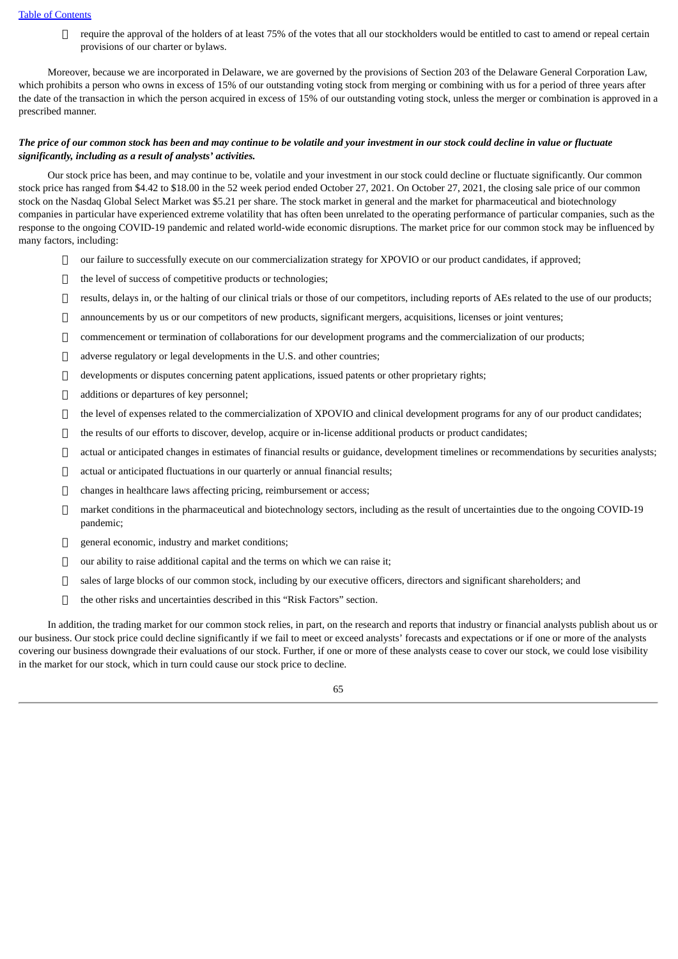$\Box$  require the approval of the holders of at least 75% of the votes that all our stockholders would be entitled to cast to amend or repeal certain provisions of our charter or bylaws.

Moreover, because we are incorporated in Delaware, we are governed by the provisions of Section 203 of the Delaware General Corporation Law, which prohibits a person who owns in excess of 15% of our outstanding voting stock from merging or combining with us for a period of three years after the date of the transaction in which the person acquired in excess of 15% of our outstanding voting stock, unless the merger or combination is approved in a prescribed manner.

## The price of our common stock has been and may continue to be volatile and your investment in our stock could decline in value or fluctuate *significantly, including as a result of analysts' activities.*

Our stock price has been, and may continue to be, volatile and your investment in our stock could decline or fluctuate significantly. Our common stock price has ranged from \$4.42 to \$18.00 in the 52 week period ended October 27, 2021. On October 27, 2021, the closing sale price of our common stock on the Nasdaq Global Select Market was \$5.21 per share. The stock market in general and the market for pharmaceutical and biotechnology companies in particular have experienced extreme volatility that has often been unrelated to the operating performance of particular companies, such as the response to the ongoing COVID-19 pandemic and related world-wide economic disruptions. The market price for our common stock may be influenced by many factors, including:

- $\Box$  our failure to successfully execute on our commercialization strategy for XPOVIO or our product candidates, if approved;
- $\Box$  the level of success of competitive products or technologies;
- $\Box$  results, delays in, or the halting of our clinical trials or those of our competitors, including reports of AEs related to the use of our products;
- announcements by us or our competitors of new products, significant mergers, acquisitions, licenses or joint ventures;
- $\Box$  commencement or termination of collaborations for our development programs and the commercialization of our products;
- $\Box$  adverse regulatory or legal developments in the U.S. and other countries;
- $\Box$  developments or disputes concerning patent applications, issued patents or other proprietary rights;
- additions or departures of key personnel;
- $\Box$  the level of expenses related to the commercialization of XPOVIO and clinical development programs for any of our product candidates;
- $\Box$  the results of our efforts to discover, develop, acquire or in-license additional products or product candidates;
- $\Box$  actual or anticipated changes in estimates of financial results or guidance, development timelines or recommendations by securities analysts;
- $\Box$  actual or anticipated fluctuations in our quarterly or annual financial results;
- changes in healthcare laws affecting pricing, reimbursement or access;
- market conditions in the pharmaceutical and biotechnology sectors, including as the result of uncertainties due to the ongoing COVID-19 pandemic;
- **general economic, industry and market conditions;**
- $\Box$  our ability to raise additional capital and the terms on which we can raise it;
- $\Box$  sales of large blocks of our common stock, including by our executive officers, directors and significant shareholders; and
- the other risks and uncertainties described in this "Risk Factors" section.

In addition, the trading market for our common stock relies, in part, on the research and reports that industry or financial analysts publish about us or our business. Our stock price could decline significantly if we fail to meet or exceed analysts' forecasts and expectations or if one or more of the analysts covering our business downgrade their evaluations of our stock. Further, if one or more of these analysts cease to cover our stock, we could lose visibility in the market for our stock, which in turn could cause our stock price to decline.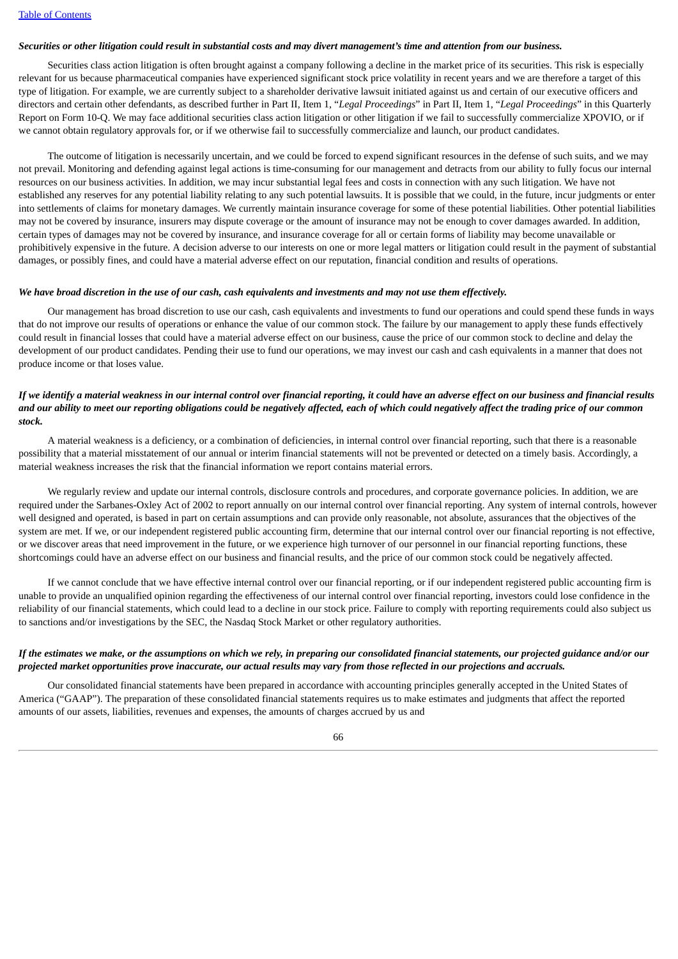#### Securities or other litigation could result in substantial costs and may divert management's time and attention from our business.

Securities class action litigation is often brought against a company following a decline in the market price of its securities. This risk is especially relevant for us because pharmaceutical companies have experienced significant stock price volatility in recent years and we are therefore a target of this type of litigation. For example, we are currently subject to a shareholder derivative lawsuit initiated against us and certain of our executive officers and directors and certain other defendants, as described further in Part II, Item 1, "*Legal Proceedings*" in Part II, Item 1, "*Legal Proceedings*" in this Quarterly Report on Form 10-Q. We may face additional securities class action litigation or other litigation if we fail to successfully commercialize XPOVIO, or if we cannot obtain regulatory approvals for, or if we otherwise fail to successfully commercialize and launch, our product candidates.

The outcome of litigation is necessarily uncertain, and we could be forced to expend significant resources in the defense of such suits, and we may not prevail. Monitoring and defending against legal actions is time-consuming for our management and detracts from our ability to fully focus our internal resources on our business activities. In addition, we may incur substantial legal fees and costs in connection with any such litigation. We have not established any reserves for any potential liability relating to any such potential lawsuits. It is possible that we could, in the future, incur judgments or enter into settlements of claims for monetary damages. We currently maintain insurance coverage for some of these potential liabilities. Other potential liabilities may not be covered by insurance, insurers may dispute coverage or the amount of insurance may not be enough to cover damages awarded. In addition, certain types of damages may not be covered by insurance, and insurance coverage for all or certain forms of liability may become unavailable or prohibitively expensive in the future. A decision adverse to our interests on one or more legal matters or litigation could result in the payment of substantial damages, or possibly fines, and could have a material adverse effect on our reputation, financial condition and results of operations.

#### We have broad discretion in the use of our cash, cash equivalents and investments and may not use them effectively.

Our management has broad discretion to use our cash, cash equivalents and investments to fund our operations and could spend these funds in ways that do not improve our results of operations or enhance the value of our common stock. The failure by our management to apply these funds effectively could result in financial losses that could have a material adverse effect on our business, cause the price of our common stock to decline and delay the development of our product candidates. Pending their use to fund our operations, we may invest our cash and cash equivalents in a manner that does not produce income or that loses value.

# If we identify a material weakness in our internal control over financial reporting, it could have an adverse effect on our business and financial results and our ability to meet our reporting obligations could be negatively affected, each of which could negatively affect the trading price of our common *stock.*

A material weakness is a deficiency, or a combination of deficiencies, in internal control over financial reporting, such that there is a reasonable possibility that a material misstatement of our annual or interim financial statements will not be prevented or detected on a timely basis. Accordingly, a material weakness increases the risk that the financial information we report contains material errors.

We regularly review and update our internal controls, disclosure controls and procedures, and corporate governance policies. In addition, we are required under the Sarbanes-Oxley Act of 2002 to report annually on our internal control over financial reporting. Any system of internal controls, however well designed and operated, is based in part on certain assumptions and can provide only reasonable, not absolute, assurances that the objectives of the system are met. If we, or our independent registered public accounting firm, determine that our internal control over our financial reporting is not effective, or we discover areas that need improvement in the future, or we experience high turnover of our personnel in our financial reporting functions, these shortcomings could have an adverse effect on our business and financial results, and the price of our common stock could be negatively affected.

If we cannot conclude that we have effective internal control over our financial reporting, or if our independent registered public accounting firm is unable to provide an unqualified opinion regarding the effectiveness of our internal control over financial reporting, investors could lose confidence in the reliability of our financial statements, which could lead to a decline in our stock price. Failure to comply with reporting requirements could also subject us to sanctions and/or investigations by the SEC, the Nasdaq Stock Market or other regulatory authorities.

# If the estimates we make, or the assumptions on which we rely, in preparing our consolidated financial statements, our projected guidance and/or our projected market opportunities prove inaccurate, our actual results may vary from those reflected in our projections and accruals.

Our consolidated financial statements have been prepared in accordance with accounting principles generally accepted in the United States of America ("GAAP"). The preparation of these consolidated financial statements requires us to make estimates and judgments that affect the reported amounts of our assets, liabilities, revenues and expenses, the amounts of charges accrued by us and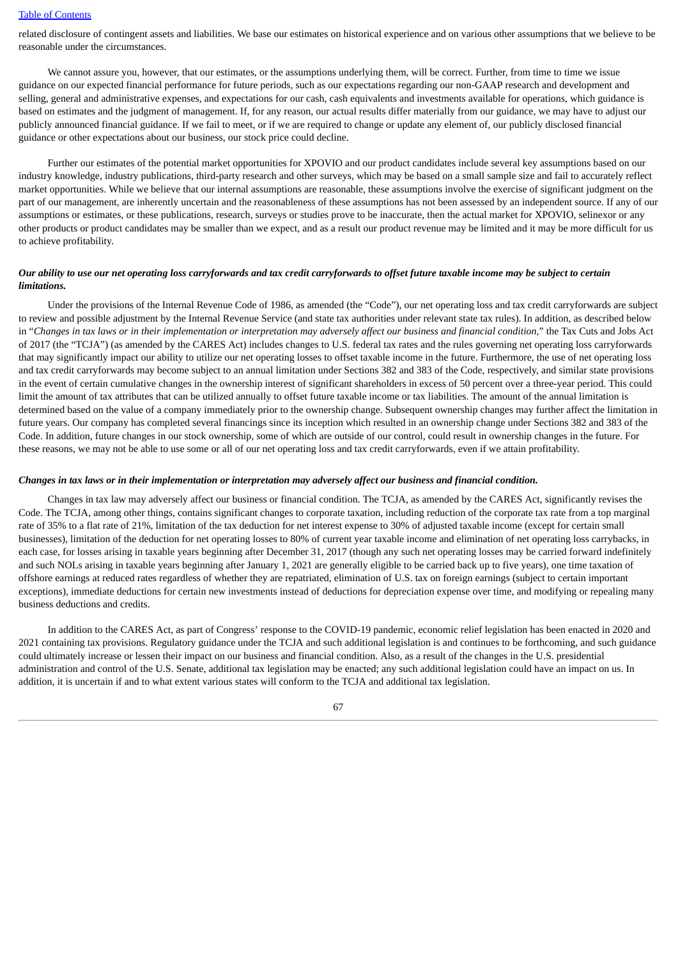related disclosure of contingent assets and liabilities. We base our estimates on historical experience and on various other assumptions that we believe to be reasonable under the circumstances.

We cannot assure you, however, that our estimates, or the assumptions underlying them, will be correct. Further, from time to time we issue guidance on our expected financial performance for future periods, such as our expectations regarding our non-GAAP research and development and selling, general and administrative expenses, and expectations for our cash, cash equivalents and investments available for operations, which guidance is based on estimates and the judgment of management. If, for any reason, our actual results differ materially from our guidance, we may have to adjust our publicly announced financial guidance. If we fail to meet, or if we are required to change or update any element of, our publicly disclosed financial guidance or other expectations about our business, our stock price could decline.

Further our estimates of the potential market opportunities for XPOVIO and our product candidates include several key assumptions based on our industry knowledge, industry publications, third-party research and other surveys, which may be based on a small sample size and fail to accurately reflect market opportunities. While we believe that our internal assumptions are reasonable, these assumptions involve the exercise of significant judgment on the part of our management, are inherently uncertain and the reasonableness of these assumptions has not been assessed by an independent source. If any of our assumptions or estimates, or these publications, research, surveys or studies prove to be inaccurate, then the actual market for XPOVIO, selinexor or any other products or product candidates may be smaller than we expect, and as a result our product revenue may be limited and it may be more difficult for us to achieve profitability.

#### Our ability to use our net operating loss carryforwards and tax credit carryforwards to offset future taxable income may be subject to certain *limitations.*

Under the provisions of the Internal Revenue Code of 1986, as amended (the "Code"), our net operating loss and tax credit carryforwards are subject to review and possible adjustment by the Internal Revenue Service (and state tax authorities under relevant state tax rules). In addition, as described below in "Changes in tax laws or in their implementation or interpretation may adversely affect our business and financial condition," the Tax Cuts and Jobs Act of 2017 (the "TCJA") (as amended by the CARES Act) includes changes to U.S. federal tax rates and the rules governing net operating loss carryforwards that may significantly impact our ability to utilize our net operating losses to offset taxable income in the future. Furthermore, the use of net operating loss and tax credit carryforwards may become subject to an annual limitation under Sections 382 and 383 of the Code, respectively, and similar state provisions in the event of certain cumulative changes in the ownership interest of significant shareholders in excess of 50 percent over a three-year period. This could limit the amount of tax attributes that can be utilized annually to offset future taxable income or tax liabilities. The amount of the annual limitation is determined based on the value of a company immediately prior to the ownership change. Subsequent ownership changes may further affect the limitation in future years. Our company has completed several financings since its inception which resulted in an ownership change under Sections 382 and 383 of the Code. In addition, future changes in our stock ownership, some of which are outside of our control, could result in ownership changes in the future. For these reasons, we may not be able to use some or all of our net operating loss and tax credit carryforwards, even if we attain profitability.

#### Changes in tax laws or in their implementation or interpretation may adversely affect our business and financial condition.

Changes in tax law may adversely affect our business or financial condition. The TCJA, as amended by the CARES Act, significantly revises the Code. The TCJA, among other things, contains significant changes to corporate taxation, including reduction of the corporate tax rate from a top marginal rate of 35% to a flat rate of 21%, limitation of the tax deduction for net interest expense to 30% of adjusted taxable income (except for certain small businesses), limitation of the deduction for net operating losses to 80% of current year taxable income and elimination of net operating loss carrybacks, in each case, for losses arising in taxable years beginning after December 31, 2017 (though any such net operating losses may be carried forward indefinitely and such NOLs arising in taxable years beginning after January 1, 2021 are generally eligible to be carried back up to five years), one time taxation of offshore earnings at reduced rates regardless of whether they are repatriated, elimination of U.S. tax on foreign earnings (subject to certain important exceptions), immediate deductions for certain new investments instead of deductions for depreciation expense over time, and modifying or repealing many business deductions and credits.

In addition to the CARES Act, as part of Congress' response to the COVID-19 pandemic, economic relief legislation has been enacted in 2020 and 2021 containing tax provisions. Regulatory guidance under the TCJA and such additional legislation is and continues to be forthcoming, and such guidance could ultimately increase or lessen their impact on our business and financial condition. Also, as a result of the changes in the U.S. presidential administration and control of the U.S. Senate, additional tax legislation may be enacted; any such additional legislation could have an impact on us. In addition, it is uncertain if and to what extent various states will conform to the TCJA and additional tax legislation.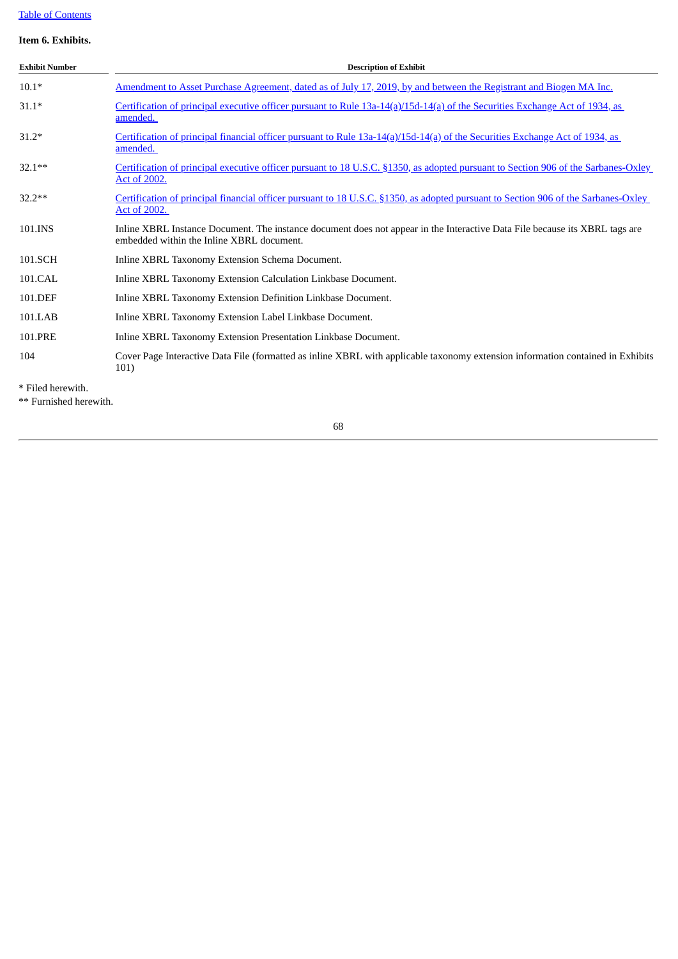# **Item 6. Exhibits.**

| <b>Exhibit Number</b> | <b>Description of Exhibit</b>                                                                                                                                            |  |  |
|-----------------------|--------------------------------------------------------------------------------------------------------------------------------------------------------------------------|--|--|
| $10.1*$               | Amendment to Asset Purchase Agreement, dated as of July 17, 2019, by and between the Registrant and Biogen MA Inc.                                                       |  |  |
| $31.1*$               | <u>Certification of principal executive officer pursuant to Rule 13a-14(a)/15d-14(a) of the Securities Exchange Act of 1934, as</u><br>amended.                          |  |  |
| $31.2*$               | Certification of principal financial officer pursuant to Rule 13a-14(a)/15d-14(a) of the Securities Exchange Act of 1934, as<br>amended.                                 |  |  |
| $32.1**$              | Certification of principal executive officer pursuant to 18 U.S.C. §1350, as adopted pursuant to Section 906 of the Sarbanes-Oxley<br>Act of 2002.                       |  |  |
| $32.2**$              | Certification of principal financial officer pursuant to 18 U.S.C. §1350, as adopted pursuant to Section 906 of the Sarbanes-Oxley<br>Act of 2002.                       |  |  |
| 101.INS               | Inline XBRL Instance Document. The instance document does not appear in the Interactive Data File because its XBRL tags are<br>embedded within the Inline XBRL document. |  |  |
| 101.SCH               | Inline XBRL Taxonomy Extension Schema Document.                                                                                                                          |  |  |
| 101.CAL               | Inline XBRL Taxonomy Extension Calculation Linkbase Document.                                                                                                            |  |  |
| 101.DEF               | Inline XBRL Taxonomy Extension Definition Linkbase Document.                                                                                                             |  |  |
| 101.LAB               | Inline XBRL Taxonomy Extension Label Linkbase Document.                                                                                                                  |  |  |
| 101.PRE               | Inline XBRL Taxonomy Extension Presentation Linkbase Document.                                                                                                           |  |  |
| 104                   | Cover Page Interactive Data File (formatted as inline XBRL with applicable taxonomy extension information contained in Exhibits<br>101)                                  |  |  |

\* Filed herewith.

\*\* Furnished herewith.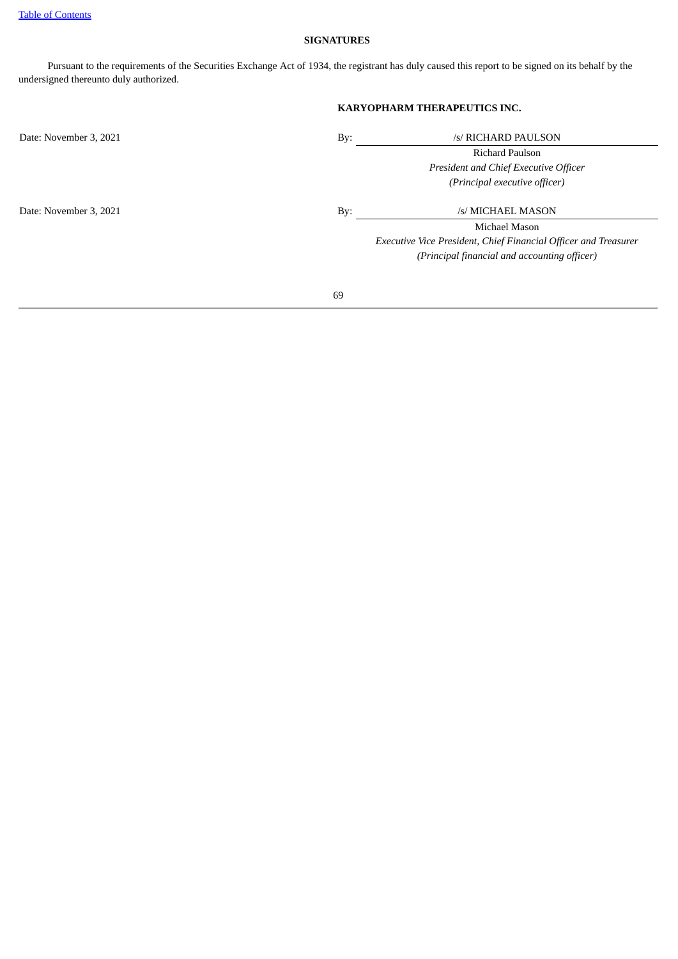### **SIGNATURES**

Pursuant to the requirements of the Securities Exchange Act of 1934, the registrant has duly caused this report to be signed on its behalf by the undersigned thereunto duly authorized.

# **KARYOPHARM THERAPEUTICS INC.**

| Date: November 3, 2021 | By: | /s/ RICHARD PAULSON                                             |
|------------------------|-----|-----------------------------------------------------------------|
|                        |     | Richard Paulson                                                 |
|                        |     | President and Chief Executive Officer                           |
|                        |     | (Principal executive officer)                                   |
| Date: November 3, 2021 | By: | /s/ MICHAEL MASON                                               |
|                        |     | Michael Mason                                                   |
|                        |     | Executive Vice President, Chief Financial Officer and Treasurer |
|                        |     | (Principal financial and accounting officer)                    |
|                        |     |                                                                 |
|                        | 69  |                                                                 |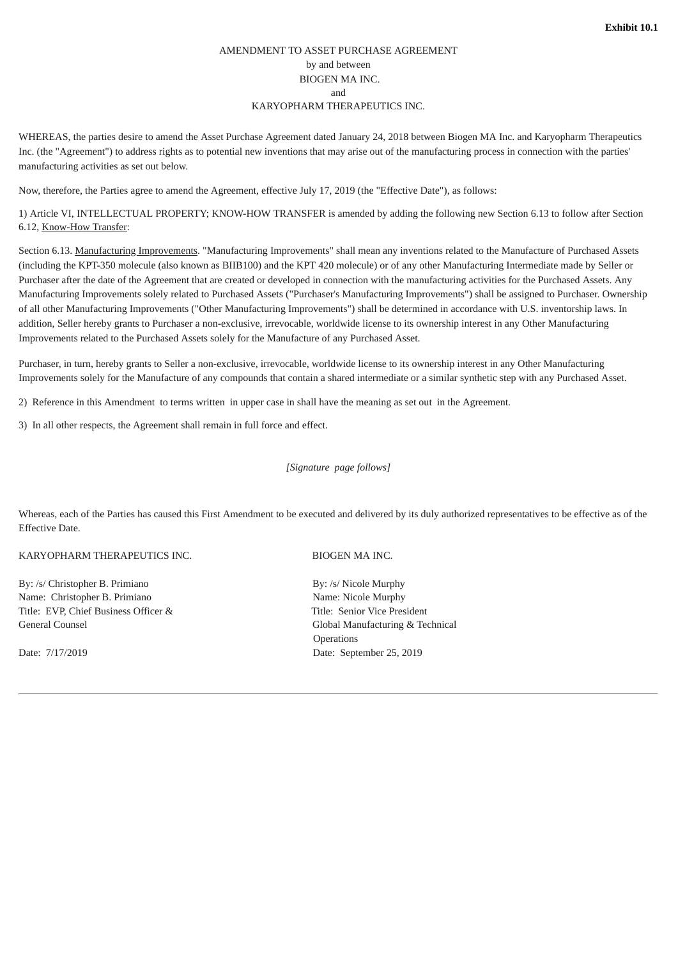# AMENDMENT TO ASSET PURCHASE AGREEMENT by and between BIOGEN MA INC. and KARYOPHARM THERAPEUTICS INC.

<span id="page-69-0"></span>WHEREAS, the parties desire to amend the Asset Purchase Agreement dated January 24, 2018 between Biogen MA Inc. and Karyopharm Therapeutics Inc. (the "Agreement") to address rights as to potential new inventions that may arise out of the manufacturing process in connection with the parties' manufacturing activities as set out below.

Now, therefore, the Parties agree to amend the Agreement, effective July 17, 2019 (the "Effective Date"), as follows:

1) Article VI, INTELLECTUAL PROPERTY; KNOW-HOW TRANSFER is amended by adding the following new Section 6.13 to follow after Section 6.12, Know-How Transfer:

Section 6.13. Manufacturing Improvements. "Manufacturing Improvements" shall mean any inventions related to the Manufacture of Purchased Assets (including the KPT-350 molecule (also known as BIIB100) and the KPT 420 molecule) or of any other Manufacturing Intermediate made by Seller or Purchaser after the date of the Agreement that are created or developed in connection with the manufacturing activities for the Purchased Assets. Any Manufacturing Improvements solely related to Purchased Assets ("Purchaser's Manufacturing Improvements") shall be assigned to Purchaser. Ownership of all other Manufacturing Improvements ("Other Manufacturing Improvements") shall be determined in accordance with U.S. inventorship laws. In addition, Seller hereby grants to Purchaser a non-exclusive, irrevocable, worldwide license to its ownership interest in any Other Manufacturing Improvements related to the Purchased Assets solely for the Manufacture of any Purchased Asset.

Purchaser, in turn, hereby grants to Seller a non-exclusive, irrevocable, worldwide license to its ownership interest in any Other Manufacturing Improvements solely for the Manufacture of any compounds that contain a shared intermediate or a similar synthetic step with any Purchased Asset.

2) Reference in this Amendment to terms written in upper case in shall have the meaning as set out in the Agreement.

3) In all other respects, the Agreement shall remain in full force and effect.

*[Signature page follows]*

Whereas, each of the Parties has caused this First Amendment to be executed and delivered by its duly authorized representatives to be effective as of the Effective Date.

KARYOPHARM THERAPEUTICS INC. BIOGEN MA INC.

By: /s/ Christopher B. Primiano By: /s/ Nicole Murphy Name: Christopher B. Primiano Name: Nicole Murphy Title: EVP, Chief Business Officer & Title: Senior Vice President

General Counsel General Counsel General Counsel General Counsel General Counsel General Counsel General Counsel **Operations** Date: 7/17/2019 Date: September 25, 2019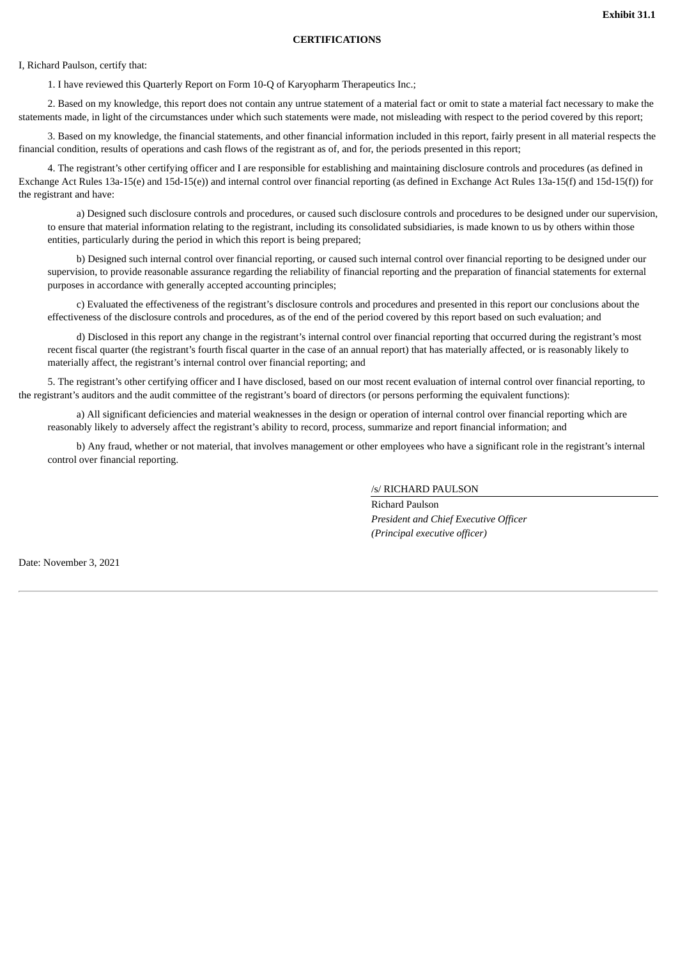#### **CERTIFICATIONS**

<span id="page-70-0"></span>I, Richard Paulson, certify that:

1. I have reviewed this Quarterly Report on Form 10-Q of Karyopharm Therapeutics Inc.;

2. Based on my knowledge, this report does not contain any untrue statement of a material fact or omit to state a material fact necessary to make the statements made, in light of the circumstances under which such statements were made, not misleading with respect to the period covered by this report;

3. Based on my knowledge, the financial statements, and other financial information included in this report, fairly present in all material respects the financial condition, results of operations and cash flows of the registrant as of, and for, the periods presented in this report;

4. The registrant's other certifying officer and I are responsible for establishing and maintaining disclosure controls and procedures (as defined in Exchange Act Rules 13a-15(e) and 15d-15(e)) and internal control over financial reporting (as defined in Exchange Act Rules 13a-15(f) and 15d-15(f)) for the registrant and have:

a) Designed such disclosure controls and procedures, or caused such disclosure controls and procedures to be designed under our supervision, to ensure that material information relating to the registrant, including its consolidated subsidiaries, is made known to us by others within those entities, particularly during the period in which this report is being prepared;

b) Designed such internal control over financial reporting, or caused such internal control over financial reporting to be designed under our supervision, to provide reasonable assurance regarding the reliability of financial reporting and the preparation of financial statements for external purposes in accordance with generally accepted accounting principles;

c) Evaluated the effectiveness of the registrant's disclosure controls and procedures and presented in this report our conclusions about the effectiveness of the disclosure controls and procedures, as of the end of the period covered by this report based on such evaluation; and

d) Disclosed in this report any change in the registrant's internal control over financial reporting that occurred during the registrant's most recent fiscal quarter (the registrant's fourth fiscal quarter in the case of an annual report) that has materially affected, or is reasonably likely to materially affect, the registrant's internal control over financial reporting; and

5. The registrant's other certifying officer and I have disclosed, based on our most recent evaluation of internal control over financial reporting, to the registrant's auditors and the audit committee of the registrant's board of directors (or persons performing the equivalent functions):

a) All significant deficiencies and material weaknesses in the design or operation of internal control over financial reporting which are reasonably likely to adversely affect the registrant's ability to record, process, summarize and report financial information; and

b) Any fraud, whether or not material, that involves management or other employees who have a significant role in the registrant's internal control over financial reporting.

# /s/ RICHARD PAULSON

Richard Paulson *President and Chief Executive Officer (Principal executive officer)*

Date: November 3, 2021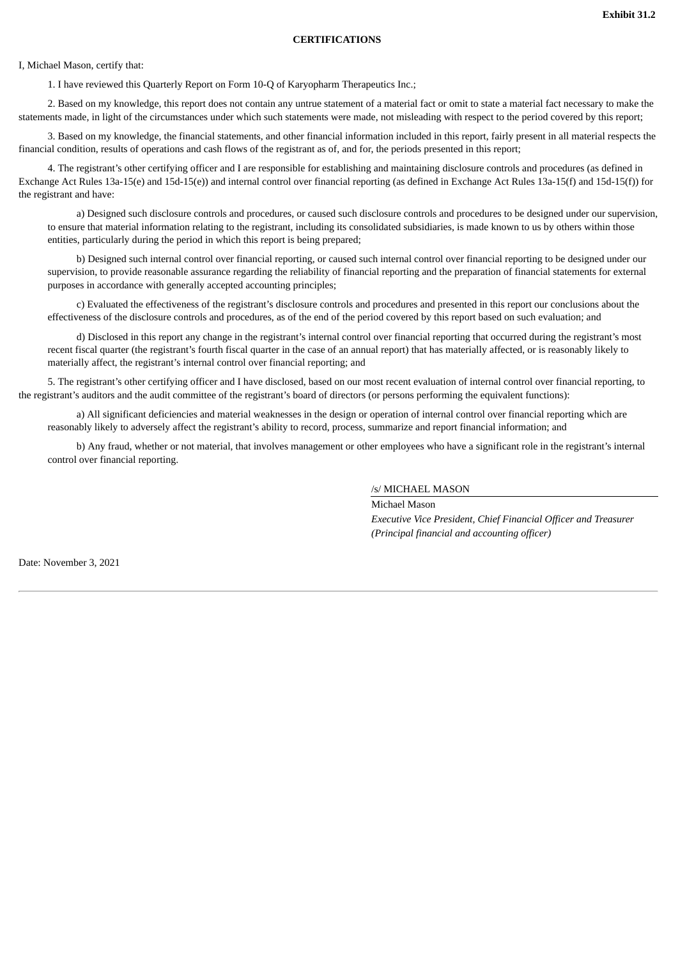#### **CERTIFICATIONS**

<span id="page-71-0"></span>I, Michael Mason, certify that:

1. I have reviewed this Quarterly Report on Form 10-Q of Karyopharm Therapeutics Inc.;

2. Based on my knowledge, this report does not contain any untrue statement of a material fact or omit to state a material fact necessary to make the statements made, in light of the circumstances under which such statements were made, not misleading with respect to the period covered by this report;

3. Based on my knowledge, the financial statements, and other financial information included in this report, fairly present in all material respects the financial condition, results of operations and cash flows of the registrant as of, and for, the periods presented in this report;

4. The registrant's other certifying officer and I are responsible for establishing and maintaining disclosure controls and procedures (as defined in Exchange Act Rules 13a-15(e) and 15d-15(e)) and internal control over financial reporting (as defined in Exchange Act Rules 13a-15(f) and 15d-15(f)) for the registrant and have:

a) Designed such disclosure controls and procedures, or caused such disclosure controls and procedures to be designed under our supervision, to ensure that material information relating to the registrant, including its consolidated subsidiaries, is made known to us by others within those entities, particularly during the period in which this report is being prepared;

b) Designed such internal control over financial reporting, or caused such internal control over financial reporting to be designed under our supervision, to provide reasonable assurance regarding the reliability of financial reporting and the preparation of financial statements for external purposes in accordance with generally accepted accounting principles;

c) Evaluated the effectiveness of the registrant's disclosure controls and procedures and presented in this report our conclusions about the effectiveness of the disclosure controls and procedures, as of the end of the period covered by this report based on such evaluation; and

d) Disclosed in this report any change in the registrant's internal control over financial reporting that occurred during the registrant's most recent fiscal quarter (the registrant's fourth fiscal quarter in the case of an annual report) that has materially affected, or is reasonably likely to materially affect, the registrant's internal control over financial reporting; and

5. The registrant's other certifying officer and I have disclosed, based on our most recent evaluation of internal control over financial reporting, to the registrant's auditors and the audit committee of the registrant's board of directors (or persons performing the equivalent functions):

a) All significant deficiencies and material weaknesses in the design or operation of internal control over financial reporting which are reasonably likely to adversely affect the registrant's ability to record, process, summarize and report financial information; and

b) Any fraud, whether or not material, that involves management or other employees who have a significant role in the registrant's internal control over financial reporting.

#### /s/ MICHAEL MASON

Michael Mason *Executive Vice President, Chief Financial Officer and Treasurer (Principal financial and accounting officer)*

Date: November 3, 2021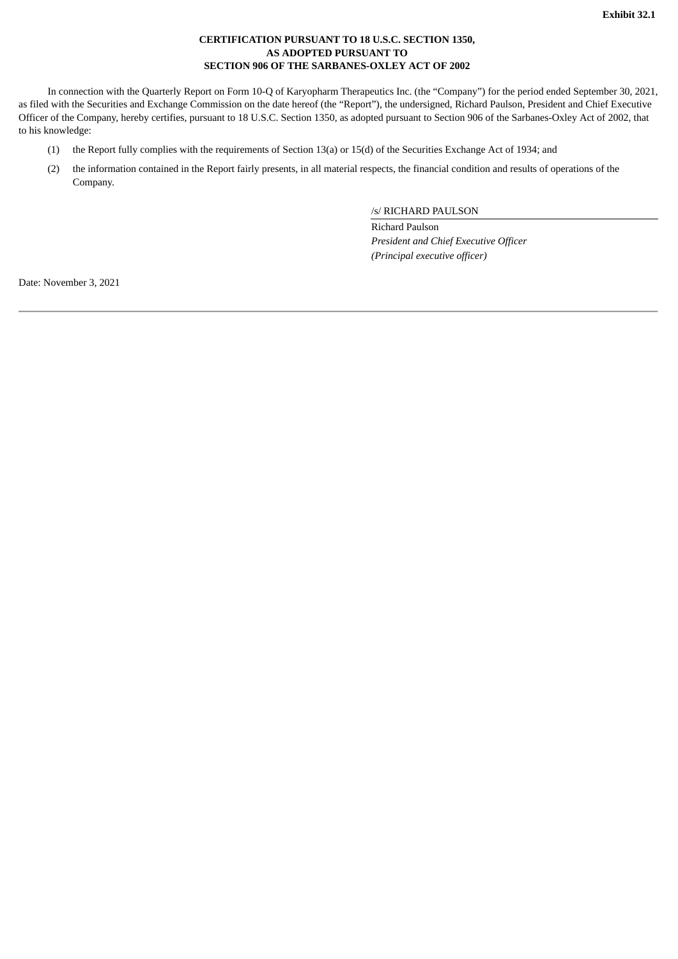## **CERTIFICATION PURSUANT TO 18 U.S.C. SECTION 1350, AS ADOPTED PURSUANT TO SECTION 906 OF THE SARBANES-OXLEY ACT OF 2002**

In connection with the Quarterly Report on Form 10-Q of Karyopharm Therapeutics Inc. (the "Company") for the period ended September 30, 2021, as filed with the Securities and Exchange Commission on the date hereof (the "Report"), the undersigned, Richard Paulson, President and Chief Executive Officer of the Company, hereby certifies, pursuant to 18 U.S.C. Section 1350, as adopted pursuant to Section 906 of the Sarbanes-Oxley Act of 2002, that to his knowledge:

- (1) the Report fully complies with the requirements of Section 13(a) or 15(d) of the Securities Exchange Act of 1934; and
- (2) the information contained in the Report fairly presents, in all material respects, the financial condition and results of operations of the Company.

/s/ RICHARD PAULSON

Richard Paulson *President and Chief Executive Officer (Principal executive officer)*

Date: November 3, 2021